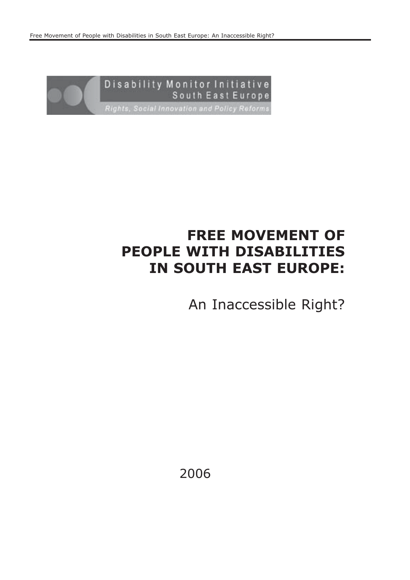

# **FREE MOVEMENT OF PEOPLE WITH DISABILITIES IN SOUTH EAST EUROPE:**

An Inaccessible Right?

2006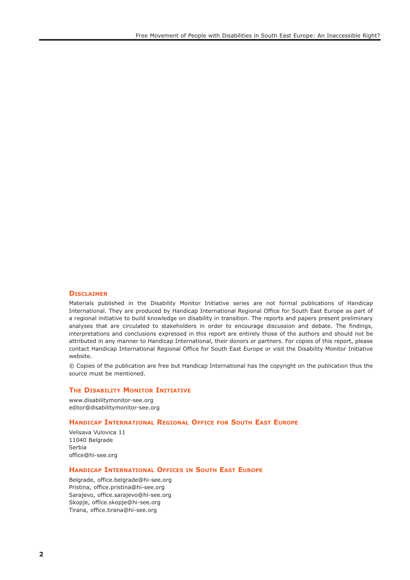## **DISCLAIMER**

Materials published in the Disability Monitor Initiative series are not formal publications of Handicap International. They are produced by Handicap International Regional Office for South East Europe as part of a regional initiative to build knowledge on disability in transition. The reports and papers present preliminary analyses that are circulated to stakeholders in order to encourage discussion and debate. The findings, interpretations and conclusions expressed in this report are entirely those of the authors and should not be attributed in any manner to Handicap International, their donors or partners. For copies of this report, please contact Handicap International Regional Office for South East Europe or visit the Disability Monitor Initiative website.

© Copies of the publication are free but Handicap International has the copyright on the publication thus the source must be mentioned.

## **THE DISABILITY MONITOR INITIATIVE**

www.disabilitymonitor-see.org editor@disabilitymonitor-see.org

## **HANDICAP INTERNATIONAL REGIONAL OFFICE FOR SOUTH EAST EUROPE**

Velisava Vulovica 11 11040 Belgrade Serbia office@hi-see.org

### **HANDICAP INTERNATIONAL OFFICES IN SOUTH EAST EUROPE**

Belgrade, office.belgrade@hi-see.org Pristina, office.pristina@hi-see.org Sarajevo, office.sarajevo@hi-see.org Skopje, office.skopje@hi-see.org Tirana, office.tirana@hi-see.org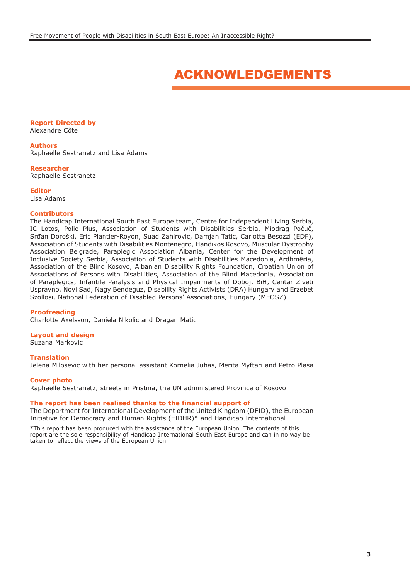# ACKNOWLEDGEMENTS

### **Report Directed by** Alexandre Côte

## **Authors**

Raphaelle Sestranetz and Lisa Adams

### **Researcher** Raphaelle Sestranetz

**Editor**

Lisa Adams

## **Contributors**

The Handicap International South East Europe team, Centre for Independent Living Serbia, IC Lotos, Polio Plus, Association of Students with Disabilities Serbia, Miodrag Počuč, Srđan Doroški, Eric Plantier-Royon, Suad Zahirovic, Damjan Tatic, Carlotta Besozzi (EDF), Association of Students with Disabilities Montenegro, Handikos Kosovo, Muscular Dystrophy Association Belgrade, Paraplegic Association Albania, Center for the Development of Inclusive Society Serbia, Association of Students with Disabilities Macedonia, Ardhmëria, Association of the Blind Kosovo, Albanian Disability Rights Foundation, Croatian Union of Associations of Persons with Disabilities, Association of the Blind Macedonia, Association of Paraplegics, Infantile Paralysis and Physical Impairments of Doboj, BiH, Centar Ziveti Uspravno, Novi Sad, Nagy Bendeguz, Disability Rights Activists (DRA) Hungary and Erzebet Szollosi, National Federation of Disabled Persons' Associations, Hungary (MEOSZ)

## **Proofreading**

Charlotte Axelsson, Daniela Nikolic and Dragan Matic

## **Layout and design**

Suzana Markovic

## **Translation**

Jelena Milosevic with her personal assistant Kornelia Juhas, Merita Myftari and Petro Plasa

## **Cover photo**

Raphaelle Sestranetz, streets in Pristina, the UN administered Province of Kosovo

## **The report has been realised thanks to the financial support of**

The Department for International Development of the United Kingdom (DFID), the European Initiative for Democracy and Human Rights (EIDHR)\* and Handicap International

\*This report has been produced with the assistance of the European Union. The contents of this report are the sole responsibility of Handicap International South East Europe and can in no way be taken to reflect the views of the European Union.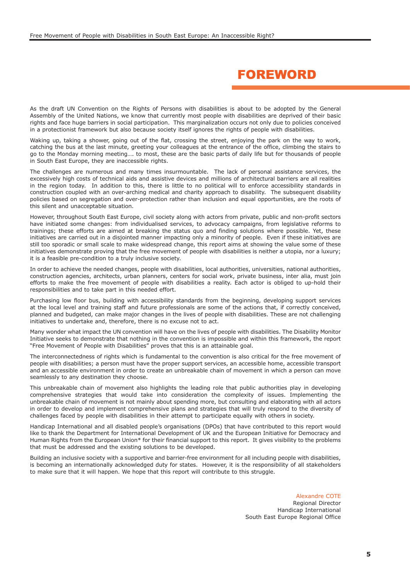## FOREWORD

As the draft UN Convention on the Rights of Persons with disabilities is about to be adopted by the General Assembly of the United Nations, we know that currently most people with disabilities are deprived of their basic rights and face huge barriers in social participation. This marginalization occurs not only due to policies conceived in a protectionist framework but also because society itself ignores the rights of people with disabilities.

Waking up, taking a shower, going out of the flat, crossing the street, enjoying the park on the way to work, catching the bus at the last minute, greeting your colleagues at the entrance of the office, climbing the stairs to go to the Monday morning meeting…. to most, these are the basic parts of daily life but for thousands of people in South East Europe, they are inaccessible rights.

The challenges are numerous and many times insurmountable. The lack of personal assistance services, the excessively high costs of technical aids and assistive devices and millions of architectural barriers are all realities in the region today. In addition to this, there is little to no political will to enforce accessibility standards in construction coupled with an over-arching medical and charity approach to disability. The subsequent disability policies based on segregation and over-protection rather than inclusion and equal opportunities, are the roots of this silent and unacceptable situation.

However, throughout South East Europe, civil society along with actors from private, public and non-profit sectors have initiated some changes: from individualised services, to advocacy campaigns, from legislative reforms to trainings; these efforts are aimed at breaking the status quo and finding solutions where possible. Yet, these initiatives are carried out in a disjointed manner impacting only a minority of people. Even if these initiatives are still too sporadic or small scale to make widespread change, this report aims at showing the value some of these initiatives demonstrate proving that the free movement of people with disabilities is neither a utopia, nor a luxury; it is a feasible pre-condition to a truly inclusive society.

In order to achieve the needed changes, people with disabilities, local authorities, universities, national authorities, construction agencies, architects, urban planners, centers for social work, private business, inter alia, must join efforts to make the free movement of people with disabilities a reality. Each actor is obliged to up-hold their responsibilities and to take part in this needed effort.

Purchasing low floor bus, building with accessibility standards from the beginning, developing support services at the local level and training staff and future professionals are some of the actions that, if correctly conceived, planned and budgeted, can make major changes in the lives of people with disabilities. These are not challenging initiatives to undertake and, therefore, there is no excuse not to act.

Many wonder what impact the UN convention will have on the lives of people with disabilities. The Disability Monitor Initiative seeks to demonstrate that nothing in the convention is impossible and within this framework, the report "Free Movement of People with Disabilities" proves that this is an attainable goal.

The interconnectedness of rights which is fundamental to the convention is also critical for the free movement of people with disabilities; a person must have the proper support services, an accessible home, accessible transport and an accessible environment in order to create an unbreakable chain of movement in which a person can move seamlessly to any destination they choose.

This unbreakable chain of movement also highlights the leading role that public authorities play in developing comprehensive strategies that would take into consideration the complexity of issues. Implementing the unbreakable chain of movement is not mainly about spending more, but consulting and elaborating with all actors in order to develop and implement comprehensive plans and strategies that will truly respond to the diversity of challenges faced by people with disabilities in their attempt to participate equally with others in society.

Handicap International and all disabled people's organisations (DPOs) that have contributed to this report would like to thank the Department for International Development of UK and the European Initiative for Democracy and Human Rights from the European Union\* for their financial support to this report. It gives visibility to the problems that must be addressed and the existing solutions to be developed.

Building an inclusive society with a supportive and barrier-free environment for all including people with disabilities, is becoming an internationally acknowledged duty for states. However, it is the responsibility of all stakeholders to make sure that it will happen. We hope that this report will contribute to this struggle.

> Alexandre COTE Regional Director Handicap International South East Europe Regional Office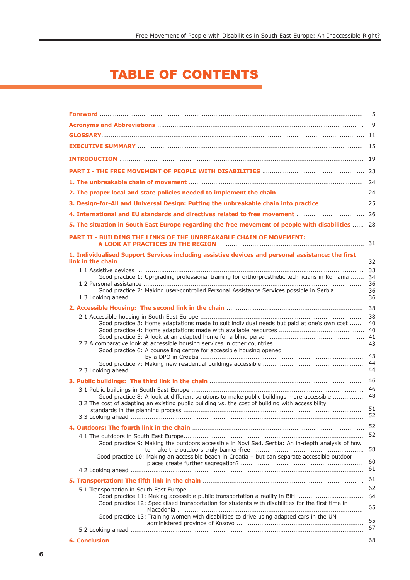# TABLE OF CONTENTS

|                                                                                                                                                                                             | 5        |
|---------------------------------------------------------------------------------------------------------------------------------------------------------------------------------------------|----------|
|                                                                                                                                                                                             | 9        |
|                                                                                                                                                                                             |          |
|                                                                                                                                                                                             |          |
|                                                                                                                                                                                             |          |
|                                                                                                                                                                                             |          |
|                                                                                                                                                                                             |          |
|                                                                                                                                                                                             |          |
| 3. Design-for-All and Universal Design: Putting the unbreakable chain into practice  25                                                                                                     |          |
|                                                                                                                                                                                             |          |
| 5. The situation in South East Europe regarding the free movement of people with disabilities  28                                                                                           |          |
| <b>PART II - BUILDING THE LINKS OF THE UNBREAKABLE CHAIN OF MOVEMENT:</b>                                                                                                                   | 31       |
| 1. Individualised Support Services including assistive devices and personal assistance: the first                                                                                           |          |
|                                                                                                                                                                                             | 32<br>33 |
| Good practice 1: Up-grading professional training for ortho-prosthetic technicians in Romania  34                                                                                           |          |
| Good practice 2: Making user-controlled Personal Assistance Services possible in Serbia                                                                                                     | 36<br>36 |
|                                                                                                                                                                                             | 36       |
|                                                                                                                                                                                             |          |
|                                                                                                                                                                                             |          |
| Good practice 3: Home adaptations made to suit individual needs but paid at one's own cost                                                                                                  | 40       |
|                                                                                                                                                                                             |          |
| Good practice 6: A counselling centre for accessible housing opened                                                                                                                         |          |
|                                                                                                                                                                                             | 43       |
|                                                                                                                                                                                             | 44<br>44 |
|                                                                                                                                                                                             | 46       |
|                                                                                                                                                                                             | 46       |
| Good practice 8: A look at different solutions to make public buildings more accessible<br>3.2 The cost of adapting an existing public building vs. the cost of building with accessibility | 48       |
|                                                                                                                                                                                             | 51       |
|                                                                                                                                                                                             | 52       |
|                                                                                                                                                                                             | 52       |
| Good practice 9: Making the outdoors accessible in Novi Sad, Serbia: An in-depth analysis of how                                                                                            | 52       |
|                                                                                                                                                                                             | 58       |
| Good practice 10: Making an accessible beach in Croatia - but can separate accessible outdoor                                                                                               | 60       |
|                                                                                                                                                                                             | 61       |
|                                                                                                                                                                                             | 61       |
|                                                                                                                                                                                             | 62       |
| Good practice 11: Making accessible public transportation a reality in BiH<br>Good practice 12: Specialised transportation for students with disabilities for the first time in             | 64       |
|                                                                                                                                                                                             | 65       |
| Good practice 13: Training women with disabilities to drive using adapted cars in the UN                                                                                                    | 65       |
|                                                                                                                                                                                             | 67       |
|                                                                                                                                                                                             | 68       |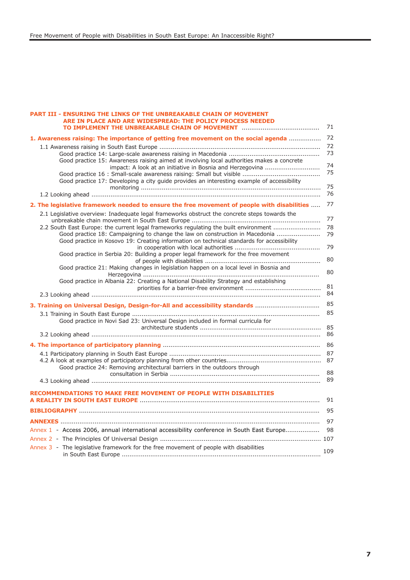| <b>PART III - ENSURING THE LINKS OF THE UNBREAKABLE CHAIN OF MOVEMENT</b><br>ARE IN PLACE AND ARE WIDESPREAD: THE POLICY PROCESS NEEDED                                                                                                                                                                                                                                                                                                                                                                                                                                                                                                     | 71                           |
|---------------------------------------------------------------------------------------------------------------------------------------------------------------------------------------------------------------------------------------------------------------------------------------------------------------------------------------------------------------------------------------------------------------------------------------------------------------------------------------------------------------------------------------------------------------------------------------------------------------------------------------------|------------------------------|
| 1. Awareness raising: The importance of getting free movement on the social agenda  72                                                                                                                                                                                                                                                                                                                                                                                                                                                                                                                                                      |                              |
| Good practice 15: Awareness raising aimed at involving local authorities makes a concrete<br>impact: A look at an initiative in Bosnia and Herzegovina<br>Good practice 17: Developing a city guide provides an interesting example of accessibility                                                                                                                                                                                                                                                                                                                                                                                        | 72<br>73<br>74<br>75         |
|                                                                                                                                                                                                                                                                                                                                                                                                                                                                                                                                                                                                                                             | 75<br>76                     |
| 2. The legislative framework needed to ensure the free movement of people with disabilities                                                                                                                                                                                                                                                                                                                                                                                                                                                                                                                                                 | 77                           |
| 2.1 Legislative overview: Inadequate legal frameworks obstruct the concrete steps towards the<br>2.2 South East Europe: the current legal frameworks regulating the built environment<br>Good practice 18: Campaigning to change the law on construction in Macedonia<br>Good practice in Kosovo 19: Creating information on technical standards for accessibility<br>Good practice in Serbia 20: Building a proper legal framework for the free movement<br>Good practice 21: Making changes in legislation happen on a local level in Bosnia and<br>Good practice in Albania 22: Creating a National Disability Strategy and establishing | 77<br>78<br>- 79<br>80<br>84 |
| 3. Training on Universal Design, Design-for-All and accessibility standards                                                                                                                                                                                                                                                                                                                                                                                                                                                                                                                                                                 | 85                           |
| Good practice in Novi Sad 23: Universal Design included in formal curricula for                                                                                                                                                                                                                                                                                                                                                                                                                                                                                                                                                             | 85                           |
|                                                                                                                                                                                                                                                                                                                                                                                                                                                                                                                                                                                                                                             |                              |
| Good practice 24: Removing architectural barriers in the outdoors through                                                                                                                                                                                                                                                                                                                                                                                                                                                                                                                                                                   | 88<br>89                     |
| RECOMMENDATIONS TO MAKE FREE MOVEMENT OF PEOPLE WITH DISABILITIES                                                                                                                                                                                                                                                                                                                                                                                                                                                                                                                                                                           |                              |
|                                                                                                                                                                                                                                                                                                                                                                                                                                                                                                                                                                                                                                             | 95                           |
| Annex 1 - Access 2006, annual international accessibility conference in South East Europe 98<br>Annex 3 - The legislative framework for the free movement of people with disabilities                                                                                                                                                                                                                                                                                                                                                                                                                                                       |                              |
|                                                                                                                                                                                                                                                                                                                                                                                                                                                                                                                                                                                                                                             |                              |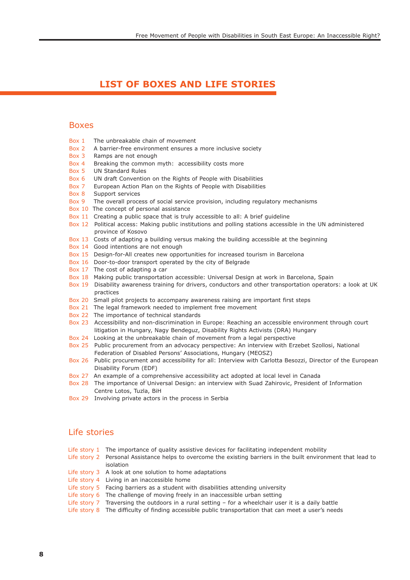## **LIST OF BOXES AND LIFE STORIES**

## Boxes

- Box 1 The unbreakable chain of movement
- Box 2 A barrier-free environment ensures a more inclusive society
- Box 3 Ramps are not enough
- Box 4 Breaking the common myth: accessibility costs more
- Box 5 UN Standard Rules
- Box 6 UN draft Convention on the Rights of People with Disabilities
- Box 7 European Action Plan on the Rights of People with Disabilities
- Box 8 Support services
- Box 9 The overall process of social service provision, including regulatory mechanisms
- Box 10 The concept of personal assistance
- Box 11 Creating a public space that is truly accessible to all: A brief guideline
- Box 12 Political access: Making public institutions and polling stations accessible in the UN administered province of Kosovo
- Box 13 Costs of adapting a building versus making the building accessible at the beginning
- Box 14 Good intentions are not enough
- Box 15 Design-for-All creates new opportunities for increased tourism in Barcelona
- Box 16 Door-to-door transport operated by the city of Belgrade
- Box 17 The cost of adapting a car
- Box 18 Making public transportation accessible: Universal Design at work in Barcelona, Spain
- Box 19 Disability awareness training for drivers, conductors and other transportation operators: a look at UK practices
- Box 20 Small pilot projects to accompany awareness raising are important first steps
- Box 21 The legal framework needed to implement free movement
- Box 22 The importance of technical standards
- Box 23 Accessibility and non-discrimination in Europe: Reaching an accessible environment through court litigation in Hungary, Nagy Bendeguz, Disability Rights Activists (DRA) Hungary
- Box 24 Looking at the unbreakable chain of movement from a legal perspective
- Box 25 Public procurement from an advocacy perspective: An interview with Erzebet Szollosi, National Federation of Disabled Persons' Associations, Hungary (MEOSZ)
- Box 26 Public procurement and accessibility for all: Interview with Carlotta Besozzi, Director of the European Disability Forum (EDF)
- Box 27 An example of a comprehensive accessibility act adopted at local level in Canada
- Box 28 The importance of Universal Design: an interview with Suad Zahirovic, President of Information Centre Lotos, Tuzla, BiH
- Box 29 Involving private actors in the process in Serbia

## Life stories

- Life story 1 The importance of quality assistive devices for facilitating independent mobility
- Life story 2 Personal Assistance helps to overcome the existing barriers in the built environment that lead to isolation
- Life story 3 A look at one solution to home adaptations
- Life story 4 Living in an inaccessible home
- Life story 5 Facing barriers as a student with disabilities attending university
- Life story 6 The challenge of moving freely in an inaccessible urban setting
- Life story 7 Traversing the outdoors in a rural setting  $-$  for a wheelchair user it is a daily battle
- Life story 8 The difficulty of finding accessible public transportation that can meet a user's needs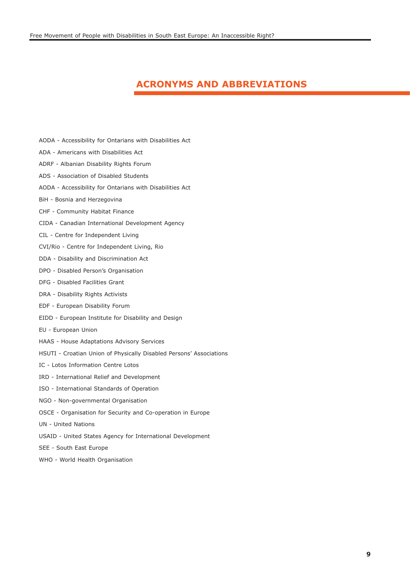## **ACRONYMS AND ABBREVIATIONS**

- AODA Accessibility for Ontarians with Disabilities Act
- ADA Americans with Disabilities Act
- ADRF Albanian Disability Rights Forum
- ADS Association of Disabled Students
- AODA Accessibility for Ontarians with Disabilities Act
- BiH Bosnia and Herzegovina
- CHF Community Habitat Finance
- CIDA Canadian International Development Agency
- CIL Centre for Independent Living
- CVI/Rio Centre for Independent Living, Rio
- DDA Disability and Discrimination Act
- DPO Disabled Person's Organisation
- DFG Disabled Facilities Grant
- DRA Disability Rights Activists
- EDF European Disability Forum
- EIDD European Institute for Disability and Design
- EU European Union
- HAAS House Adaptations Advisory Services
- HSUTI Croatian Union of Physically Disabled Persons' Associations
- IC Lotos Information Centre Lotos
- IRD International Relief and Development
- ISO International Standards of Operation
- NGO Non-governmental Organisation
- OSCE Organisation for Security and Co-operation in Europe
- UN United Nations
- USAID United States Agency for International Development
- SEE South East Europe
- WHO World Health Organisation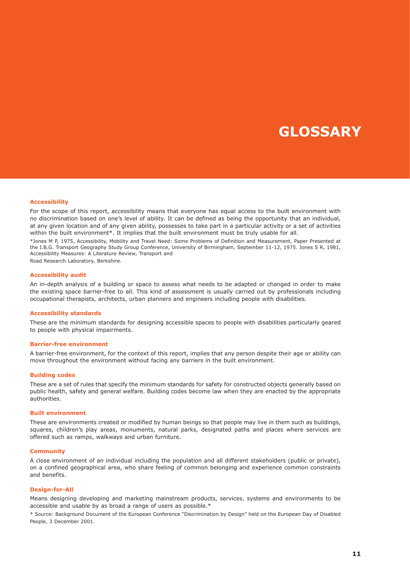# **GLOSSARY**

#### **Accessibility**

For the scope of this report, accessibility means that everyone has equal access to the built environment with no discrimination based on one's level of ability. It can be defined as being the opportunity that an individual, at any given location and of any given ability, possesses to take part in a particular activity or a set of activities within the built environment\*. It implies that the built environment must be truly usable for all.

\*Jones M P, 1975, Accessibility, Mobility and Travel Need: Some Problems of Definition and Measurement, Paper Presented at the I.B.G. Transport Geography Study Group Conference, University of Birmingham, September 11-12, 1975. Jones S R, 1981, Accessibility Measures: A Literature Review, Transport and

Road Research Laboratory, Berkshire.

### **Accessibility audit**

An in-depth analysis of a building or space to assess what needs to be adapted or changed in order to make the existing space barrier-free to all. This kind of assessment is usually carried out by professionals including occupational therapists, architects, urban planners and engineers including people with disabilities.

#### **Accessibility standards**

These are the minimum standards for designing accessible spaces to people with disabilities particularly geared to people with physical impairments.

## **Barrier-free environment**

A barrier-free environment, for the context of this report, implies that any person despite their age or ability can move throughout the environment without facing any barriers in the built environment.

## **Building codes**

These are a set of rules that specify the minimum standards for safety for constructed objects generally based on public health, safety and general welfare. Building codes become law when they are enacted by the appropriate authorities.

#### **Built environment**

These are environments created or modified by human beings so that people may live in them such as buildings, squares, children's play areas, monuments, natural parks, designated paths and places where services are offered such as ramps, walkways and urban furniture.

#### **Community**

A close environment of an individual including the population and all different stakeholders (public or private), on a confined geographical area, who share feeling of common belonging and experience common constraints and benefits.

#### **Design-for-All**

Means designing developing and marketing mainstream products, services, systems and environments to be accessible and usable by as broad a range of users as possible.\*

\* Source: Background Document of the European Conference "Discrimination by Design" held on the European Day of Disabled People, 3 December 2001.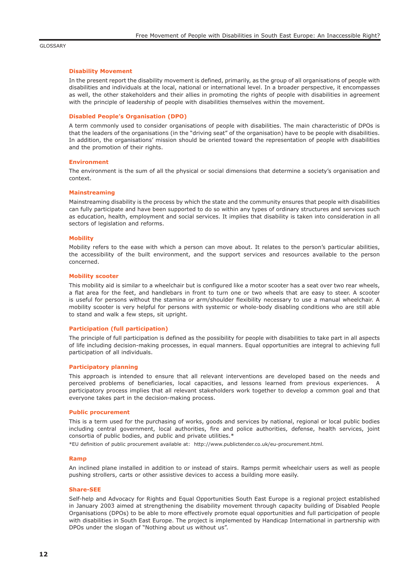### **Disability Movement**

In the present report the disability movement is defined, primarily, as the group of all organisations of people with disabilities and individuals at the local, national or international level. In a broader perspective, it encompasses as well, the other stakeholders and their allies in promoting the rights of people with disabilities in agreement with the principle of leadership of people with disabilities themselves within the movement.

#### **Disabled People's Organisation (DPO)**

A term commonly used to consider organisations of people with disabilities. The main characteristic of DPOs is that the leaders of the organisations (in the "driving seat" of the organisation) have to be people with disabilities. In addition, the organisations' mission should be oriented toward the representation of people with disabilities and the promotion of their rights.

#### **Environment**

The environment is the sum of all the physical or social dimensions that determine a society's organisation and context.

#### **Mainstreaming**

Mainstreaming disability is the process by which the state and the community ensures that people with disabilities can fully participate and have been supported to do so within any types of ordinary structures and services such as education, health, employment and social services. It implies that disability is taken into consideration in all sectors of legislation and reforms.

#### **Mobility**

Mobility refers to the ease with which a person can move about. It relates to the person's particular abilities, the accessibility of the built environment, and the support services and resources available to the person concerned.

### **Mobility scooter**

This mobility aid is similar to a wheelchair but is configured like a motor scooter has a seat over two rear wheels, a flat area for the feet, and handlebars in front to turn one or two wheels that are easy to steer. A scooter is useful for persons without the stamina or arm/shoulder flexibility necessary to use a manual wheelchair. A mobility scooter is very helpful for persons with systemic or whole-body disabling conditions who are still able to stand and walk a few steps, sit upright.

### **Participation (full participation)**

The principle of full participation is defined as the possibility for people with disabilities to take part in all aspects of life including decision-making processes, in equal manners. Equal opportunities are integral to achieving full participation of all individuals.

#### **Participatory planning**

This approach is intended to ensure that all relevant interventions are developed based on the needs and perceived problems of beneficiaries, local capacities, and lessons learned from previous experiences. A participatory process implies that all relevant stakeholders work together to develop a common goal and that everyone takes part in the decision-making process.

#### **Public procurement**

This is a term used for the purchasing of works, goods and services by national, regional or local public bodies including central government, local authorities, fire and police authorities, defense, health services, joint consortia of public bodies, and public and private utilities.\*

\*EU definition of public procurement available at: http://www.publictender.co.uk/eu-procurement.html.

#### **Ramp**

An inclined plane installed in addition to or instead of stairs. Ramps permit wheelchair users as well as people pushing strollers, carts or other assistive devices to access a building more easily.

#### **Share-SEE**

Self-help and Advocacy for Rights and Equal Opportunities South East Europe is a regional project established in January 2003 aimed at strengthening the disability movement through capacity building of Disabled People Organisations (DPOs) to be able to more effectively promote equal opportunities and full participation of people with disabilities in South East Europe. The project is implemented by Handicap International in partnership with DPOs under the slogan of "Nothing about us without us".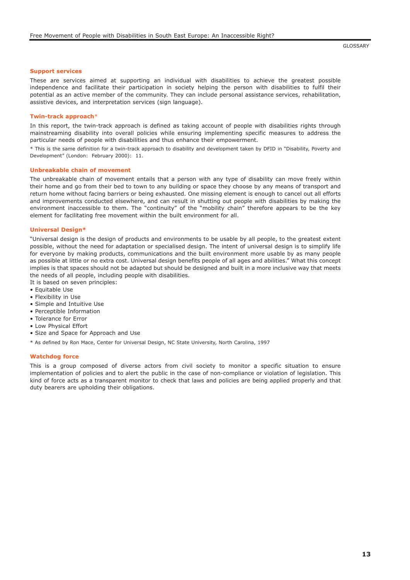## **Support services**

These are services aimed at supporting an individual with disabilities to achieve the greatest possible independence and facilitate their participation in society helping the person with disabilities to fulfil their potential as an active member of the community. They can include personal assistance services, rehabilitation, assistive devices, and interpretation services (sign language).

#### **Twin-track approach**\*

In this report, the twin-track approach is defined as taking account of people with disabilities rights through mainstreaming disability into overall policies while ensuring implementing specific measures to address the particular needs of people with disabilities and thus enhance their empowerment.

\* This is the same definition for a twin-track approach to disability and development taken by DFID in "Disability, Poverty and Development" (London: February 2000): 11.

#### **Unbreakable chain of movement**

The unbreakable chain of movement entails that a person with any type of disability can move freely within their home and go from their bed to town to any building or space they choose by any means of transport and return home without facing barriers or being exhausted. One missing element is enough to cancel out all efforts and improvements conducted elsewhere, and can result in shutting out people with disabilities by making the environment inaccessible to them. The "continuity" of the "mobility chain" therefore appears to be the key element for facilitating free movement within the built environment for all.

### **Universal Design\***

"Universal design is the design of products and environments to be usable by all people, to the greatest extent possible, without the need for adaptation or specialised design. The intent of universal design is to simplify life for everyone by making products, communications and the built environment more usable by as many people as possible at little or no extra cost. Universal design benefits people of all ages and abilities." What this concept implies is that spaces should not be adapted but should be designed and built in a more inclusive way that meets the needs of all people, including people with disabilities.

- It is based on seven principles:
- Equitable Use
- Flexibility in Use
- Simple and Intuitive Use
- Perceptible Information
- Tolerance for Error
- Low Physical Effort
- Size and Space for Approach and Use
- \* As defined by Ron Mace, Center for Universal Design, NC State University, North Carolina, 1997

#### **Watchdog force**

This is a group composed of diverse actors from civil society to monitor a specific situation to ensure implementation of policies and to alert the public in the case of non-compliance or violation of legislation. This kind of force acts as a transparent monitor to check that laws and policies are being applied properly and that duty bearers are upholding their obligations.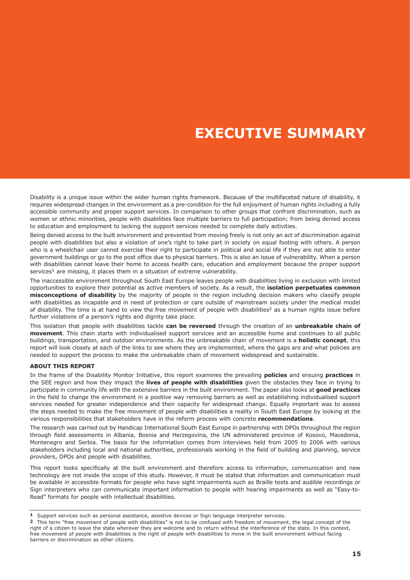# **EXECUTIVE SUMMARY**

Disability is a unique issue within the wider human rights framework. Because of the multifaceted nature of disability, it requires widespread changes in the environment as a pre-condition for the full enjoyment of human rights including a fully accessible community and proper support services. In comparison to other groups that confront discrimination, such as women or ethnic minorities, people with disabilities face multiple barriers to full participation; from being denied access to education and employment to lacking the support services needed to complete daily activities.

Being denied access to the built environment and prevented from moving freely is not only an act of discrimination against people with disabilities but also a violation of one's right to take part in society on equal footing with others. A person who is a wheelchair user cannot exercise their right to participate in political and social life if they are not able to enter government buildings or go to the post office due to physical barriers. This is also an issue of vulnerability. When a person with disabilities cannot leave their home to access health care, education and employment because the proper support services<sup>1</sup> are missing, it places them in a situation of extreme vulnerability.

The inaccessible environment throughout South East Europe leaves people with disabilities living in exclusion with limited opportunities to explore their potential as active members of society. As a result, the **isolation perpetuates common misconceptions of disability** by the majority of people in the region including decision makers who classify people with disabilities as incapable and in need of protection or care outside of mainstream society under the medical model of disability. The time is at hand to view the free movement of people with disabilities<sup>2</sup> as a human rights issue before further violations of a person's rights and dignity take place.

This isolation that people with disabilities tackle **can be reversed** through the creation of an **unbreakable chain of movement**. This chain starts with individualised support services and an accessible home and continues to all public buildings, transportation, and outdoor environments. As the unbreakable chain of movement is a **holistic concept**, this report will look closely at each of the links to see where they are implemented, where the gaps are and what policies are needed to support the process to make the unbreakable chain of movement widespread and sustainable.

## **ABOUT THIS REPORT**

In the frame of the Disability Monitor Initiative, this report examines the prevailing **policies** and ensuing **practices** in the SEE region and how they impact the **lives of people with disabilities** given the obstacles they face in trying to participate in community life with the extensive barriers in the built environment. The paper also looks at **good practices**  in the field to change the environment in a positive way removing barriers as well as establishing individualised support services needed for greater independence and their capacity for widespread change. Equally important was to assess the steps needed to make the free movement of people with disabilities a reality in South East Europe by looking at the various responsibilities that stakeholders have in the reform process with concrete **recommendations**.

The research was carried out by Handicap International South East Europe in partnership with DPOs throughout the region through field assessments in Albania, Bosnia and Herzegovina, the UN administered province of Kosovo, Macedonia, Montenegro and Serbia. The basis for the information comes from interviews held from 2005 to 2006 with various stakeholders including local and national authorities, professionals working in the field of building and planning, service providers, DPOs and people with disabilities.

This report looks specifically at the built environment and therefore access to information, communication and new technology are not inside the scope of this study. However, it must be stated that information and communication must be available in accessible formats for people who have sight impairments such as Braille texts and audible recordings or Sign interpreters who can communicate important information to people with hearing impairments as well as "Easy-to-Read" formats for people with intellectual disabilities.

**<sup>1</sup>** Support services such as personal assistance, assistive devices or Sign language interpreter services.

**<sup>2</sup>** This term "free movement of people with disabilities" is not to be confused with freedom of movement, the legal concept of the right of a citizen to leave the state wherever they are welcome and to return without the interference of the state. In this context, free movement of people with disabilities is the right of people with disabilities to move in the built environment without facing barriers or discrimination as other citizens.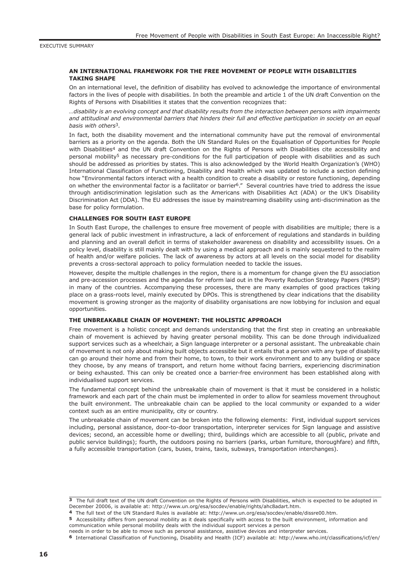## **AN INTERNATIONAL FRAMEWORK FOR THE FREE MOVEMENT OF PEOPLE WITH DISABILITIES TAKING SHAPE**

On an international level, the definition of disability has evolved to acknowledge the importance of environmental factors in the lives of people with disabilities. In both the preamble and article 1 of the UN draft Convention on the Rights of Persons with Disabilities it states that the convention recognizes that:

*…disability is an evolving concept and that disability results from the interaction between persons with impairments and attitudinal and environmental barriers that hinders their full and effective participation in society on an equal basis with others*3*.* 

In fact, both the disability movement and the international community have put the removal of environmental barriers as a priority on the agenda. Both the UN Standard Rules on the Equalisation of Opportunities for People with Disabilities<sup>4</sup> and the UN draft Convention on the Rights of Persons with Disabilities cite accessibility and personal mobility<sup>5</sup> as necessary pre-conditions for the full participation of people with disabilities and as such should be addressed as priorities by states. This is also acknowledged by the World Health Organization's (WHO) International Classification of Functioning, Disability and Health which was updated to include a section defining how "Environmental factors interact with a health condition to create a disability or restore functioning, depending on whether the environmental factor is a facilitator or barrier6." Several countries have tried to address the issue through antidiscrimination legislation such as the Americans with Disabilities Act (ADA) or the UK's Disability Discrimination Act (DDA). The EU addresses the issue by mainstreaming disability using anti-discrimination as the base for policy formulation.

## **CHALLENGES FOR SOUTH EAST EUROPE**

In South East Europe, the challenges to ensure free movement of people with disabilities are multiple; there is a general lack of public investment in infrastructure, a lack of enforcement of regulations and standards in building and planning and an overall deficit in terms of stakeholder awareness on disability and accessibility issues. On a policy level, disability is still mainly dealt with by using a medical approach and is mainly sequestered to the realm of health and/or welfare policies. The lack of awareness by actors at all levels on the social model for disability prevents a cross-sectoral approach to policy formulation needed to tackle the issues.

However, despite the multiple challenges in the region, there is a momentum for change given the EU association and pre-accession processes and the agendas for reform laid out in the Poverty Reduction Strategy Papers (PRSP) in many of the countries. Accompanying these processes, there are many examples of good practices taking place on a grass-roots level, mainly executed by DPOs. This is strengthened by clear indications that the disability movement is growing stronger as the majority of disability organisations are now lobbying for inclusion and equal opportunities.

## **THE UNBREAKABLE CHAIN OF MOVEMENT: THE HOLISTIC APPROACH**

Free movement is a holistic concept and demands understanding that the first step in creating an unbreakable chain of movement is achieved by having greater personal mobility. This can be done through individualized support services such as a wheelchair, a Sign language interpreter or a personal assistant. The unbreakable chain of movement is not only about making built objects accessible but it entails that a person with any type of disability can go around their home and from their home, to town, to their work environment and to any building or space they choose, by any means of transport, and return home without facing barriers, experiencing discrimination or being exhausted. This can only be created once a barrier-free environment has been established along with individualised support services.

The fundamental concept behind the unbreakable chain of movement is that it must be considered in a holistic framework and each part of the chain must be implemented in order to allow for seamless movement throughout the built environment. The unbreakable chain can be applied to the local community or expanded to a wider context such as an entire municipality, city or country.

The unbreakable chain of movement can be broken into the following elements: First, individual support services including, personal assistance, door-to-door transportation, interpreter services for Sign language and assistive devices; second, an accessible home or dwelling; third, buildings which are accessible to all (public, private and public service buildings); fourth, the outdoors posing no barriers (parks, urban furniture, thoroughfare) and fifth, a fully accessible transportation (cars, buses, trains, taxis, subways, transportation interchanges).

**<sup>3</sup>** The full draft text of the UN draft Convention on the Rights of Persons with Disabilities, which is expected to be adopted in December 20006, is available at: http://www.un.org/esa/socdev/enable/rights/ahc8adart.htm.

**<sup>4</sup>** The full text of the UN Standard Rules is available at: http://www.un.org/esa/socdev/enable/dissre00.htm.

**<sup>5</sup>** Accessibility differs from personal mobility as it deals specifically with access to the built environment, information and communication while personal mobility deals with the individual support services a person

needs in order to be able to move such as personal assistance, assistive devices and interpreter services.

**<sup>6</sup>** International Classification of Functioning, Disability and Health (ICF) available at: http://www.who.int/classifications/icf/en/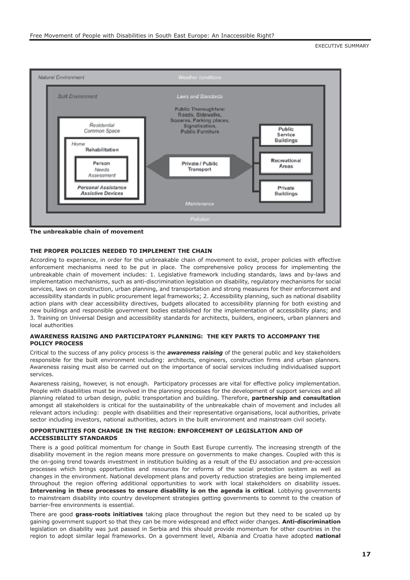

**The unbreakable chain of movement** 

### **THE PROPER POLICIES NEEDED TO IMPLEMENT THE CHAIN**

According to experience, in order for the unbreakable chain of movement to exist, proper policies with effective enforcement mechanisms need to be put in place. The comprehensive policy process for implementing the unbreakable chain of movement includes: 1. Legislative framework including standards, laws and by-laws and implementation mechanisms, such as anti-discrimination legislation on disability, regulatory mechanisms for social services, laws on construction, urban planning, and transportation and strong measures for their enforcement and accessibility standards in public procurement legal frameworks; 2. Accessibility planning, such as national disability action plans with clear accessibility directives, budgets allocated to accessibility planning for both existing and new buildings and responsible government bodies established for the implementation of accessibility plans; and 3. Training on Universal Design and accessibility standards for architects, builders, engineers, urban planners and local authorities

## **AWARENESS RAISING AND PARTICIPATORY PLANNING: THE KEY PARTS TO ACCOMPANY THE POLICY PROCESS**

Critical to the success of any policy process is the *awareness raising* of the general public and key stakeholders responsible for the built environment including: architects, engineers, construction firms and urban planners. Awareness raising must also be carried out on the importance of social services including individualised support services.

Awareness raising, however, is not enough. Participatory processes are vital for effective policy implementation. People with disabilities must be involved in the planning processes for the development of support services and all planning related to urban design, public transportation and building. Therefore, **partnership and consultation**  amongst all stakeholders is critical for the sustainability of the unbreakable chain of movement and includes all relevant actors including: people with disabilities and their representative organisations, local authorities, private sector including investors, national authorities, actors in the built environment and mainstream civil society.

## **OPPORTUNITIES FOR CHANGE IN THE REGION: ENFORCEMENT OF LEGISLATION AND OF ACCESSIBILITY STANDARDS**

There is a good political momentum for change in South East Europe currently. The increasing strength of the disability movement in the region means more pressure on governments to make changes. Coupled with this is the on-going trend towards investment in institution building as a result of the EU association and pre-accession processes which brings opportunities and resources for reforms of the social protection system as well as changes in the environment. National development plans and poverty reduction strategies are being implemented throughout the region offering additional opportunities to work with local stakeholders on disability issues. **Intervening in these processes to ensure disability is on the agenda is critical**. Lobbying governments to mainstream disability into country development strategies getting governments to commit to the creation of barrier-free environments is essential.

There are good **grass-roots initiatives** taking place throughout the region but they need to be scaled up by gaining government support so that they can be more widespread and effect wider changes. **Anti-discrimination** legislation on disability was just passed in Serbia and this should provide momentum for other countries in the region to adopt similar legal frameworks. On a government level, Albania and Croatia have adopted **national**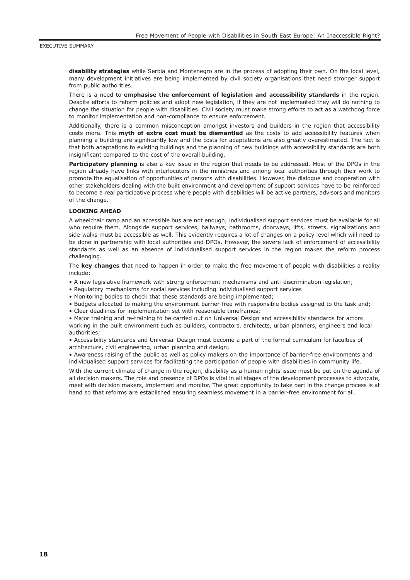**disability strategies** while Serbia and Montenegro are in the process of adopting their own. On the local level, many development initiatives are being implemented by civil society organisations that need stronger support from public authorities.

There is a need to **emphasise the enforcement of legislation and accessibility standards** in the region. Despite efforts to reform policies and adopt new legislation, if they are not implemented they will do nothing to change the situation for people with disabilities. Civil society must make strong efforts to act as a watchdog force to monitor implementation and non-compliance to ensure enforcement.

Additionally, there is a common misconception amongst investors and builders in the region that accessibility costs more. This **myth of extra cost must be dismantled** as the costs to add accessibility features when planning a building are significantly low and the costs for adaptations are also greatly overestimated. The fact is that both adaptations to existing buildings and the planning of new buildings with accessibility standards are both insignificant compared to the cost of the overall building.

**Participatory planning** is also a key issue in the region that needs to be addressed. Most of the DPOs in the region already have links with interlocutors in the ministries and among local authorities through their work to promote the equalisation of opportunities of persons with disabilities. However, the dialogue and cooperation with other stakeholders dealing with the built environment and development of support services have to be reinforced to become a real participative process where people with disabilities will be active partners, advisors and monitors of the change.

## **LOOKING AHEAD**

A wheelchair ramp and an accessible bus are not enough; individualised support services must be available for all who require them. Alongside support services, hallways, bathrooms, doorways, lifts, streets, signalizations and side-walks must be accessible as well. This evidently requires a lot of changes on a policy level which will need to be done in partnership with local authorities and DPOs. However, the severe lack of enforcement of accessibility standards as well as an absence of individualised support services in the region makes the reform process challenging.

The **key changes** that need to happen in order to make the free movement of people with disabilities a reality include:

- A new legislative framework with strong enforcement mechanisms and anti-discrimination legislation;
- Regulatory mechanisms for social services including individualised support services
- Monitoring bodies to check that these standards are being implemented;
- Budgets allocated to making the environment barrier-free with responsible bodies assigned to the task and;
- Clear deadlines for implementation set with reasonable timeframes;

• Major training and re-training to be carried out on Universal Design and accessibility standards for actors working in the built environment such as builders, contractors, architects, urban planners, engineers and local authorities;

• Accessibility standards and Universal Design must become a part of the formal curriculum for faculties of architecture, civil engineering, urban planning and design;

• Awareness raising of the public as well as policy makers on the importance of barrier-free environments and individualised support services for facilitating the participation of people with disabilities in community life.

With the current climate of change in the region, disability as a human rights issue must be put on the agenda of all decision makers. The role and presence of DPOs is vital in all stages of the development processes to advocate, meet with decision makers, implement and monitor. The great opportunity to take part in the change process is at hand so that reforms are established ensuring seamless movement in a barrier-free environment for all.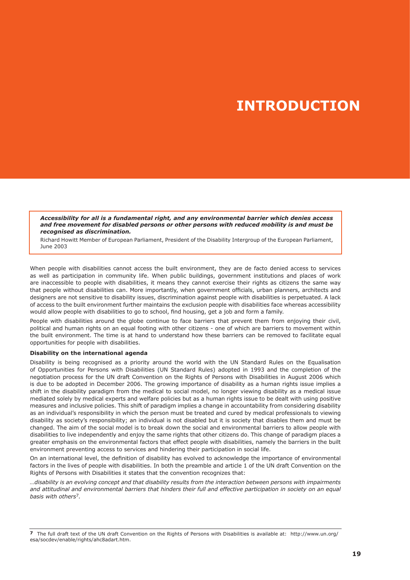# **INTRODUCTION**

*Accessibility for all is a fundamental right, and any environmental barrier which denies access and free movement for disabled persons or other persons with reduced mobility is and must be recognised as discrimination.* 

Richard Howitt Member of European Parliament, President of the Disability Intergroup of the European Parliament, June 2003

When people with disabilities cannot access the built environment, they are de facto denied access to services as well as participation in community life. When public buildings, government institutions and places of work are inaccessible to people with disabilities, it means they cannot exercise their rights as citizens the same way that people without disabilities can. More importantly, when government officials, urban planners, architects and designers are not sensitive to disability issues, discrimination against people with disabilities is perpetuated. A lack of access to the built environment further maintains the exclusion people with disabilities face whereas accessibility would allow people with disabilities to go to school, find housing, get a job and form a family.

People with disabilities around the globe continue to face barriers that prevent them from enjoying their civil, political and human rights on an equal footing with other citizens - one of which are barriers to movement within the built environment. The time is at hand to understand how these barriers can be removed to facilitate equal opportunities for people with disabilities.

### **Disability on the international agenda**

Disability is being recognised as a priority around the world with the UN Standard Rules on the Equalisation of Opportunities for Persons with Disabilities (UN Standard Rules) adopted in 1993 and the completion of the negotiation process for the UN draft Convention on the Rights of Persons with Disabilities in August 2006 which is due to be adopted in December 2006. The growing importance of disability as a human rights issue implies a shift in the disability paradigm from the medical to social model, no longer viewing disability as a medical issue mediated solely by medical experts and welfare policies but as a human rights issue to be dealt with using positive measures and inclusive policies. This shift of paradigm implies a change in accountability from considering disability as an individual's responsibility in which the person must be treated and cured by medical professionals to viewing disability as society's responsibility; an individual is not disabled but it is society that disables them and must be changed. The aim of the social model is to break down the social and environmental barriers to allow people with disabilities to live independently and enjoy the same rights that other citizens do. This change of paradigm places a greater emphasis on the environmental factors that effect people with disabilities, namely the barriers in the built environment preventing access to services and hindering their participation in social life.

On an international level, the definition of disability has evolved to acknowledge the importance of environmental factors in the lives of people with disabilities. In both the preamble and article 1 of the UN draft Convention on the Rights of Persons with Disabilities it states that the convention recognizes that:

*…disability is an evolving concept and that disability results from the interaction between persons with impairments and attitudinal and environmental barriers that hinders their full and effective participation in society on an equal basis with others*7*.* 

**<sup>7</sup>** The full draft text of the UN draft Convention on the Rights of Persons with Disabilities is available at: http://www.un.org/ esa/socdev/enable/rights/ahc8adart.htm.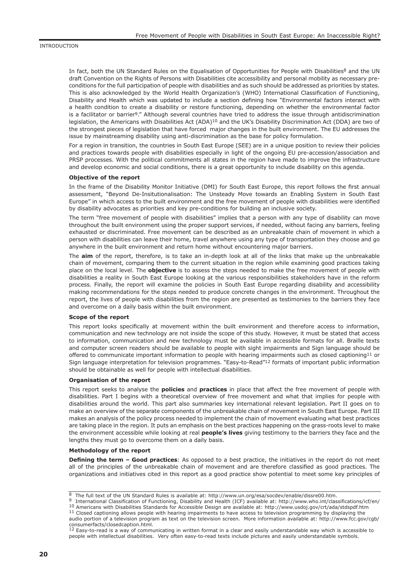#### INTRODUCTION

In fact, both the UN Standard Rules on the Equalisation of Opportunities for People with Disabilities8 and the UN draft Convention on the Rights of Persons with Disabilities cite accessibility and personal mobility as necessary preconditions for the full participation of people with disabilities and as such should be addressed as priorities by states. This is also acknowledged by the World Health Organization's (WHO) International Classification of Functioning, Disability and Health which was updated to include a section defining how "Environmental factors interact with a health condition to create a disability or restore functioning, depending on whether the environmental factor is a facilitator or barrier9." Although several countries have tried to address the issue through antidiscrimination legislation, the Americans with Disabilities Act (ADA)<sup>10</sup> and the UK's Disability Discrimination Act (DDA) are two of the strongest pieces of legislation that have forced major changes in the built environment. The EU addresses the issue by mainstreaming disability using anti-discrimination as the base for policy formulation.

For a region in transition, the countries in South East Europe (SEE) are in a unique position to review their policies and practices towards people with disabilities especially in light of the ongoing EU pre-accession/association and PRSP processes. With the political commitments all states in the region have made to improve the infrastructure and develop economic and social conditions, there is a great opportunity to include disability on this agenda.

## **Objective of the report**

In the frame of the Disability Monitor Initiative (DMI) for South East Europe, this report follows the first annual assessment, "Beyond De-Insitutionalisation: The Unsteady Move towards an Enabling System in South East Europe" in which access to the built environment and the free movement of people with disabilities were identified by disability advocates as priorities and key pre-conditions for building an inclusive society.

The term "free movement of people with disabilities" implies that a person with any type of disability can move throughout the built environment using the proper support services, if needed, without facing any barriers, feeling exhausted or discriminated. Free movement can be described as an unbreakable chain of movement in which a person with disabilities can leave their home, travel anywhere using any type of transportation they choose and go anywhere in the built environment and return home without encountering major barriers.

The **aim** of the report, therefore, is to take an in-depth look at all of the links that make up the unbreakable chain of movement, comparing them to the current situation in the region while examining good practices taking place on the local level. The **objective** is to assess the steps needed to make the free movement of people with disabilities a reality in South East Europe looking at the various responsibilities stakeholders have in the reform process. Finally, the report will examine the policies in South East Europe regarding disability and accessibility making recommendations for the steps needed to produce concrete changes in the environment. Throughout the report, the lives of people with disabilities from the region are presented as testimonies to the barriers they face and overcome on a daily basis within the built environment.

#### **Scope of the report**

This report looks specifically at movement within the built environment and therefore access to information, communication and new technology are not inside the scope of this study. However, it must be stated that access to information, communication and new technology must be available in accessible formats for all. Braille texts and computer screen readers should be available to people with sight impairments and Sign language should be offered to communicate important information to people with hearing impairments such as closed captioning<sup>11</sup> or Sign language interpretation for television programmes. "Easy-to-Read"12 formats of important public information should be obtainable as well for people with intellectual disabilities.

#### **Organisation of the report**

This report seeks to analyse the **policies** and **practices** in place that affect the free movement of people with disabilities. Part I begins with a theoretical overview of free movement and what that implies for people with disabilities around the world. This part also summaries key international relevant legislation. Part II goes on to make an overview of the separate components of the unbreakable chain of movement in South East Europe. Part III makes an analysis of the policy process needed to implement the chain of movement evaluating what best practices are taking place in the region. It puts an emphasis on the best practices happening on the grass-roots level to make the environment accessible while looking at real **people's lives** giving testimony to the barriers they face and the lengths they must go to overcome them on a daily basis.

#### **Methodology of the report**

**Defining the term - Good practices**: As opposed to a best practice, the initiatives in the report do not meet all of the principles of the unbreakable chain of movement and are therefore classified as good practices. The organizations and initiatives cited in this report as a good practice show potential to meet some key principles of

9 International Classification of Functioning, Disability and Health (ICF) available at: http://www.who.int/classifications/icf/en/ 10 Americans with Disabilities Standards for Accessible Design are available at: http://www.usdoj.gov/crt/ada/stdspdf.htm 11 Closed captioning allows people with hearing impairments to have access to television programming by displaying the audio portion of a television program as text on the television screen. More information available at: http://www.fcc.gov/cgb/

<sup>8</sup> The full text of the UN Standard Rules is available at: http://www.un.org/esa/socdev/enable/dissre00.htm.

consumerfacts/closedcaption.html. 12 Easy-to-read is a way of communicating in written format in a clear and easily understandable way which is accessible to

people with intellectual disabilities. Very often easy-to-read texts include pictures and easily understandable symbols.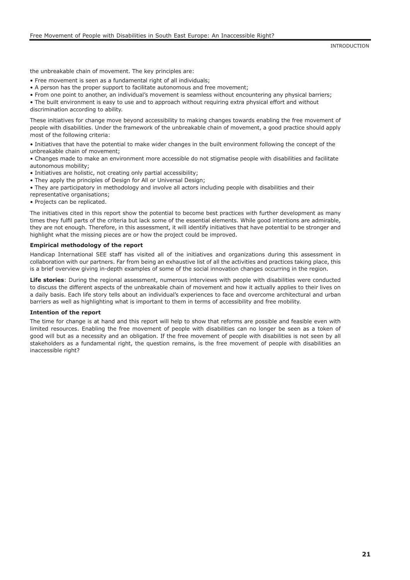the unbreakable chain of movement. The key principles are:

- Free movement is seen as a fundamental right of all individuals;
- A person has the proper support to facilitate autonomous and free movement;
- From one point to another, an individual's movement is seamless without encountering any physical barriers;

• The built environment is easy to use and to approach without requiring extra physical effort and without

discrimination according to ability.

These initiatives for change move beyond accessibility to making changes towards enabling the free movement of people with disabilities. Under the framework of the unbreakable chain of movement, a good practice should apply most of the following criteria:

• Initiatives that have the potential to make wider changes in the built environment following the concept of the unbreakable chain of movement;

• Changes made to make an environment more accessible do not stigmatise people with disabilities and facilitate autonomous mobility;

- Initiatives are holistic, not creating only partial accessibility;
- They apply the principles of Design for All or Universal Design;
- They are participatory in methodology and involve all actors including people with disabilities and their

representative organisations;

• Projects can be replicated.

The initiatives cited in this report show the potential to become best practices with further development as many times they fulfil parts of the criteria but lack some of the essential elements. While good intentions are admirable, they are not enough. Therefore, in this assessment, it will identify initiatives that have potential to be stronger and highlight what the missing pieces are or how the project could be improved.

## **Empirical methodology of the report**

Handicap International SEE staff has visited all of the initiatives and organizations during this assessment in collaboration with our partners. Far from being an exhaustive list of all the activities and practices taking place, this is a brief overview giving in-depth examples of some of the social innovation changes occurring in the region.

**Life stories**: During the regional assessment, numerous interviews with people with disabilities were conducted to discuss the different aspects of the unbreakable chain of movement and how it actually applies to their lives on a daily basis. Each life story tells about an individual's experiences to face and overcome architectural and urban barriers as well as highlighting what is important to them in terms of accessibility and free mobility.

### **Intention of the report**

The time for change is at hand and this report will help to show that reforms are possible and feasible even with limited resources. Enabling the free movement of people with disabilities can no longer be seen as a token of good will but as a necessity and an obligation. If the free movement of people with disabilities is not seen by all stakeholders as a fundamental right, the question remains, is the free movement of people with disabilities an inaccessible right?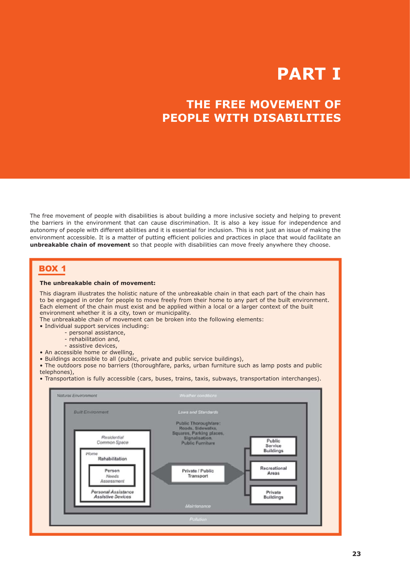# **PART I**

# **THE FREE MOVEMENT OF PEOPLE WITH DISABILITIES**

The free movement of people with disabilities is about building a more inclusive society and helping to prevent the barriers in the environment that can cause discrimination. It is also a key issue for independence and autonomy of people with different abilities and it is essential for inclusion. This is not just an issue of making the environment accessible. It is a matter of putting efficient policies and practices in place that would facilitate an **unbreakable chain of movement** so that people with disabilities can move freely anywhere they choose.

## BOX 1

## **The unbreakable chain of movement:**

This diagram illustrates the holistic nature of the unbreakable chain in that each part of the chain has to be engaged in order for people to move freely from their home to any part of the built environment. Each element of the chain must exist and be applied within a local or a larger context of the built environment whether it is a city, town or municipality.

The unbreakable chain of movement can be broken into the following elements:

• Individual support services including:

- personal assistance,
- rehabilitation and,
- assistive devices,
- An accessible home or dwelling.
- Buildings accessible to all (public, private and public service buildings),
- The outdoors pose no barriers (thoroughfare, parks, urban furniture such as lamp posts and public telephones),

• Transportation is fully accessible (cars, buses, trains, taxis, subways, transportation interchanges).

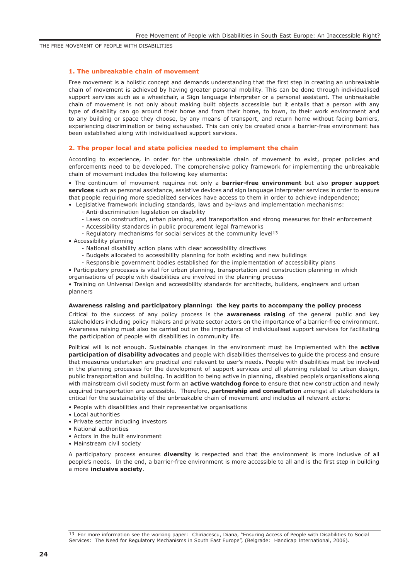## **1. The unbreakable chain of movement**

Free movement is a holistic concept and demands understanding that the first step in creating an unbreakable chain of movement is achieved by having greater personal mobility. This can be done through individualised support services such as a wheelchair, a Sign language interpreter or a personal assistant. The unbreakable chain of movement is not only about making built objects accessible but it entails that a person with any type of disability can go around their home and from their home, to town, to their work environment and to any building or space they choose, by any means of transport, and return home without facing barriers, experiencing discrimination or being exhausted. This can only be created once a barrier-free environment has been established along with individualised support services.

## **2. The proper local and state policies needed to implement the chain**

According to experience, in order for the unbreakable chain of movement to exist, proper policies and enforcements need to be developed. The comprehensive policy framework for implementing the unbreakable chain of movement includes the following key elements:

• The continuum of movement requires not only a **barrier-free environment** but also **proper support services** such as personal assistance, assistive devices and sign language interpreter services in order to ensure that people requiring more specialized services have access to them in order to achieve independence;

- Legislative framework including standards, laws and by-laws and implementation mechanisms:
	- Anti-discrimination legislation on disability
	- Laws on construction, urban planning, and transportation and strong measures for their enforcement
	- Accessibility standards in public procurement legal frameworks
	- Regulatory mechanisms for social services at the community level<sup>13</sup>
- Accessibility planning
	- National disability action plans with clear accessibility directives
	- Budgets allocated to accessibility planning for both existing and new buildings
	- Responsible government bodies established for the implementation of accessibility plans

• Participatory processes is vital for urban planning, transportation and construction planning in which organisations of people with disabilities are involved in the planning process

• Training on Universal Design and accessibility standards for architects, builders, engineers and urban planners

## **Awareness raising and participatory planning: the key parts to accompany the policy process**

Critical to the success of any policy process is the **awareness raising** of the general public and key stakeholders including policy makers and private sector actors on the importance of a barrier-free environment. Awareness raising must also be carried out on the importance of individualised support services for facilitating the participation of people with disabilities in community life.

Political will is not enough. Sustainable changes in the environment must be implemented with the **active participation of disability advocates** and people with disabilities themselves to guide the process and ensure that measures undertaken are practical and relevant to user's needs. People with disabilities must be involved in the planning processes for the development of support services and all planning related to urban design, public transportation and building. In addition to being active in planning, disabled people's organisations along with mainstream civil society must form an **active watchdog force** to ensure that new construction and newly acquired transportation are accessible. Therefore, **partnership and consultation** amongst all stakeholders is critical for the sustainability of the unbreakable chain of movement and includes all relevant actors:

- People with disabilities and their representative organisations
- Local authorities
- Private sector including investors
- National authorities
- Actors in the built environment
- Mainstream civil society

A participatory process ensures **diversity** is respected and that the environment is more inclusive of all people's needs. In the end, a barrier-free environment is more accessible to all and is the first step in building a more **inclusive society**.

<sup>13</sup> For more information see the working paper: Chiriacescu, Diana, "Ensuring Access of People with Disabilities to Social Services: The Need for Regulatory Mechanisms in South East Europe", (Belgrade: Handicap International, 2006).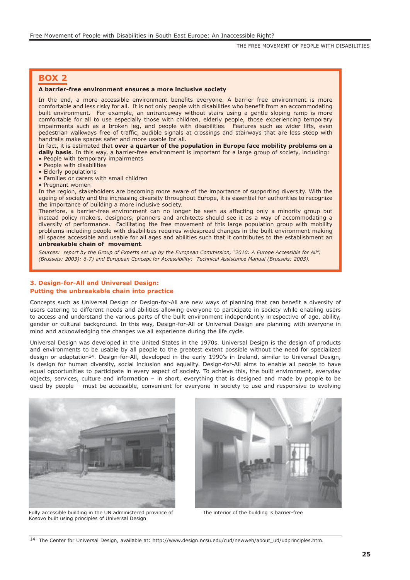## **BOX 2**

#### **A barrier-free environment ensures a more inclusive society**

In the end, a more accessible environment benefits everyone. A barrier free environment is more comfortable and less risky for all. It is not only people with disabilities who benefit from an accommodating built environment. For example, an entranceway without stairs using a gentle sloping ramp is more comfortable for all to use especially those with children, elderly people, those experiencing temporary impairments such as a broken leg, and people with disabilities. Features such as wider lifts, even pedestrian walkways free of traffic, audible signals at crossings and stairways that are less steep with handrails make spaces safer and more usable for all.

In fact, it is estimated that **over a quarter of the population in Europe face mobility problems on a daily basis**. In this way, a barrier-free environment is important for a large group of society, including:

- People with temporary impairments
- People with disabilities • Elderly populations
- Families or carers with small children
- Pregnant women

In the region, stakeholders are becoming more aware of the importance of supporting diversity. With the ageing of society and the increasing diversity throughout Europe, it is essential for authorities to recognize the importance of building a more inclusive society.

Therefore, a barrier-free environment can no longer be seen as affecting only a minority group but instead policy makers, designers, planners and architects should see it as a way of accommodating a diversity of performance. Facilitating the free movement of this large population group with mobility problems including people with disabilities requires widespread changes in the built environment making all spaces accessible and usable for all ages and abilities such that it contributes to the establishment an **unbreakable chain of movement**.

*Sources: report by the Group of Experts set up by the European Commission, "2010: A Europe Accessible for All", (Brussels: 2003): 6-7) and European Concept for Accessibility: Technical Assistance Manual (Brussels: 2003).*

## **3. Design-for-All and Universal Design: Putting the unbreakable chain into practice**

Concepts such as Universal Design or Design-for-All are new ways of planning that can benefit a diversity of users catering to different needs and abilities allowing everyone to participate in society while enabling users to access and understand the various parts of the built environment independently irrespective of age, ability, gender or cultural background. In this way, Design-for-All or Universal Design are planning with everyone in mind and acknowledging the changes we all experience during the life cycle.

Universal Design was developed in the United States in the 1970s. Universal Design is the design of products and environments to be usable by all people to the greatest extent possible without the need for specialized design or adaptation14. Design-for-All, developed in the early 1990's in Ireland, similar to Universal Design, is design for human diversity, social inclusion and equality. Design-for-All aims to enable all people to have equal opportunities to participate in every aspect of society. To achieve this, the built environment, everyday objects, services, culture and information – in short, everything that is designed and made by people to be used by people – must be accessible, convenient for everyone in society to use and responsive to evolving



Fully accessible building in the UN administered province of Kosovo built using principles of Universal Design



The interior of the building is barrier-free

<sup>14</sup> The Center for Universal Design, available at: http://www.design.ncsu.edu/cud/newweb/about\_ud/udprinciples.htm.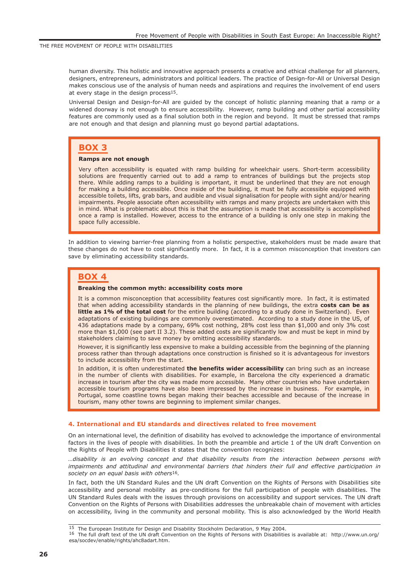human diversity. This holistic and innovative approach presents a creative and ethical challenge for all planners, designers, entrepreneurs, administrators and political leaders. The practice of Design-for-All or Universal Design makes conscious use of the analysis of human needs and aspirations and requires the involvement of end users at every stage in the design process<sup>15</sup>.

Universal Design and Design-for-All are guided by the concept of holistic planning meaning that a ramp or a widened doorway is not enough to ensure accessibility. However, ramp building and other partial accessibility features are commonly used as a final solution both in the region and beyond. It must be stressed that ramps are not enough and that design and planning must go beyond partial adaptations.

## **BOX 3**

### **Ramps are not enough**

Very often accessibility is equated with ramp building for wheelchair users. Short-term accessibility solutions are frequently carried out to add a ramp to entrances of buildings but the projects stop there. While adding ramps to a building is important, it must be underlined that they are not enough for making a building accessible. Once inside of the building, it must be fully accessible equipped with accessible toilets, lifts, grab bars, and audible and visual signalisation for people with sight and/or hearing impairments. People associate often accessibility with ramps and many projects are undertaken with this in mind. What is problematic about this is that the assumption is made that accessibility is accomplished once a ramp is installed. However, access to the entrance of a building is only one step in making the space fully accessible.

In addition to viewing barrier-free planning from a holistic perspective, stakeholders must be made aware that these changes do not have to cost significantly more. In fact, it is a common misconception that investors can save by eliminating accessibility standards.

## **BOX 4**

#### **Breaking the common myth: accessibility costs more**

It is a common misconception that accessibility features cost significantly more. In fact, it is estimated that when adding accessibility standards in the planning of new buildings, the extra **costs can be as little as 1% of the total cost** for the entire building (according to a study done in Switzerland). Even adaptations of existing buildings are commonly overestimated. According to a study done in the US, of 436 adaptations made by a company, 69% cost nothing, 28% cost less than \$1,000 and only 3% cost more than \$1,000 (see part II 3.2). These added costs are significantly low and must be kept in mind by stakeholders claiming to save money by omitting accessibility standards.

However, it is significantly less expensive to make a building accessible from the beginning of the planning process rather than through adaptations once construction is finished so it is advantageous for investors to include accessibility from the start.

In addition, it is often underestimated **the benefits wider accessibility** can bring such as an increase in the number of clients with disabilities. For example, in Barcelona the city experienced a dramatic increase in tourism after the city was made more accessible. Many other countries who have undertaken accessible tourism programs have also been impressed by the increase in business. For example, in Portugal, some coastline towns began making their beaches accessible and because of the increase in tourism, many other towns are beginning to implement similar changes.

### **4. International and EU standards and directives related to free movement**

On an international level, the definition of disability has evolved to acknowledge the importance of environmental factors in the lives of people with disabilities. In both the preamble and article 1 of the UN draft Convention on the Rights of People with Disabilities it states that the convention recognizes:

*…disability is an evolving concept and that disability results from the interaction between persons with impairments and attitudinal and environmental barriers that hinders their full and effective participation in society on an equal basis with others*16*.*

In fact, both the UN Standard Rules and the UN draft Convention on the Rights of Persons with Disabilities site accessibility and personal mobility as pre-conditions for the full participation of people with disabilities. The UN Standard Rules deals with the issues through provisions on accessibility and support services. The UN draft Convention on the Rights of Persons with Disabilities addresses the unbreakable chain of movement with articles on accessibility, living in the community and personal mobility. This is also acknowledged by the World Health

 $15$  The European Institute for Design and Disability Stockholm Declaration, 9 May 2004.

<sup>16</sup> The full draft text of the UN draft Convention on the Rights of Persons with Disabilities is available at: http://www.un.org/ esa/socdev/enable/rights/ahc8adart.htm.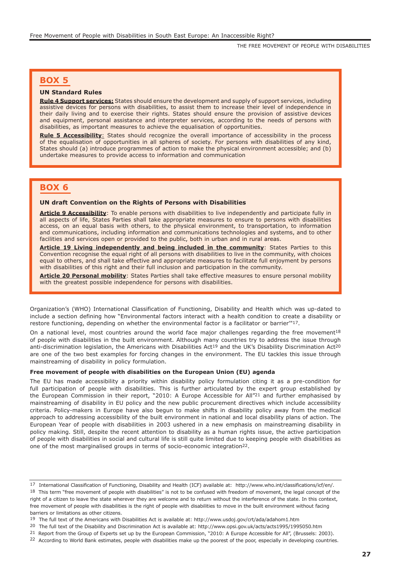## **BOX 5**

#### **UN Standard Rules**

**Rule 4 Support services:** States should ensure the development and supply of support services, including assistive devices for persons with disabilities, to assist them to increase their level of independence in their daily living and to exercise their rights. States should ensure the provision of assistive devices and equipment, personal assistance and interpreter services, according to the needs of persons with disabilities, as important measures to achieve the equalisation of opportunities.

**Rule 5 Accessibility**: States should recognize the overall importance of accessibility in the process of the equalisation of opportunities in all spheres of society. For persons with disabilities of any kind, States should (a) introduce programmes of action to make the physical environment accessible; and (b) undertake measures to provide access to information and communication

## **BOX 6**

#### **UN draft Convention on the Rights of Persons with Disabilities**

**Article 9 Accessibility**: To enable persons with disabilities to live independently and participate fully in all aspects of life, States Parties shall take appropriate measures to ensure to persons with disabilities access, on an equal basis with others, to the physical environment, to transportation, to information and communications, including information and communications technologies and systems, and to other facilities and services open or provided to the public, both in urban and in rural areas.

**Article 19 Living independently and being included in the community**: States Parties to this Convention recognise the equal right of all persons with disabilities to live in the community, with choices equal to others, and shall take effective and appropriate measures to facilitate full enjoyment by persons with disabilities of this right and their full inclusion and participation in the community.

**Article 20 Personal mobility**: States Parties shall take effective measures to ensure personal mobility with the greatest possible independence for persons with disabilities.

Organization's (WHO) International Classification of Functioning, Disability and Health which was up-dated to include a section defining how "Environmental factors interact with a health condition to create a disability or restore functioning, depending on whether the environmental factor is a facilitator or barrier'"17.

On a national level, most countries around the world face major challenges regarding the free movement18 of people with disabilities in the built environment. Although many countries try to address the issue through anti-discrimination legislation, the Americans with Disabilities Act<sup>19</sup> and the UK's Disability Discrimination Act<sup>20</sup> are one of the two best examples for forcing changes in the environment. The EU tackles this issue through mainstreaming of disability in policy formulation.

### **Free movement of people with disabilities on the European Union (EU) agenda**

The EU has made accessibility a priority within disability policy formulation citing it as a pre-condition for full participation of people with disabilities. This is further articulated by the expert group established by the European Commission in their report, "2010: A Europe Accessible for All"<sup>21</sup> and further emphasised by mainstreaming of disability in EU policy and the new public procurement directives which include accessibility criteria. Policy-makers in Europe have also begun to make shifts in disability policy away from the medical approach to addressing accessibility of the built environment in national and local disability plans of action. The European Year of people with disabilities in 2003 ushered in a new emphasis on mainstreaming disability in policy making. Still, despite the recent attention to disability as a human rights issue, the active participation of people with disabilities in social and cultural life is still quite limited due to keeping people with disabilities as one of the most marginalised groups in terms of socio-economic integration<sup>22</sup>.

18 This term "free movement of people with disabilities" is not to be confused with freedom of movement, the legal concept of the right of a citizen to leave the state wherever they are welcome and to return without the interference of the state. In this context, free movement of people with disabilities is the right of people with disabilities to move in the built environment without facing barriers or limitations as other citizens.

<sup>17</sup> International Classification of Functioning, Disability and Health (ICF) available at: http://www.who.int/classifications/icf/en/.

<sup>19</sup> The full text of the Americans with Disabilities Act is available at: http://www.usdoj.gov/crt/ada/adahom1.htm

<sup>20</sup> The full text of the Disability and Discrimination Act is available at: http://www.opsi.gov.uk/acts/acts1995/1995050.htm

<sup>21</sup> Report from the Group of Experts set up by the European Commission, "2010: A Europe Accessible for All", (Brussels: 2003).

<sup>&</sup>lt;sup>22</sup> According to World Bank estimates, people with disabilities make up the poorest of the poor, especially in developing countries.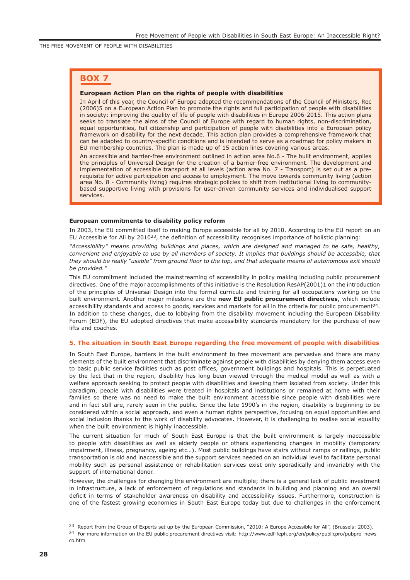## **BOX 7**

## **European Action Plan on the rights of people with disabilities**

In April of this year, the Council of Europe adopted the recommendations of the Council of Ministers, Rec (2006)5 on a European Action Plan to promote the rights and full participation of people with disabilities in society: improving the quality of life of people with disabilities in Europe 2006-2015. This action plans seeks to translate the aims of the Council of Europe with regard to human rights, non-discrimination, equal opportunities, full citizenship and participation of people with disabilities into a European policy framework on disability for the next decade. This action plan provides a comprehensive framework that can be adapted to country-specific conditions and is intended to serve as a roadmap for policy makers in EU membership countries. The plan is made up of 15 action lines covering various areas.

An accessible and barrier-free environment outlined in action area No.6 - The built environment, applies the principles of Universal Design for the creation of a barrier-free environment. The development and implementation of accessible transport at all levels (action area No. 7 - Transport) is set out as a prerequisite for active participation and access to employment. The move towards community living (action area No. 8 - Community living) requires strategic policies to shift from institutional living to communitybased supportive living with provisions for user-driven community services and individualised support services.

### **European commitments to disability policy reform**

In 2003, the EU committed itself to making Europe accessible for all by 2010. According to the EU report on an EU Accessible for All by 201023, the definition of accessibility recognises importance of holistic planning:

*"Accessibility" means providing buildings and places, which are designed and managed to be safe, healthy, convenient and enjoyable to use by all members of society. It implies that buildings should be accessible, that they should be really "usable" from ground floor to the top, and that adequate means of autonomous exit should be provided."*

This EU commitment included the mainstreaming of accessibility in policy making including public procurement directives. One of the major accomplishments of this initiative is the Resolution ResAP(2001)1 on the introduction of the principles of Universal Design into the formal curricula and training for all occupations working on the built environment. Another major milestone are the **new EU public procurement directives**, which include accessibility standards and access to goods, services and markets for all in the criteria for public procurement<sup>24</sup>. In addition to these changes, due to lobbying from the disability movement including the European Disability Forum (EDF), the EU adopted directives that make accessibility standards mandatory for the purchase of new lifts and coaches.

## **5. The situation in South East Europe regarding the free movement of people with disabilities**

In South East Europe, barriers in the built environment to free movement are pervasive and there are many elements of the built environment that discriminate against people with disabilities by denying them access even to basic public service facilities such as post offices, government buildings and hospitals. This is perpetuated by the fact that in the region, disability has long been viewed through the medical model as well as with a welfare approach seeking to protect people with disabilities and keeping them isolated from society. Under this paradigm, people with disabilities were treated in hospitals and institutions or remained at home with their families so there was no need to make the built environment accessible since people with disabilities were and in fact still are, rarely seen in the public. Since the late 1990's in the region, disability is beginning to be considered within a social approach, and even a human rights perspective, focusing on equal opportunities and social inclusion thanks to the work of disability advocates. However, it is challenging to realise social equality when the built environment is highly inaccessible.

The current situation for much of South East Europe is that the built environment is largely inaccessible to people with disabilities as well as elderly people or others experiencing changes in mobility (temporary impairment, illness, pregnancy, ageing etc…). Most public buildings have stairs without ramps or railings, public transportation is old and inaccessible and the support services needed on an individual level to facilitate personal mobility such as personal assistance or rehabilitation services exist only sporadically and invariably with the support of international donor.

However, the challenges for changing the environment are multiple; there is a general lack of public investment in infrastructure, a lack of enforcement of regulations and standards in building and planning and an overall deficit in terms of stakeholder awareness on disability and accessibility issues. Furthermore, construction is one of the fastest growing economies in South East Europe today but due to challenges in the enforcement

<sup>&</sup>lt;sup>23</sup> Report from the Group of Experts set up by the European Commission, "2010: A Europe Accessible for All", (Brussels: 2003). <sup>24</sup> For more information on the EU public procurement directives visit: http://www.edf-feph.org/en/policy/publicpro/pubpro\_news\_ co.htm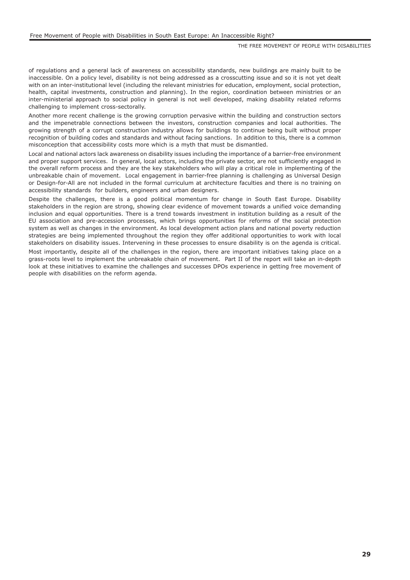of regulations and a general lack of awareness on accessibility standards, new buildings are mainly built to be inaccessible. On a policy level, disability is not being addressed as a crosscutting issue and so it is not yet dealt with on an inter-institutional level (including the relevant ministries for education, employment, social protection, health, capital investments, construction and planning). In the region, coordination between ministries or an inter-ministerial approach to social policy in general is not well developed, making disability related reforms challenging to implement cross-sectorally.

Another more recent challenge is the growing corruption pervasive within the building and construction sectors and the impenetrable connections between the investors, construction companies and local authorities. The growing strength of a corrupt construction industry allows for buildings to continue being built without proper recognition of building codes and standards and without facing sanctions. In addition to this, there is a common misconception that accessibility costs more which is a myth that must be dismantled.

Local and national actors lack awareness on disability issues including the importance of a barrier-free environment and proper support services. In general, local actors, including the private sector, are not sufficiently engaged in the overall reform process and they are the key stakeholders who will play a critical role in implementing of the unbreakable chain of movement. Local engagement in barrier-free planning is challenging as Universal Design or Design-for-All are not included in the formal curriculum at architecture faculties and there is no training on accessibility standards for builders, engineers and urban designers.

Despite the challenges, there is a good political momentum for change in South East Europe. Disability stakeholders in the region are strong, showing clear evidence of movement towards a unified voice demanding inclusion and equal opportunities. There is a trend towards investment in institution building as a result of the EU association and pre-accession processes, which brings opportunities for reforms of the social protection system as well as changes in the environment. As local development action plans and national poverty reduction strategies are being implemented throughout the region they offer additional opportunities to work with local stakeholders on disability issues. Intervening in these processes to ensure disability is on the agenda is critical.

Most importantly, despite all of the challenges in the region, there are important initiatives taking place on a grass-roots level to implement the unbreakable chain of movement. Part II of the report will take an in-depth look at these initiatives to examine the challenges and successes DPOs experience in getting free movement of people with disabilities on the reform agenda.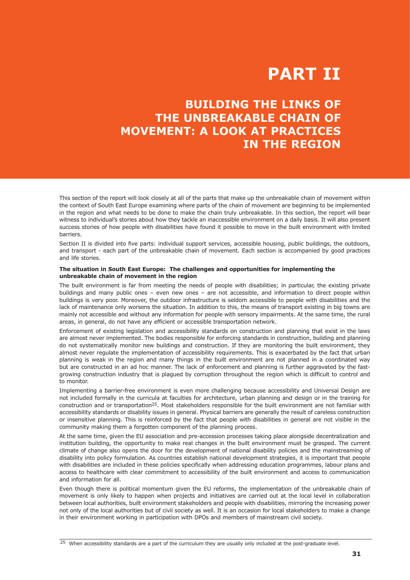# **PART II**

# **BUILDING THE LINKS OF THE UNBREAKABLE CHAIN OF MOVEMENT: A LOOK AT PRACTICES IN THE REGION**

This section of the report will look closely at all of the parts that make up the unbreakable chain of movement within the context of South East Europe examining where parts of the chain of movement are beginning to be implemented in the region and what needs to be done to make the chain truly unbreakable. In this section, the report will bear witness to individual's stories about how they tackle an inaccessible environment on a daily basis. It will also present success stories of how people with disabilities have found it possible to move in the built environment with limited barriers.

Section II is divided into five parts: individual support services, accessible housing, public buildings, the outdoors, and transport - each part of the unbreakable chain of movement. Each section is accompanied by good practices and life stories.

## **The situation in South East Europe: The challenges and opportunities for implementing the unbreakable chain of movement in the region**

The built environment is far from meeting the needs of people with disabilities; in particular, the existing private buildings and many public ones – even new ones – are not accessible, and information to direct people within buildings is very poor. Moreover, the outdoor infrastructure is seldom accessible to people with disabilities and the lack of maintenance only worsens the situation. In addition to this, the means of transport existing in big towns are mainly not accessible and without any information for people with sensory impairments. At the same time, the rural areas, in general, do not have any efficient or accessible transportation network.

Enforcement of existing legislation and accessibility standards on construction and planning that exist in the laws are almost never implemented. The bodies responsible for enforcing standards in construction, building and planning do not systematically monitor new buildings and construction. If they are monitoring the built environment, they almost never regulate the implementation of accessibility requirements. This is exacerbated by the fact that urban planning is weak in the region and many things in the built environment are not planned in a coordinated way but are constructed in an ad hoc manner. The lack of enforcement and planning is further aggravated by the fastgrowing construction industry that is plagued by corruption throughout the region which is difficult to control and to monitor.

Implementing a barrier-free environment is even more challenging because accessibility and Universal Design are not included formally in the curricula at faculties for architecture, urban planning and design or in the training for construction and or transportation25. Most stakeholders responsible for the built environment are not familiar with accessibility standards or disability issues in general. Physical barriers are generally the result of careless construction or insensitive planning. This is reinforced by the fact that people with disabilities in general are not visible in the community making them a forgotten component of the planning process.

At the same time, given the EU association and pre-accession processes taking place alongside decentralization and institution building, the opportunity to make real changes in the built environment must be grasped. The current climate of change also opens the door for the development of national disability policies and the mainstreaming of disability into policy formulation. As countries establish national development strategies, it is important that people with disabilities are included in these policies specifically when addressing education programmes, labour plans and access to healthcare with clear commitment to accessibility of the built environment and access to communication and information for all.

Even though there is political momentum given the EU reforms, the implementation of the unbreakable chain of movement is only likely to happen when projects and initiatives are carried out at the local level in collaboration between local authorities, built environment stakeholders and people with disabilities, mirroring the increasing power not only of the local authorities but of civil society as well. It is an occasion for local stakeholders to make a change in their environment working in participation with DPOs and members of mainstream civil society.

<sup>25</sup> When accessibility standards are a part of the curriculum they are usually only included at the post-graduate level.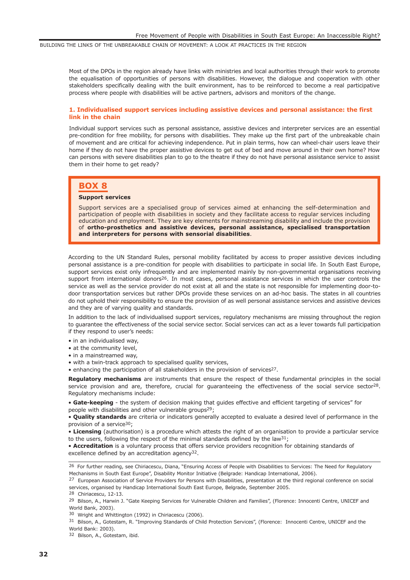Most of the DPOs in the region already have links with ministries and local authorities through their work to promote the equalisation of opportunities of persons with disabilities. However, the dialogue and cooperation with other stakeholders specifically dealing with the built environment, has to be reinforced to become a real participative process where people with disabilities will be active partners, advisors and monitors of the change.

## **1. Individualised support services including assistive devices and personal assistance: the first link in the chain**

Individual support services such as personal assistance, assistive devices and interpreter services are an essential pre-condition for free mobility, for persons with disabilities. They make up the first part of the unbreakable chain of movement and are critical for achieving independence. Put in plain terms, how can wheel-chair users leave their home if they do not have the proper assistive devices to get out of bed and move around in their own home? How can persons with severe disabilities plan to go to the theatre if they do not have personal assistance service to assist them in their home to get ready?

## **BOX 8**

## **Support services**

Support services are a specialised group of services aimed at enhancing the self-determination and participation of people with disabilities in society and they facilitate access to regular services including education and employment. They are key elements for mainstreaming disability and include the provision of **ortho-prosthetics and assistive devices, personal assistance, specialised transportation and interpreters for persons with sensorial disabilities**.

According to the UN Standard Rules, personal mobility facilitated by access to proper assistive devices including personal assistance is a pre-condition for people with disabilities to participate in social life. In South East Europe, support services exist only infrequently and are implemented mainly by non-governmental organisations receiving support from international donors<sup>26</sup>. In most cases, personal assistance services in which the user controls the service as well as the service provider do not exist at all and the state is not responsible for implementing door-todoor transportation services but rather DPOs provide these services on an ad-hoc basis. The states in all countries do not uphold their responsibility to ensure the provision of as well personal assistance services and assistive devices and they are of varying quality and standards.

In addition to the lack of individualised support services, regulatory mechanisms are missing throughout the region to guarantee the effectiveness of the social service sector. Social services can act as a lever towards full participation if they respond to user's needs:

• in an individualised way,

• at the community level,

• in a mainstreamed way,

• with a twin-track approach to specialised quality services,

• enhancing the participation of all stakeholders in the provision of services<sup>27</sup>.

**Regulatory mechanisms** are instruments that ensure the respect of these fundamental principles in the social service provision and are, therefore, crucial for guaranteeing the effectiveness of the social service sector<sup>28</sup>. Regulatory mechanisms include:

• **Gate-keeping** - the system of decision making that guides effective and efficient targeting of services" for people with disabilities and other vulnerable groups29;

• **Quality standards** are criteria or indicators generally accepted to evaluate a desired level of performance in the provision of a service30;

• **Licensing** (authorisation) is a procedure which attests the right of an organisation to provide a particular service to the users, following the respect of the minimal standards defined by the law<sup>31</sup>;

• **Accreditation** is a voluntary process that offers service providers recognition for obtaining standards of excellence defined by an accreditation agency<sup>32</sup>.

<sup>&</sup>lt;sup>26</sup> For further reading, see Chiriacescu, Diana, "Ensuring Access of People with Disabilities to Services: The Need for Regulatory Mechanisms in South East Europe", Disability Monitor Initiative (Belgrade: Handicap International, 2006).

<sup>&</sup>lt;sup>27</sup> European Association of Service Providers for Persons with Disabilities, presentation at the third regional conference on social services, organised by Handicap International South East Europe, Belgrade, September 2005.

<sup>28</sup> Chiriacescu, 12-13.

<sup>&</sup>lt;sup>29</sup> Bilson, A., Harwin J. "Gate Keeping Services for Vulnerable Children and Families", (Florence: Innocenti Centre, UNICEF and World Bank, 2003).

<sup>30</sup> Wright and Whittington (1992) in Chiriacescu (2006).

<sup>31</sup> Bilson, A., Gotestam, R. "Improving Standards of Child Protection Services", (Florence: Innocenti Centre, UNICEF and the World Bank: 2003).

<sup>32</sup> Bilson, A., Gotestam, ibid.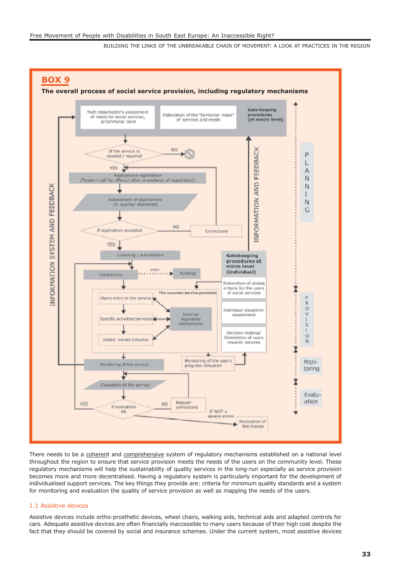

There needs to be a coherent and comprehensive system of regulatory mechanisms established on a national level throughout the region to ensure that service provision meets the needs of the users on the community level. These regulatory mechanisms will help the sustainability of quality services in the long-run especially as service provision becomes more and more decentralised. Having a regulatory system is particularly important for the development of individualised support services. The key things they provide are: criteria for minimum quality standards and a system for monitoring and evaluation the quality of service provision as well as mapping the needs of the users.

## 1.1 Assistive devices

Assistive devices include ortho-prosthetic devices, wheel chairs, walking aids, technical aids and adapted controls for cars. Adequate assistive devices are often financially inaccessible to many users because of their high cost despite the fact that they should be covered by social and insurance schemes. Under the current system, most assistive devices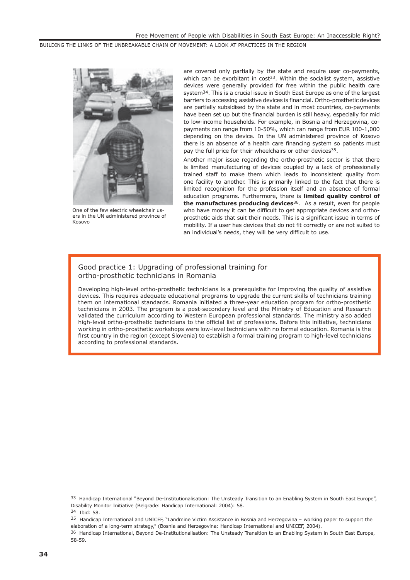

One of the few electric wheelchair users in the UN administered province of Kosovo

are covered only partially by the state and require user co-payments, which can be exorbitant in  $cost^{33}$ . Within the socialist system, assistive devices were generally provided for free within the public health care system<sup>34</sup>. This is a crucial issue in South East Europe as one of the largest barriers to accessing assistive devices is financial. Ortho-prosthetic devices are partially subsidised by the state and in most countries, co-payments have been set up but the financial burden is still heavy, especially for mid to low-income households. For example, in Bosnia and Herzegovina, copayments can range from 10-50%, which can range from EUR 100-1,000 depending on the device. In the UN administered province of Kosovo there is an absence of a health care financing system so patients must pay the full price for their wheelchairs or other devices<sup>35</sup>.

Another major issue regarding the ortho-prosthetic sector is that there is limited manufacturing of devices coupled by a lack of professionally trained staff to make them which leads to inconsistent quality from one facility to another. This is primarily linked to the fact that there is limited recognition for the profession itself and an absence of formal education programs. Furthermore, there is **limited quality control of the manufactures producing devices**36. As a result, even for people who have money it can be difficult to get appropriate devices and orthoprosthetic aids that suit their needs. This is a significant issue in terms of mobility. If a user has devices that do not fit correctly or are not suited to an individual's needs, they will be very difficult to use.

## Good practice 1: Upgrading of professional training for ortho-prosthetic technicians in Romania

Developing high-level ortho-prosthetic technicians is a prerequisite for improving the quality of assistive devices. This requires adequate educational programs to upgrade the current skills of technicians training them on international standards. Romania initiated a three-year education program for ortho-prosthetic technicians in 2003. The program is a post-secondary level and the Ministry of Education and Research validated the curriculum according to Western European professional standards. The ministry also added high-level ortho-prosthetic technicians to the official list of professions. Before this initiative, technicians working in ortho-prosthetic workshops were low-level technicians with no formal education. Romania is the first country in the region (except Slovenia) to establish a formal training program to high-level technicians according to professional standards.

<sup>&</sup>lt;sup>33</sup> Handicap International "Beyond De-Institutionalisation: The Unsteady Transition to an Enabling System in South East Europe", Disability Monitor Initiative (Belgrade: Handicap International: 2004): 58.

<sup>34</sup> Ibid: 58.

<sup>35</sup> Handicap International and UNICEF, "Landmine Victim Assistance in Bosnia and Herzegovina – working paper to support the elaboration of a long-term strategy," (Bosnia and Herzegovina: Handicap International and UNICEF, 2004).

<sup>36</sup> Handicap International, Beyond De-Institutionalisation: The Unsteady Transition to an Enabling System in South East Europe, 58-59.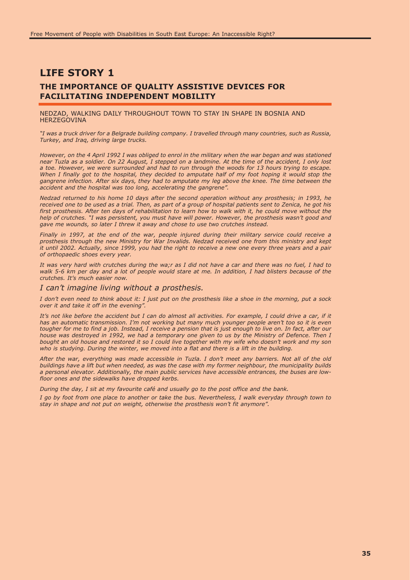## **LIFE STORY 1**

## **THE IMPORTANCE OF QUALITY ASSISTIVE DEVICES FOR FACILITATING INDEPENDENT MOBILITY**

NEDZAD, WALKING DAILY THROUGHOUT TOWN TO STAY IN SHAPE IN BOSNIA AND **HERZEGOVINA** 

*"I was a truck driver for a Belgrade building company. I travelled through many countries, such as Russia, Turkey, and Iraq, driving large trucks.*

*However, on the 4 April 1992 I was obliged to enrol in the military when the war began and was stationed near Tuzla as a soldier. On 22 August, I stepped on a landmine. At the time of the accident, I only lost a toe. However, we were surrounded and had to run through the woods for 13 hours trying to escape.*  When I finally got to the hospital, they decided to amputate half of my foot hoping it would stop the *gangrene infection. After six days, they had to amputate my leg above the knee. The time between the accident and the hospital was too long, accelerating the gangrene".*

*Nedzad returned to his home 10 days after the second operation without any prosthesis; in 1993, he received one to be used as a trial. Then, as part of a group of hospital patients sent to Zenica, he got his first prosthesis. After ten days of rehabilitation to learn how to walk with it, he could move without the help of crutches. "I was persistent, you must have will power. However, the prosthesis wasn't good and gave me wounds, so later I threw it away and chose to use two crutches instead.*

*Finally in 1997, at the end of the war, people injured during their military service could receive a prosthesis through the new Ministry for War Invalids. Nedzad received one from this ministry and kept it until 2002. Actually, since 1999, you had the right to receive a new one every three years and a pair of orthopaedic shoes every year.* 

*It was very hard with crutches during the wa;r as I did not have a car and there was no fuel, I had to walk 5-6 km per day and a lot of people would stare at me. In addition, I had blisters because of the crutches. It's much easier now.*

### *I can't imagine living without a prosthesis.*

*I don't even need to think about it: I just put on the prosthesis like a shoe in the morning, put a sock over it and take it off in the evening".*

*It's not like before the accident but I can do almost all activities. For example, I could drive a car, if it has an automatic transmission. I'm not working but many much younger people aren't too so it is even tougher for me to find a job. Instead, I receive a pension that is just enough to live on. In fact, after our house was destroyed in 1992, we had a temporary one given to us by the Ministry of Defence. Then I bought an old house and restored it so I could live together with my wife who doesn't work and my son who is studying. During the winter, we moved into a flat and there is a lift in the building.*

*After the war, everything was made accessible in Tuzla. I don't meet any barriers. Not all of the old buildings have a lift but when needed, as was the case with my former neighbour, the municipality builds a personal elevator. Additionally, the main public services have accessible entrances, the buses are lowfloor ones and the sidewalks have dropped kerbs.*

*During the day, I sit at my favourite café and usually go to the post office and the bank.*

*I go by foot from one place to another or take the bus. Nevertheless, I walk everyday through town to stay in shape and not put on weight, otherwise the prosthesis won't fit anymore".*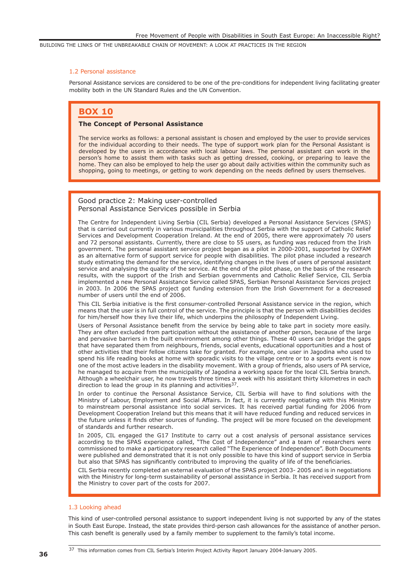## 1.2 Personal assistance

Personal Assistance services are considered to be one of the pre-conditions for independent living facilitating greater mobility both in the UN Standard Rules and the UN Convention.

## **BOX 10**

## **The Concept of Personal Assistance**

The service works as follows: a personal assistant is chosen and employed by the user to provide services for the individual according to their needs. The type of support work plan for the Personal Assistant is developed by the users in accordance with local labour laws. The personal assistant can work in the person's home to assist them with tasks such as getting dressed, cooking, or preparing to leave the home. They can also be employed to help the user go about daily activities within the community such as shopping, going to meetings, or getting to work depending on the needs defined by users themselves.

## Good practice 2: Making user-controlled Personal Assistance Services possible in Serbia

The Centre for Independent Living Serbia (CIL Serbia) developed a Personal Assistance Services (SPAS) that is carried out currently in various municipalities throughout Serbia with the support of Catholic Relief Services and Development Cooperation Ireland. At the end of 2005, there were approximately 70 users and 72 personal assistants. Currently, there are close to 55 users, as funding was reduced from the Irish government. The personal assistant service project began as a pilot in 2000-2001, supported by OXFAM as an alternative form of support service for people with disabilities. The pilot phase included a research study estimating the demand for the service, identifying changes in the lives of users of personal assistant service and analysing the quality of the service. At the end of the pilot phase, on the basis of the research results, with the support of the Irish and Serbian governments and Catholic Relief Service, CIL Serbia implemented a new Personal Assistance Service called SPAS, Serbian Personal Assistance Services project in 2003. In 2006 the SPAS project got funding extension from the Irish Government for a decreased number of users until the end of 2006.

This CIL Serbia initiative is the first consumer-controlled Personal Assistance service in the region, which means that the user is in full control of the service. The principle is that the person with disabilities decides for him/herself how they live their life, which underpins the philosophy of Independent Living.

Users of Personal Assistance benefit from the service by being able to take part in society more easily. They are often excluded from participation without the assistance of another person, because of the large and pervasive barriers in the built environment among other things. These 40 users can bridge the gaps that have separated them from neighbours, friends, social events, educational opportunities and a host of other activities that their fellow citizens take for granted. For example, one user in Jagodina who used to spend his life reading books at home with sporadic visits to the village centre or to a sports event is now one of the most active leaders in the disability movement. With a group of friends, also users of PA service, he managed to acquire from the municipality of Jagodina a working space for the local CIL Serbia branch. Although a wheelchair user, he now travels three times a week with his assistant thirty kilometres in each direction to lead the group in its planning and activities<sup>37</sup>.

In order to continue the Personal Assistance Service, CIL Serbia will have to find solutions with the Ministry of Labour, Employment and Social Affairs. In fact, it is currently negotiating with this Ministry to mainstream personal assistance into social services. It has received partial funding for 2006 from Development Cooperation Ireland but this means that it will have reduced funding and reduced services in the future unless it finds other sources of funding. The project will be more focused on the development of standards and further research.

In 2005, CIL engaged the G17 Institute to carry out a cost analysis of personal assistance services according to the SPAS experience called, "The Cost of Independence" and a team of researchers were commissioned to make a participatory research called "The Experience of Independence". Both Documents were published and demonstrated that it is not only possible to have this kind of support service in Serbia but also that SPAS has significantly contributed to improving the quality of life of the beneficiaries.

CIL Serbia recently completed an external evaluation of the SPAS project 2003- 2005 and is in negotiations with the Ministry for long-term sustainability of personal assistance in Serbia. It has received support from the Ministry to cover part of the costs for 2007.

## 1.3 Looking ahead

This kind of user-controlled personal assistance to support independent living is not supported by any of the states in South East Europe. Instead, the state provides third-person cash allowances for the assistance of another person. This cash benefit is generally used by a family member to supplement to the family's total income.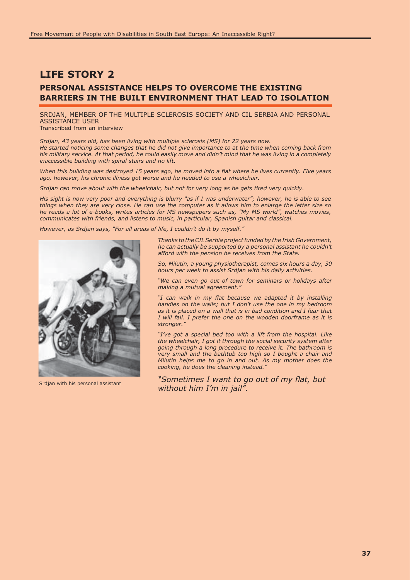# **LIFE STORY 2**

### **PERSONAL ASSISTANCE HELPS TO OVERCOME THE EXISTING BARRIERS IN THE BUILT ENVIRONMENT THAT LEAD TO ISOLATION**

SRDJAN, MEMBER OF THE MULTIPLE SCLEROSIS SOCIETY AND CIL SERBIA AND PERSONAL **ASSISTANCE USER** 

Transcribed from an interview

*Srdjan, 43 years old, has been living with multiple sclerosis (MS) for 22 years now. He started noticing some changes that he did not give importance to at the time when coming back from his military service. At that period, he could easily move and didn't mind that he was living in a completely inaccessible building with spiral stairs and no lift.*

*When this building was destroyed 15 years ago, he moved into a flat where he lives currently. Five years ago, however, his chronic illness got worse and he needed to use a wheelchair.*

*Srdjan can move about with the wheelchair, but not for very long as he gets tired very quickly.*

*His sight is now very poor and everything is blurry "as if I was underwater"; however, he is able to see things when they are very close. He can use the computer as it allows him to enlarge the letter size so he reads a lot of e-books, writes articles for MS newspapers such as, "My MS world", watches movies, communicates with friends, and listens to music, in particular, Spanish guitar and classical.*

*However, as Srdjan says, "For all areas of life, I couldn't do it by myself."* 



*Thanks to the CIL Serbia project funded by the Irish Government, he can actually be supported by a personal assistant he couldn't afford with the pension he receives from the State.*

*So, Milutin, a young physiotherapist, comes six hours a day, 30 hours per week to assist Srdjan with his daily activities.*

*"We can even go out of town for seminars or holidays after making a mutual agreement."*

*"I can walk in my flat because we adapted it by installing handles on the walls; but I don't use the one in my bedroom as it is placed on a wall that is in bad condition and I fear that I will fall. I prefer the one on the wooden doorframe as it is stronger."*

*"I've got a special bed too with a lift from the hospital. Like the wheelchair, I got it through the social security system after going through a long procedure to receive it. The bathroom is very small and the bathtub too high so I bought a chair and Milutin helps me to go in and out. As my mother does the cooking, he does the cleaning instead."* 

*"Sometimes I want to go out of my flat, but without him I'm in jail".* Srdjan with his personal assistant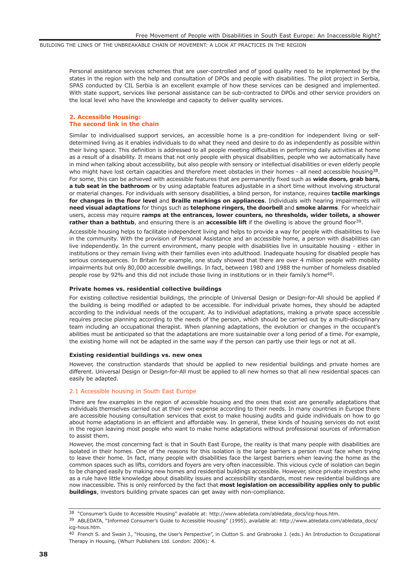Personal assistance services schemes that are user-controlled and of good quality need to be implemented by the states in the region with the help and consultation of DPOs and people with disabilities. The pilot project in Serbia, SPAS conducted by CIL Serbia is an excellent example of how these services can be designed and implemented. With state support, services like personal assistance can be sub-contracted to DPOs and other service providers on the local level who have the knowledge and capacity to deliver quality services.

#### **2. Accessible Housing: The second link in the chain**

Similar to individualised support services, an accessible home is a pre-condition for independent living or selfdetermined living as it enables individuals to do what they need and desire to do as independently as possible within their living space. This definition is addressed to all people meeting difficulties in performing daily activities at home as a result of a disability. It means that not only people with physical disabilities, people who we automatically have in mind when talking about accessibility, but also people with sensory or intellectual disabilities or even elderly people who might have lost certain capacities and therefore meet obstacles in their homes - all need accessible housing38. For some, this can be achieved with accessible features that are permanently fixed such as **wide doors, grab bars, a tub seat in the bathroom** or by using adaptable features adjustable in a short time without involving structural or material changes. For individuals with sensory disabilities, a blind person, for instance, requires **tactile markings for changes in the floor level** and **Braille markings on appliances**. Individuals with hearing impairments will **need visual adaptations** for things such as **telephone ringers, the doorbell** and **smoke alarms**. For wheelchair users, access may require **ramps at the entrances, lower counters, no thresholds, wider toilets, a shower rather than a bathtub**, and ensuring there is an **accessible lift** if the dwelling is above the ground floor39.

Accessible housing helps to facilitate independent living and helps to provide a way for people with disabilities to live in the community. With the provision of Personal Assistance and an accessible home, a person with disabilities can live independently. In the current environment, many people with disabilities live in unsuitable housing - either in institutions or they remain living with their families even into adulthood. Inadequate housing for disabled people has serious consequences. In Britain for example, one study showed that there are over 4 million people with mobility impairments but only 80,000 accessible dwellings. In fact, between 1980 and 1988 the number of homeless disabled people rose by 92% and this did not include those living in institutions or in their family's home40.

#### **Private homes vs. residential collective buildings**

For existing collective residential buildings, the principle of Universal Design or Design-for-All should be applied if the building is being modified or adapted to be accessible. For individual private homes, they should be adapted according to the individual needs of the occupant. As to individual adaptations, making a private space accessible requires precise planning according to the needs of the person, which should be carried out by a multi-disciplinary team including an occupational therapist. When planning adaptations, the evolution or changes in the occupant's abilities must be anticipated so that the adaptations are more sustainable over a long period of a time. For example, the existing home will not be adapted in the same way if the person can partly use their legs or not at all.

#### **Existing residential buildings vs. new ones**

However, the construction standards that should be applied to new residential buildings and private homes are different. Universal Design or Design-for-All must be applied to all new homes so that all new residential spaces can easily be adapted.

#### 2.1 Accessible housing in South East Europe

There are few examples in the region of accessible housing and the ones that exist are generally adaptations that individuals themselves carried out at their own expense according to their needs. In many countries in Europe there are accessible housing consultation services that exist to make housing audits and guide individuals on how to go about home adaptations in an efficient and affordable way. In general, these kinds of housing services do not exist in the region leaving most people who want to make home adaptations without professional sources of information to assist them.

However, the most concerning fact is that in South East Europe, the reality is that many people with disabilities are isolated in their homes. One of the reasons for this isolation is the large barriers a person must face when trying to leave their home. In fact, many people with disabilities face the largest barriers when leaving the home as the common spaces such as lifts, corridors and foyers are very often inaccessible. This vicious cycle of isolation can begin to be changed easily by making new homes and residential buildings accessible. However, since private investors who as a rule have little knowledge about disability issues and accessibility standards, most new residential buildings are now inaccessible. This is only reinforced by the fact that **most legislation on accessibility applies only to public buildings**, investors building private spaces can get away with non-compliance.

39 ABLEDATA, "Informed Consumer's Guide to Accessible Housing" (1995), available at: http://www.abledata.com/abledata\_docs/ icg-hous.htm.

<sup>38 &</sup>quot;Consumer's Guide to Accessible Housing" available at: http://www.abledata.com/abledata\_docs/icg-hous.htm.

<sup>40</sup> French S. and Swain J., "Housing, the User's Perspective", in Clutton S. and Grisbrooke J. (eds.) An Introduction to Occupational Therapy in Housing, (Whurr Publishers Ltd. London: 2006): 4.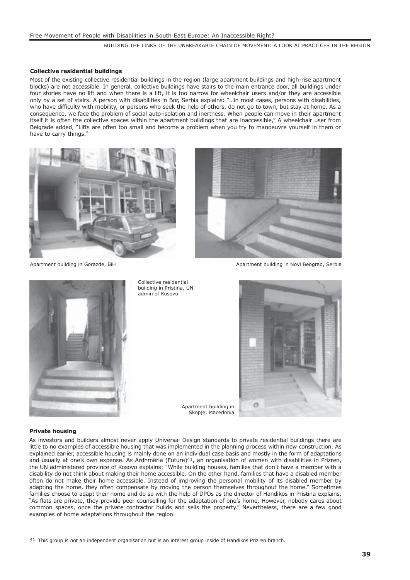#### Free Movement of People with Disabilities in South East Europe: An Inaccessible Right?

BUILDING THE LINKS OF THE UNBREAKABLE CHAIN OF MOVEMENT: A LOOK AT PRACTICES IN THE REGION

#### **Collective residential buildings**

Most of the existing collective residential buildings in the region (large apartment buildings and high-rise apartment blocks) are not accessible. In general, collective buildings have stairs to the main entrance door, all buildings under four stories have no lift and when there is a lift, it is too narrow for wheelchair users and/or they are accessible only by a set of stairs. A person with disabilities in Bor, Serbia explains: "…in most cases, persons with disabilities, who have difficulty with mobility, or persons who seek the help of others, do not go to town, but stay at home. As a consequence, we face the problem of social auto-isolation and inertness. When people can move in their apartment itself it is often the collective spaces within the apartment buildings that are inaccessible," A wheelchair user from Belgrade added, "Lifts are often too small and become a problem when you try to manoeuvre yourself in them or have to carry things."





Apartment building in Gorazde, BiH Apartment building in Novi Beograd, Serbia



Collective residential building in Pristina, UN admin of Kosovo

> Apartment building in Skopje, Macedonia



#### **Private housing**

As investors and builders almost never apply Universal Design standards to private residential buildings there are little to no examples of accessible housing that was implemented in the planning process within new construction. As explained earlier, accessible housing is mainly done on an individual case basis and mostly in the form of adaptations and usually at one's own expense. As Ardhmëria (Future)<sup>41</sup>, an organisation of women with disabilities in Prizren, the UN administered province of Kosovo explains: "While building houses, families that don't have a member with a disability do not think about making their home accessible. On the other hand, families that have a disabled member often do not make their home accessible. Instead of improving the personal mobility of its disabled member by adapting the home, they often compensate by moving the person themselves throughout the home." Sometimes families choose to adapt their home and do so with the help of DPOs as the director of Handikos in Pristina explains, "As flats are private, they provide peer counselling for the adaptation of one's home. However, nobody cares about common spaces, once the private contractor builds and sells the property." Nevertheless, there are a few good examples of home adaptations throughout the region.

<sup>41</sup> This group is not an independent organisation but is an interest group inside of Handikos Prizren branch.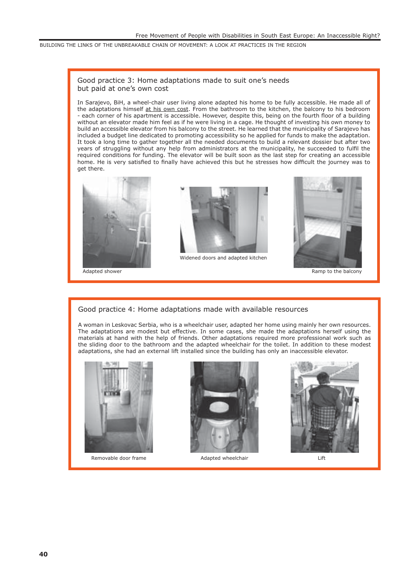### Good practice 3: Home adaptations made to suit one's needs but paid at one's own cost

In Sarajevo, BiH, a wheel-chair user living alone adapted his home to be fully accessible. He made all of the adaptations himself at his own cost. From the bathroom to the kitchen, the balcony to his bedroom - each corner of his apartment is accessible. However, despite this, being on the fourth floor of a building without an elevator made him feel as if he were living in a cage. He thought of investing his own money to build an accessible elevator from his balcony to the street. He learned that the municipality of Sarajevo has included a budget line dedicated to promoting accessibility so he applied for funds to make the adaptation. It took a long time to gather together all the needed documents to build a relevant dossier but after two years of struggling without any help from administrators at the municipality, he succeeded to fulfil the required conditions for funding. The elevator will be built soon as the last step for creating an accessible home. He is very satisfied to finally have achieved this but he stresses how difficult the journey was to get there.



Adapted shower



Widened doors and adapted kitchen



Ramp to the balcony

### Good practice 4: Home adaptations made with available resources

A woman in Leskovac Serbia, who is a wheelchair user, adapted her home using mainly her own resources. The adaptations are modest but effective. In some cases, she made the adaptations herself using the materials at hand with the help of friends. Other adaptations required more professional work such as the sliding door to the bathroom and the adapted wheelchair for the toilet. In addition to these modest adaptations, she had an external lift installed since the building has only an inaccessible elevator.





Removable door frame The Control of Adapted wheelchair Theorem Control of the Lift



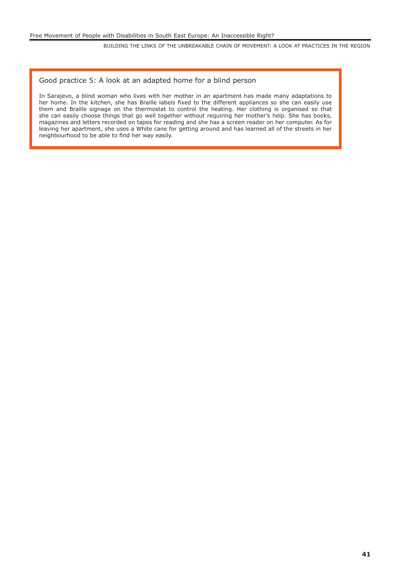### Good practice 5: A look at an adapted home for a blind person

In Sarajevo, a blind woman who lives with her mother in an apartment has made many adaptations to her home. In the kitchen, she has Braille labels fixed to the different appliances so she can easily use them and Braille signage on the thermostat to control the heating. Her clothing is organised so that she can easily choose things that go well together without requiring her mother's help. She has books, magazines and letters recorded on tapes for reading and she has a screen reader on her computer. As for leaving her apartment, she uses a White cane for getting around and has learned all of the streets in her neighbourhood to be able to find her way easily.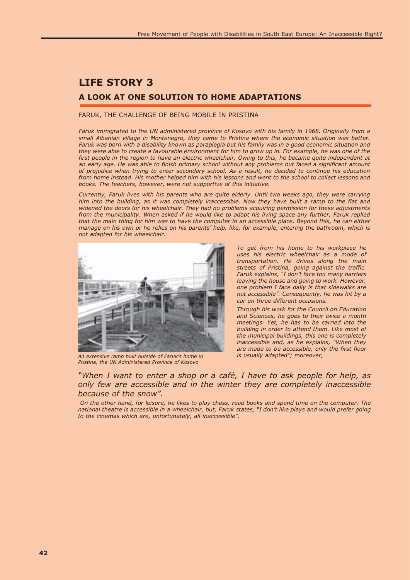# **LIFE STORY 3 A LOOK AT ONE SOLUTION TO HOME ADAPTATIONS**

#### FARUK, THE CHALLENGE OF BEING MOBILE IN PRISTINA

Faruk immigrated to the UN administered province of Kosovo with his family in 1968. Originally from a *small Albanian village in Montenegro, they came to Pristina where the economic situation was better. Faruk was born with a disability known as paraplegia but his family was in a good economic situation and they were able to create a favourable environment for him to grow up in. For example, he was one of the first people in the region to have an electric wheelchair. Owing to this, he became quite independent at an early age. He was able to finish primary school without any problems but faced a significant amount of prejudice when trying to enter secondary school. As a result, he decided to continue his education from home instead. His mother helped him with his lessons and went to the school to collect lessons and books. The teachers, however, were not supportive of this initiative.*

*Currently, Faruk lives with his parents who are quite elderly. Until two weeks ago, they were carrying him into the building, as it was completely inaccessible. Now they have built a ramp to the flat and widened the doors for his wheelchair. They had no problems acquiring permission for these adjustments*  from the municipality. When asked if he would like to adapt his living space any further, Faruk replied *that the main thing for him was to have the computer in an accessible place. Beyond this, he can either manage on his own or he relies on his parents' help, like, for example, entering the bathroom, which is not adapted for his wheelchair.*



*An extensive ramp built outside of Faruk's home in Pristina, the UN Administered Province of Kosovo*

*To get from his home to his workplace he uses his electric wheelchair as a mode of transportation. He drives along the main streets of Pristina, going against the traffic. Faruk explains, "I don't face too many barriers leaving the house and going to work. However, one problem I face daily is that sidewalks are not accessible". Consequently, he was hit by a car on three different occasions.*

*Through his work for the Council on Education and Sciences, he goes to their twice a month meetings. Yet, he has to be carried into the building in order to attend them. Like most of the municipal buildings, this one is completely inaccessible and, as he explains, "When they are made to be accessible, only the first floor is usually adapted"; moreover,* 

### *"When I want to enter a shop or a café, I have to ask people for help, as only few are accessible and in the winter they are completely inaccessible because of the snow".*

 *On the other hand, for leisure, he likes to play chess, read books and spend time on the computer. The national theatre is accessible in a wheelchair, but, Faruk states, "I don't like plays and would prefer going to the cinemas which are, unfortunately, all inaccessible".*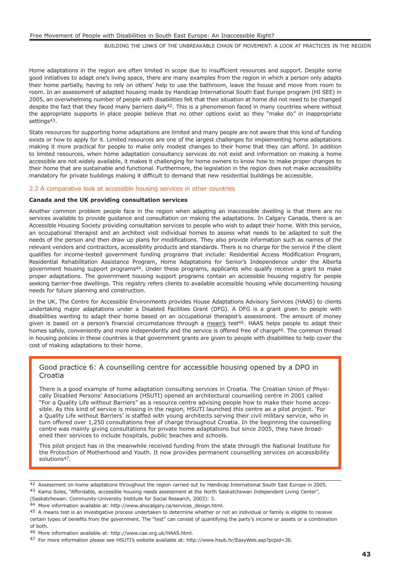Home adaptations in the region are often limited in scope due to insufficient resources and support. Despite some good initiatives to adapt one's living space, there are many examples from the region in which a person only adapts their home partially, having to rely on others' help to use the bathroom, leave the house and move from room to room. In an assessment of adapted housing made by Handicap International South East Europe program (HI SEE) in 2005, an overwhelming number of people with disabilities felt that their situation at home did not need to be changed despite the fact that they faced many barriers daily<sup>42</sup>. This is a phenomenon faced in many countries where without the appropriate supports in place people believe that no other options exist so they "make do" in inappropriate settings<sup>43</sup>.

State resources for supporting home adaptations are limited and many people are not aware that this kind of funding exists or how to apply for it. Limited resources are one of the largest challenges for implementing home adaptations making it more practical for people to make only modest changes to their home that they can afford. In addition to limited resources, when home adaptation consultancy services do not exist and information on making a home accessible are not widely available, it makes it challenging for home owners to know how to make proper changes to their home that are sustainable and functional. Furthermore, the legislation in the region does not make accessibility mandatory for private buildings making it difficult to demand that new residential buildings be accessible.

#### 2.2 A comparative look at accessible housing services in other countries

#### **Canada and the UK providing consultation services**

Another common problem people face in the region when adapting an inaccessible dwelling is that there are no services available to provide guidance and consultation on making the adaptations. In Calgary Canada, there is an Accessible Housing Society providing consultation services to people who wish to adapt their home. With this service, an occupational therapist and an architect visit individual homes to assess what needs to be adapted to suit the needs of the person and then draw up plans for modifications. They also provide information such as names of the relevant vendors and contractors, accessibility products and standards. There is no charge for the service if the client qualifies for income-tested government funding programs that include: Residential Access Modification Program, Residential Rehabilitation Assistance Program, Home Adaptations for Senior's Independence under the Alberta government housing support programs44. Under these programs, applicants who qualify receive a grant to make proper adaptations. The government housing support programs contain an accessible housing registry for people seeking barrier-free dwellings. This registry refers clients to available accessible housing while documenting housing needs for future planning and construction.

In the UK, The Centre for Accessible Environments provides House Adaptations Advisory Services (HAAS) to clients undertaking major adaptations under a Disabled Facilities Grant (DFG). A DFG is a grant given to people with disabilities wanting to adapt their home based on an occupational therapist's assessment. The amount of money given is based on a person's financial circumstances through a mean's test<sup>45</sup>. HAAS helps people to adapt their homes safely, conveniently and more independently and the service is offered free of charge<sup>46</sup>. The common thread in housing policies in these countries is that government grants are given to people with disabilities to help cover the cost of making adaptations to their home.

### Good practice 6: A counselling centre for accessible housing opened by a DPO in Croatia

There is a good example of home adaptation consulting services in Croatia. The Croatian Union of Physically Disabled Persons' Associations (HSUTI) opened an architectural counselling centre in 2001 called "For a Quality Life without Barriers" as a resource centre advising people how to make their home accessible. As this kind of service is missing in the region, HSUTI launched this centre as a pilot project. 'For a Quality Life without Barriers' is staffed with young architects serving their civil military service, who in turn offered over 1,250 consultations free of charge throughout Croatia. In the beginning the counselling centre was mainly giving consultations for private home adaptations but since 2005, they have broadened their services to include hospitals, public beaches and schools.

This pilot project has in the meanwhile received funding from the state through the National Institute for the Protection of Motherhood and Youth. It now provides permanent counselling services on accessibility solutions<sup>47</sup>.

(Saskatchewan: Community-University Institute for Social Research, 2003): 3.

<sup>42</sup> Assessment on home adaptations throughout the region carried out by Handicap International South East Europe in 2005.

<sup>43</sup> Kama Soles, "Affordable, accessible housing needs assessment at the North Saskatchewan Independent Living Center",

<sup>44</sup> More information available at: http://www.ahscalgary.ca/services\_design.html.

<sup>45</sup> A means test is an investigative process undertaken to determine whether or not an individual or family is eligible to receive certain types of benefits from the government. The "test" can consist of quantifying the party's income or assets or a combination of both.

<sup>46</sup> More information available at: http://www.cae.org.uk/HAAS.html.

<sup>47</sup> For more information please see HSUTI's website available at: http://www.hsuti.hr/EasyWeb.asp?pcpid=36.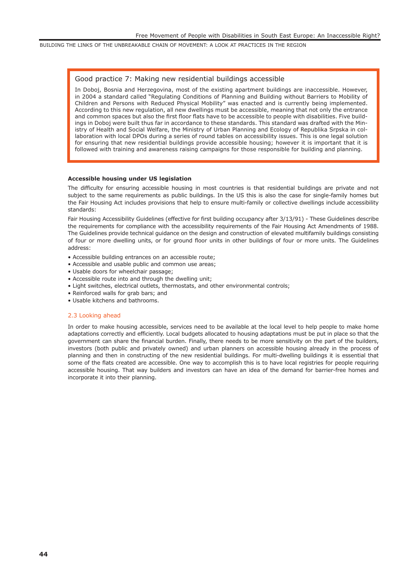#### Good practice 7: Making new residential buildings accessible

In Doboj, Bosnia and Herzegovina, most of the existing apartment buildings are inaccessible. However, in 2004 a standard called "Regulating Conditions of Planning and Building without Barriers to Mobility of Children and Persons with Reduced Physical Mobility" was enacted and is currently being implemented. According to this new regulation, all new dwellings must be accessible, meaning that not only the entrance and common spaces but also the first floor flats have to be accessible to people with disabilities. Five buildings in Doboj were built thus far in accordance to these standards. This standard was drafted with the Ministry of Health and Social Welfare, the Ministry of Urban Planning and Ecology of Republika Srpska in collaboration with local DPOs during a series of round tables on accessibility issues. This is one legal solution for ensuring that new residential buildings provide accessible housing; however it is important that it is followed with training and awareness raising campaigns for those responsible for building and planning.

#### **Accessible housing under US legislation**

The difficulty for ensuring accessible housing in most countries is that residential buildings are private and not subject to the same requirements as public buildings. In the US this is also the case for single-family homes but the Fair Housing Act includes provisions that help to ensure multi-family or collective dwellings include accessibility standards:

Fair Housing Accessibility Guidelines (effective for first building occupancy after 3/13/91) - These Guidelines describe the requirements for compliance with the accessibility requirements of the Fair Housing Act Amendments of 1988. The Guidelines provide technical guidance on the design and construction of elevated multifamily buildings consisting of four or more dwelling units, or for ground floor units in other buildings of four or more units. The Guidelines address:

- Accessible building entrances on an accessible route;
- Accessible and usable public and common use areas;
- Usable doors for wheelchair passage;
- Accessible route into and through the dwelling unit;
- Light switches, electrical outlets, thermostats, and other environmental controls;
- Reinforced walls for grab bars; and
- Usable kitchens and bathrooms.

#### 2.3 Looking ahead

In order to make housing accessible, services need to be available at the local level to help people to make home adaptations correctly and efficiently. Local budgets allocated to housing adaptations must be put in place so that the government can share the financial burden. Finally, there needs to be more sensitivity on the part of the builders, investors (both public and privately owned) and urban planners on accessible housing already in the process of planning and then in constructing of the new residential buildings. For multi-dwelling buildings it is essential that some of the flats created are accessible. One way to accomplish this is to have local registries for people requiring accessible housing. That way builders and investors can have an idea of the demand for barrier-free homes and incorporate it into their planning.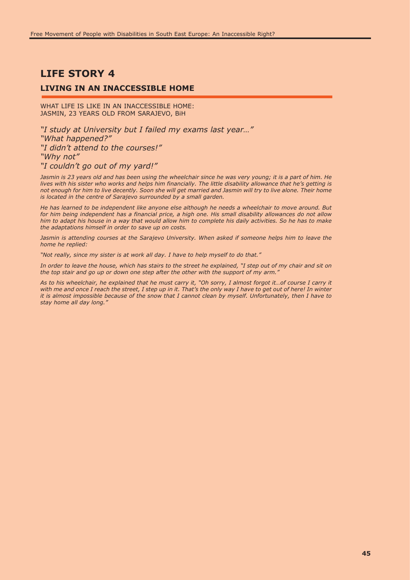# **LIFE STORY 4**

### **LIVING IN AN INACCESSIBLE HOME**

WHAT LIFE IS LIKE IN AN INACCESSIBLE HOME: JASMIN, 23 YEARS OLD FROM SARAJEVO, BiH

*"I study at University but I failed my exams last year…" "What happened?" "I didn't attend to the courses!" "Why not"*

*"I couldn't go out of my yard!"*

*Jasmin is 23 years old and has been using the wheelchair since he was very young; it is a part of him. He lives with his sister who works and helps him financially. The little disability allowance that he's getting is not enough for him to live decently. Soon she will get married and Jasmin will try to live alone. Their home is located in the centre of Sarajevo surrounded by a small garden.* 

*He has learned to be independent like anyone else although he needs a wheelchair to move around. But for him being independent has a financial price, a high one. His small disability allowances do not allow him to adapt his house in a way that would allow him to complete his daily activities. So he has to make the adaptations himself in order to save up on costs.*

Jasmin is attending courses at the Sarajevo University. When asked if someone helps him to leave the *home he replied:* 

*"Not really, since my sister is at work all day. I have to help myself to do that."*

*In order to leave the house, which has stairs to the street he explained, "I step out of my chair and sit on the top stair and go up or down one step after the other with the support of my arm."*

*As to his wheelchair, he explained that he must carry it, "Oh sorry, I almost forgot it…of course I carry it with me and once I reach the street, I step up in it. That's the only way I have to get out of here! In winter it is almost impossible because of the snow that I cannot clean by myself. Unfortunately, then I have to stay home all day long."*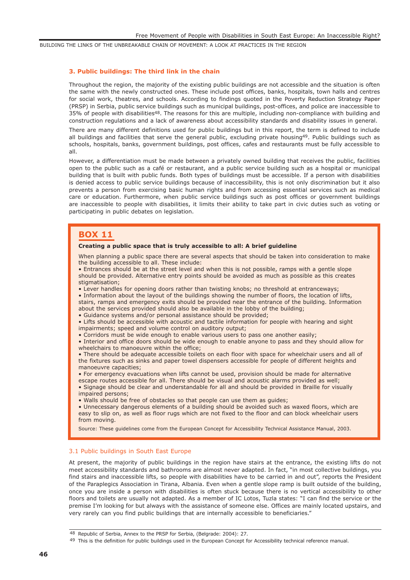#### **3. Public buildings: The third link in the chain**

Throughout the region, the majority of the existing public buildings are not accessible and the situation is often the same with the newly constructed ones. These include post offices, banks, hospitals, town halls and centres for social work, theatres, and schools. According to findings quoted in the Poverty Reduction Strategy Paper (PRSP) in Serbia, public service buildings such as municipal buildings, post-offices, and police are inaccessible to 35% of people with disabilities<sup>48</sup>. The reasons for this are multiple, including non-compliance with building and construction regulations and a lack of awareness about accessibility standards and disability issues in general.

There are many different definitions used for public buildings but in this report, the term is defined to include all buildings and facilities that serve the general public, excluding private housing<sup>49</sup>. Public buildings such as schools, hospitals, banks, government buildings, post offices, cafes and restaurants must be fully accessible to all.

However, a differentiation must be made between a privately owned building that receives the public, facilities open to the public such as a café or restaurant, and a public service building such as a hospital or municipal building that is built with public funds. Both types of buildings must be accessible. If a person with disabilities is denied access to public service buildings because of inaccessibility, this is not only discrimination but it also prevents a person from exercising basic human rights and from accessing essential services such as medical care or education. Furthermore, when public service buildings such as post offices or government buildings are inaccessible to people with disabilities, it limits their ability to take part in civic duties such as voting or participating in public debates on legislation.

### **BOX 11**

#### **Creating a public space that is truly accessible to all: A brief guideline**

When planning a public space there are several aspects that should be taken into consideration to make the building accessible to all. These include:

• Entrances should be at the street level and when this is not possible, ramps with a gentle slope should be provided. Alternative entry points should be avoided as much as possible as this creates stigmatisation;

• Lever handles for opening doors rather than twisting knobs; no threshold at entranceways;

• Information about the layout of the buildings showing the number of floors, the location of lifts, stairs, ramps and emergency exits should be provided near the entrance of the building. Information about the services provided should also be available in the lobby of the building;

• Guidance systems and/or personal assistance should be provided;

• Lifts should be accessible with acoustic and tactile information for people with hearing and sight impairments; speed and volume control on auditory output;

• Corridors must be wide enough to enable various users to pass one another easily;

• Interior and office doors should be wide enough to enable anyone to pass and they should allow for wheelchairs to manoeuvre within the office;

• There should be adequate accessible toilets on each floor with space for wheelchair users and all of the fixtures such as sinks and paper towel dispensers accessible for people of different heights and manoeuvre capacities;

• For emergency evacuations when lifts cannot be used, provision should be made for alternative escape routes accessible for all. There should be visual and acoustic alarms provided as well; • Signage should be clear and understandable for all and should be provided in Braille for visually impaired persons;

• Walls should be free of obstacles so that people can use them as guides;

• Unnecessary dangerous elements of a building should be avoided such as waxed floors, which are easy to slip on, as well as floor rugs which are not fixed to the floor and can block wheelchair users from moving.

Source: These guidelines come from the European Concept for Accessibility Technical Assistance Manual, 2003.

#### 3.1 Public buildings in South East Europe

At present, the majority of public buildings in the region have stairs at the entrance, the existing lifts do not meet accessibility standards and bathrooms are almost never adapted. In fact, "in most collective buildings, you find stairs and inaccessible lifts, so people with disabilities have to be carried in and out", reports the President of the Paraplegics Association in Tirana, Albania. Even when a gentle slope ramp is built outside of the building, once you are inside a person with disabilities is often stuck because there is no vertical accessibility to other floors and toilets are usually not adapted. As a member of IC Lotos, Tuzla states: "I can find the service or the premise I'm looking for but always with the assistance of someone else. Offices are mainly located upstairs, and very rarely can you find public buildings that are internally accessible to beneficiaries."

<sup>48</sup> Republic of Serbia, Annex to the PRSP for Serbia, (Belgrade: 2004): 27.

<sup>&</sup>lt;sup>49</sup> This is the definition for public buildings used in the European Concept for Accessibility technical reference manual.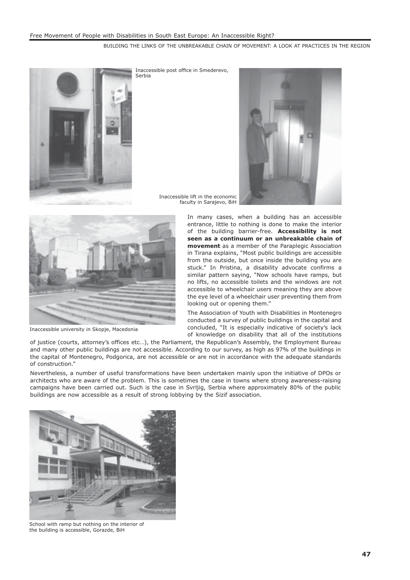#### Free Movement of People with Disabilities in South East Europe: An Inaccessible Right?

BUILDING THE LINKS OF THE UNBREAKABLE CHAIN OF MOVEMENT: A LOOK AT PRACTICES IN THE REGION



Inaccessible post office in Smederevo, Serbia



Inaccessible lift in the economic faculty in Sarajevo, BiH



Inaccessible university in Skopje, Macedonia

In many cases, when a building has an accessible entrance, little to nothing is done to make the interior of the building barrier-free. **Accessibility is not seen as a continuum or an unbreakable chain of movement** as a member of the Paraplegic Association in Tirana explains, "Most public buildings are accessible from the outside, but once inside the building you are stuck." In Pristina, a disability advocate confirms a similar pattern saying, "Now schools have ramps, but no lifts, no accessible toilets and the windows are not accessible to wheelchair users meaning they are above the eye level of a wheelchair user preventing them from looking out or opening them."

The Association of Youth with Disabilities in Montenegro conducted a survey of public buildings in the capital and concluded, "It is especially indicative of society's lack of knowledge on disability that all of the institutions

of justice (courts, attorney's offices etc…), the Parliament, the Republican's Assembly, the Employment Bureau and many other public buildings are not accessible. According to our survey, as high as 97% of the buildings in the capital of Montenegro, Podgorica, are not accessible or are not in accordance with the adequate standards of construction."

Nevertheless, a number of useful transformations have been undertaken mainly upon the initiative of DPOs or architects who are aware of the problem. This is sometimes the case in towns where strong awareness-raising campaigns have been carried out. Such is the case in Svrljig, Serbia where approximately 80% of the public buildings are now accessible as a result of strong lobbying by the Sizif association.



School with ramp but nothing on the interior of the building is accessible, Gorazde, BiH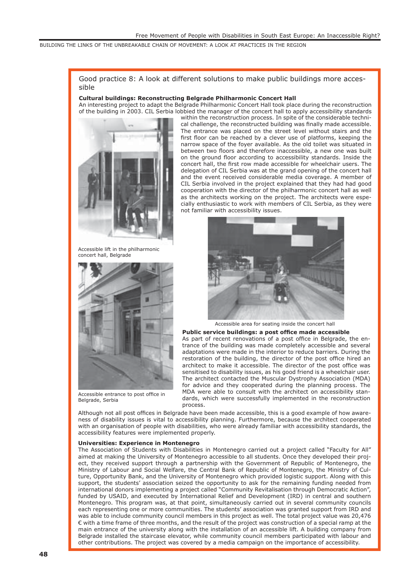#### Free Movement of People with Disabilities in South East Europe: An Inaccessible Right?

#### BUILDING THE LINKS OF THE UNBREAKABLE CHAIN OF MOVEMENT: A LOOK AT PRACTICES IN THE REGION

Good practice 8: A look at different solutions to make public buildings more accessible

#### **Cultural buildings: Reconstructing Belgrade Philharmonic Concert Hall**

An interesting project to adapt the Belgrade Philharmonic Concert Hall took place during the reconstruction of the building in 2003. CIL Serbia lobbied the manager of the concert hall to apply accessibility standards



Accessible lift in the philharmonic concert hall, Belgrade



Accessible entrance to post office in Belgrade, Serbia

within the reconstruction process. In spite of the considerable technical challenge, the reconstructed building was finally made accessible. The entrance was placed on the street level without stairs and the first floor can be reached by a clever use of platforms, keeping the narrow space of the foyer available. As the old toilet was situated in between two floors and therefore inaccessible, a new one was built on the ground floor according to accessibility standards. Inside the concert hall, the first row made accessible for wheelchair users. The delegation of CIL Serbia was at the grand opening of the concert hall and the event received considerable media coverage. A member of CIL Serbia involved in the project explained that they had had good cooperation with the director of the philharmonic concert hall as well as the architects working on the project. The architects were especially enthusiastic to work with members of CIL Serbia, as they were not familiar with accessibility issues.



Accessible area for seating inside the concert hall

Public service buildings: a post office made accessible As part of recent renovations of a post office in Belgrade, the entrance of the building was made completely accessible and several adaptations were made in the interior to reduce barriers. During the restoration of the building, the director of the post office hired an architect to make it accessible. The director of the post office was sensitised to disability issues, as his good friend is a wheelchair user. The architect contacted the Muscular Dystrophy Association (MDA) for advice and they cooperated during the planning process. The MDA were able to consult with the architect on accessibility standards, which were successfully implemented in the reconstruction process.

Although not all post offices in Belgrade have been made accessible, this is a good example of how awareness of disability issues is vital to accessibility planning. Furthermore, because the architect cooperated with an organisation of people with disabilities, who were already familiar with accessibility standards, the accessibility features were implemented properly.

#### **Universities: Experience in Montenegro**

The Association of Students with Disabilities in Montenegro carried out a project called "Faculty for All" aimed at making the University of Montenegro accessible to all students. Once they developed their project, they received support through a partnership with the Government of Republic of Montenegro, the Ministry of Labour and Social Welfare, the Central Bank of Republic of Montenegro, the Ministry of Culture, Opportunity Bank, and the University of Montenegro which provided logistic support. Along with this support, the students' association seized the opportunity to ask for the remaining funding needed from international donors implementing a project called "Community Revitalisation through Democratic Action", funded by USAID, and executed by International Relief and Development (IRD) in central and southern Montenegro. This program was, at that point, simultaneously carried out in several community councils each representing one or more communities. The students' association was granted support from IRD and was able to include community council members in this project as well. The total project value was 20,476 € with a time frame of three months, and the result of the project was construction of a special ramp at the main entrance of the university along with the installation of an accessible lift. A building company from Belgrade installed the staircase elevator, while community council members participated with labour and other contributions. The project was covered by a media campaign on the importance of accessibility.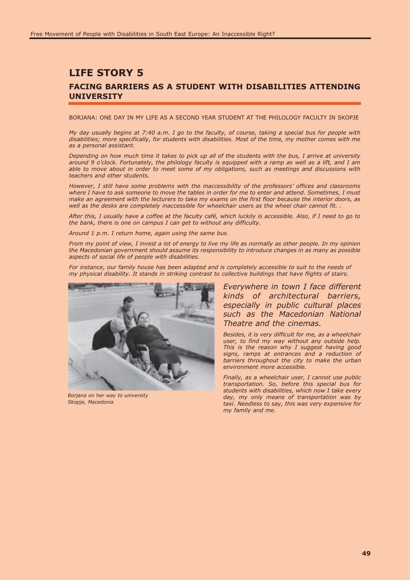# **LIFE STORY 5**

### **FACING BARRIERS AS A STUDENT WITH DISABILITIES ATTENDING UNIVERSITY**

BORJANA: ONE DAY IN MY LIFE AS A SECOND YEAR STUDENT AT THE PHILOLOGY FACULTY IN SKOPJE

*My day usually begins at 7:40 a.m. I go to the faculty, of course, taking a special bus for people with disabilities; more specifically, for students with disabilities. Most of the time, my mother comes with me as a personal assistant.*

*Depending on how much time it takes to pick up all of the students with the bus, I arrive at university around 9 o'clock. Fortunately, the philology faculty is equipped with a ramp as well as a lift, and I am able to move about in order to meet some of my obligations, such as meetings and discussions with teachers and other students.*

*However, I still have some problems with the inaccessibility of the professors' offices and classrooms where I have to ask someone to move the tables in order for me to enter and attend. Sometimes, I must make an agreement with the lecturers to take my exams on the first floor because the interior doors, as well as the desks are completely inaccessible for wheelchair users as the wheel chair cannot fit. .*

*After this, I usually have a coffee at the faculty café, which luckily is accessible. Also, if I need to go to the bank, there is one on campus I can get to without any difficulty.*

*Around 1 p.m. I return home, again using the same bus.*

*From my point of view, I invest a lot of energy to live my life as normally as other people. In my opinion the Macedonian government should assume its responsibility to introduce changes in as many as possible aspects of social life of people with disabilities.* 

For instance, our family house has been adapted and is completely accessible to suit to the needs of *my physical disability. It stands in striking contrast to collective buildings that have flights of stairs.* 



*Borjana on her way to university Skopje, Macedonia*

*Everywhere in town I face different kinds of architectural barriers, especially in public cultural places such as the Macedonian National Theatre and the cinemas.* 

*Besides, it is very difficult for me, as a wheelchair user, to find my way without any outside help. This is the reason why I suggest having good signs, ramps at entrances and a reduction of barriers throughout the city to make the urban environment more accessible.*

*Finally, as a wheelchair user, I cannot use public transportation. So, before this special bus for students with disabilities, which now I take every day, my only means of transportation was by taxi. Needless to say, this was very expensive for my family and me.*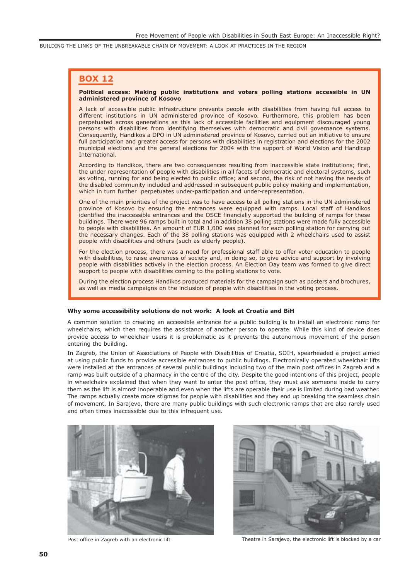### **BOX 12**

#### **Political access: Making public institutions and voters polling stations accessible in UN administered province of Kosovo**

A lack of accessible public infrastructure prevents people with disabilities from having full access to different institutions in UN administered province of Kosovo. Furthermore, this problem has been perpetuated across generations as this lack of accessible facilities and equipment discouraged young persons with disabilities from identifying themselves with democratic and civil governance systems. Consequently, Handikos a DPO in UN administered province of Kosovo, carried out an initiative to ensure full participation and greater access for persons with disabilities in registration and elections for the 2002 municipal elections and the general elections for 2004 with the support of World Vision and Handicap International.

According to Handikos, there are two consequences resulting from inaccessible state institutions; first, the under representation of people with disabilities in all facets of democratic and electoral systems, such as voting, running for and being elected to public office; and second, the risk of not having the needs of the disabled community included and addressed in subsequent public policy making and implementation, which in turn further perpetuates under-participation and under-representation.

One of the main priorities of the project was to have access to all polling stations in the UN administered province of Kosovo by ensuring the entrances were equipped with ramps. Local staff of Handikos identified the inaccessible entrances and the OSCE financially supported the building of ramps for these buildings. There were 96 ramps built in total and in addition 38 polling stations were made fully accessible to people with disabilities. An amount of EUR 1,000 was planned for each polling station for carrying out the necessary changes. Each of the 38 polling stations was equipped with 2 wheelchairs used to assist people with disabilities and others (such as elderly people).

For the election process, there was a need for professional staff able to offer voter education to people with disabilities, to raise awareness of society and, in doing so, to give advice and support by involving people with disabilities actively in the election process. An Election Day team was formed to give direct support to people with disabilities coming to the polling stations to vote.

During the election process Handikos produced materials for the campaign such as posters and brochures, as well as media campaigns on the inclusion of people with disabilities in the voting process.

#### **Why some accessibility solutions do not work: A look at Croatia and BiH**

A common solution to creating an accessible entrance for a public building is to install an electronic ramp for wheelchairs, which then requires the assistance of another person to operate. While this kind of device does provide access to wheelchair users it is problematic as it prevents the autonomous movement of the person entering the building.

In Zagreb, the Union of Associations of People with Disabilities of Croatia, SOIH, spearheaded a project aimed at using public funds to provide accessible entrances to public buildings. Electronically operated wheelchair lifts were installed at the entrances of several public buildings including two of the main post offices in Zagreb and a ramp was built outside of a pharmacy in the centre of the city. Despite the good intentions of this project, people in wheelchairs explained that when they want to enter the post office, they must ask someone inside to carry them as the lift is almost inoperable and even when the lifts are operable their use is limited during bad weather. The ramps actually create more stigmas for people with disabilities and they end up breaking the seamless chain of movement. In Sarajevo, there are many public buildings with such electronic ramps that are also rarely used and often times inaccessible due to this infrequent use.



Post office in Zagreb with an electronic lift



Theatre in Sarajevo, the electronic lift is blocked by a car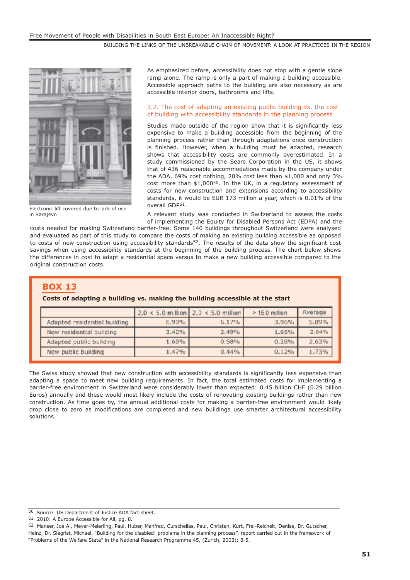

Electronic lift covered due to lack of use in Sarajevo

As emphasized before, accessibility does not stop with a gentle slope ramp alone. The ramp is only a part of making a building accessible. Accessible approach paths to the building are also necessary as are accessible interior doors, bathrooms and lifts.

#### 3.2. The cost of adapting an existing public building vs. the cost of building with accessibility standards in the planning process

Studies made outside of the region show that it is significantly less expensive to make a building accessible from the beginning of the planning process rather than through adaptations once construction is finished. However, when a building must be adapted, research shows that accessibility costs are commonly overestimated. In a study commissioned by the Sears Corporation in the US, it shows that of 436 reasonable accommodations made by the company under the ADA, 69% cost nothing, 28% cost less than \$1,000 and only 3% cost more than \$1,000<sup>50</sup>. In the UK, in a regulatory assessment of costs for new construction and extensions according to accessibility standards, it would be EUR 173 million a year, which is 0.01% of the overall GDP51.

A relevant study was conducted in Switzerland to assess the costs of implementing the Equity for Disabled Persons Act (EDPA) and the

costs needed for making Switzerland barrier-free. Some 140 buildings throughout Switzerland were analysed and evaluated as part of this study to compare the costs of making an existing building accessible as opposed to costs of new construction using accessibility standards<sup>52</sup>. The results of the data show the significant cost savings when using accessibility standards at the beginning of the building process. The chart below shows the differences in cost to adapt a residential space versus to make a new building accessible compared to the original construction costs.

| <b>BOX 13</b><br>Costs of adapting a building vs. making the building accessible at the start |       |                                         |                  |         |
|-----------------------------------------------------------------------------------------------|-------|-----------------------------------------|------------------|---------|
|                                                                                               |       | $2.0 < 5.0$ million $2.0 < 5.0$ million | $> 15.0$ million | Average |
| Adapted residential building                                                                  | 6.99% | 6.17%                                   | 3.96%            | 5.89%   |
| New residential building                                                                      | 3.40% | 2.49%                                   | 1.65%            | 2.64%   |
| Adapted public building                                                                       | 1.69% | 0.58%                                   | 0.28%            | 2.63%   |
| New public building                                                                           | 1.47% | 0.44%                                   | 0.12%            | 1.73%   |

The Swiss study showed that new construction with accessibility standards is significantly less expensive than adapting a space to meet new building requirements. In fact, the total estimated costs for implementing a barrier-free environment in Switzerland were considerably lower than expected: 0.45 billion CHF (0.29 billion Euros) annually and these would most likely include the costs of renovating existing buildings rather than new construction. As time goes by, the annual additional costs for making a barrier-free environment would likely drop close to zero as modifications are completed and new buildings use smarter architectural accessibility solutions.

<sup>50</sup> Source: US Department of Justice ADA fact sheet.

<sup>51 2010:</sup> A Europe Accessible for All, pg. 8.

<sup>52</sup> Manser, Joe A., Meyer-Meierling, Paul, Huber, Manfred, Curschellas, Paul, Christen, Kurt, Frei-Reichelt, Denise, Dr. Gutscher, Heinz, Dr. Siegrist, Michael, "Building for the disabled: problems in the planning process", report carried out in the framework of "Problems of the Welfare State" in the National Research Programme 45, (Zurich, 2003): 3-5.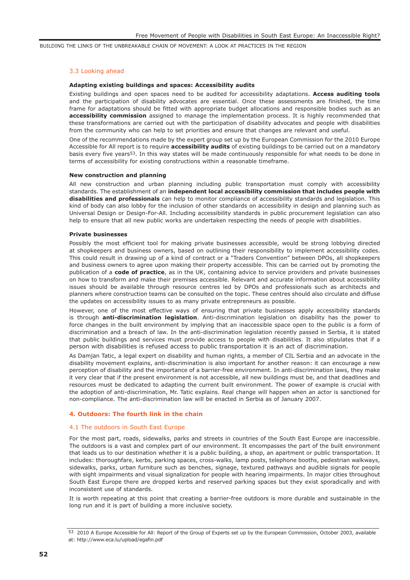#### 3.3 Looking ahead

#### **Adapting existing buildings and spaces: Accessibility audits**

Existing buildings and open spaces need to be audited for accessibility adaptations. **Access auditing tools**  and the participation of disability advocates are essential. Once these assessments are finished, the time frame for adaptations should be fitted with appropriate budget allocations and responsible bodies such as an **accessibility commission** assigned to manage the implementation process. It is highly recommended that these transformations are carried out with the participation of disability advocates and people with disabilities from the community who can help to set priorities and ensure that changes are relevant and useful.

One of the recommendations made by the expert group set up by the European Commission for the 2010 Europe Accessible for All report is to require **accessibility audits** of existing buildings to be carried out on a mandatory basis every five years53. In this way states will be made continuously responsible for what needs to be done in terms of accessibility for existing constructions within a reasonable timeframe.

#### **New construction and planning**

All new construction and urban planning including public transportation must comply with accessibility standards. The establishment of an **independent local accessibility commission that includes people with disabilities and professionals** can help to monitor compliance of accessibility standards and legislation. This kind of body can also lobby for the inclusion of other standards on accessibility in design and planning such as Universal Design or Design-For-All. Including accessibility standards in public procurement legislation can also help to ensure that all new public works are undertaken respecting the needs of people with disabilities.

#### **Private businesses**

Possibly the most efficient tool for making private businesses accessible, would be strong lobbying directed at shopkeepers and business owners, based on outlining their responsibility to implement accessibility codes. This could result in drawing up of a kind of contract or a "Traders Convention" between DPOs, all shopkeepers and business owners to agree upon making their property accessible. This can be carried out by promoting the publication of a **code of practice**, as in the UK, containing advice to service providers and private businesses on how to transform and make their premises accessible. Relevant and accurate information about accessibility issues should be available through resource centres led by DPOs and professionals such as architects and planners where construction teams can be consulted on the topic. These centres should also circulate and diffuse the updates on accessibility issues to as many private entrepreneurs as possible.

However, one of the most effective ways of ensuring that private businesses apply accessibility standards is through **anti-discrimination legislation**. Anti-discrimination legislation on disability has the power to force changes in the built environment by implying that an inaccessible space open to the public is a form of discrimination and a breach of law. In the anti-discrimination legislation recently passed in Serbia, it is stated that public buildings and services must provide access to people with disabilities. It also stipulates that if a person with disabilities is refused access to public transportation it is an act of discrimination.

As Damjan Tatic, a legal expert on disability and human rights, a member of CIL Serbia and an advocate in the disability movement explains, anti-discrimination is also important for another reason: it can encourage a new perception of disability and the importance of a barrier-free environment. In anti-discrimination laws, they make it very clear that if the present environment is not accessible, all new buildings must be, and that deadlines and resources must be dedicated to adapting the current built environment. The power of example is crucial with the adoption of anti-discrimination, Mr. Tatic explains. Real change will happen when an actor is sanctioned for non-compliance. The anti-discrimination law will be enacted in Serbia as of January 2007.

#### **4. Outdoors: The fourth link in the chain**

#### 4.1 The outdoors in South East Europe

For the most part, roads, sidewalks, parks and streets in countries of the South East Europe are inaccessible. The outdoors is a vast and complex part of our environment. It encompasses the part of the built environment that leads us to our destination whether it is a public building, a shop, an apartment or public transportation. It includes: thoroughfare, kerbs, parking spaces, cross-walks, lamp posts, telephone booths, pedestrian walkways, sidewalks, parks, urban furniture such as benches, signage, textured pathways and audible signals for people with sight impairments and visual signalization for people with hearing impairments. In major cities throughout South East Europe there are dropped kerbs and reserved parking spaces but they exist sporadically and with inconsistent use of standards.

It is worth repeating at this point that creating a barrier-free outdoors is more durable and sustainable in the long run and it is part of building a more inclusive society.

<sup>53 2010</sup> A Europe Accessible for All: Report of the Group of Experts set up by the European Commission, October 2003, available at: http://www.eca.lu/upload/egafin.pdf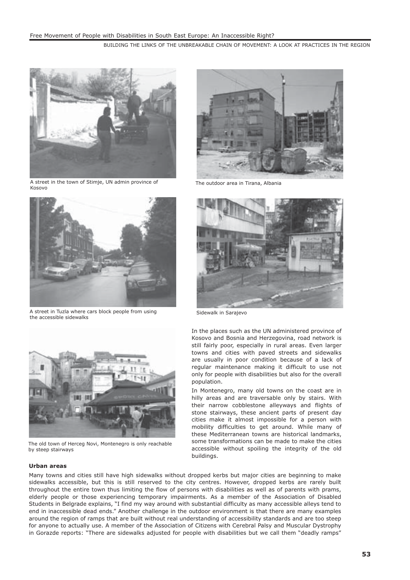

A street in the town of Stimje, UN admin province of Kosovo



A street in Tuzla where cars block people from using the accessible sidewalks Sidewalk in Sarajevo

The old town of Herceg Novi, Montenegro is only reachable



The outdoor area in Tirana, Albania



In the places such as the UN administered province of Kosovo and Bosnia and Herzegovina, road network is still fairly poor, especially in rural areas. Even larger towns and cities with paved streets and sidewalks are usually in poor condition because of a lack of regular maintenance making it difficult to use not only for people with disabilities but also for the overall population.

In Montenegro, many old towns on the coast are in hilly areas and are traversable only by stairs. With their narrow cobblestone alleyways and flights of stone stairways, these ancient parts of present day cities make it almost impossible for a person with mobility difficulties to get around. While many of these Mediterranean towns are historical landmarks, some transformations can be made to make the cities accessible without spoiling the integrity of the old buildings.



by steep stairways

Many towns and cities still have high sidewalks without dropped kerbs but major cities are beginning to make sidewalks accessible, but this is still reserved to the city centres. However, dropped kerbs are rarely built throughout the entire town thus limiting the flow of persons with disabilities as well as of parents with prams, elderly people or those experiencing temporary impairments. As a member of the Association of Disabled Students in Belgrade explains, "I find my way around with substantial difficulty as many accessible alleys tend to end in inaccessible dead ends." Another challenge in the outdoor environment is that there are many examples around the region of ramps that are built without real understanding of accessibility standards and are too steep for anyone to actually use. A member of the Association of Citizens with Cerebral Palsy and Muscular Dystrophy in Gorazde reports: "There are sidewalks adjusted for people with disabilities but we call them "deadly ramps"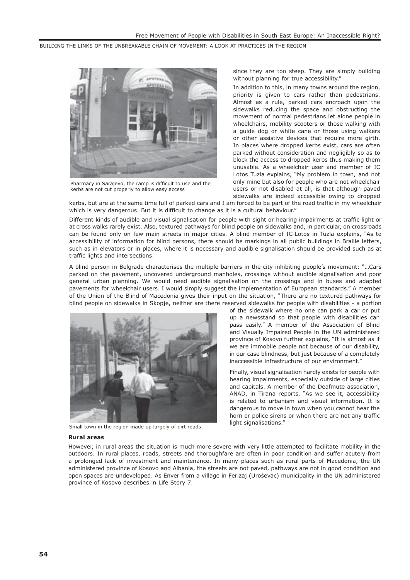

Pharmacy in Sarajevo, the ramp is difficult to use and the kerbs are not cut properly to allow easy access

since they are too steep. They are simply building without planning for true accessibility."

In addition to this, in many towns around the region, priority is given to cars rather than pedestrians. Almost as a rule, parked cars encroach upon the sidewalks reducing the space and obstructing the movement of normal pedestrians let alone people in wheelchairs, mobility scooters or those walking with a guide dog or white cane or those using walkers or other assistive devices that require more girth. In places where dropped kerbs exist, cars are often parked without consideration and negligibly so as to block the access to dropped kerbs thus making them unusable. As a wheelchair user and member of IC Lotos Tuzla explains, "My problem in town, and not only mine but also for people who are not wheelchair users or not disabled at all, is that although paved sidewalks are indeed accessible owing to dropped

kerbs, but are at the same time full of parked cars and I am forced to be part of the road traffic in my wheelchair which is very dangerous. But it is difficult to change as it is a cultural behaviour."

Different kinds of audible and visual signalisation for people with sight or hearing impairments at traffic light or at cross walks rarely exist. Also, textured pathways for blind people on sidewalks and, in particular, on crossroads can be found only on few main streets in major cities. A blind member of IC-Lotos in Tuzla explains, "As to accessibility of information for blind persons, there should be markings in all public buildings in Braille letters, such as in elevators or in places, where it is necessary and audible signalisation should be provided such as at traffic lights and intersections.

A blind person in Belgrade characterises the multiple barriers in the city inhibiting people's movement: "…Cars parked on the pavement, uncovered underground manholes, crossings without audible signalisation and poor general urban planning. We would need audible signalisation on the crossings and in buses and adapted pavements for wheelchair users. I would simply suggest the implementation of European standards." A member of the Union of the Blind of Macedonia gives their input on the situation, "There are no textured pathways for blind people on sidewalks in Skopje, neither are there reserved sidewalks for people with disabilities - a portion



Small town in the region made up largely of dirt roads

of the sidewalk where no one can park a car or put up a newsstand so that people with disabilities can pass easily." A member of the Association of Blind and Visually Impaired People in the UN administered province of Kosovo further explains, "It is almost as if we are immobile people not because of our disability, in our case blindness, but just because of a completely inaccessible infrastructure of our environment."

Finally, visual signalisation hardly exists for people with hearing impairments, especially outside of large cities and capitals. A member of the Deafmute association, ANAD, in Tirana reports, "As we see it, accessibility is related to urbanism and visual information. It is dangerous to move in town when you cannot hear the horn or police sirens or when there are not any traffic light signalisations."

#### **Rural areas**

However, in rural areas the situation is much more severe with very little attempted to facilitate mobility in the outdoors. In rural places, roads, streets and thoroughfare are often in poor condition and suffer acutely from a prolonged lack of investment and maintenance. In many places such as rural parts of Macedonia, the UN administered province of Kosovo and Albania, the streets are not paved, pathways are not in good condition and open spaces are undeveloped. As Enver from a village in Ferizaj (Uroševac) municipality in the UN administered province of Kosovo describes in Life Story 7.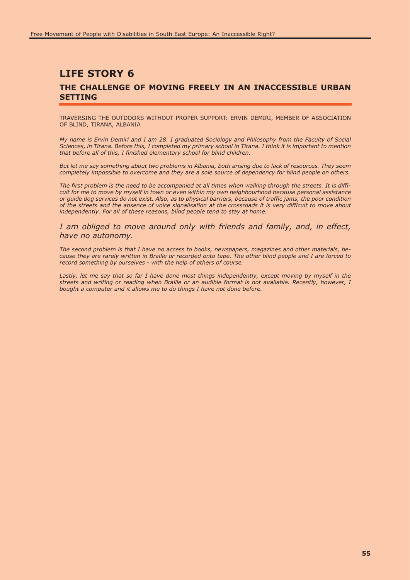# **LIFE STORY 6 THE CHALLENGE OF MOVING FREELY IN AN INACCESSIBLE URBAN SETTING**

TRAVERSING THE OUTDOORS WITHOUT PROPER SUPPORT: ERVIN DEMIRI, MEMBER OF ASSOCIATION OF BLIND, TIRANA, ALBANIA

*My name is Ervin Demiri and I am 28. I graduated Sociology and Philosophy from the Faculty of Social Sciences, in Tirana. Before this, I completed my primary school in Tirana. I think it is important to mention that before all of this, I finished elementary school for blind children.* 

*But let me say something about two problems in Albania, both arising due to lack of resources. They seem completely impossible to overcome and they are a sole source of dependency for blind people on others.* 

*The first problem is the need to be accompanied at all times when walking through the streets. It is difficult for me to move by myself in town or even within my own neighbourhood because personal assistance or guide dog services do not exist. Also, as to physical barriers, because of traffic jams, the poor condition of the streets and the absence of voice signalisation at the crossroads it is very difficult to move about independently. For all of these reasons, blind people tend to stay at home.*

### *I am obliged to move around only with friends and family, and, in effect, have no autonomy.*

*The second problem is that I have no access to books, newspapers, magazines and other materials, because they are rarely written in Braille or recorded onto tape. The other blind people and I are forced to record something by ourselves - with the help of others of course.*

Lastly, let me say that so far I have done most things independently, except moving by myself in the *streets and writing or reading when Braille or an audible format is not available. Recently, however, I bought a computer and it allows me to do things I have not done before.*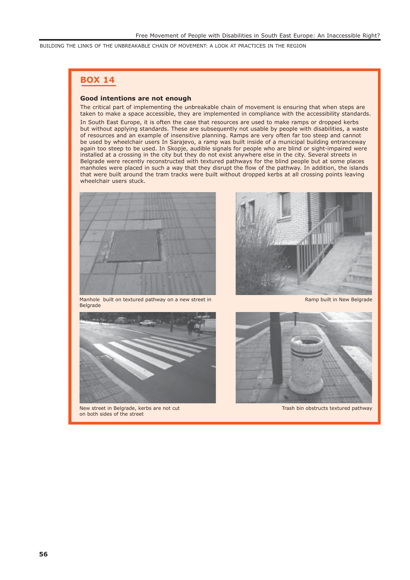# **BOX 14**

#### **Good intentions are not enough**

The critical part of implementing the unbreakable chain of movement is ensuring that when steps are taken to make a space accessible, they are implemented in compliance with the accessibility standards.

In South East Europe, it is often the case that resources are used to make ramps or dropped kerbs but without applying standards. These are subsequently not usable by people with disabilities, a waste of resources and an example of insensitive planning. Ramps are very often far too steep and cannot be used by wheelchair users In Sarajevo, a ramp was built inside of a municipal building entranceway again too steep to be used. In Skopje, audible signals for people who are blind or sight-impaired were installed at a crossing in the city but they do not exist anywhere else in the city. Several streets in Belgrade were recently reconstructed with textured pathways for the blind people but at some places manholes were placed in such a way that they disrupt the flow of the pathway. In addition, the islands that were built around the tram tracks were built without dropped kerbs at all crossing points leaving wheelchair users stuck.





Manhole built on textured pathway on a new street in Belgrade

Ramp built in New Belgrade



New street in Belgrade, kerbs are not cut on both sides of the street



Trash bin obstructs textured pathway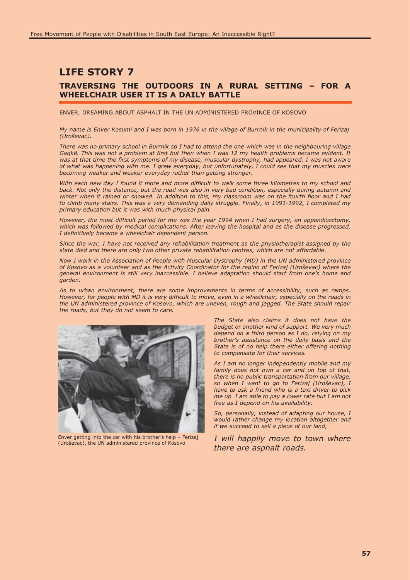## **LIFE STORY 7 TRAVERSING THE OUTDOORS IN A RURAL SETTING – FOR A WHEELCHAIR USER IT IS A DAILY BATTLE**

ENVER, DREAMING ABOUT ASPHALT IN THE UN ADMINISTERED PROVINCE OF KOSOVO

*My name is Enver Kosumi and I was born in 1976 in the village of Burrnik in the municipality of Ferizaj (Uroševac).* 

*There was no primary school in Burrnik so I had to attend the one which was in the neighbouring village Gaqkë. This was not a problem at first but then when I was 12 my health problems became evident. It was at that time the first symptoms of my disease, muscular dystrophy, had appeared. I was not aware of what was happening with me. I grew everyday, but unfortunately, I could see that my muscles were becoming weaker and weaker everyday rather than getting stronger.*

*With each new day I found it more and more difficult to walk some three kilometres to my school and back. Not only the distance, but the road was also in very bad condition, especially during autumn and winter when it rained or snowed. In addition to this, my classroom was on the fourth floor and I had to climb many stairs. This was a very demanding daily struggle. Finally, in 1991-1992, I completed my primary education but it was with much physical pain.* 

*However, the most difficult period for me was the year 1994 when I had surgery, an appendicectomy, which was followed by medical complications. After leaving the hospital and as the disease progressed, I definitively became a wheelchair dependent person.* 

*Since the war, I have not received any rehabilitation treatment as the physiotherapist assigned by the state died and there are only two other private rehabilitation centres, which are not affordable.*

*Now I work in the Association of People with Muscular Dystrophy (MD) in the UN administered province of Kosovo as a volunteer and as the Activity Coordinator for the region of Ferizaj (Uroševac) where the general environment is still very inaccessible. I believe adaptation should start from one's home and garden.* 

*As to urban environment, there are some improvements in terms of accessibility, such as ramps. However, for people with MD it is very difficult to move, even in a wheelchair, especially on the roads in the UN administered province of Kosovo, which are uneven, rough and jagged. The State should repair the roads, but they do not seem to care.* 



Enver getting into the car with his brother's help – Ferizaj (Uroševac), the UN administered province of Kosovo

*The State also claims it does not have the budget or another kind of support. We very much depend on a third person as I do, relying on my brother's assistance on the daily basis and the State is of no help there either offering nothing to compensate for their services.*

*As I am no longer independently mobile and my family does not own a car and on top of that, there is no public transportation from our village, so when I want to go to Ferizaj (Uroševac), I have to ask a friend who is a taxi driver to pick me up. I am able to pay a lower rate but I am not free as I depend on his availability.* 

*So, personally, instead of adapting our house, I would rather change my location altogether and if we succeed to sell a piece of our land,*

*I will happily move to town where there are asphalt roads.*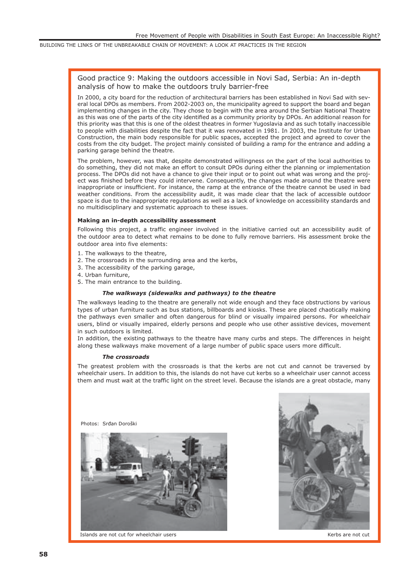### Good practice 9: Making the outdoors accessible in Novi Sad, Serbia: An in-depth analysis of how to make the outdoors truly barrier-free

In 2000, a city board for the reduction of architectural barriers has been established in Novi Sad with several local DPOs as members. From 2002-2003 on, the municipality agreed to support the board and began implementing changes in the city. Тhey chose to begin with the area around the Serbian National Theatre as this was one of the parts of the city identified as a community priority by DPOs. An additional reason for this priority was that this is one of the oldest theatres in former Yugoslavia and as such totally inaccessible to people with disabilities despite the fact that it was renovated in 1981. In 2003, the Institute for Urban Construction, the main body responsible for public spaces, accepted the project and agreed to cover the costs from the city budget. The project mainly consisted of building a ramp for the entrance and adding a parking garage behind the theatre.

The problem, however, was that, despite demonstrated willingness on the part of the local authorities to do something, they did not make an effort to consult DPOs during either the planning or implementation process. The DPOs did not have a chance to give their input or to point out what was wrong and the project was finished before they could intervene. Consequently, the changes made around the theatre were inappropriate or insufficient. For instance, the ramp at the entrance of the theatre cannot be used in bad weather conditions. From the accessibility audit, it was made clear that the lack of accessible outdoor space is due to the inappropriate regulations as well as a lack of knowledge on accessibility standards and no multidisciplinary and systematic approach to these issues.

#### **Making an in-depth accessibility assessment**

Following this project, a traffic engineer involved in the initiative carried out an accessibility audit of the outdoor area to detect what remains to be done to fully remove barriers. His assessment broke the outdoor area into five elements:

- 1. The walkways to the theatre,
- 2. The crossroads in the surrounding area and the kerbs,
- 3. The accessibility of the parking garage,
- 4. Urban furniture,
- 5. The main entrance to the building.

#### *The walkways (sidewalks and pathways) to the theatre*

The walkways leading to the theatre are generally not wide enough and they face obstructions by various types of urban furniture such as bus stations, billboards and kiosks. These are placed chaotically making the pathways even smaller and often dangerous for blind or visually impaired persons. For wheelchair users, blind or visually impaired, elderly persons and people who use other assistive devices, movement in such outdoors is limited.

In addition, the existing pathways to the theatre have many curbs and steps. The differences in height along these walkways make movement of a large number of public space users more difficult.

#### *The crossroads*

The greatest problem with the crossroads is that the kerbs are not cut and cannot be traversed by wheelchair users. In addition to this, the islands do not have cut kerbs so a wheelchair user cannot access them and must wait at the traffic light on the street level. Because the islands are a great obstacle, many

Photos: Srđan Doroški



Islands are not cut for wheelchair users According to the Community of the Marine School and Community and Community Report of the Marine School and Community Report of the Marine School and Community Report of the Marine

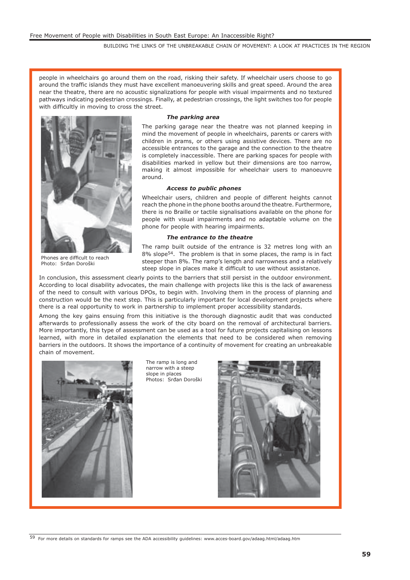people in wheelchairs go around them on the road, risking their safety. If wheelchair users choose to go around the traffic islands they must have excellent manoeuvering skills and great speed. Around the area near the theatre, there are no acoustic signalizations for people with visual impairments and no textured pathways indicating pedestrian crossings. Finally, at pedestrian crossings, the light switches too for people with difficultly in moving to cross the street.



Phones are difficult to reach Photo: Srđan Doroški

#### *The parking area*

The parking garage near the theatre was not planned keeping in mind the movement of people in wheelchairs, parents or carers with children in prams, or others using assistive devices. There are no accessible entrances to the garage and the connection to the theatre is completely inaccessible. There are parking spaces for people with disabilities marked in yellow but their dimensions are too narrow, making it almost impossible for wheelchair users to manoeuvre around.

#### *Access to public phones*

Wheelchair users, children and people of different heights cannot reach the phone in the phone booths around the theatre. Furthermore, there is no Braille or tactile signalisations available on the phone for people with visual impairments and no adaptable volume on the phone for people with hearing impairments.

#### *The entrance to the theatre*

The ramp built outside of the entrance is 32 metres long with an 8% slope54. The problem is that in some places, the ramp is in fact steeper than 8%. The ramp's length and narrowness and a relatively steep slope in places make it difficult to use without assistance.

In conclusion, this assessment clearly points to the barriers that still persist in the outdoor environment. According to local disability advocates, the main challenge with projects like this is the lack of awareness of the need to consult with various DPOs, to begin with. Involving them in the process of planning and construction would be the next step. This is particularly important for local development projects where there is a real opportunity to work in partnership to implement proper accessibility standards.

Among the key gains ensuing from this initiative is the thorough diagnostic audit that was conducted afterwards to professionally assess the work of the city board on the removal of architectural barriers. More importantly, this type of assessment can be used as a tool for future projects capitalising on lessons learned, with more in detailed explanation the elements that need to be considered when removing barriers in the outdoors. It shows the importance of a continuity of movement for creating an unbreakable chain of movement.



The ramp is long and narrow with a steep slope in places Photos: Srđan Doroški



59 For more details on standards for ramps see the ADA accessibility guidelines: www.acces-board.gov/adaag.html/adaag.htm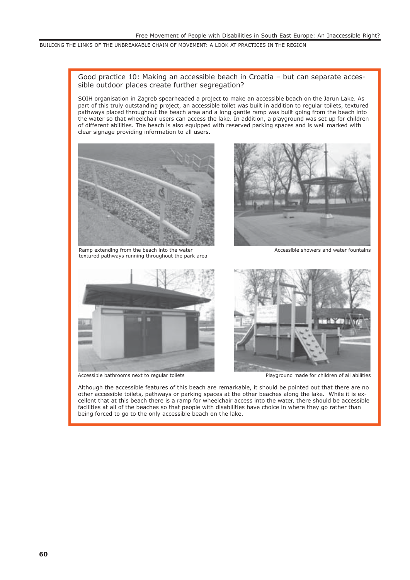Good practice 10: Making an accessible beach in Croatia – but can separate accessible outdoor places create further segregation?

SOIH organisation in Zagreb spearheaded a project to make an accessible beach on the Jarun Lake. As part of this truly outstanding project, an accessible toilet was built in addition to regular toilets, textured pathways placed throughout the beach area and a long gentle ramp was built going from the beach into the water so that wheelchair users can access the lake. In addition, a playground was set up for children of different abilities. The beach is also equipped with reserved parking spaces and is well marked with clear signage providing information to all users.



Ramp extending from the beach into the water textured pathways running throughout the park area



Accessible showers and water fountains





Accessible bathrooms next to regular toilets **Playground made for children of all abilities** Playground made for children of all abilities

Although the accessible features of this beach are remarkable, it should be pointed out that there are no other accessible toilets, pathways or parking spaces at the other beaches along the lake. While it is excellent that at this beach there is a ramp for wheelchair access into the water, there should be accessible facilities at all of the beaches so that people with disabilities have choice in where they go rather than being forced to go to the only accessible beach on the lake.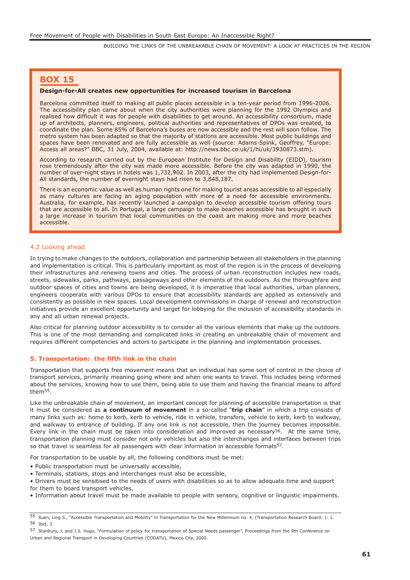### **BOX 15**

#### **Design-for-All creates new opportunities for increased tourism in Barcelona**

Barcelona committed itself to making all public places accessible in a ten-year period from 1996-2006. The accessibility plan came about when the city authorities were planning for the 1992 Olympics and realised how difficult it was for people with disabilities to get around. An accessibility consortium, made up of architects, planners, engineers, political authorities and representatives of DPOs was created, to coordinate the plan. Some 85% of Barcelona's buses are now accessible and the rest will soon follow. The metro system has been adapted so that the majority of stations are accessible. Most public buildings and spaces have been renovated and are fully accessible as well (source: Adams-Spink, Geoffrey, "Europe: Access all areas?" BBC, 31 July, 2004, available at: http://news.bbc.co.uk/1/hi/uk/3930873.stm).

According to research carried out by the European Institute for Design and Disability (EIDD), tourism rose tremendously after the city was made more accessible. Before the city was adapted in 1990, the number of over-night stays in hotels was 1,732,902. In 2003, after the city had implemented Design-for-All standards, the number of overnight stays had risen to 3,848,187.

There is an economic value as well as human rights one for making tourist areas accessible to all especially as many cultures are facing an aging population with more of a need for accessible environments. Australia, for example, has recently launched a campaign to develop accessible tourism offering tours that are accessible to all. In Portugal, a large campaign to make beaches accessible has brought in such a large increase in tourism that local communities on the coast are making more and more beaches accessible.

#### 4.2 Looking ahead

In trying to make changes to the outdoors, collaboration and partnership between all stakeholders in the planning and implementation is critical. This is particularly important as most of the region is in the process of developing their infrastructures and renewing towns and cities. The process of urban reconstruction includes new roads, streets, sidewalks, parks, pathways, passageways and other elements of the outdoors. As the thoroughfare and outdoor spaces of cities and towns are being developed, it is imperative that local authorities, urban planners, engineers cooperate with various DPOs to ensure that accessibility standards are applied as extensively and consistently as possible in new spaces. Local development commissions in charge of renewal and reconstruction initiatives provide an excellent opportunity and target for lobbying for the inclusion of accessibility standards in any and all urban renewal projects.

Also critical for planning outdoor accessibility is to consider all the various elements that make up the outdoors. This is one of the most demanding and complicated links in creating an unbreakable chain of movement and requires different competencies and actors to participate in the planning and implementation processes.

#### **5. Transportation: the fifth link in the chain**

Transportation that supports free movement means that an individual has some sort of control in the choice of transport services, primarily meaning going where and when one wants to travel. This includes being informed about the services, knowing how to use them, being able to use them and having the financial means to afford them55.

Like the unbreakable chain of movement, an important concept for planning of accessible transportation is that it must be considered as **a continuum of movement** in a so-called "**trip chain**" in which a trip consists of many links such as: home to kerb, kerb to vehicle, ride in vehicle, transfers, vehicle to kerb, kerb to walkway, and walkway to entrance of building. If any one link is not accessible, then the journey becomes impossible. Every link in the chain must be taken into consideration and improved as necessary<sup>56</sup>. At the same time, transportation planning must consider not only vehicles but also the interchanges and interfaces between trips so that travel is seamless for all passengers with clear information in accessible formats<sup>57</sup>.

For transportation to be usable by all, the following conditions must be met:

- Public transportation must be universally accessible,
- Terminals, stations, stops and interchanges must also be accessible,

• Drivers must be sensitised to the needs of users with disabilities so as to allow adequate time and support for them to board transport vehicles,

• Information about travel must be made available to people with sensory, cognitive or linguistic impairments.

<sup>55</sup> Suen, Ling S., "Accessible Transportation and Mobility" in Transportation for the New Millennium no. 4, (Transportation Research Board: ): 1. 56 Ibid, 3.

<sup>57</sup> Stanbury, J. and J.S. Hugo, "Formulation of policy for transportation of Special Needs passenger", Proceedings from the 9th Conference on Urban and Regional Transport in Developing Countries (CODATU), Mexico City, 2000.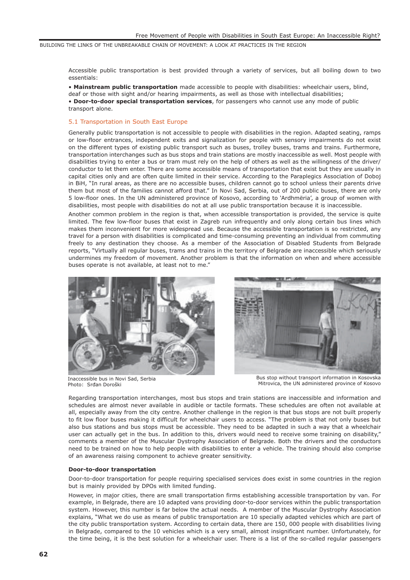Accessible public transportation is best provided through a variety of services, but all boiling down to two essentials:

• **Mainstream public transportation** made accessible to people with disabilities: wheelchair users, blind, deaf or those with sight and/or hearing impairments, as well as those with intellectual disabilities; • **Door-to-door special transportation services**, for passengers who cannot use any mode of public transport alone.

#### 5.1 Transportation in South East Europe

Generally public transportation is not accessible to people with disabilities in the region. Adapted seating, ramps or low-floor entrances, independent exits and signalization for people with sensory impairments do not exist on the different types of existing public transport such as buses, trolley buses, trams and trains. Furthermore, transportation interchanges such as bus stops and train stations are mostly inaccessible as well. Most people with disabilities trying to enter a bus or tram must rely on the help of others as well as the willingness of the driver/ conductor to let them enter. There are some accessible means of transportation that exist but they are usually in capital cities only and are often quite limited in their service. According to the Paraplegics Association of Doboj in BiH, "In rural areas, as there are no accessible buses, children cannot go to school unless their parents drive them but most of the families cannot afford that." In Novi Sad, Serbia, out of 200 public buses, there are only 5 low-floor ones. In the UN administered province of Kosovo, according to 'Ardhmëria', a group of women with disabilities, most people with disabilities do not at all use public transportation because it is inaccessible.

Another common problem in the region is that, when accessible transportation is provided, the service is quite limited. The few low-floor buses that exist in Zagreb run infrequently and only along certain bus lines which makes them inconvenient for more widespread use. Because the accessible transportation is so restricted, any travel for a person with disabilities is complicated and time-consuming preventing an individual from commuting freely to any destination they choose. As a member of the Association of Disabled Students from Belgrade reports, "Virtually all regular buses, trams and trains in the territory of Belgrade are inaccessible which seriously undermines my freedom of movement. Another problem is that the information on when and where accessible buses operate is not available, at least not to me."





Inaccessible bus in Novi Sad, Serbia Photo: Srđan Doroški

Bus stop without transport information in Kosovska Mitrovica, the UN administered province of Kosovo

Regarding transportation interchanges, most bus stops and train stations are inaccessible and information and schedules are almost never available in audible or tactile formats. These schedules are often not available at all, especially away from the city centre. Another challenge in the region is that bus stops are not built properly to fit low floor buses making it difficult for wheelchair users to access. "The problem is that not only buses but also bus stations and bus stops must be accessible. They need to be adapted in such a way that a wheelchair user can actually get in the bus. In addition to this, drivers would need to receive some training on disability," comments a member of the Muscular Dystrophy Association of Belgrade. Both the drivers and the conductors need to be trained on how to help people with disabilities to enter a vehicle. The training should also comprise of an awareness raising component to achieve greater sensitivity.

#### **Door-to-door transportation**

Door-to-door transportation for people requiring specialised services does exist in some countries in the region but is mainly provided by DPOs with limited funding.

However, in major cities, there are small transportation firms establishing accessible transportation by van. For example, in Belgrade, there are 10 adapted vans providing door-to-door services within the public transportation system. However, this number is far below the actual needs. A member of the Muscular Dystrophy Association explains, "What we do use as means of public transportation are 10 specially adapted vehicles which are part of the city public transportation system. According to certain data, there are 150, 000 people with disabilities living in Belgrade, compared to the 10 vehicles which is a very small, almost insignificant number. Unfortunately, for the time being, it is the best solution for a wheelchair user. There is a list of the so-called regular passengers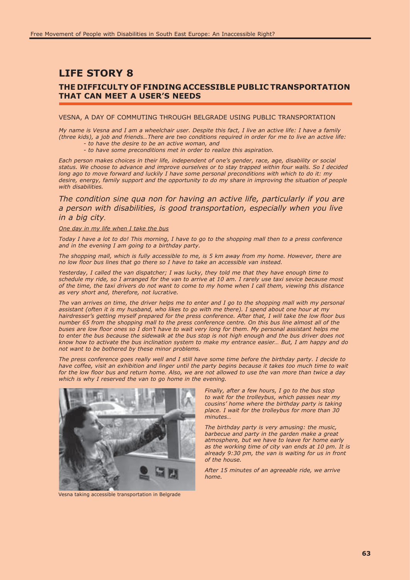# **LIFE STORY 8 THE DIFFICULTY OF FINDING ACCESSIBLE PUBLIC TRANSPORTATION THAT CAN MEET A USER'S NEEDS**

#### VESNA, A DAY OF COMMUTING THROUGH BELGRADE USING PUBLIC TRANSPORTATION

*My name is Vesna and I am a wheelchair user. Despite this fact, I live an active life: I have a family (three kids), a job and friends…There are two conditions required in order for me to live an active life: - to have the desire to be an active woman, and* 

 *- to have some preconditions met in order to realize this aspiration.*

*Each person makes choices in their life, independent of one's gender, race, age, disability or social status. We choose to advance and improve ourselves or to stay trapped within four walls. So I decided long ago to move forward and luckily I have some personal preconditions with which to do it: my*  desire, energy, family support and the opportunity to do my share in improving the situation of people *with disabilities.*

*The condition sine qua non for having an active life, particularly if you are a person with disabilities, is good transportation, especially when you live in a big city.* 

#### *One day in my life when I take the bus*

*Today I have a lot to do! This morning, I have to go to the shopping mall then to a press conference and in the evening I am going to a birthday party.* 

*The shopping mall, which is fully accessible to me, is 5 km away from my home. However, there are no low floor bus lines that go there so I have to take an accessible van instead.* 

*Yesterday, I called the van dispatcher; I was lucky, they told me that they have enough time to schedule my ride, so I arranged for the van to arrive at 10 am. I rarely use taxi sevice because most of the time, the taxi drivers do not want to come to my home when I call them, viewing this distance as very short and, therefore, not lucrative.*

*The van arrives on time, the driver helps me to enter and I go to the shopping mall with my personal assistant (often it is my husband, who likes to go with me there). I spend about one hour at my hairdresser's getting myself prepared for the press conference. After that, I will take the low floor bus number 65 from the shopping mall to the press conference centre. On this bus line almost all of the buses are low floor ones so I don't have to wait very long for them. My personal assistant helps me*  to enter the bus because the sidewalk at the bus stop is not high enough and the bus driver does not *know how to activate the bus inclination system to make my entrance easier… But, I am happy and do not want to be bothered by these minor problems.*

*The press conference goes really well and I still have some time before the birthday party. I decide to*  have coffee, visit an exhibition and linger until the party begins because it takes too much time to wait *for the low floor bus and return home. Also, we are not allowed to use the van more than twice a day which is why I reserved the van to go home in the evening.* 



Vesna taking accessible transportation in Belgrade

*Finally, after a few hours, I go to the bus stop to wait for the trolleybus, which passes near my cousins' home where the birthday party is taking place. I wait for the trolleybus for more than 30 minutes…* 

*The birthday party is very amusing: the music, barbecue and party in the garden make a great atmosphere, but we have to leave for home early as the working time of city van ends at 10 pm. It is already 9:30 pm, the van is waiting for us in front of the house.*

*After 15 minutes of an agreeable ride, we arrive home.*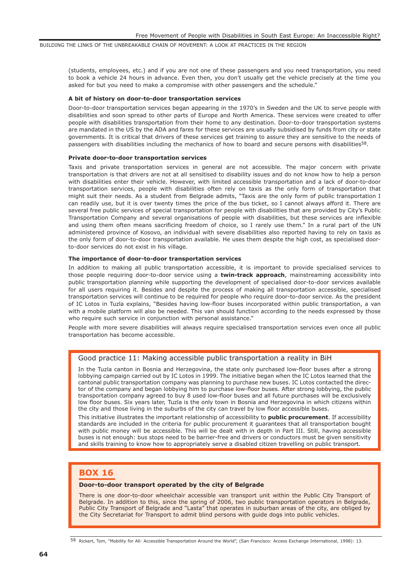(students, employees, etc.) and if you are not one of these passengers and you need transportation, you need to book a vehicle 24 hours in advance. Even then, you don't usually get the vehicle precisely at the time you asked for but you need to make a compromise with other passengers and the schedule."

#### **A bit of history on door-to-door transportation services**

Door-to-door transportation services began appearing in the 1970's in Sweden and the UK to serve people with disabilities and soon spread to other parts of Europe and North America. These services were created to offer people with disabilities transportation from their home to any destination. Door-to-door transportation systems are mandated in the US by the ADA and fares for these services are usually subsidised by funds from city or state governments. It is critical that drivers of these services get training to assure they are sensitive to the needs of passengers with disabilities including the mechanics of how to board and secure persons with disabilities58.

#### **Private door-to-door transportation services**

Taxis and private transportation services in general are not accessible. The major concern with private transportation is that drivers are not at all sensitised to disability issues and do not know how to help a person with disabilities enter their vehicle. However, with limited accessible transportation and a lack of door-to-door transportation services, people with disabilities often rely on taxis as the only form of transportation that might suit their needs. As a student from Belgrade admits, "Taxis are the only form of public transportation I can readily use, but it is over twenty times the price of the bus ticket, so I cannot always afford it. There are several free public services of special transportation for people with disabilities that are provided by City's Public Transportation Company and several organisations of people with disabilities, but these services are inflexible and using them often means sacrificing freedom of choice, so I rarely use them." In a rural part of the UN administered province of Kosovo, an individual with severe disabilities also reported having to rely on taxis as the only form of door-to-door transportation available. He uses them despite the high cost, as specialised doorto-door services do not exist in his village.

#### **The importance of door-to-door transportation services**

In addition to making all public transportation accessible, it is important to provide specialised services to those people requiring door-to-door service using a **twin-track approach**, mainstreaming accessibility into public transportation planning while supporting the development of specialised door-to-door services available for all users requiring it. Besides and despite the process of making all transportation accessible, specialised transportation services will continue to be required for people who require door-to-door service. As the president of IC Lotos in Tuzla explains, "Besides having low-floor buses incorporated within public transportation, a van with a mobile platform will also be needed. This van should function according to the needs expressed by those who require such service in conjunction with personal assistance."

People with more severe disabilities will always require specialised transportation services even once all public transportation has become accessible.

### Good practice 11: Making accessible public transportation a reality in BiH

In the Tuzla canton in Bosnia and Herzegovina, the state only purchased low-floor buses after a strong lobbying campaign carried out by IC Lotos in 1999. The initiative began when the IC Lotos learned that the cantonal public transportation company was planning to purchase new buses. IC Lotos contacted the director of the company and began lobbying him to purchase low-floor buses. After strong lobbying, the public transportation company agreed to buy 8 used low-floor buses and all future purchases will be exclusively low floor buses. Six years later, Tuzla is the only town in Bosnia and Herzegovina in which citizens within the city and those living in the suburbs of the city can travel by low floor accessible buses.

This initiative illustrates the important relationship of accessibility to **public procurement**. If accessibility standards are included in the criteria for public procurement it guarantees that all transportation bought with public money will be accessible. This will be dealt with in depth in Part III. Still, having accessible buses is not enough: bus stops need to be barrier-free and drivers or conductors must be given sensitivity and skills training to know how to appropriately serve a disabled citizen travelling on public transport.

### **BOX 16**

#### **Door-to-door transport operated by the city of Belgrade**

There is one door-to-door wheelchair accessible van transport unit within the Public City Transport of Belgrade. In addition to this, since the spring of 2006, two public transportation operators in Belgrade, Public City Transport of Belgrade and "Lasta" that operates in suburban areas of the city, are obliged by the City Secretariat for Transport to admit blind persons with guide dogs into public vehicles.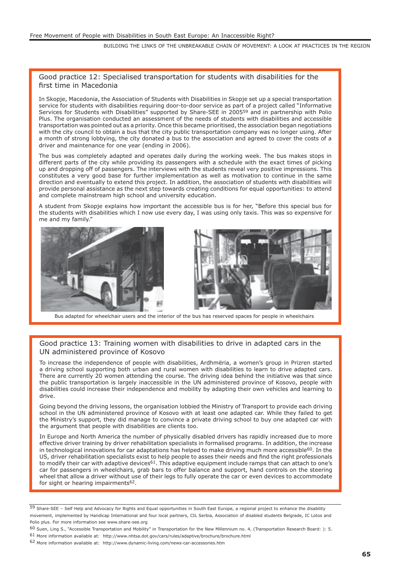Good practice 12: Specialised transportation for students with disabilities for the first time in Macedonia

In Skopje, Macedonia, the Association of Students with Disabilities in Skopje set up a special transportation service for students with disabilities requiring door-to-door service as part of a project called "Informative Services for Students with Disabilities" supported by Share-SEE in 2005<sup>59</sup> and in partnership with Polio Plus. The organisation conducted an assessment of the needs of students with disabilities and accessible transportation was pointed out as a priority. Once this became prioritised, the association began negotiations with the city council to obtain a bus that the city public transportation company was no longer using. After a month of strong lobbying, the city donated a bus to the association and agreed to cover the costs of a driver and maintenance for one year (ending in 2006).

The bus was completely adapted and operates daily during the working week. The bus makes stops in different parts of the city while providing its passengers with a schedule with the exact times of picking up and dropping off of passengers. The interviews with the students reveal very positive impressions. This constitutes a very good base for further implementation as well as motivation to continue in the same direction and eventually to extend this project. In addition, the association of students with disabilities will provide personal assistance as the next step towards creating conditions for equal opportunities: to attend and complete mainstream high school and university education.

A student from Skopje explains how important the accessible bus is for her, "Before this special bus for the students with disabilities which I now use every day, I was using only taxis. This was so expensive for me and my family."





Bus adapted for wheelchair users and the interior of the bus has reserved spaces for people in wheelchairs

### Good practice 13: Training women with disabilities to drive in adapted cars in the UN administered province of Kosovo

To increase the independence of people with disabilities, Ardhmëria, a women's group in Prizren started a driving school supporting both urban and rural women with disabilities to learn to drive adapted cars. There are currently 20 women attending the course. The driving idea behind the initiative was that since the public transportation is largely inaccessible in the UN administered province of Kosovo, people with disabilities could increase their independence and mobility by adapting their own vehicles and learning to drive.

Going beyond the driving lessons, the organisation lobbied the Ministry of Transport to provide each driving school in the UN administered province of Kosovo with at least one adapted car. While they failed to get the Ministry's support, they did manage to convince a private driving school to buy one adapted car with the argument that people with disabilities are clients too.

In Europe and North America the number of physically disabled drivers has rapidly increased due to more effective driver training by driver rehabilitation specialists in formalised programs. In addition, the increase in technological innovations for car adaptations has helped to make driving much more accessible<sup>60</sup>. In the US, driver rehabilitation specialists exist to help people to asses their needs and find the right professionals to modify their car with adaptive devices<sup>61</sup>. This adaptive equipment include ramps that can attach to one's car for passengers in wheelchairs, grab bars to offer balance and support, hand controls on the steering wheel that allow a driver without use of their legs to fully operate the car or even devices to accommodate for sight or hearing impairments<sup>62</sup>.

<sup>59</sup> Share-SEE – Self Help and Advocacy for Rights and Equal opportunities in South East Europe, a regional project to enhance the disability movement, implemented by Handicap International and four local partners, CIL Serbia, Association of disabled students Belgrade, IC Lotos and Polio plus. For more information see www.share-see.org

<sup>60</sup> Suen, Ling S., "Accessible Transportation and Mobility" in Transportation for the New Millennium no. 4, (Transportation Research Board: ): 5.

<sup>61</sup> More information available at: http://www.nhtsa.dot.gov/cars/rules/adaptive/brochure/brochure.html

<sup>62</sup> More information available at: http://www.dynamic-living.com/news-car-accessories.htm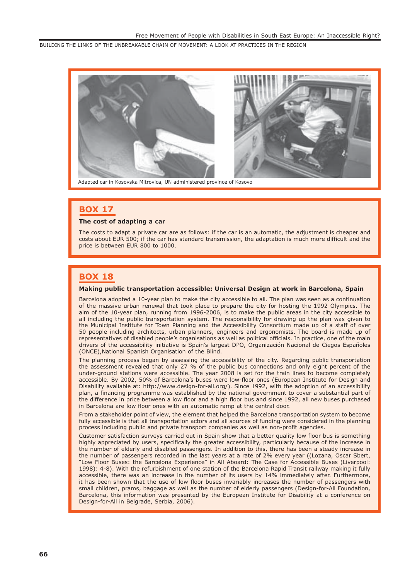

Adapted car in Kosovska Mitrovica, UN administered province of Kosovo

# **BOX 17**

#### **The cost of adapting a car**

The costs to adapt a private car are as follows: if the car is an automatic, the adjustment is cheaper and costs about EUR 500; if the car has standard transmission, the adaptation is much more difficult and the price is between EUR 800 to 1000.

### **BOX 18**

#### **Making public transportation accessible: Universal Design at work in Barcelona, Spain**

Barcelona adopted a 10-year plan to make the city accessible to all. The plan was seen as a continuation of the massive urban renewal that took place to prepare the city for hosting the 1992 Olympics. The aim of the 10-year plan, running from 1996-2006, is to make the public areas in the city accessible to all including the public transportation system. The responsibility for drawing up the plan was given to the Municipal Institute for Town Planning and the Accessibility Consortium made up of a staff of over 50 people including architects, urban planners, engineers and ergonomists. The board is made up of representatives of disabled people's organisations as well as political officials. In practice, one of the main drivers of the accessibility initiative is Spain's largest DPO, Organización Nacional de Ciegos Españoles (ONCE),National Spanish Organisation of the Blind.

The planning process began by assessing the accessibility of the city. Regarding public transportation the assessment revealed that only 27 % of the public bus connections and only eight percent of the under-ground stations were accessible. The year 2008 is set for the train lines to become completely accessible. By 2002, 50% of Barcelona's buses were low-floor ones (European Institute for Design and Disability available at: http://www.design-for-all.org/). Since 1992, with the adoption of an accessibility plan, a financing programme was established by the national government to cover a substantial part of the difference in price between a low floor and a high floor bus and since 1992, all new buses purchased in Barcelona are low floor ones with an automatic ramp at the central door.

From a stakeholder point of view, the element that helped the Barcelona transportation system to become fully accessible is that all transportation actors and all sources of funding were considered in the planning process including public and private transport companies as well as non-profit agencies.

Customer satisfaction surveys carried out in Spain show that a better quality low floor bus is something highly appreciated by users, specifically the greater accessibility, particularly because of the increase in the number of elderly and disabled passengers. In addition to this, there has been a steady increase in the number of passengers recorded in the last years at a rate of 2% every year ((Lozana, Oscar Sbert, "Low Floor Buses: the Barcelona Experience" in All Aboard: The Case for Accessible Buses (Liverpool: 1998): 4-8). With the refurbishment of one station of the Barcelona Rapid Transit railway making it fully accessible, there was an increase in the number of its users by 14% immediately after. Furthermore, it has been shown that the use of low floor buses invariably increases the number of passengers with small children, prams, baggage as well as the number of elderly passengers (Design-for-All Foundation, Barcelona, this information was presented by the European Institute for Disability at a conference on Design-for-All in Belgrade, Serbia, 2006).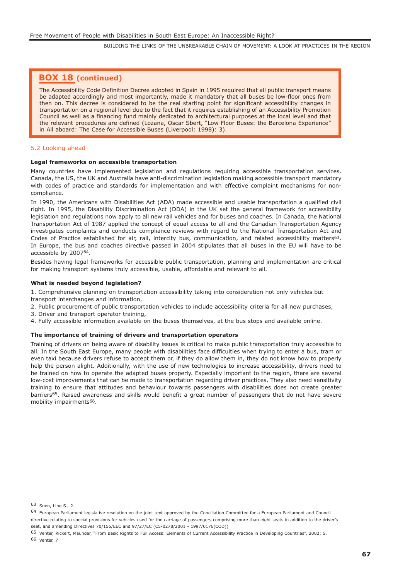### **BOX 18 (continued)**

The Accessibility Code Definition Decree adopted in Spain in 1995 required that all public transport means be adapted accordingly and most importantly, made it mandatory that all buses be low-floor ones from then on. This decree is considered to be the real starting point for significant accessibility changes in transportation on a regional level due to the fact that it requires establishing of an Accessibility Promotion Council as well as a financing fund mainly dedicated to architectural purposes at the local level and that the relevant procedures are defined (Lozana, Oscar Sbert, "Low Floor Buses: the Barcelona Experience" in All aboard: The Case for Accessible Buses (Liverpool: 1998): 3).

#### 5.2 Looking ahead

#### **Legal frameworks on accessible transportation**

Many countries have implemented legislation and regulations requiring accessible transportation services. Canada, the US, the UK and Australia have anti-discrimination legislation making accessible transport mandatory with codes of practice and standards for implementation and with effective complaint mechanisms for noncompliance.

In 1990, the Americans with Disabilities Act (ADA) made accessible and usable transportation a qualified civil right. In 1995, the Disability Discrimination Act (DDA) in the UK set the general framework for accessibility legislation and regulations now apply to all new rail vehicles and for buses and coaches. In Canada, the National Transportation Act of 1987 applied the concept of equal access to all and the Canadian Transportation Agency investigates complaints and conducts compliance reviews with regard to the National Transportation Act and Codes of Practice established for air, rail, intercity bus, communication, and related accessibility matters<sup>63</sup>. In Europe, the bus and coaches directive passed in 2004 stipulates that all buses in the EU will have to be accessible by 200764.

Besides having legal frameworks for accessible public transportation, planning and implementation are critical for making transport systems truly accessible, usable, affordable and relevant to all.

#### **What is needed beyond legislation?**

1. Comprehensive planning on transportation accessibility taking into consideration not only vehicles but

- transport interchanges and information,
- 2. Public procurement of public transportation vehicles to include accessibility criteria for all new purchases,
- 3. Driver and transport operator training,
- 4. Fully accessible information available on the buses themselves, at the bus stops and available online.

#### **The importance of training of drivers and transportation operators**

Training of drivers on being aware of disability issues is critical to make public transportation truly accessible to all. In the South East Europe, many people with disabilities face difficulties when trying to enter a bus, tram or even taxi because drivers refuse to accept them or, if they do allow them in, they do not know how to properly help the person alight. Additionally, with the use of new technologies to increase accessibility, drivers need to be trained on how to operate the adapted buses properly. Especially important to the region, there are several low-cost improvements that can be made to transportation regarding driver practices. They also need sensitivity training to ensure that attitudes and behaviour towards passengers with disabilities does not create greater barriers65. Raised awareness and skills would benefit a great number of passengers that do not have severe mobility impairments<sup>66</sup>.

<sup>63</sup> Suen, Ling S., 2.

<sup>64</sup> European Parliament legislative resolution on the joint text approved by the Conciliation Committee for a European Parliament and Council directive relating to special provisions for vehicles used for the carriage of passengers comprising more than eight seats in addition to the driver's seat, and amending Directives 70/156/EEC and 97/27/EC (C5-0278/2001 - 1997/0176(COD))

<sup>65</sup> Venter, Rickert, Maunder, "From Basic Rights to Full Access: Elements of Current Accessibility Practice in Developing Countries", 2002: 5. 66 Venter, 7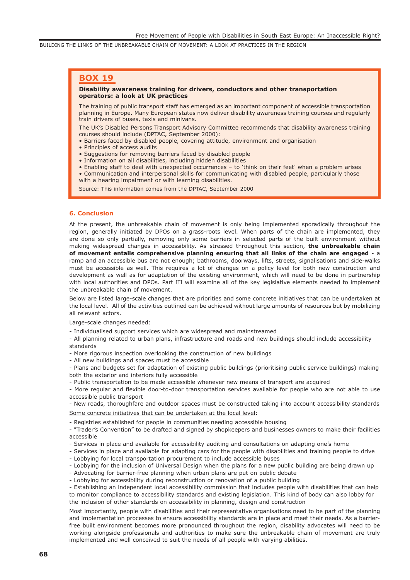### **BOX 19**

#### **Disability awareness training for drivers, conductors and other transportation operators: a look at UK practices**

The training of public transport staff has emerged as an important component of accessible transportation planning in Europe. Many European states now deliver disability awareness training courses and regularly train drivers of buses, taxis and minivans.

The UK's Disabled Persons Transport Advisory Committee recommends that disability awareness training courses should include (DPTAC, September 2000):

- Barriers faced by disabled people, covering attitude, environment and organisation
- Principles of access audits
- Suggestions for removing barriers faced by disabled people
- Information on all disabilities, including hidden disabilities
- Enabling staff to deal with unexpected occurrences to 'think on their feet' when a problem arises • Communication and interpersonal skills for communicating with disabled people, particularly those with a hearing impairment or with learning disabilities.

Source: This information comes from the DPTAC, September 2000

### **6. Conclusion**

At the present, the unbreakable chain of movement is only being implemented sporadically throughout the region, generally initiated by DPOs on a grass-roots level. When parts of the chain are implemented, they are done so only partially, removing only some barriers in selected parts of the built environment without making widespread changes in accessibility. As stressed throughout this section, **the unbreakable chain of movement entails comprehensive planning ensuring that all links of the chain are engaged** - a ramp and an accessible bus are not enough; bathrooms, doorways, lifts, streets, signalisations and side-walks must be accessible as well. This requires a lot of changes on a policy level for both new construction and development as well as for adaptation of the existing environment, which will need to be done in partnership with local authorities and DPOs. Part III will examine all of the key legislative elements needed to implement the unbreakable chain of movement.

Below are listed large-scale changes that are priorities and some concrete initiatives that can be undertaken at the local level. All of the activities outlined can be achieved without large amounts of resources but by mobilizing all relevant actors.

#### Large-scale changes needed:

- Individualised support services which are widespread and mainstreamed

- All planning related to urban plans, infrastructure and roads and new buildings should include accessibility standards

- More rigorous inspection overlooking the construction of new buildings
- All new buildings and spaces must be accessible

- Plans and budgets set for adaptation of existing public buildings (prioritising public service buildings) making both the exterior and interiors fully accessible

- Public transportation to be made accessible whenever new means of transport are acquired
- More regular and flexible door-to-door transportation services available for people who are not able to use accessible public transport

- New roads, thoroughfare and outdoor spaces must be constructed taking into account accessibility standards Some concrete initiatives that can be undertaken at the local level:

- Registries established for people in communities needing accessible housing

- "Trader's Convention" to be drafted and signed by shopkeepers and businesses owners to make their facilities accessible

- Services in place and available for accessibility auditing and consultations on adapting one's home
- Services in place and available for adapting cars for the people with disabilities and training people to drive - Lobbying for local transportation procurement to include accessible buses
- Lobbying for the inclusion of Universal Design when the plans for a new public building are being drawn up
- Advocating for barrier-free planning when urban plans are put on public debate
- Lobbying for accessibility during reconstruction or renovation of a public building

- Establishing an independent local accessibility commission that includes people with disabilities that can help to monitor compliance to accessibility standards and existing legislation. This kind of body can also lobby for the inclusion of other standards on accessibility in planning, design and construction

Most importantly, people with disabilities and their representative organisations need to be part of the planning and implementation processes to ensure accessibility standards are in place and meet their needs. As a barrierfree built environment becomes more pronounced throughout the region, disability advocates will need to be working alongside professionals and authorities to make sure the unbreakable chain of movement are truly implemented and well conceived to suit the needs of all people with varying abilities.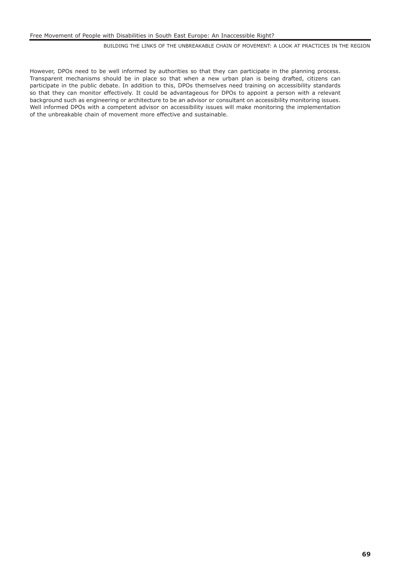However, DPOs need to be well informed by authorities so that they can participate in the planning process. Transparent mechanisms should be in place so that when a new urban plan is being drafted, citizens can participate in the public debate. In addition to this, DPOs themselves need training on accessibility standards so that they can monitor effectively. It could be advantageous for DPOs to appoint a person with a relevant background such as engineering or architecture to be an advisor or consultant on accessibility monitoring issues. Well informed DPOs with a competent advisor on accessibility issues will make monitoring the implementation of the unbreakable chain of movement more effective and sustainable.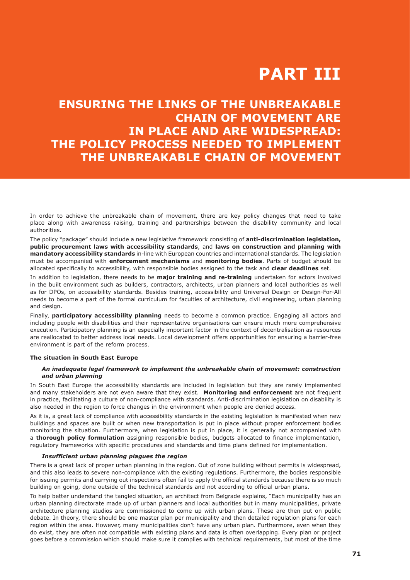# **PART III**

# **ENSURING THE LINKS OF THE UNBREAKABLE CHAIN OF MOVEMENT ARE IN PLACE AND ARE WIDESPREAD: THE POLICY PROCESS NEEDED TO IMPLEMENT THE UNBREAKABLE CHAIN OF MOVEMENT**

In order to achieve the unbreakable chain of movement, there are key policy changes that need to take place along with awareness raising, training and partnerships between the disability community and local authorities.

The policy "package" should include a new legislative framework consisting of **anti-discrimination legislation, public procurement laws with accessibility standards**, and **laws on construction and planning with mandatory accessibility standards** in-line with European countries and international standards. The legislation must be accompanied with **enforcement mechanisms** and **monitoring bodies**. Parts of budget should be allocated specifically to accessibility, with responsible bodies assigned to the task and **clear deadlines** set.

In addition to legislation, there needs to be **major training and re-training** undertaken for actors involved in the built environment such as builders, contractors, architects, urban planners and local authorities as well as for DPOs, on accessibility standards. Besides training, accessibility and Universal Design or Design-For-All needs to become a part of the formal curriculum for faculties of architecture, civil engineering, urban planning and design.

Finally, **participatory accessibility planning** needs to become a common practice. Engaging all actors and including people with disabilities and their representative organisations can ensure much more comprehensive execution. Participatory planning is an especially important factor in the context of decentralisation as resources are reallocated to better address local needs. Local development offers opportunities for ensuring a barrier-free environment is part of the reform process.

#### **The situation in South East Europe**

#### *An inadequate legal framework to implement the unbreakable chain of movement: construction and urban planning*

In South East Europe the accessibility standards are included in legislation but they are rarely implemented and many stakeholders are not even aware that they exist. **Monitoring and enforcement** are not frequent in practice, facilitating a culture of non-compliance with standards. Anti-discrimination legislation on disability is also needed in the region to force changes in the environment when people are denied access.

As it is, a great lack of compliance with accessibility standards in the existing legislation is manifested when new buildings and spaces are built or when new transportation is put in place without proper enforcement bodies monitoring the situation. Furthermore, when legislation is put in place, it is generally not accompanied with a **thorough policy formulation** assigning responsible bodies, budgets allocated to finance implementation, regulatory frameworks with specific procedures and standards and time plans defined for implementation.

#### *Insufficient urban planning plagues the region*

There is a great lack of proper urban planning in the region. Out of zone building without permits is widespread, and this also leads to severe non-compliance with the existing regulations. Furthermore, the bodies responsible for issuing permits and carrying out inspections often fail to apply the official standards because there is so much building on going, done outside of the technical standards and not according to official urban plans.

To help better understand the tangled situation, an architect from Belgrade explains, "Each municipality has an urban planning directorate made up of urban planners and local authorities but in many municipalities, private architecture planning studios are commissioned to come up with urban plans. These are then put on public debate. In theory, there should be one master plan per municipality and then detailed regulation plans for each region within the area. However, many municipalities don't have any urban plan. Furthermore, even when they do exist, they are often not compatible with existing plans and data is often overlapping. Every plan or project goes before a commission which should make sure it complies with technical requirements, but most of the time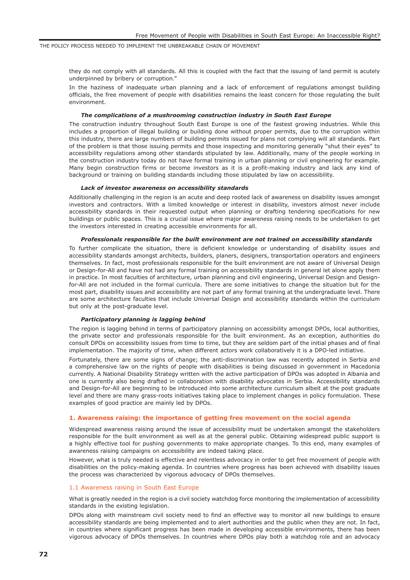THE POLICY PROCESS NEEDED TO IMPLEMENT THE UNBREAKABLE CHAIN OF MOVEMENT

they do not comply with all standards. All this is coupled with the fact that the issuing of land permit is acutely underpinned by bribery or corruption."

In the haziness of inadequate urban planning and a lack of enforcement of regulations amongst building officials, the free movement of people with disabilities remains the least concern for those regulating the built environment.

#### *The complications of a mushrooming construction industry in South East Europe*

The construction industry throughout South East Europe is one of the fastest growing industries. While this includes a proportion of illegal building or building done without proper permits, due to the corruption within this industry, there are large numbers of building permits issued for plans not complying will all standards. Part of the problem is that those issuing permits and those inspecting and monitoring generally "shut their eyes" to accessibility regulations among other standards stipulated by law. Additionally, many of the people working in the construction industry today do not have formal training in urban planning or civil engineering for example. Many begin construction firms or become investors as it is a profit-making industry and lack any kind of background or training on building standards including those stipulated by law on accessibility.

#### *Lack of investor awareness on accessibility standards*

Additionally challenging in the region is an acute and deep rooted lack of awareness on disability issues amongst investors and contractors. With a limited knowledge or interest in disability, investors almost never include accessibility standards in their requested output when planning or drafting tendering specifications for new buildings or public spaces. This is a crucial issue where major awareness raising needs to be undertaken to get the investors interested in creating accessible environments for all.

#### *Professionals responsible for the built environment are not trained on accessibility standards*

To further complicate the situation, there is deficient knowledge or understanding of disability issues and accessibility standards amongst architects, builders, planers, designers, transportation operators and engineers themselves. In fact, most professionals responsible for the built environment are not aware of Universal Design or Design-for-All and have not had any formal training on accessibility standards in general let alone apply them in practice. In most faculties of architecture, urban planning and civil engineering, Universal Design and Designfor-All are not included in the formal curricula. There are some initiatives to change the situation but for the most part, disability issues and accessibility are not part of any formal training at the undergraduate level. There are some architecture faculties that include Universal Design and accessibility standards within the curriculum but only at the post-graduate level.

#### *Participatory planning is lagging behind*

The region is lagging behind in terms of participatory planning on accessibility amongst DPOs, local authorities, the private sector and professionals responsible for the built environment. As an exception, authorities do consult DPOs on accessibility issues from time to time, but they are seldom part of the initial phases and of final implementation. The majority of time, when different actors work collaboratively it is a DPO-led initiative.

Fortunately, there are some signs of change; the anti-discrimination law was recently adopted in Serbia and a comprehensive law on the rights of people with disabilities is being discussed in government in Macedonia currently. A National Disability Strategy written with the active participation of DPOs was adopted in Albania and one is currently also being drafted in collaboration with disability advocates in Serbia. Accessibility standards and Design-for-All are beginning to be introduced into some architecture curriculum albeit at the post graduate level and there are many grass-roots initiatives taking place to implement changes in policy formulation. These examples of good practice are mainly led by DPOs.

#### **1. Awareness raising: the importance of getting free movement on the social agenda**

Widespread awareness raising around the issue of accessibility must be undertaken amongst the stakeholders responsible for the built environment as well as at the general public. Obtaining widespread public support is a highly effective tool for pushing governments to make appropriate changes. To this end, many examples of awareness raising campaigns on accessibility are indeed taking place.

However, what is truly needed is effective and relentless advocacy in order to get free movement of people with disabilities on the policy-making agenda. In countries where progress has been achieved with disability issues the process was characterized by vigorous advocacy of DPOs themselves.

#### 1.1 Awareness raising in South East Europe

What is greatly needed in the region is a civil society watchdog force monitoring the implementation of accessibility standards in the existing legislation.

DPOs along with mainstream civil society need to find an effective way to monitor all new buildings to ensure accessibility standards are being implemented and to alert authorities and the public when they are not. In fact, in countries where significant progress has been made in developing accessible environments, there has been vigorous advocacy of DPOs themselves. In countries where DPOs play both a watchdog role and an advocacy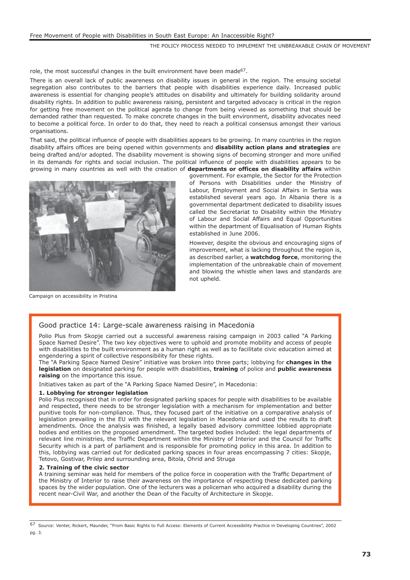role, the most successful changes in the built environment have been made<sup>67</sup>.

There is an overall lack of public awareness on disability issues in general in the region. The ensuing societal segregation also contributes to the barriers that people with disabilities experience daily. Increased public awareness is essential for changing people's attitudes on disability and ultimately for building solidarity around disability rights. In addition to public awareness raising, persistent and targeted advocacy is critical in the region for getting free movement on the political agenda to change from being viewed as something that should be demanded rather than requested. To make concrete changes in the built environment, disability advocates need to become a political force. In order to do that, they need to reach a political consensus amongst their various organisations.

That said, the political influence of people with disabilities appears to be growing. In many countries in the region disability affairs offices are being opened within governments and **disability action plans and strategies** are being drafted and/or adopted. The disability movement is showing signs of becoming stronger and more unified in its demands for rights and social inclusion. The political influence of people with disabilities appears to be growing in many countries as well with the creation of **departments or offices on disability affairs** within



Campaign on accessibility in Pristina

government. For example, the Sector for the Protection of Persons with Disabilities under the Ministry of Labour, Employment and Social Affairs in Serbia was established several years ago. In Albania there is a governmental department dedicated to disability issues called the Secretariat to Disability within the Ministry of Labour and Social Affairs and Equal Opportunities within the department of Equalisation of Human Rights established in June 2006.

However, despite the obvious and encouraging signs of improvement, what is lacking throughout the region is, as described earlier, a **watchdog force**, monitoring the implementation of the unbreakable chain of movement and blowing the whistle when laws and standards are not upheld.

### Good practice 14: Large-scale awareness raising in Macedonia

Polio Plus from Skopje carried out a successful awareness raising campaign in 2003 called "A Parking Space Named Desire". The two key objectives were to uphold and promote mobility and access of people with disabilities to the built environment as a human right as well as to facilitate civic education aimed at engendering a spirit of collective responsibility for these rights.

The "A Parking Space Named Desire" initiative was broken into three parts; lobbying for **changes in the legislation** on designated parking for people with disabilities, **training** of police and **public awareness raising** on the importance this issue.

Initiatives taken as part of the "A Parking Space Named Desire", in Macedonia:

### **1. Lobbying for stronger legislation**

Polio Plus recognised that in order for designated parking spaces for people with disabilities to be available and respected, there needs to be stronger legislation with a mechanism for implementation and better punitive tools for non-compliance. Thus, they focused part of the initiative on a comparative analysis of legislation prevailing in the EU with the relevant legislation in Macedonia and used the results to draft amendments. Once the analysis was finished, a legally based advisory committee lobbied appropriate bodies and entities on the proposed amendment. The targeted bodies included: the legal departments of relevant line ministries, the Traffic Department within the Ministry of Interior and the Council for Traffic Security which is a part of parliament and is responsible for promoting policy in this area. In addition to this, lobbying was carried out for dedicated parking spaces in four areas encompassing 7 cities: Skopje, Tetovo, Gostivar, Prilep and surrounding area, Bitola, Ohrid and Struga

### **2. Training of the civic sector**

A training seminar was held for members of the police force in cooperation with the Traffic Department of the Ministry of Interior to raise their awareness on the importance of respecting these dedicated parking spaces by the wider population. One of the lecturers was a policeman who acquired a disability during the recent near-Civil War, and another the Dean of the Faculty of Architecture in Skopje.

<sup>67</sup> Source: Venter, Rickert, Maunder, "From Basic Rights to Full Access: Elements of Current Accessibility Practice in Developing Countries", 2002 pg. 3.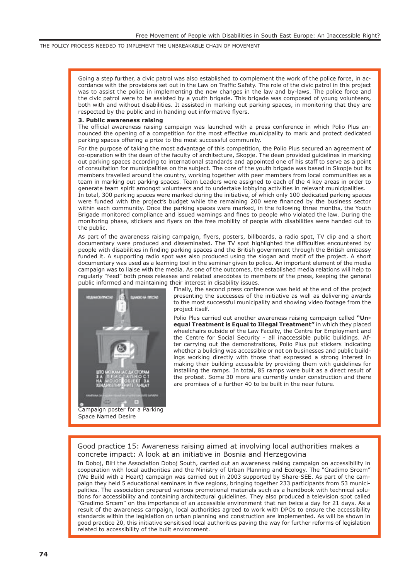Going a step further, a civic patrol was also established to complement the work of the police force, in accordance with the provisions set out in the Law on Traffic Safety. The role of the civic patrol in this project was to assist the police in implementing the new changes in the law and by-laws. The police force and the civic patrol were to be assisted by a youth brigade. This brigade was composed of young volunteers, both with and without disabilities. It assisted in marking out parking spaces, in monitoring that they are respected by the public and in handing out informative flyers.

### **3. Public awareness raising**

The official awareness raising campaign was launched with a press conference in which Polio Plus announced the opening of a competition for the most effective municipality to mark and protect dedicated parking spaces offering a prize to the most successful community.

For the purpose of taking the most advantage of this competition, the Polio Plus secured an agreement of co-operation with the dean of the faculty of architecture, Skopje. The dean provided guidelines in marking out parking spaces according to international standards and appointed one of his staff to serve as a point of consultation for municipalities on the subject. The core of the youth brigade was based in Skopje but its members travelled around the country, working together with peer members from local communities as a team in marking out parking spaces. Team Leaders were assigned to each of the 4 key areas in order to generate team spirit amongst volunteers and to undertake lobbying activities in relevant municipalities.

In total, 300 parking spaces were marked during the initiative, of which only 100 dedicated parking spaces were funded with the project's budget while the remaining 200 were financed by the business sector within each community. Once the parking spaces were marked, in the following three months, the Youth Brigade monitored compliance and issued warnings and fines to people who violated the law. During the monitoring phase, stickers and flyers on the free mobility of people with disabilities were handed out to the public.

As part of the awareness raising campaign, flyers, posters, billboards, a radio spot, TV clip and a short documentary were produced and disseminated. The TV spot highlighted the difficulties encountered by people with disabilities in finding parking spaces and the British government through the British embassy funded it. A supporting radio spot was also produced using the slogan and motif of the project. A short documentary was used as a learning tool in the seminar given to police. An important element of the media campaign was to liaise with the media. As one of the outcomes, the established media relations will help to regularly "feed" both press releases and related anecdotes to members of the press, keeping the general public informed and maintaining their interest in disability issues.



Campaign poster for a Parking Space Named Desire

Finally, the second press conference was held at the end of the project presenting the successes of the initiative as well as delivering awards to the most successful municipality and showing video footage from the project itself.

Polio Plus carried out another awareness raising campaign called **"Unequal Treatment is Equal to Illegal Treatment"** in which they placed wheelchairs outside of the Law Faculty, the Centre for Employment and the Centre for Social Security - all inaccessible public buildings. After carrying out the demonstrations, Polio Plus put stickers indicating whether a building was accessible or not on businesses and public buildings working directly with those that expressed a strong interest in making their building accessible by providing them with guidelines for installing the ramps. In total, 85 ramps were built as a direct result of the protest. Some 30 more are currently under construction and there are promises of a further 40 to be built in the near future.

# Good practice 15: Awareness raising aimed at involving local authorities makes a concrete impact: A look at an initiative in Bosnia and Herzegovina

In Doboj, BiH the Association Doboj South, carried out an awareness raising campaign on accessibility in cooperation with local authorities and the Ministry of Urban Planning and Ecology. The "Gradimo Srcem" (We Build with a Heart) campaign was carried out in 2003 supported by Share-SEE. As part of the campaign they held 5 educational seminars in five regions, bringing together 233 participants from 53 municipalities. The association prepared various promotional materials such as a handbook with technical solutions for accessibility and containing architectural guidelines. They also produced a television spot called "Gradimo Srcem" on the importance of an accessible environment that ran twice a day for 21 days. As a result of the awareness campaign, local authorities agreed to work with DPOs to ensure the accessibility standards within the legislation on urban planning and construction are implemented. As will be shown in good practice 20, this initiative sensitised local authorities paving the way for further reforms of legislation related to accessibility of the built environment.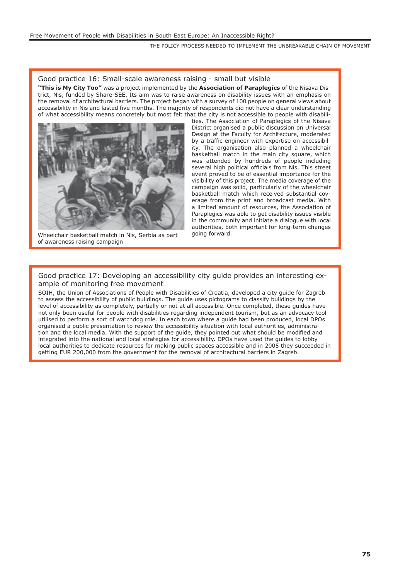### Good practice 16: Small-scale awareness raising - small but visible

**"This is My City Too"** was a project implemented by the **Association of Paraplegics** of the Nisava District, Nis, funded by Share-SEE. Its aim was to raise awareness on disability issues with an emphasis on the removal of architectural barriers. The project began with a survey of 100 people on general views about accessibility in Nis and lasted five months. The majority of respondents did not have a clear understanding of what accessibility means concretely but most felt that the city is not accessible to people with disabili-



Wheelchair basketball match in Nis, Serbia as part of awareness raising campaign

ties. The Association of Paraplegics of the Nisava District organised a public discussion on Universal Design at the Faculty for Architecture, moderated by a traffic engineer with expertise on accessibility. The organisation also planned a wheelchair basketball match in the main city square, which was attended by hundreds of people including several high political officials from Nis. This street event proved to be of essential importance for the visibility of this project. The media coverage of the campaign was solid, particularly of the wheelchair basketball match which received substantial coverage from the print and broadcast media. With a limited amount of resources, the Association of Paraplegics was able to get disability issues visible in the community and initiate a dialogue with local authorities, both important for long-term changes going forward.

# Good practice 17: Developing an accessibility city guide provides an interesting example of monitoring free movement

SOIH, the Union of Associations of People with Disabilities of Croatia, developed a city guide for Zagreb to assess the accessibility of public buildings. The guide uses pictograms to classify buildings by the level of accessibility as completely, partially or not at all accessible. Once completed, these guides have not only been useful for people with disabilities regarding independent tourism, but as an advocacy tool utilised to perform a sort of watchdog role. In each town where a guide had been produced, local DPOs organised a public presentation to review the accessibility situation with local authorities, administration and the local media. With the support of the quide, they pointed out what should be modified and integrated into the national and local strategies for accessibility. DPOs have used the guides to lobby local authorities to dedicate resources for making public spaces accessible and in 2005 they succeeded in getting EUR 200,000 from the government for the removal of architectural barriers in Zagreb.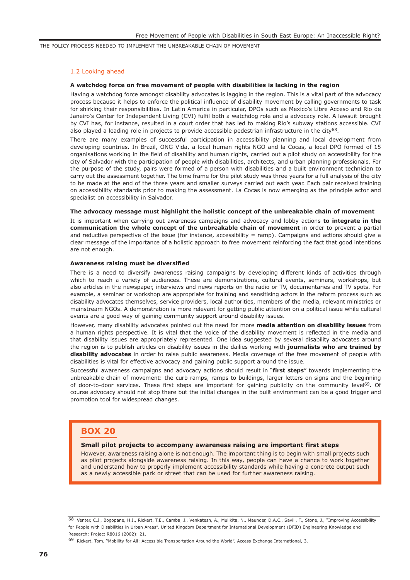### 1.2 Looking ahead

### **A watchdog force on free movement of people with disabilities is lacking in the region**

Having a watchdog force amongst disability advocates is lagging in the region. This is a vital part of the advocacy process because it helps to enforce the political influence of disability movement by calling governments to task for shirking their responsibilities. In Latin America in particular, DPOs such as Mexico's Libre Acceso and Rio de Janeiro's Center for Independent Living (CVI) fulfil both a watchdog role and a advocacy role. A lawsuit brought by CVI has, for instance, resulted in a court order that has led to making Rio's subway stations accessible. CVI also played a leading role in projects to provide accessible pedestrian infrastructure in the city<sup>68</sup>.

There are many examples of successful participation in accessibility planning and local development from developing countries. In Brazil, ONG Vida, a local human rights NGO and la Cocas, a local DPO formed of 15 organisations working in the field of disability and human rights, carried out a pilot study on accessibility for the city of Salvador with the participation of people with disabilities, architects, and urban planning professionals. For the purpose of the study, pairs were formed of a person with disabilities and a built environment technician to carry out the assessment together. The time frame for the pilot study was three years for a full analysis of the city to be made at the end of the three years and smaller surveys carried out each year. Each pair received training on accessibility standards prior to making the assessment. La Cocas is now emerging as the principle actor and specialist on accessibility in Salvador.

### **The advocacy message must highlight the holistic concept of the unbreakable chain of movement**

It is important when carrying out awareness campaigns and advocacy and lobby actions **to integrate in the communication the whole concept of the unbreakable chain of movement** in order to prevent a partial and reductive perspective of the issue (for instance, accessibility = ramp). Campaigns and actions should give a clear message of the importance of a holistic approach to free movement reinforcing the fact that good intentions are not enough.

### **Awareness raising must be diversified**

There is a need to diversify awareness raising campaigns by developing different kinds of activities through which to reach a variety of audiences. These are demonstrations, cultural events, seminars, workshops, but also articles in the newspaper, interviews and news reports on the radio or TV, documentaries and TV spots. For example, a seminar or workshop are appropriate for training and sensitising actors in the reform process such as disability advocates themselves, service providers, local authorities, members of the media, relevant ministries or mainstream NGOs. A demonstration is more relevant for getting public attention on a political issue while cultural events are a good way of gaining community support around disability issues.

However, many disability advocates pointed out the need for more **media attention on disability issues** from a human rights perspective. It is vital that the voice of the disability movement is reflected in the media and that disability issues are appropriately represented. One idea suggested by several disability advocates around the region is to publish articles on disability issues in the dailies working with **journalists who are trained by disability advocates** in order to raise public awareness. Media coverage of the free movement of people with disabilities is vital for effective advocacy and gaining public support around the issue.

Successful awareness campaigns and advocacy actions should result in "**first steps**" towards implementing the unbreakable chain of movement: the curb ramps, ramps to buildings, larger letters on signs and the beginning of door-to-door services. These first steps are important for gaining publicity on the community level69. Of course advocacy should not stop there but the initial changes in the built environment can be a good trigger and promotion tool for widespread changes.

# **BOX 20**

### **Small pilot projects to accompany awareness raising are important first steps**

However, awareness raising alone is not enough. The important thing is to begin with small projects such as pilot projects alongside awareness raising. In this way, people can have a chance to work together and understand how to properly implement accessibility standards while having a concrete output such as a newly accessible park or street that can be used for further awareness raising.

69 Rickert, Tom, "Mobility for All: Accessible Transportation Around the World", Access Exchange International, 3.

<sup>68</sup> Venter, C.J., Bogopane, H.I., Rickert, T.E., Camba, J., Venkatesh, A., Mulikita, N., Maunder, D.A.C., Savill, T., Stone, J., "Improving Accessibility for People with Disabilities in Urban Areas". United Kingdom Department for International Development (DFID) Engineering Knowledge and Research: Project R8016 (2002): 21.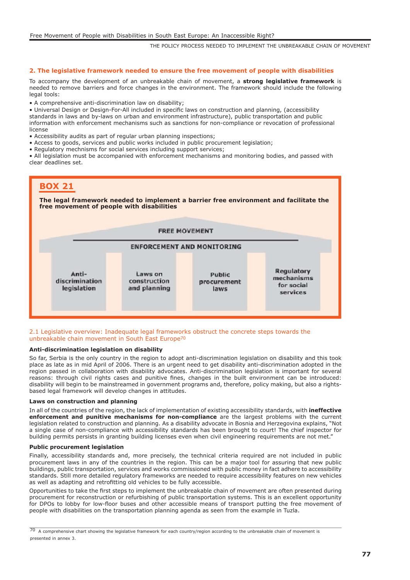## **2. The legislative framework needed to ensure the free movement of people with disabilities**

To accompany the development of an unbreakable chain of movement, a **strong legislative framework** is needed to remove barriers and force changes in the environment. The framework should include the following legal tools:

• A comprehensive anti-discrimination law on disability;

• Universal Design or Design-For-All included in specific laws on construction and planning, (accessibility

standards in laws and by-laws on urban and environment infrastructure), public transportation and public

information with enforcement mechanisms such as sanctions for non-compliance or revocation of professional license

• Accessibility audits as part of regular urban planning inspections;

• Access to goods, services and public works included in public procurement legislation;

• Regulatory mechnisms for social services including support services;

• All legislation must be accompanied with enforcement mechanisms and monitoring bodies, and passed with clear deadlines set.



### 2.1 Legislative overview: Inadequate legal frameworks obstruct the concrete steps towards the unbreakable chain movement in South East Europe70

# **Anti-discrimination legislation on disability**

So far, Serbia is the only country in the region to adopt anti-discrimination legislation on disability and this took place as late as in mid April of 2006. There is an urgent need to get disability anti-discrimination adopted in the region passed in collaboration with disability advocates. Anti-discrimination legislation is important for several reasons: through civil rights cases and punitive fines, changes in the built environment can be introduced: disability will begin to be mainstreamed in government programs and, therefore, policy making, but also a rightsbased legal framework will develop changes in attitudes.

### **Laws on construction and planning**

In all of the countries of the region, the lack of implementation of existing accessibility standards, with **ineffective enforcement and punitive mechanisms for non-compliance** are the largest problems with the current legislation related to construction and planning. As a disability advocate in Bosnia and Herzegovina explains, "Not a single case of non-compliance with accessibility standards has been brought to court! The chief inspector for building permits persists in granting building licenses even when civil engineering requirements are not met."

### **Public procurement legislation**

Finally, accessibility standards and, more precisely, the technical criteria required are not included in public procurement laws in any of the countries in the region. This can be a major tool for assuring that new public buildings, public transportation, services and works commissioned with public money in fact adhere to accessibility standards. Still more detailed regulatory frameworks are needed to require accessibility features on new vehicles as well as adapting and retrofitting old vehicles to be fully accessible.

Opportunities to take the first steps to implement the unbreakable chain of movement are often presented during procurement for reconstruction or refurbishing of public transportation systems. This is an excellent opportunity for DPOs to lobby for low-floor buses and other accessible means of transport putting the free movement of people with disabilities on the transportation planning agenda as seen from the example in Tuzla.

<sup>70</sup> A comprehensive chart showing the legislative framework for each country/region according to the unbreakable chain of movement is presented in annex 3.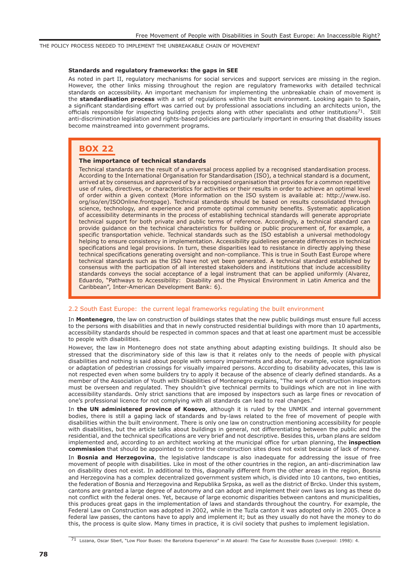### **Standards and regulatory frameworks: the gaps in SEE**

As noted in part II, regulatory mechanisms for social services and support services are missing in the region. However, the other links missing throughout the region are regulatory frameworks with detailed technical standards on accessibility. An important mechanism for implementing the unbreakable chain of movement is the **standardisation process** with a set of regulations within the built environment. Looking again to Spain, a significant standardising effort was carried out by professional associations including an architects union, the officials responsible for inspecting building projects along with other specialists and other institutions<sup>71</sup>. Still anti-discrimination legislation and rights-based policies are particularly important in ensuring that disability issues become mainstreamed into government programs.

# **BOX 22**

### **The importance of technical standards**

Technical standards are the result of a universal process applied by a recognised standardisation process. According to the International Organisation for Standardisation (ISO), a technical standard is a document, arrived at by consensus and approved of by a recognised organisation that provides for a common repetitive use of rules, directives, or characteristics for activities or their results in order to achieve an optimal level of order within a given context (More information on the ISO system is available at: http://www.iso. org/iso/en/ISOOnline.frontpage). Technical standards should be based on results consolidated through science, technology, and experience and promote optimal community benefits. Systematic application of accessibility determinants in the process of establishing technical standards will generate appropriate technical support for both private and public terms of reference. Accordingly, a technical standard can provide guidance on the technical characteristics for building or public procurement of, for example, a specific transportation vehicle. Technical standards such as the ISO establish a universal methodology helping to ensure consistency in implementation. Accessibility guidelines generate differences in technical specifications and legal provisions. In turn, these disparities lead to resistance in directly applying these technical specifications generating oversight and non-compliance. This is true in South East Europe where technical standards such as the ISO have not yet been generated. A technical standard established by consensus with the participation of all interested stakeholders and institutions that include accessibility standards conveys the social acceptance of a legal instrument that can be applied uniformly (Alvarez, Eduardo, "Pathways to Accessibility: Disability and the Physical Environment in Latin America and the Caribbean", Inter-American Development Bank: 6).

### 2.2 South East Europe: the current legal frameworks regulating the built environment

In **Montenegro**, the law on construction of buildings states that the new public buildings must ensure full access to the persons with disabilities and that in newly constructed residential buildings with more than 10 apartments, accessibility standards should be respected in common spaces and that at least one apartment must be accessible to people with disabilities.

However, the law in Montenegro does not state anything about adapting existing buildings. It should also be stressed that the discriminatory side of this law is that it relates only to the needs of people with physical disabilities and nothing is said about people with sensory impairments and about, for example, voice signalization or adaptation of pedestrian crossings for visually impaired persons. According to disability advocates, this law is not respected even when some builders try to apply it because of the absence of clearly defined standards. As a member of the Association of Youth with Disabilities of Montenegro explains, "The work of construction inspectors must be overseen and regulated. They shouldn't give technical permits to buildings which are not in line with accessibility standards. Only strict sanctions that are imposed by inspectors such as large fines or revocation of one's professional licence for not complying with all standards can lead to real changes."

In **the UN administered province of Kosovo**, although it is ruled by the UNMIK and internal government bodies, there is still a gaping lack of standards and by-laws related to the free of movement of people with disabilities within the built environment. There is only one law on construction mentioning accessibility for people with disabilities, but the article talks about buildings in general, not differentiating between the public and the residential, and the technical specifications are very brief and not descriptive. Besides this, urban plans are seldom implemented and, according to an architect working at the municipal office for urban planning, the **inspection commission** that should be appointed to control the construction sites does not exist because of lack of money.

In **Bosnia and Herzegovina**, the legislative landscape is also inadequate for addressing the issue of free movement of people with disabilities. Like in most of the other countries in the region, an anti-discrimination law on disability does not exist. In additional to this, diagonally different from the other areas in the region, Bosnia and Herzegovina has a complex decentralized government system which, is divided into 10 cantons, two entities, the federation of Bosnia and Herzegovina and Republika Srpska, as well as the district of Brcko. Under this system, cantons are granted a large degree of autonomy and can adopt and implement their own laws as long as these do not conflict with the federal ones. Yet, because of large economic disparities between cantons and municipalities, this produces great gaps in the implementation of laws and standards throughout the country. For example, the Federal Law on Construction was adopted in 2002, while in the Tuzla canton it was adopted only in 2005. Once a federal law passes, the cantons have to apply and implement it; but as they usually do not have the money to do this, the process is quite slow. Many times in practice, it is civil society that pushes to implement legislation.

<sup>71</sup> Lozana, Oscar Sbert, "Low Floor Buses: the Barcelona Experience" in All aboard: The Case for Accessible Buses (Liverpool: 1998): 4.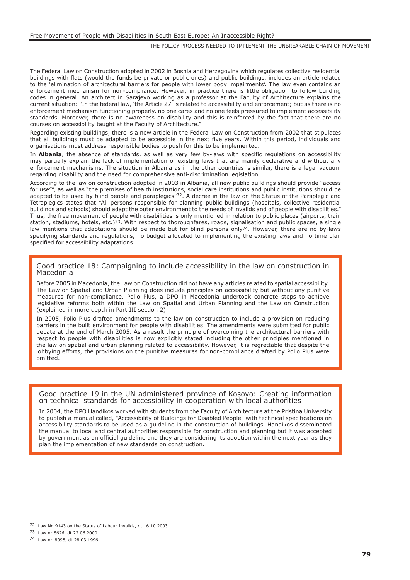The Federal Law on Construction adopted in 2002 in Bosnia and Herzegovina which regulates collective residential buildings with flats (would the funds be private or public ones) and public buildings, includes an article related to the 'elimination of architectural barriers for people with lower body impairments'. The law even contains an enforcement mechanism for non-compliance. However, in practice there is little obligation to follow building codes in general. An architect in Sarajevo working as a professor at the Faculty of Architecture explains the current situation: "In the federal law, 'the Article 27' is related to accessibility and enforcement; but as there is no enforcement mechanism functioning properly, no one cares and no one feels pressured to implement accessibility standards. Moreover, there is no awareness on disability and this is reinforced by the fact that there are no courses on accessibility taught at the Faculty of Architecture."

Regarding existing buildings, there is a new article in the Federal Law on Construction from 2002 that stipulates that all buildings must be adapted to be accessible in the next five years. Within this period, individuals and organisations must address responsible bodies to push for this to be implemented.

In **Albania**, the absence of standards, as well as very few by-laws with specific regulations on accessibility may partially explain the lack of implementation of existing laws that are mainly declarative and without any enforcement mechanisms. The situation in Albania as in the other countries is similar, there is a legal vacuum regarding disability and the need for comprehensive anti-discrimination legislation.

According to the law on construction adopted in 2003 in Albania, all new public buildings should provide "access for use"", as well as "the premises of health institutions, social care institutions and public institutions should be adapted to be used by blind people and paraplegics"72. A decree in the law on the Status of the Paraplegic and Tetraplegics states that "All persons responsible for planning public buildings (hospitals, collective residential buildings and schools) should adapt the outer environment to the needs of invalids and of people with disabilities." Thus, the free movement of people with disabilities is only mentioned in relation to public places (airports, train station, stadiums, hotels, etc.)<sup>73</sup>. With respect to thoroughfares, roads, signalisation and public spaces, a single law mentions that adaptations should be made but for blind persons only74. However, there are no by-laws specifying standards and regulations, no budget allocated to implementing the existing laws and no time plan specified for accessibility adaptations.

Good practice 18: Campaigning to include accessibility in the law on construction in Macedonia

Before 2005 in Macedonia, the Law on Construction did not have any articles related to spatial accessibility. The Law on Spatial and Urban Planning does include principles on accessibility but without any punitive measures for non-compliance. Polio Plus, a DPO in Macedonia undertook concrete steps to achieve legislative reforms both within the Law on Spatial and Urban Planning and the Law on Construction (explained in more depth in Part III section 2).

In 2005, Polio Plus drafted amendments to the law on construction to include a provision on reducing barriers in the built environment for people with disabilities. The amendments were submitted for public debate at the end of March 2005. As a result the principle of overcoming the architectural barriers with respect to people with disabilities is now explicitly stated including the other principles mentioned in the law on spatial and urban planning related to accessibility. However, it is regrettable that despite the lobbying efforts, the provisions on the punitive measures for non-compliance drafted by Polio Plus were omitted.

Good practice 19 in the UN administered province of Kosovo: Creating information on technical standards for accessibility in cooperation with local authorities

In 2004, the DPO Handikos worked with students from the Faculty of Architecture at the Pristina University to publish a manual called, "Accessibility of Buildings for Disabled People" with technical specifications on accessibility standards to be used as a guideline in the construction of buildings. Handikos disseminated the manual to local and central authorities responsible for construction and planning but it was accepted by government as an official guideline and they are considering its adoption within the next year as they plan the implementation of new standards on construction.

<sup>72</sup> Law Nr. 9143 on the Status of Labour Invalids, dt 16.10.2003.

<sup>73</sup> Law nr 8626, dt 22.06.2000.

<sup>74</sup> Law nr. 8098, dt 28.03.1996.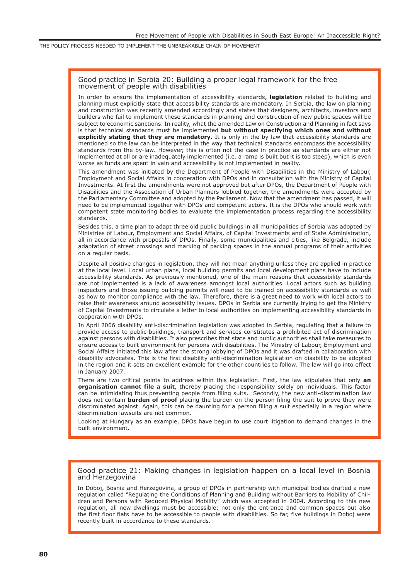Good practice in Serbia 20: Building a proper legal framework for the free movement of people with disabilities

In order to ensure the implementation of accessibility standards, **legislation** related to building and planning must explicitly state that accessibility standards are mandatory. In Serbia, the law on planning and construction was recently amended accordingly and states that designers, architects, investors and builders who fail to implement these standards in planning and construction of new public spaces will be subject to economic sanctions. In reality, what the amended Law on Construction and Planning in fact says is that technical standards must be implemented **but without specifying which ones and without explicitly stating that they are mandatory**. It is only in the by-law that accessibility standards are mentioned so the law can be interpreted in the way that technical standards encompass the accessibility standards from the by-law. However, this is often not the case in practice as standards are either not implemented at all or are inadequately implemented (i.e. a ramp is built but it is too steep), which is even worse as funds are spent in vain and accessibility is not implemented in reality.

This amendment was initiated by the Department of People with Disabilities in the Ministry of Labour, Employment and Social Affairs in cooperation with DPOs and in consultation with the Ministry of Capital Investments. At first the amendments were not approved but after DPOs, the Department of People with Disabilities and the Association of Urban Planners lobbied together, the amendments were accepted by the Parliamentary Committee and adopted by the Parliament. Now that the amendment has passed, it will need to be implemented together with DPOs and competent actors. It is the DPOs who should work with competent state monitoring bodies to evaluate the implementation process regarding the accessibility standards.

Besides this, a time plan to adapt three old public buildings in all municipalities of Serbia was adopted by Ministries of Labour, Employment and Social Affairs, of Capital Investments and of State Administration, all in accordance with proposals of DPOs. Finally, some municipalities and cities, like Belgrade, include adaptation of street crossings and marking of parking spaces in the annual programs of their activities on a regular basis.

Despite all positive changes in legislation, they will not mean anything unless they are applied in practice at the local level. Local urban plans, local building permits and local development plans have to include accessibility standards. As previously mentioned, one of the main reasons that accessibility standards are not implemented is a lack of awareness amongst local authorities. Local actors such as building inspectors and those issuing building permits will need to be trained on accessibility standards as well as how to monitor compliance with the law. Therefore, there is a great need to work with local actors to raise their awareness around accessibility issues. DPOs in Serbia are currently trying to get the Ministry of Capital Investments to circulate a letter to local authorities on implementing accessibility standards in cooperation with DPOs.

In April 2006 disability anti-discrimination legislation was adopted in Serbia, regulating that a failure to provide access to public buildings, transport and services constitutes a prohibited act of discrimination against persons with disabilities. It also prescribes that state and public authorities shall take measures to ensure access to built environment for persons with disabilities. The Ministry of Labour, Employment and Social Affairs initiated this law after the strong lobbying of DPOs and it was drafted in collaboration with disability advocates. This is the first disability anti-discrimination legislation on disability to be adopted in the region and it sets an excellent example for the other countries to follow. The law will go into effect in January 2007.

There are two critical points to address within this legislation. First, the law stipulates that only **an organisation cannot file a suit**, thereby placing the responsibility solely on individuals. This factor can be intimidating thus preventing people from filing suits. Secondly, the new anti-discrimination law does not contain **burden of proof** placing the burden on the person filing the suit to prove they were discriminated against. Again, this can be daunting for a person filing a suit especially in a region where discrimination lawsuits are not common.

Looking at Hungary as an example, DPOs have begun to use court litigation to demand changes in the built environment.

Good practice 21: Making changes in legislation happen on a local level in Bosnia and Herzegovina

In Doboj, Bosnia and Herzegovina, a group of DPOs in partnership with municipal bodies drafted a new regulation called "Regulating the Conditions of Planning and Building without Barriers to Mobility of Children and Persons with Reduced Physical Mobility" which was accepted in 2004. According to this new regulation, all new dwellings must be accessible; not only the entrance and common spaces but also the first floor flats have to be accessible to people with disabilities. So far, five buildings in Doboj were recently built in accordance to these standards.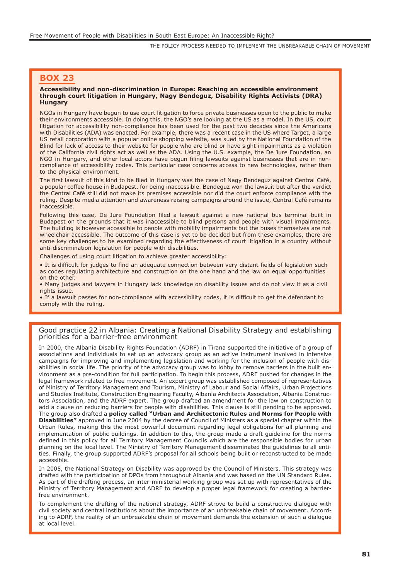# **BOX 23**

### **Accessibility and non-discrimination in Europe: Reaching an accessible environment through court litigation in Hungary, Nagy Bendeguz, Disability Rights Activists (DRA) Hungary**

NGOs in Hungary have begun to use court litigation to force private businesses open to the public to make their environments accessible. In doing this, the NGO's are looking at the US as a model. In the US, court litigation for accessibility non-compliance has been used for the past two decades since the Americans with Disabilities (ADA) was enacted. For example, there was a recent case in the US where Target, a large US retail corporation with a popular online shopping website, was sued by the National Foundation of the Blind for lack of access to their website for people who are blind or have sight impairments as a violation of the California civil rights act as well as the ADA. Using the U.S. example, the De Jure Foundation, an NGO in Hungary, and other local actors have begun filing lawsuits against businesses that are in noncompliance of accessibility codes. This particular case concerns access to new technologies, rather than to the physical environment.

The first lawsuit of this kind to be filed in Hungary was the case of Nagy Bendeguz against Central Café, a popular coffee house in Budapest, for being inaccessible. Bendeguz won the lawsuit but after the verdict the Central Café still did not make its premises accessible nor did the court enforce compliance with the ruling. Despite media attention and awareness raising campaigns around the issue, Central Café remains inaccessible.

Following this case, De Jure Foundation filed a lawsuit against a new national bus terminal built in Budapest on the grounds that it was inaccessible to blind persons and people with visual impairments. The building is however accessible to people with mobility impairments but the buses themselves are not wheelchair accessible. The outcome of this case is yet to be decided but from these examples, there are some key challenges to be examined regarding the effectiveness of court litigation in a country without anti-discrimination legislation for people with disabilities.

Challenges of using court litigation to achieve greater accessibility:

• It is difficult for judges to find an adequate connection between very distant fields of legislation such as codes regulating architecture and construction on the one hand and the law on equal opportunities on the other.

• Many judges and lawyers in Hungary lack knowledge on disability issues and do not view it as a civil rights issue.

• If a lawsuit passes for non-compliance with accessibility codes, it is difficult to get the defendant to comply with the ruling.

### Good practice 22 in Albania: Creating a National Disability Strategy and establishing priorities for a barrier-free environment

In 2000, the Albania Disability Rights Foundation (ADRF) in Tirana supported the initiative of a group of associations and individuals to set up an advocacy group as an active instrument involved in intensive campaigns for improving and implementing legislation and working for the inclusion of people with disabilities in social life. The priority of the advocacy group was to lobby to remove barriers in the built environment as a pre-condition for full participation. To begin this process, ADRF pushed for changes in the legal framework related to free movement. An expert group was established composed of representatives of Ministry of Territory Management and Tourism, Ministry of Labour and Social Affairs, Urban Projections and Studies Institute, Construction Engineering Faculty, Albania Architects Association, Albania Constructors Association, and the ADRF expert. The group drafted an amendment for the law on construction to add a clause on reducing barriers for people with disabilities. This clause is still pending to be approved. The group also drafted a **policy called "Urban and Architectonic Rules and Norms for People with Disabilities"** approved in June 2004 by the decree of Council of Ministers as a special chapter within the Urban Rules, making this the most powerful document regarding legal obligations for all planning and implementation of public buildings. In addition to this, the group made a draft guideline for the norms defined in this policy for all Territory Management Councils which are the responsible bodies for urban planning on the local level. The Ministry of Territory Management disseminated the guidelines to all entities. Finally, the group supported ADRF's proposal for all schools being built or reconstructed to be made accessible.

In 2005, the National Strategy on Disability was approved by the Council of Ministers. This strategy was drafted with the participation of DPOs from throughout Albania and was based on the UN Standard Rules. As part of the drafting process, an inter-ministerial working group was set up with representatives of the Ministry of Territory Management and ADRF to develop a proper legal framework for creating a barrierfree environment.

To complement the drafting of the national strategy, ADRF strove to build a constructive dialogue with civil society and central institutions about the importance of an unbreakable chain of movement. According to ADRF, the reality of an unbreakable chain of movement demands the extension of such a dialogue at local level.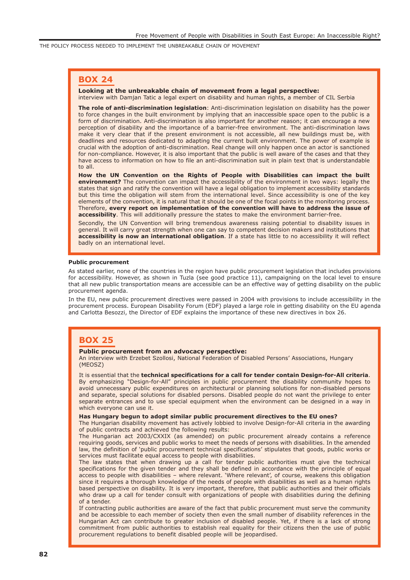# **BOX 24**

### **Looking at the unbreakable chain of movement from a legal perspective:**

interview with Damjan Tatic a legal expert on disability and human rights, a member of CIL Serbia

**The role of anti-discrimination legislation**: Anti-discrimination legislation on disability has the power to force changes in the built environment by implying that an inaccessible space open to the public is a form of discrimination. Anti-discrimination is also important for another reason; it can encourage a new perception of disability and the importance of a barrier-free environment. The anti-discrimination laws make it very clear that if the present environment is not accessible, all new buildings must be, with deadlines and resources dedicated to adapting the current built environment. The power of example is crucial with the adoption of anti-discrimination. Real change will only happen once an actor is sanctioned for non-compliance. However, it is also important that the public is well aware of the cases and that they have access to information on how to file an anti-discrimination suit in plain text that is understandable to all.

**How the UN Convention on the Rights of People with Disabilities can impact the built environment?** The convention can impact the accessibility of the environment in two ways: legally the states that sign and ratify the convention will have a legal obligation to implement accessibility standards but this time the obligation will stem from the international level. Since accessibility is one of the key elements of the convention, it is natural that it should be one of the focal points in the monitoring process. Therefore, **every report on implementation of the convention will have to address the issue of accessibility**. This will additionally pressure the states to make the environment barrier-free.

Secondly, the UN Convention will bring tremendous awareness raising potential to disability issues in general. It will carry great strength when one can say to competent decision makers and institutions that **accessibility is now an international obligation**. If a state has little to no accessibility it will reflect badly on an international level.

### **Public procurement**

As stated earlier, none of the countries in the region have public procurement legislation that includes provisions for accessibility. However, as shown in Tuzla (see good practice 11), campaigning on the local level to ensure that all new public transportation means are accessible can be an effective way of getting disability on the public procurement agenda.

In the EU, new public procurement directives were passed in 2004 with provisions to include accessibility in the procurement process. European Disability Forum (EDF) played a large role in getting disability on the EU agenda and Carlotta Besozzi, the Director of EDF explains the importance of these new directives in box 26.

# **BOX 25**

### **Public procurement from an advocacy perspective:**

An interview with Erzebet Szollosi, National Federation of Disabled Persons' Associations, Hungary (MEOSZ)

It is essential that the **technical specifications for a call for tender contain Design-for-All criteria**. By emphasizing "Design-for-All" principles in public procurement the disability community hopes to avoid unnecessary public expenditures on architectural or planning solutions for non-disabled persons and separate, special solutions for disabled persons. Disabled people do not want the privilege to enter separate entrances and to use special equipment when the environment can be designed in a way in which everyone can use it.

### **Has Hungary begun to adopt similar public procurement directives to the EU ones?**

The Hungarian disability movement has actively lobbied to involve Design-for-All criteria in the awarding of public contracts and achieved the following results:

The Hungarian act 2003/CXXIX (as amended) on public procurement already contains a reference requiring goods, services and public works to meet the needs of persons with disabilities. In the amended law, the definition of 'public procurement technical specifications' stipulates that goods, public works or services must facilitate equal access to people with disabilities.

The law states that when drawing up a call for tender public authorities must give the technical specifications for the given tender and they shall be defined in accordance with the principle of equal access to people with disabilities – where relevant. 'Where relevant', of course, weakens this obligation since it requires a thorough knowledge of the needs of people with disabilities as well as a human rights based perspective on disability. It is very important, therefore, that public authorities and their officials who draw up a call for tender consult with organizations of people with disabilities during the defining of a tender.

If contracting public authorities are aware of the fact that public procurement must serve the community and be accessible to each member of society then even the small number of disability references in the Hungarian Act can contribute to greater inclusion of disabled people. Yet, if there is a lack of strong commitment from public authorities to establish real equality for their citizens then the use of public procurement regulations to benefit disabled people will be jeopardised.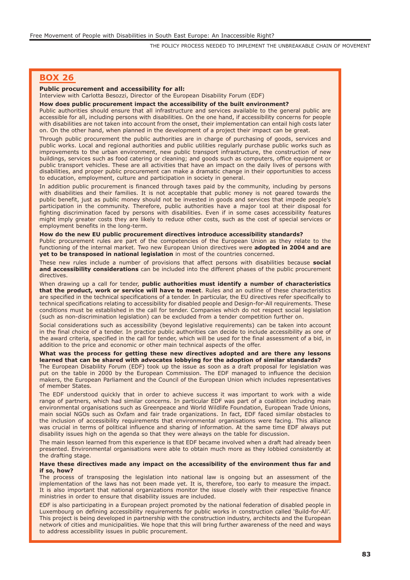# **BOX 26**

### **Public procurement and accessibility for all:**

Interview with Carlotta Besozzi, Director of the European Disability Forum (EDF)

### **How does public procurement impact the accessibility of the built environment?**

Public authorities should ensure that all infrastructure and services available to the general public are accessible for all, including persons with disabilities. On the one hand, if accessibility concerns for people with disabilities are not taken into account from the onset, their implementation can entail high costs later on. On the other hand, when planned in the development of a project their impact can be great.

Through public procurement the public authorities are in charge of purchasing of goods, services and public works. Local and regional authorities and public utilities regularly purchase public works such as improvements to the urban environment, new public transport infrastructure, the construction of new buildings, services such as food catering or cleaning; and goods such as computers, office equipment or public transport vehicles. These are all activities that have an impact on the daily lives of persons with disabilities, and proper public procurement can make a dramatic change in their opportunities to access to education, employment, culture and participation in society in general.

In addition public procurement is financed through taxes paid by the community, including by persons with disabilities and their families. It is not acceptable that public money is not geared towards the public benefit, just as public money should not be invested in goods and services that impede people's participation in the community. Therefore, public authorities have a major tool at their disposal for fighting discrimination faced by persons with disabilities. Even if in some cases accessibility features might imply greater costs they are likely to reduce other costs, such as the cost of special services or employment benefits in the long-term.

### **How do the new EU public procurement directives introduce accessibility standards?**

Public procurement rules are part of the competencies of the European Union as they relate to the functioning of the internal market. Two new European Union directives were **adopted in 2004 and are yet to be transposed in national legislation** in most of the countries concerned.

These new rules include a number of provisions that affect persons with disabilities because **social and accessibility considerations** can be included into the different phases of the public procurement directives.

When drawing up a call for tender, **public authorities must identify a number of characteristics that the product, work or service will have to meet**. Rules and an outline of these characteristics are specified in the technical specifications of a tender. In particular, the EU directives refer specifically to technical specifications relating to accessibility for disabled people and Design-for-All requirements. These conditions must be established in the call for tender. Companies which do not respect social legislation (such as non-discrimination legislation) can be excluded from a tender competition further on.

Social considerations such as accessibility (beyond legislative requirements) can be taken into account in the final choice of a tender. In practice public authorities can decide to include accessibility as one of the award criteria, specified in the call for tender, which will be used for the final assessment of a bid, in addition to the price and economic or other main technical aspects of the offer.

### **What was the process for getting these new directives adopted and are there any lessons learned that can be shared with advocates lobbying for the adoption of similar standards?**

The European Disability Forum (EDF) took up the issue as soon as a draft proposal for legislation was put on the table in 2000 by the European Commission. The EDF managed to influence the decision makers, the European Parliament and the Council of the European Union which includes representatives of member States.

The EDF understood quickly that in order to achieve success it was important to work with a wide range of partners, which had similar concerns. In particular EDF was part of a coalition including main environmental organisations such as Greenpeace and World Wildlife Foundation, European Trade Unions, main social NGOs such as Oxfam and fair trade organizations. In fact, EDF faced similar obstacles to the inclusion of accessibility requirements that environmental organisations were facing. This alliance was crucial in terms of political influence and sharing of information. At the same time EDF always put disability issues high on the agenda so that they were always on the table for discussion.

The main lesson learned from this experience is that EDF became involved when a draft had already been presented. Environmental organisations were able to obtain much more as they lobbied consistently at the drafting stage.

### **Have these directives made any impact on the accessibility of the environment thus far and if so, how?**

The process of transposing the legislation into national law is ongoing but an assessment of the implementation of the laws has not been made yet. It is, therefore, too early to measure the impact. It is also important that national organizations monitor the issue closely with their respective finance ministries in order to ensure that disability issues are included.

EDF is also participating in a European project promoted by the national federation of disabled people in Luxembourg on defining accessibility requirements for public works in construction called 'Build-for-All'. This project is being developed in partnership with the construction industry, architects and the European network of cities and municipalities. We hope that this will bring further awareness of the need and ways to address accessibility issues in public procurement.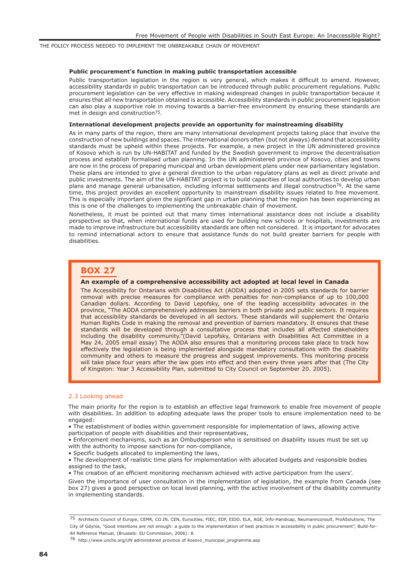### **Public procurement's function in making public transportation accessible**

Public transportation legislation in the region is very general, which makes it difficult to amend. However, accessibility standards in public transportation can be introduced through public procurement regulations. Public procurement legislation can be very effective in making widespread changes in public transportation because it ensures that all new transportation obtained is accessible. Accessibility standards in public procurement legislation can also play a supportive role in moving towards a barrier-free environment by ensuring these standards are met in design and construction<sup>75</sup>.

### **International development projects provide an opportunity for mainstreaming disability**

As in many parts of the region, there are many international development projects taking place that involve the construction of new buildings and spaces. The international donors often (but not always) demand that accessibility standards must be upheld within these projects. For example, a new project in the UN administered province of Kosovo which is run by UN-HABITAT and funded by the Swedish government to improve the decentralisation process and establish formalised urban planning. In the UN administered province of Kosovo, cities and towns are now in the process of preparing municipal and urban development plans under new parliamentary legislation. These plans are intended to give a general direction to the urban regulatory plans as well as direct private and public investments. The aim of the UN-HABITAT project is to build capacities of local authorities to develop urban plans and manage general urbanisation, including informal settlements and illegal construction76. At the same time, this project provides an excellent opportunity to mainstream disability issues related to free movement. This is especially important given the significant gap in urban planning that the region has been experiencing as this is one of the challenges to implementing the unbreakable chain of movement.

Nonetheless, it must be pointed out that many times international assistance does not include a disability perspective so that, when international funds are used for building new schools or hospitals, investments are made to improve infrastructure but accessibility standards are often not considered. It is important for advocates to remind international actors to ensure that assistance funds do not build greater barriers for people with disabilities.

# **BOX 27**

### **An example of a comprehensive accessibility act adopted at local level in Canada**

The Accessibility for Ontarians with Disabilities Act (AODA) adopted in 2005 sets standards for barrier removal with precise measures for compliance with penalties for non-compliance of up to 100,000 Canadian dollars. According to David Lepofsky, one of the leading accessibility advocates in the province, "The AODA comprehensively addresses barriers in both private and public sectors. It requires that accessibility standards be developed in all sectors. These standards will supplement the Ontario Human Rights Code in making the removal and prevention of barriers mandatory. It ensures that these standards will be developed through a consultative process that includes all affected stakeholders including the disability community."(David Lepofsky, Ontarians with Disabilities Act Committee in a May 24, 2005 email essay) The AODA also ensures that a monitoring process take place to track how effectively the legislation is being implemented alongside mandatory consultations with the disability community and others to measure the progress and suggest improvements. This monitoring process will take place four years after the law goes into effect and then every three years after that (The City of Kingston: Year 3 Accessibility Plan, submitted to City Council on September 20. 2005).

### 2.3 Looking ahead

The main priority for the region is to establish an effective legal framework to enable free movement of people with disabilities. In addition to adopting adequate laws the proper tools to ensure implementation need to be engaged:

• The establishment of bodies within government responsible for implementation of laws, allowing active participation of people with disabilities and their representatives,

• Enforcement mechanisms, such as an Ombudsperson who is sensitised on disability issues must be set up with the authority to impose sanctions for non-compliance,

• Specific budgets allocated to implementing the laws,

• The development of realistic time plans for implementation with allocated budgets and responsible bodies assigned to the task

• The creation of an efficient monitoring mechanism achieved with active participation from the users'.

Given the importance of user consultation in the implementation of legislation, the example from Canada (see box 27) gives a good perspective on local level planning, with the active involvement of the disability community in implementing standards.

<sup>75</sup> Architects Council of Europe, CEMR, CO.IN, CEN, Eurocities, FIEC, EDF, EIDD, ELA, AGE, Info-Handicap, Neumannconsult, ProASolutions, The City of Gdynia, "Good intentions are not enough: a guide to the implementation of best practices in accessibility in public procurement", Build-for-All Reference Manual, (Brussels: EU Commission, 2006): 8.

<sup>76</sup> http://www.unchs.org/UN administered province of Kosovo\_municipal\_programme.asp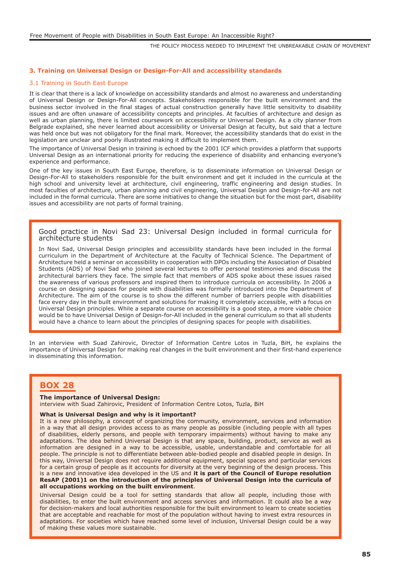### **3. Training on Universal Design or Design-For-All and accessibility standards**

### 3.1 Training in South East Europe

It is clear that there is a lack of knowledge on accessibility standards and almost no awareness and understanding of Universal Design or Design-For-All concepts. Stakeholders responsible for the built environment and the business sector involved in the final stages of actual construction generally have little sensitivity to disability issues and are often unaware of accessibility concepts and principles. At faculties of architecture and design as well as urban planning, there is limited coursework on accessibility or Universal Design. As a city planner from Belgrade explained, she never learned about accessibility or Universal Design at faculty, but said that a lecture was held once but was not obligatory for the final mark. Moreover, the accessibility standards that do exist in the legislation are unclear and poorly illustrated making it difficult to implement them.

The importance of Universal Design in training is echoed by the 2001 ICF which provides a platform that supports Universal Design as an international priority for reducing the experience of disability and enhancing everyone's experience and performance.

One of the key issues in South East Europe, therefore, is to disseminate information on Universal Design or Design-For-All to stakeholders responsible for the built environment and get it included in the curricula at the high school and university level at architecture, civil engineering, traffic engineering and design studies. In most faculties of architecture, urban planning and civil engineering, Universal Design and Design-for-All are not included in the formal curricula. There are some initiatives to change the situation but for the most part, disability issues and accessibility are not parts of formal training.

## Good practice in Novi Sad 23: Universal Design included in formal curricula for architecture students

In Novi Sad, Universal Design principles and accessibility standards have been included in the formal curriculum in the Department of Architecture at the Faculty of Technical Science. The Department of Architecture held a seminar on accessibility in cooperation with DPOs including the Association of Disabled Students (ADS) of Novi Sad who joined several lectures to offer personal testimonies and discuss the architectural barriers they face. The simple fact that members of ADS spoke about these issues raised the awareness of various professors and inspired them to introduce curricula on accessibility. In 2006 a course on designing spaces for people with disabilities was formally introduced into the Department of Architecture. The aim of the course is to show the different number of barriers people with disabilities face every day in the built environment and solutions for making it completely accessible, with a focus on Universal Design principles. While a separate course on accessibility is a good step, a more viable choice would be to have Universal Design of Design-for-All included in the general curriculum so that all students would have a chance to learn about the principles of designing spaces for people with disabilities.

In an interview with Suad Zahirovic, Director of Information Centre Lotos in Tuzla, BiH, he explains the importance of Universal Design for making real changes in the built environment and their first-hand experience in disseminating this information.

# **BOX 28**

### **The importance of Universal Design:**

interview with Suad Zahirovic, President of Information Centre Lotos, Tuzla, BiH

### **What is Universal Design and why is it important?**

It is a new philosophy, a concept of organizing the community, environment, services and information in a way that all design provides access to as many people as possible (including people with all types of disabilities, elderly persons, and people with temporary impairments) without having to make any adaptations. The idea behind Universal Design is that any space, building, product, service as well as information are designed in a way to be accessible, usable, understandable and comfortable for all people. The principle is not to differentiate between able-bodied people and disabled people in design. In this way, Universal Design does not require additional equipment, special spaces and particular services for a certain group of people as it accounts for diversity at the very beginning of the design process. This is a new and innovative idea developed in the US and **it is part of the Council of Europe resolution ResAP (2001)1 on the introduction of the principles of Universal Design into the curricula of all occupations working on the built environment**.

Universal Design could be a tool for setting standards that allow all people, including those with disabilities, to enter the built environment and access services and information. It could also be a way for decision-makers and local authorities responsible for the built environment to learn to create societies that are acceptable and reachable for most of the population without having to invest extra resources in adaptations. For societies which have reached some level of inclusion, Universal Design could be a way of making these values more sustainable.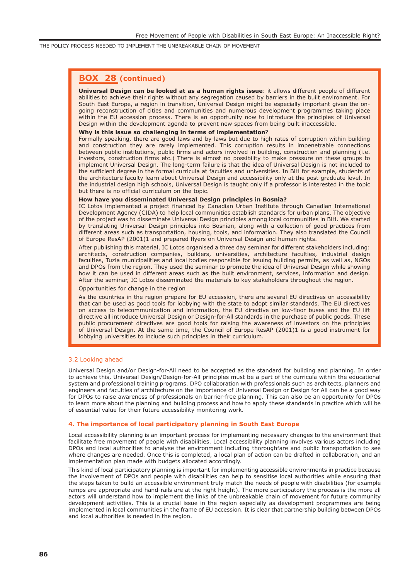# **BOX 28 (continued)**

**Universal Design can be looked at as a human rights issue**: it allows different people of different abilities to achieve their rights without any segregation caused by barriers in the built environment. For South East Europe, a region in transition, Universal Design might be especially important given the ongoing reconstruction of cities and communities and numerous development programmes taking place within the EU accession process. There is an opportunity now to introduce the principles of Universal Design within the development agenda to prevent new spaces from being built inaccessible.

### **Why is this issue so challenging in terms of implementation**?

Formally speaking, there are good laws and by-laws but due to high rates of corruption within building and construction they are rarely implemented. This corruption results in impenetrable connections between public institutions, public firms and actors involved in building, construction and planning (i.e. investors, construction firms etc.) There is almost no possibility to make pressure on these groups to implement Universal Design. The long-term failure is that the idea of Universal Design is not included to the sufficient degree in the formal curricula at faculties and universities. In BiH for example, students of the architecture faculty learn about Universal Design and accessibility only at the post-graduate level. In the industrial design high schools, Universal Design is taught only if a professor is interested in the topic but there is no official curriculum on the topic.

### **How have you disseminated Universal Design principles in Bosnia?**

IC Lotos implemented a project financed by Canadian Urban Institute through Canadian International Development Agency (CIDA) to help local communities establish standards for urban plans. The objective of the project was to disseminate Universal Design principles among local communities in BiH. We started by translating Universal Design principles into Bosnian, along with a collection of good practices from different areas such as transportation, housing, tools, and information. They also translated the Council of Europe ResAP (2001)1 and prepared flyers on Universal Design and human rights.

After publishing this material, IC Lotos organised a three day seminar for different stakeholders including: architects, construction companies, builders, universities, architecture faculties, industrial design faculties, Tuzla municipalities and local bodies responsible for issuing building permits, as well as, NGOs and DPOs from the region. They used the seminar to promote the idea of Universal Design while showing how it can be used in different areas such as the built environment, services, information and design. After the seminar, IC Lotos disseminated the materials to key stakeholders throughout the region.

### Opportunities for change in the region

As the countries in the region prepare for EU accession, there are several EU directives on accessibility that can be used as good tools for lobbying with the state to adopt similar standards. The EU directives on access to telecommunication and information, the EU directive on low-floor buses and the EU lift directive all introduce Universal Design or Design-for-All standards in the purchase of public goods. These public procurement directives are good tools for raising the awareness of investors on the principles of Universal Design. At the same time, the Council of Europe ResAP (2001)1 is a good instrument for lobbying universities to include such principles in their curriculum.

### 3.2 Looking ahead

Universal Design and/or Design-for-All need to be accepted as the standard for building and planning. In order to achieve this, Universal Design/Design-for-All principles must be a part of the curricula within the educational system and professional training programs. DPO collaboration with professionals such as architects, planners and engineers and faculties of architecture on the importance of Universal Design or Design for All can be a good way for DPOs to raise awareness of professionals on barrier-free planning. This can also be an opportunity for DPOs to learn more about the planning and building process and how to apply these standards in practice which will be of essential value for their future accessibility monitoring work.

### **4. The importance of local participatory planning in South East Europe**

Local accessibility planning is an important process for implementing necessary changes to the environment that facilitate free movement of people with disabilities. Local accessibility planning involves various actors including DPOs and local authorities to analyse the environment including thoroughfare and public transportation to see where changes are needed. Once this is completed, a local plan of action can be drafted in collaboration, and an implementation plan made with budgets allocated accordingly.

This kind of local participatory planning is important for implementing accessible environments in practice because the involvement of DPOs and people with disabilities can help to sensitise local authorities while ensuring that the steps taken to build an accessible environment truly match the needs of people with disabilities (for example ramps are appropriate and hand-rails are at the right height). The more participatory the process is the more all actors will understand how to implement the links of the unbreakable chain of movement for future community development activities. This is a crucial issue in the region especially as development programmes are being implemented in local communities in the frame of EU accession. It is clear that partnership building between DPOs and local authorities is needed in the region.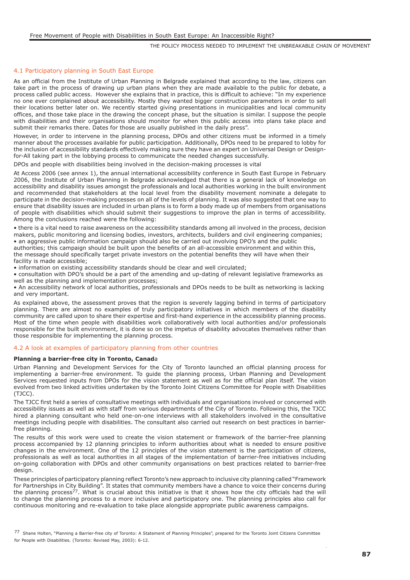### 4.1 Participatory planning in South East Europe

As an official from the Institute of Urban Planning in Belgrade explained that according to the law, citizens can take part in the process of drawing up urban plans when they are made available to the public for debate, a process called public access. However she explains that in practice, this is difficult to achieve: "In my experience no one ever complained about accessibility. Mostly they wanted bigger construction parameters in order to sell their locations better later on. We recently started giving presentations in municipalities and local community offices, and those take place in the drawing the concept phase, but the situation is similar. I suppose the people with disabilities and their organisations should monitor for when this public access into plans take place and submit their remarks there. Dates for those are usually published in the daily press".

However, in order to intervene in the planning process, DPOs and other citizens must be informed in a timely manner about the processes available for public participation. Additionally, DPOs need to be prepared to lobby for the inclusion of accessibility standards effectively making sure they have an expert on Universal Design or Designfor-All taking part in the lobbying process to communicate the needed changes successfully.

DPOs and people with disabilities being involved in the decision-making processes is vital

At Access 2006 (see annex 1), the annual international accessibility conference in South East Europe in February 2006, the Institute of Urban Planning in Belgrade acknowledged that there is a general lack of knowledge on accessibility and disability issues amongst the professionals and local authorities working in the built environment and recommended that stakeholders at the local level from the disability movement nominate a delegate to participate in the decision-making processes on all of the levels of planning. It was also suggested that one way to ensure that disability issues are included in urban plans is to form a body made up of members from organisations of people with disabilities which should submit their suggestions to improve the plan in terms of accessibility. Among the conclusions reached were the following:

• there is a vital need to raise awareness on the accessibility standards among all involved in the process, decision makers, public monitoring and licensing bodies, investors, architects, builders and civil engineering companies; • an aggressive public information campaign should also be carried out involving DPO's and the public

authorities; this campaign should be built upon the benefits of an all-accessible environment and within this, the message should specifically target private investors on the potential benefits they will have when their facility is made accessible;

• information on existing accessibility standards should be clear and well circulated;

• consultation with DPO's should be a part of the amending and up-dating of relevant legislative frameworks as well as the planning and implementation processes;

• An accessibility network of local authorities, professionals and DPOs needs to be built as networking is lacking and very important.

As explained above, the assessment proves that the region is severely lagging behind in terms of participatory planning. There are almost no examples of truly participatory initiatives in which members of the disability community are called upon to share their expertise and first-hand experience in the accessibility planning process. Most of the time when people with disabilities work collaboratively with local authorities and/or professionals responsible for the built environment, it is done so on the impetus of disability advocates themselves rather than those responsible for implementing the planning process.

### 4.2 A look at examples of participatory planning from other countries

### **Planning a barrier-free city in Toronto, Canad**a

Urban Planning and Development Services for the City of Toronto launched an official planning process for implementing a barrier-free environment. To guide the planning process, Urban Planning and Development Services requested inputs from DPOs for the vision statement as well as for the official plan itself. The vision evolved from two linked activities undertaken by the Toronto Joint Citizens Committee for People with Disabilities (TJCC).

The TJCC first held a series of consultative meetings with individuals and organisations involved or concerned with accessibility issues as well as with staff from various departments of the City of Toronto. Following this, the TJCC hired a planning consultant who held one-on-one interviews with all stakeholders involved in the consultative meetings including people with disabilities. The consultant also carried out research on best practices in barrierfree planning.

The results of this work were used to create the vision statement or framework of the barrier-free planning process accompanied by 12 planning principles to inform authorities about what is needed to ensure positive changes in the environment. One of the 12 principles of the vision statement is the participation of citizens, professionals as well as local authorities in all stages of the implementation of barrier-free initiatives including on-going collaboration with DPOs and other community organisations on best practices related to barrier-free design.

These principles of participatory planning reflect Toronto's new approach to inclusive city planning called "Framework for Partnerships in City Building". It states that community members have a chance to voice their concerns during the planning process<sup>77</sup>. What is crucial about this initiative is that it shows how the city officials had the will to change the planning process to a more inclusive and participatory one. The planning principles also call for continuous monitoring and re-evaluation to take place alongside appropriate public awareness campaigns.

<sup>77</sup> Shane Holten, "Planning a Barrier-free city of Toronto: A Statement of Planning Principles", prepared for the Toronto Joint Citizens Committee for People with Disabilities. (Toronto: Revised May, 2003): 6-12.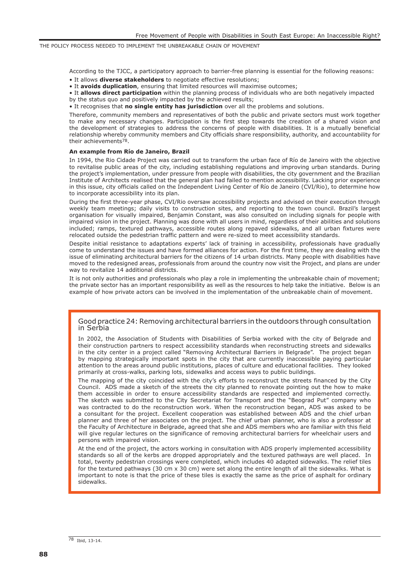According to the TJCC, a participatory approach to barrier-free planning is essential for the following reasons:

- It allows **diverse stakeholders** to negotiate effective resolutions;
- It **avoids duplication**, ensuring that limited resources will maximise outcomes;
- It **allows direct participation** within the planning process of individuals who are both negatively impacted
- by the status quo and positively impacted by the achieved results;

• It recognises that **no single entity has jurisdiction** over all the problems and solutions.

Therefore, community members and representatives of both the public and private sectors must work together to make any necessary changes. Participation is the first step towards the creation of a shared vision and the development of strategies to address the concerns of people with disabilities. It is a mutually beneficial relationship whereby community members and City officials share responsibility, authority, and accountability for their achievements78.

### **An example from Río de Janeiro, Brazil**

In 1994, the Rio Cidade Project was carried out to transform the urban face of Río de Janeiro with the objective to revitalise public areas of the city, including establishing regulations and improving urban standards. During the project's implementation, under pressure from people with disabilities, the city government and the Brazilian Institute of Architects realised that the general plan had failed to mention accessibility. Lacking prior experience in this issue, city officials called on the Independent Living Center of Río de Janeiro (CVI/Rio), to determine how to incorporate accessibility into its plan.

During the first three-year phase, CVI/Rio oversaw accessibility projects and advised on their execution through weekly team meetings; daily visits to construction sites, and reporting to the town council. Brazil's largest organisation for visually impaired, Benjamin Constant, was also consulted on including signals for people with impaired vision in the project. Planning was done with all users in mind, regardless of their abilities and solutions included; ramps, textured pathways, accessible routes along repaved sidewalks, and all urban fixtures were relocated outside the pedestrian traffic pattern and were re-sized to meet accessibility standards.

Despite initial resistance to adaptations experts' lack of training in accessibility, professionals have gradually come to understand the issues and have formed alliances for action. For the first time, they are dealing with the issue of eliminating architectural barriers for the citizens of 14 urban districts. Many people with disabilities have moved to the redesigned areas, professionals from around the country now visit the Project, and plans are under way to revitalize 14 additional districts.

It is not only authorities and professionals who play a role in implementing the unbreakable chain of movement; the private sector has an important responsibility as well as the resources to help take the initiative. Below is an example of how private actors can be involved in the implementation of the unbreakable chain of movement.

# Good practice 24: Removing architectural barriers in the outdoors through consultation in Serbia

In 2002, the Association of Students with Disabilities of Serbia worked with the city of Belgrade and their construction partners to respect accessibility standards when reconstructing streets and sidewalks in the city center in a project called "Removing Architectural Barriers in Belgrade". The project began by mapping strategically important spots in the city that are currently inaccessible paying particular attention to the areas around public institutions, places of culture and educational facilities. They looked primarily at cross-walks, parking lots, sidewalks and access ways to public buildings.

The mapping of the city coincided with the city's efforts to reconstruct the streets financed by the City Council. ADS made a sketch of the streets the city planned to renovate pointing out the how to make them accessible in order to ensure accessibility standards are respected and implemented correctly. The sketch was submitted to the City Secretariat for Transport and the "Beograd Put" company who was contracted to do the reconstruction work. When the reconstruction began, ADS was asked to be a consultant for the project. Excellent cooperation was established between ADS and the chief urban planner and three of her associates on the project. The chief urban planner, who is also a professor at the Faculty of Architecture in Belgrade, agreed that she and ADS members who are familiar with this field will give regular lectures on the significance of removing architectural barriers for wheelchair users and persons with impaired vision.

At the end of the project, the actors working in consultation with ADS properly implemented accessibility standards so all of the kerbs are dropped appropriately and the textured pathways are well placed. In total, twenty pedestrian crossings were completed, which includes 40 adapted sidewalks. The relief tiles for the textured pathways (30 cm x 30 cm) were set along the entire length of all the sidewalks. What is important to note is that the price of these tiles is exactly the same as the price of asphalt for ordinary sidewalks.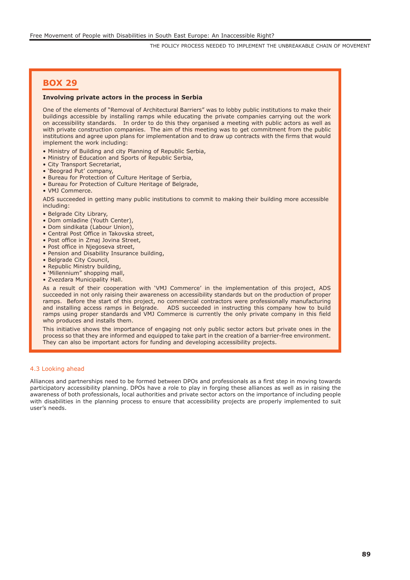# **BOX 29**

### **Involving private actors in the process in Serbia**

One of the elements of "Removal of Architectural Barriers" was to lobby public institutions to make their buildings accessible by installing ramps while educating the private companies carrying out the work on accessibility standards. In order to do this they organised a meeting with public actors as well as with private construction companies. The aim of this meeting was to get commitment from the public institutions and agree upon plans for implementation and to draw up contracts with the firms that would implement the work including:

- Ministry of Building and city Planning of Republic Serbia,
- Ministry of Education and Sports of Republic Serbia,
- City Transport Secretariat,
- 'Beograd Put' company,
- Bureau for Protection of Culture Heritage of Serbia,
- Bureau for Protection of Culture Heritage of Belgrade,
- VMJ Commerce.

ADS succeeded in getting many public institutions to commit to making their building more accessible including:

- Belgrade City Library,
- Dom omladine (Youth Center),
- Dom sindikata (Labour Union),
- Central Post Office in Takovska street,
- Post office in Zmaj Jovina Street,
- Post office in Njegoseva street,
- Pension and Disability Insurance building,
- Belgrade City Council,
- Republic Ministry building,
- 'Millennium" shopping mall,
- Zvezdara Municipality Hall.

As a result of their cooperation with 'VMJ Commerce' in the implementation of this project, ADS succeeded in not only raising their awareness on accessibility standards but on the production of proper ramps. Before the start of this project, no commercial contractors were professionally manufacturing and installing access ramps in Belgrade. ADS succeeded in instructing this company how to build ramps using proper standards and VMJ Commerce is currently the only private company in this field who produces and installs them.

This initiative shows the importance of engaging not only public sector actors but private ones in the process so that they are informed and equipped to take part in the creation of a barrier-free environment. They can also be important actors for funding and developing accessibility projects.

### 4.3 Looking ahead

Alliances and partnerships need to be formed between DPOs and professionals as a first step in moving towards participatory accessibility planning. DPOs have a role to play in forging these alliances as well as in raising the awareness of both professionals, local authorities and private sector actors on the importance of including people with disabilities in the planning process to ensure that accessibility projects are properly implemented to suit user's needs.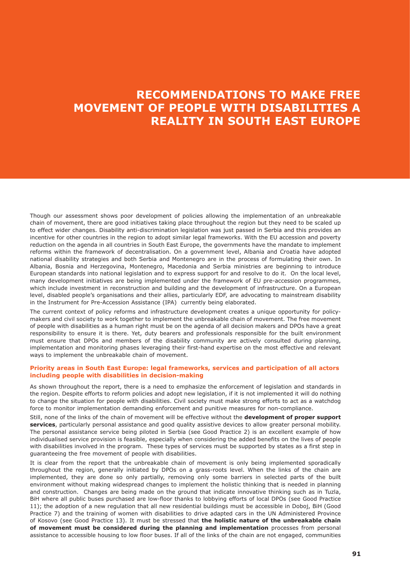# **RECOMMENDATIONS TO MAKE FREE MOVEMENT OF PEOPLE WITH DISABILITIES A REALITY IN SOUTH EAST EUROPE**

Though our assessment shows poor development of policies allowing the implementation of an unbreakable chain of movement, there are good initiatives taking place throughout the region but they need to be scaled up to effect wider changes. Disability anti-discrimination legislation was just passed in Serbia and this provides an incentive for other countries in the region to adopt similar legal frameworks. With the EU accession and poverty reduction on the agenda in all countries in South East Europe, the governments have the mandate to implement reforms within the framework of decentralisation. On a government level, Albania and Croatia have adopted national disability strategies and both Serbia and Montenegro are in the process of formulating their own. In Albania, Bosnia and Herzegovina, Montenegro, Macedonia and Serbia ministries are beginning to introduce European standards into national legislation and to express support for and resolve to do it. On the local level, many development initiatives are being implemented under the framework of EU pre-accession programmes, which include investment in reconstruction and building and the development of infrastructure. On a European level, disabled people's organisations and their allies, particularly EDF, are advocating to mainstream disability in the Instrument for Pre-Accession Assistance (IPA) currently being elaborated.

The current context of policy reforms and infrastructure development creates a unique opportunity for policymakers and civil society to work together to implement the unbreakable chain of movement. The free movement of people with disabilities as a human right must be on the agenda of all decision makers and DPOs have a great responsibility to ensure it is there. Yet, duty bearers and professionals responsible for the built environment must ensure that DPOs and members of the disability community are actively consulted during planning, implementation and monitoring phases leveraging their first-hand expertise on the most effective and relevant ways to implement the unbreakable chain of movement.

### **Priority areas in South East Europe: legal frameworks, services and participation of all actors including people with disabilities in decision-making**

As shown throughout the report, there is a need to emphasize the enforcement of legislation and standards in the region. Despite efforts to reform policies and adopt new legislation, if it is not implemented it will do nothing to change the situation for people with disabilities. Civil society must make strong efforts to act as a watchdog force to monitor implementation demanding enforcement and punitive measures for non-compliance.

Still, none of the links of the chain of movement will be effective without the **development of proper support services**, particularly personal assistance and good quality assistive devices to allow greater personal mobility. The personal assistance service being piloted in Serbia (see Good Practice 2) is an excellent example of how individualised service provision is feasible, especially when considering the added benefits on the lives of people with disabilities involved in the program. These types of services must be supported by states as a first step in guaranteeing the free movement of people with disabilities.

It is clear from the report that the unbreakable chain of movement is only being implemented sporadically throughout the region, generally initiated by DPOs on a grass-roots level. When the links of the chain are implemented, they are done so only partially, removing only some barriers in selected parts of the built environment without making widespread changes to implement the holistic thinking that is needed in planning and construction. Changes are being made on the ground that indicate innovative thinking such as in Tuzla, BiH where all public buses purchased are low-floor thanks to lobbying efforts of local DPOs (see Good Practice 11); the adoption of a new regulation that all new residential buildings must be accessible in Doboj, BiH (Good Practice 7) and the training of women with disabilities to drive adapted cars in the UN Administered Province of Kosovo (see Good Practice 13). It must be stressed that **the holistic nature of the unbreakable chain of movement must be considered during the planning and implementation** processes from personal assistance to accessible housing to low floor buses. If all of the links of the chain are not engaged, communities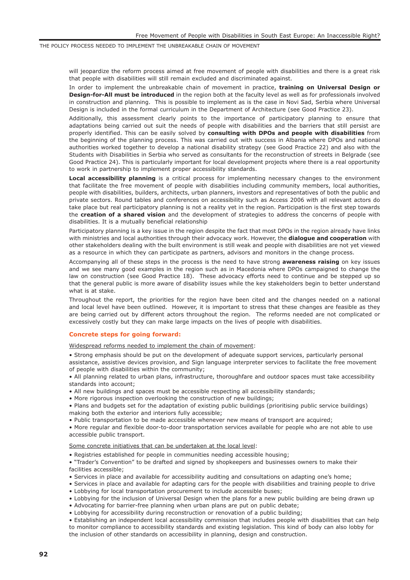will jeopardize the reform process aimed at free movement of people with disabilities and there is a great risk that people with disabilities will still remain excluded and discriminated against.

In order to implement the unbreakable chain of movement in practice, **training on Universal Design or Design-for-All must be introduced** in the region both at the faculty level as well as for professionals involved in construction and planning. This is possible to implement as is the case in Novi Sad, Serbia where Universal Design is included in the formal curriculum in the Department of Architecture (see Good Practice 23).

Additionally, this assessment clearly points to the importance of participatory planning to ensure that adaptations being carried out suit the needs of people with disabilities and the barriers that still persist are properly identified. This can be easily solved by **consulting with DPOs and people with disabilities** from the beginning of the planning process. This was carried out with success in Albania where DPOs and national authorities worked together to develop a national disability strategy (see Good Practice 22) and also with the Students with Disabilities in Serbia who served as consultants for the reconstruction of streets in Belgrade (see Good Practice 24). This is particularly important for local development projects where there is a real opportunity to work in partnership to implement proper accessibility standards.

**Local accessibility planning** is a critical process for implementing necessary changes to the environment that facilitate the free movement of people with disabilities including community members, local authorities, people with disabilities, builders, architects, urban planners, investors and representatives of both the public and private sectors. Round tables and conferences on accessibility such as Access 2006 with all relevant actors do take place but real participatory planning is not a reality yet in the region. Participation is the first step towards the **creation of a shared vision** and the development of strategies to address the concerns of people with disabilities. It is a mutually beneficial relationship

Participatory planning is a key issue in the region despite the fact that most DPOs in the region already have links with ministries and local authorities through their advocacy work. However, the **dialogue and cooperation** with other stakeholders dealing with the built environment is still weak and people with disabilities are not yet viewed as a resource in which they can participate as partners, advisors and monitors in the change process.

Accompanying all of these steps in the process is the need to have strong **awareness raising** on key issues and we see many good examples in the region such as in Macedonia where DPOs campaigned to change the law on construction (see Good Practice 18). These advocacy efforts need to continue and be stepped up so that the general public is more aware of disability issues while the key stakeholders begin to better understand what is at stake.

Throughout the report, the priorities for the region have been cited and the changes needed on a national and local level have been outlined. However, it is important to stress that these changes are feasible as they are being carried out by different actors throughout the region. The reforms needed are not complicated or excessively costly but they can make large impacts on the lives of people with disabilities.

# **Concrete steps for going forward:**

Widespread reforms needed to implement the chain of movement:

• Strong emphasis should be put on the development of adequate support services, particularly personal assistance, assistive devices provision, and Sign language interpreter services to facilitate the free movement of people with disabilities within the community;

• All planning related to urban plans, infrastructure, thoroughfare and outdoor spaces must take accessibility standards into account;

- All new buildings and spaces must be accessible respecting all accessibility standards;
- More rigorous inspection overlooking the construction of new buildings;

• Plans and budgets set for the adaptation of existing public buildings (prioritising public service buildings) making both the exterior and interiors fully accessible;

• Public transportation to be made accessible whenever new means of transport are acquired;

• More regular and flexible door-to-door transportation services available for people who are not able to use accessible public transport.

Some concrete initiatives that can be undertaken at the local level:

• Registries established for people in communities needing accessible housing;

• "Trader's Convention" to be drafted and signed by shopkeepers and businesses owners to make their facilities accessible;

- Services in place and available for accessibility auditing and consultations on adapting one's home;
- Services in place and available for adapting cars for the people with disabilities and training people to drive
- Lobbying for local transportation procurement to include accessible buses;
- Lobbying for the inclusion of Universal Design when the plans for a new public building are being drawn up
- Advocating for barrier-free planning when urban plans are put on public debate;
- Lobbying for accessibility during reconstruction or renovation of a public building;

• Establishing an independent local accessibility commission that includes people with disabilities that can help to monitor compliance to accessibility standards and existing legislation. This kind of body can also lobby for the inclusion of other standards on accessibility in planning, design and construction.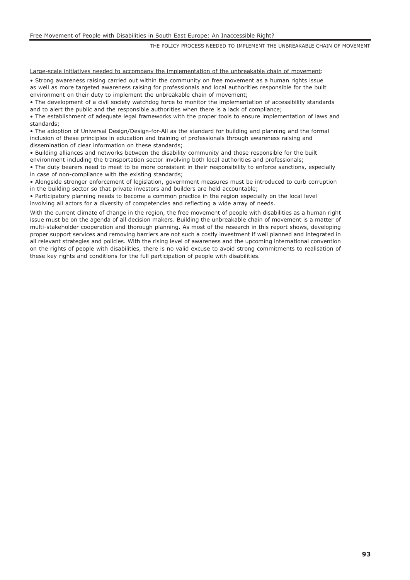### Free Movement of People with Disabilities in South East Europe: An Inaccessible Right?

### THE POLICY PROCESS NEEDED TO IMPLEMENT THE UNBREAKABLE CHAIN OF MOVEMENT

Large-scale initiatives needed to accompany the implementation of the unbreakable chain of movement:

• Strong awareness raising carried out within the community on free movement as a human rights issue as well as more targeted awareness raising for professionals and local authorities responsible for the built environment on their duty to implement the unbreakable chain of movement;

• The development of a civil society watchdog force to monitor the implementation of accessibility standards and to alert the public and the responsible authorities when there is a lack of compliance;

• The establishment of adequate legal frameworks with the proper tools to ensure implementation of laws and standards;

• The adoption of Universal Design/Design-for-All as the standard for building and planning and the formal inclusion of these principles in education and training of professionals through awareness raising and dissemination of clear information on these standards;

• Building alliances and networks between the disability community and those responsible for the built environment including the transportation sector involving both local authorities and professionals;

• The duty bearers need to meet to be more consistent in their responsibility to enforce sanctions, especially in case of non-compliance with the existing standards;

• Alongside stronger enforcement of legislation, government measures must be introduced to curb corruption in the building sector so that private investors and builders are held accountable;

• Participatory planning needs to become a common practice in the region especially on the local level involving all actors for a diversity of competencies and reflecting a wide array of needs.

With the current climate of change in the region, the free movement of people with disabilities as a human right issue must be on the agenda of all decision makers. Building the unbreakable chain of movement is a matter of multi-stakeholder cooperation and thorough planning. As most of the research in this report shows, developing proper support services and removing barriers are not such a costly investment if well planned and integrated in all relevant strategies and policies. With the rising level of awareness and the upcoming international convention on the rights of people with disabilities, there is no valid excuse to avoid strong commitments to realisation of these key rights and conditions for the full participation of people with disabilities.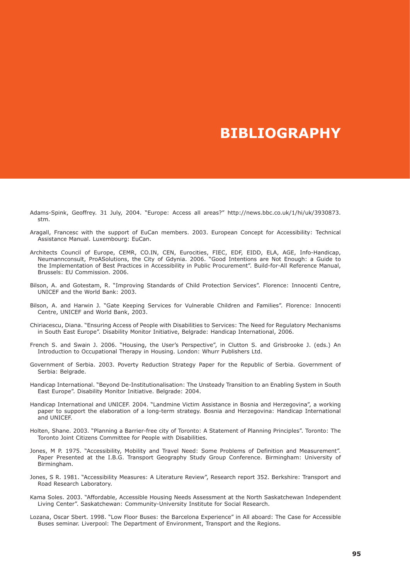# **BIBLIOGRAPHY**

- Adams-Spink, Geoffrey. 31 July, 2004. "Europe: Access all areas?" http://news.bbc.co.uk/1/hi/uk/3930873. stm.
- Aragall, Francesc with the support of EuCan members. 2003. European Concept for Accessibility: Technical Assistance Manual. Luxembourg: EuCan.
- Architects Council of Europe, CEMR, CO.IN, CEN, Eurocities, FIEC, EDF, EIDD, ELA, AGE, Info-Handicap, Neumannconsult, ProASolutions, the City of Gdynia. 2006. "Good Intentions are Not Enough: a Guide to the Implementation of Best Practices in Accessibility in Public Procurement". Build-for-All Reference Manual, Brussels: EU Commission. 2006.
- Bilson, A. and Gotestam, R. "Improving Standards of Child Protection Services". Florence: Innocenti Centre, UNICEF and the World Bank: 2003.
- Bilson, A. and Harwin J. "Gate Keeping Services for Vulnerable Children and Families". Florence: Innocenti Centre, UNICEF and World Bank, 2003.
- Chiriacescu, Diana. "Ensuring Access of People with Disabilities to Services: The Need for Regulatory Mechanisms in South East Europe". Disability Monitor Initiative, Belgrade: Handicap International, 2006.
- French S. and Swain J. 2006. "Housing, the User's Perspective", in Clutton S. and Grisbrooke J. (eds.) An Introduction to Occupational Therapy in Housing. London: Whurr Publishers Ltd.
- Government of Serbia. 2003. Poverty Reduction Strategy Paper for the Republic of Serbia. Government of Serbia: Belgrade.
- Handicap International. "Beyond De-Institutionalisation: The Unsteady Transition to an Enabling System in South East Europe". Disability Monitor Initiative. Belgrade: 2004.
- Handicap International and UNICEF. 2004. "Landmine Victim Assistance in Bosnia and Herzegovina", a working paper to support the elaboration of a long-term strategy. Bosnia and Herzegovina: Handicap International and UNICEF.
- Holten, Shane. 2003. "Planning a Barrier-free city of Toronto: A Statement of Planning Principles". Toronto: The Toronto Joint Citizens Committee for People with Disabilities.
- Jones, M P. 1975. "Accessibility, Mobility and Travel Need: Some Problems of Definition and Measurement". Paper Presented at the I.B.G. Transport Geography Study Group Conference. Birmingham: University of Birmingham.
- Jones, S R. 1981. "Accessibility Measures: A Literature Review", Research report 352. Berkshire: Transport and Road Research Laboratory.
- Kama Soles. 2003. "Affordable, Accessible Housing Needs Assessment at the North Saskatchewan Independent Living Center". Saskatchewan: Community-University Institute for Social Research.
- Lozana, Oscar Sbert. 1998. "Low Floor Buses: the Barcelona Experience" in All aboard: The Case for Accessible Buses seminar. Liverpool: The Department of Environment, Transport and the Regions.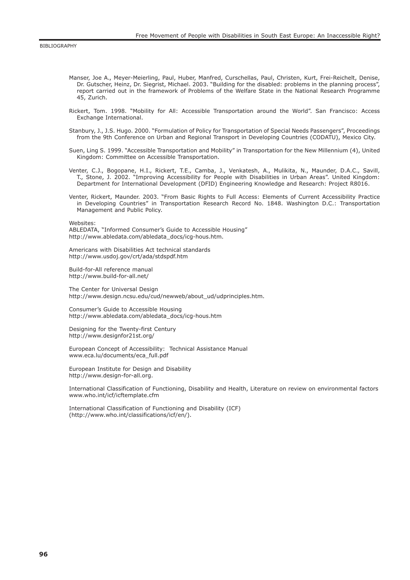- Manser, Joe A., Meyer-Meierling, Paul, Huber, Manfred, Curschellas, Paul, Christen, Kurt, Frei-Reichelt, Denise, Dr. Gutscher, Heinz, Dr. Siegrist, Michael. 2003. "Building for the disabled: problems in the planning process", report carried out in the framework of Problems of the Welfare State in the National Research Programme 45, Zurich.
- Rickert, Tom. 1998. "Mobility for All: Accessible Transportation around the World". San Francisco: Access Exchange International.
- Stanbury, J., J.S. Hugo. 2000. "Formulation of Policy for Transportation of Special Needs Passengers", Proceedings from the 9th Conference on Urban and Regional Transport in Developing Countries (CODATU), Mexico City.
- Suen, Ling S. 1999. "Accessible Transportation and Mobility" in Transportation for the New Millennium (4), United Kingdom: Committee on Accessible Transportation.
- Venter, C.J., Bogopane, H.I., Rickert, T.E., Camba, J., Venkatesh, A., Mulikita, N., Maunder, D.A.C., Savill, T., Stone, J. 2002. "Improving Accessibility for People with Disabilities in Urban Areas". United Kingdom: Department for International Development (DFID) Engineering Knowledge and Research: Project R8016.
- Venter, Rickert, Maunder. 2003. "From Basic Rights to Full Access: Elements of Current Accessibility Practice in Developing Countries" in Transportation Research Record No. 1848. Washington D.C.: Transportation Management and Public Policy.

Websites:

ABLEDATA, "Informed Consumer's Guide to Accessible Housing" http://www.abledata.com/abledata\_docs/icg-hous.htm.

Americans with Disabilities Act technical standards http://www.usdoj.gov/crt/ada/stdspdf.htm

Build-for-All reference manual http://www.build-for-all.net/

The Center for Universal Design http://www.design.ncsu.edu/cud/newweb/about\_ud/udprinciples.htm.

Consumer's Guide to Accessible Housing http://www.abledata.com/abledata\_docs/icg-hous.htm

Designing for the Twenty-first Century http://www.designfor21st.org/

European Concept of Accessibility: Technical Assistance Manual www.eca.lu/documents/eca\_full.pdf

European Institute for Design and Disability http://www.design-for-all.org.

International Classification of Functioning, Disability and Health, Literature on review on environmental factors www.who.int/icf/icftemplate.cfm

International Classification of Functioning and Disability (ICF) (http://www.who.int/classifications/icf/en/).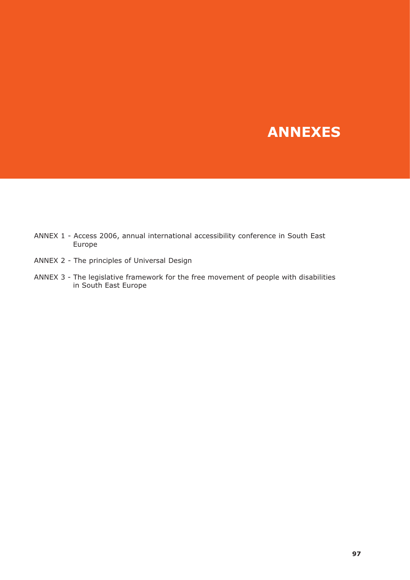# **ANNEXES**

- ANNEX 1 Access 2006, annual international accessibility conference in South East Europe
- ANNEX 2 The principles of Universal Design
- ANNEX 3 The legislative framework for the free movement of people with disabilities in South East Europe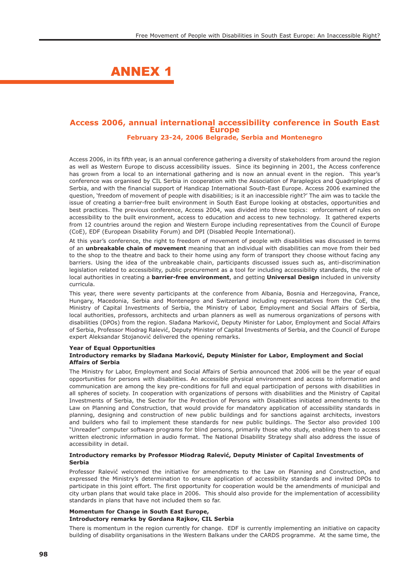# **Access 2006, annual international accessibility conference in South East Europe February 23-24, 2006 Belgrade, Serbia and Montenegro**

Access 2006, in its fifth year, is an annual conference gathering a diversity of stakeholders from around the region as well as Western Europe to discuss accessibility issues. Since its beginning in 2001, the Access conference has grown from a local to an international gathering and is now an annual event in the region. This year's conference was organised by CIL Serbia in cooperation with the Association of Paraplegics and Quadriplegics of Serbia, and with the financial support of Handicap International South-East Europe. Access 2006 examined the question, 'freedom of movement of people with disabilities; is it an inaccessible right?' The aim was to tackle the issue of creating a barrier-free built environment in South East Europe looking at obstacles, opportunities and best practices. The previous conference, Access 2004, was divided into three topics: enforcement of rules on accessibility to the built environment, access to education and access to new technology. It gathered experts from 12 countries around the region and Western Europe including representatives from the Council of Europe (CoE), EDF (European Disability Forum) and DPI (Disabled People International).

At this year's conference, the right to freedom of movement of people with disabilities was discussed in terms of an **unbreakable chain of movement** meaning that an individual with disabilities can move from their bed to the shop to the theatre and back to their home using any form of transport they choose without facing any barriers. Using the idea of the unbreakable chain, participants discussed issues such as, anti-discrimination legislation related to accessibility, public procurement as a tool for including accessibility standards, the role of local authorities in creating a **barrier-free environment**, and getting **Universal Design** included in university curricula.

This year, there were seventy participants at the conference from Albania, Bosnia and Herzegovina, France, Hungary, Macedonia, Serbia and Montenegro and Switzerland including representatives from the CoE, the Ministry of Capital Investments of Serbia, the Ministry of Labor, Employment and Social Affairs of Serbia, local authorities, professors, architects and urban planners as well as numerous organizations of persons with disabilities (DPOs) from the region. Slađana Marković, Deputy Minister for Labor, Employment and Social Affairs of Serbia, Professor Miodrag Ralević, Deputy Minister of Capital Investments of Serbia, and the Council of Europe expert Aleksandar Stojanović delivered the opening remarks.

### **Year of Equal Opportunities**

### **Introductory remarks by Slađana Marković, Deputy Minister for Labor, Employment and Social Affairs of Serbia**

The Ministry for Labor, Employment and Social Affairs of Serbia announced that 2006 will be the year of equal opportunities for persons with disabilities. An accessible physical environment and access to information and communication are among the key pre-conditions for full and equal participation of persons with disabilities in all spheres of society. In cooperation with organizations of persons with disabilities and the Ministry of Capital Investments of Serbia, the Sector for the Protection of Persons with Disabilities initiated amendments to the Law on Planning and Construction, that would provide for mandatory application of accessibility standards in planning, designing and construction of new public buildings and for sanctions against architects, investors and builders who fail to implement these standards for new public buildings. The Sector also provided 100 "Unreader" computer software programs for blind persons, primarily those who study, enabling them to access written electronic information in audio format. The National Disability Strategy shall also address the issue of accessibility in detail.

### **Introductory remarks by Professor Miodrag Ralević, Deputy Minister of Capital Investments of Serbia**

Professor Ralević welcomed the initiative for amendments to the Law on Planning and Construction, and expressed the Ministry's determination to ensure application of accessibility standards and invited DPOs to participate in this joint effort. The first opportunity for cooperation would be the amendments of municipal and city urban plans that would take place in 2006. This should also provide for the implementation of accessibility standards in plans that have not included them so far.

### **Momentum for Change in South East Europe, Introductory remarks by Gordana Rajkov, CIL Serbia**

There is momentum in the region currently for change. EDF is currently implementing an initiative on capacity building of disability organisations in the Western Balkans under the CARDS programme. At the same time, the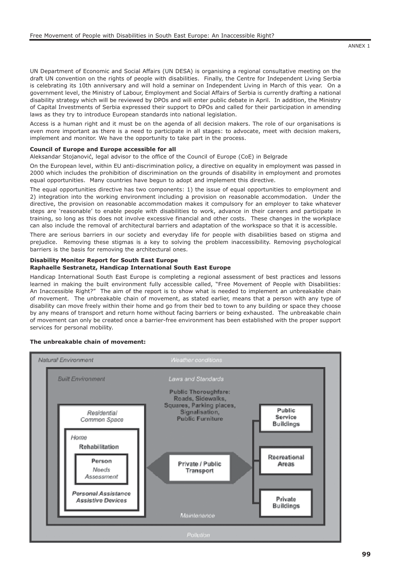UN Department of Economic and Social Affairs (UN DESA) is organising a regional consultative meeting on the draft UN convention on the rights of people with disabilities. Finally, the Centre for Independent Living Serbia is celebrating its 10th anniversary and will hold a seminar on Independent Living in March of this year. On a government level, the Ministry of Labour, Employment and Social Affairs of Serbia is currently drafting a national disability strategy which will be reviewed by DPOs and will enter public debate in April. In addition, the Ministry of Capital Investments of Serbia expressed their support to DPOs and called for their participation in amending laws as they try to introduce European standards into national legislation.

Access is a human right and it must be on the agenda of all decision makers. The role of our organisations is even more important as there is a need to participate in all stages: to advocate, meet with decision makers, implement and monitor. We have the opportunity to take part in the process.

### **Council of Europe and Europe accessible for all**

Aleksandar Stojanović, legal advisor to the office of the Council of Europe (CoE) in Belgrade

On the European level, within EU anti-discrimination policy, a directive on equality in employment was passed in 2000 which includes the prohibition of discrimination on the grounds of disability in employment and promotes equal opportunities. Many countries have begun to adopt and implement this directive.

The equal opportunities directive has two components: 1) the issue of equal opportunities to employment and 2) integration into the working environment including a provision on reasonable accommodation. Under the directive, the provision on reasonable accommodation makes it compulsory for an employer to take whatever steps are 'reasonable' to enable people with disabilities to work, advance in their careers and participate in training, so long as this does not involve excessive financial and other costs. These changes in the workplace can also include the removal of architectural barriers and adaptation of the workspace so that it is accessible.

There are serious barriers in our society and everyday life for people with disabilities based on stigma and prejudice. Removing these stigmas is a key to solving the problem inaccessibility. Removing psychological barriers is the basis for removing the architectural ones.

### **Disability Monitor Report for South East Europe**

## **Raphaelle Sestranetz, Handicap International South East Europe**

Handicap International South East Europe is completing a regional assessment of best practices and lessons learned in making the built environment fully accessible called, "Free Movement of People with Disabilities: An Inaccessible Right?" The aim of the report is to show what is needed to implement an unbreakable chain of movement. The unbreakable chain of movement, as stated earlier, means that a person with any type of disability can move freely within their home and go from their bed to town to any building or space they choose by any means of transport and return home without facing barriers or being exhausted. The unbreakable chain of movement can only be created once a barrier-free environment has been established with the proper support services for personal mobility.

### **The unbreakable chain of movement:**

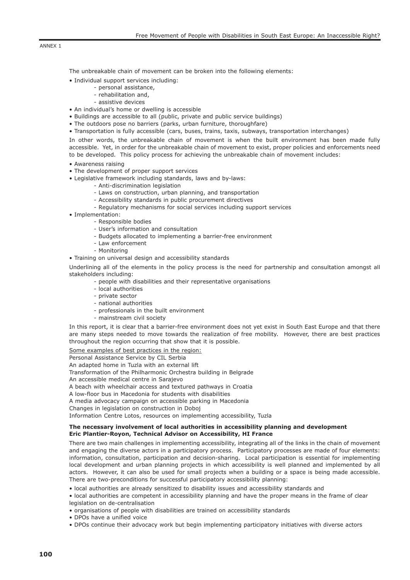The unbreakable chain of movement can be broken into the following elements:

- Individual support services including:
	- personal assistance,
	- rehabilitation and,
	- assistive devices
- An individual's home or dwelling is accessible
- Buildings are accessible to all (public, private and public service buildings)
- The outdoors pose no barriers (parks, urban furniture, thoroughfare)
- Transportation is fully accessible (cars, buses, trains, taxis, subways, transportation interchanges)

In other words, the unbreakable chain of movement is when the built environment has been made fully accessible. Yet, in order for the unbreakable chain of movement to exist, proper policies and enforcements need to be developed. This policy process for achieving the unbreakable chain of movement includes:

- Awareness raising
- The development of proper support services
- Legislative framework including standards, laws and by-laws:
	- Anti-discrimination legislation
	- Laws on construction, urban planning, and transportation
	- Accessibility standards in public procurement directives
	- Regulatory mechanisms for social services including support services
- Implementation:
	- Responsible bodies
		- User's information and consultation
		- Budgets allocated to implementing a barrier-free environment
		- Law enforcement
		- Monitoring

• Training on universal design and accessibility standards

Underlining all of the elements in the policy process is the need for partnership and consultation amongst all stakeholders including:

- people with disabilities and their representative organisations
- local authorities
- private sector
- national authorities
- professionals in the built environment
- mainstream civil society

In this report, it is clear that a barrier-free environment does not yet exist in South East Europe and that there are many steps needed to move towards the realization of free mobility. However, there are best practices throughout the region occurring that show that it is possible.

### Some examples of best practices in the region:

Personal Assistance Service by CIL Serbia

An adapted home in Tuzla with an external lift

Transformation of the Philharmonic Orchestra building in Belgrade

An accessible medical centre in Sarajevo

A beach with wheelchair access and textured pathways in Croatia

A low-floor bus in Macedonia for students with disabilities

A media advocacy campaign on accessible parking in Macedonia

Changes in legislation on construction in Doboj

Information Centre Lotos, resources on implementing accessibility, Tuzla

### **The necessary involvement of local authorities in accessibility planning and development Eric Plantier-Royon, Technical Advisor on Accessibility, HI France**

There are two main challenges in implementing accessibility, integrating all of the links in the chain of movement and engaging the diverse actors in a participatory process. Participatory processes are made of four elements: information, consultation, participation and decision-sharing. Local participation is essential for implementing local development and urban planning projects in which accessibility is well planned and implemented by all actors. However, it can also be used for small projects when a building or a space is being made accessible. There are two-preconditions for successful participatory accessibility planning:

• local authorities are already sensitized to disability issues and accessibility standards and

- local authorities are competent in accessibility planning and have the proper means in the frame of clear legislation on de-centralisation
- organisations of people with disabilities are trained on accessibility standards
- DPOs have a unified voice
- DPOs continue their advocacy work but begin implementing participatory initiatives with diverse actors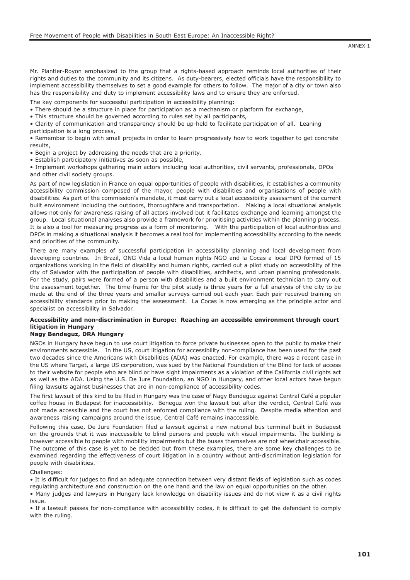Mr. Plantier-Royon emphasized to the group that a rights-based approach reminds local authorities of their rights and duties to the community and its citizens. As duty-bearers, elected officials have the responsibility to implement accessibility themselves to set a good example for others to follow. The major of a city or town also has the responsibility and duty to implement accessibility laws and to ensure they are enforced.

The key components for successful participation in accessibility planning:

- There should be a structure in place for participation as a mechanism or platform for exchange,
- This structure should be governed according to rules set by all participants,

• Clarity of communication and transparency should be up-held to facilitate participation of all. Leaning participation is a long process,

• Remember to begin with small projects in order to learn progressively how to work together to get concrete results,

- Begin a project by addressing the needs that are a priority,
- Establish participatory initiatives as soon as possible,

• Implement workshops gathering main actors including local authorities, civil servants, professionals, DPOs and other civil society groups.

As part of new legislation in France on equal opportunities of people with disabilities, it establishes a community accessibility commission composed of the mayor, people with disabilities and organisations of people with disabilities. As part of the commission's mandate, it must carry out a local accessibility assessment of the current built environment including the outdoors, thoroughfare and transportation. Making a local situational analysis allows not only for awareness raising of all actors involved but it facilitates exchange and learning amongst the group. Local situational analyses also provide a framework for prioritising activities within the planning process. It is also a tool for measuring progress as a form of monitoring. With the participation of local authorities and DPOs in making a situational analysis it becomes a real tool for implementing accessibility according to the needs and priorities of the community.

There are many examples of successful participation in accessibility planning and local development from developing countries. In Brazil, ONG Vida a local human rights NGO and la Cocas a local DPO formed of 15 organizations working in the field of disability and human rights, carried out a pilot study on accessibility of the city of Salvador with the participation of people with disabilities, architects, and urban planning professionals. For the study, pairs were formed of a person with disabilities and a built environment technician to carry out the assessment together. The time-frame for the pilot study is three years for a full analysis of the city to be made at the end of the three years and smaller surveys carried out each year. Each pair received training on accessibility standards prior to making the assessment. La Cocas is now emerging as the principle actor and specialist on accessibility in Salvador.

# **Accessibility and non-discrimination in Europe: Reaching an accessible environment through court litigation in Hungary**

### **Nagy Bendeguz, DRA Hungary**

NGOs in Hungary have begun to use court litigation to force private businesses open to the public to make their environments accessible. In the US, court litigation for accessibility non-compliance has been used for the past two decades since the Americans with Disabilities (ADA) was enacted. For example, there was a recent case in the US where Target, a large US corporation, was sued by the National Foundation of the Blind for lack of access to their website for people who are blind or have sight impairments as a violation of the California civil rights act as well as the ADA. Using the U.S. De Jure Foundation, an NGO in Hungary, and other local actors have begun filing lawsuits against businesses that are in non-compliance of accessibility codes.

The first lawsuit of this kind to be filed in Hungary was the case of Nagy Bendeguz against Central Café a popular coffee house in Budapest for inaccessibility. Beneguz won the lawsuit but after the verdict, Central Café was not made accessible and the court has not enforced compliance with the ruling. Despite media attention and awareness raising campaigns around the issue, Central Café remains inaccessible.

Following this case, De Jure Foundation filed a lawsuit against a new national bus terminal built in Budapest on the grounds that it was inaccessible to blind persons and people with visual impairments. The building is however accessible to people with mobility impairments but the buses themselves are not wheelchair accessible. The outcome of this case is yet to be decided but from these examples, there are some key challenges to be examined regarding the effectiveness of court litigation in a country without anti-discrimination legislation for people with disabilities.

Challenges:

• It is difficult for judges to find an adequate connection between very distant fields of legislation such as codes regulating architecture and construction on the one hand and the law on equal opportunities on the other.

• Many judges and lawyers in Hungary lack knowledge on disability issues and do not view it as a civil rights issue.

• If a lawsuit passes for non-compliance with accessibility codes, it is difficult to get the defendant to comply with the ruling.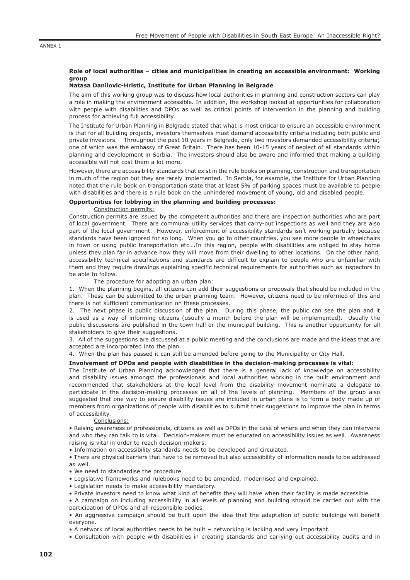### **Role of local authorities – cities and municipalities in creating an accessible environment: Working group**

### **Natasa Danilovic-Hristic, Institute for Urban Planning in Belgrade**

The aim of this working group was to discuss how local authorities in planning and construction sectors can play a role in making the environment accessible. In addition, the workshop looked at opportunities for collaboration with people with disabilities and DPOs as well as critical points of intervention in the planning and building process for achieving full accessibility.

The Institute for Urban Planning in Belgrade stated that what is most critical to ensure an accessible environment is that for all building projects, investors themselves must demand accessibility criteria including both public and private investors. Throughout the past 10 years in Belgrade, only two investors demanded accessibility criteria; one of which was the embassy of Great Britain. There has been 10-15 years of neglect of all standards within planning and development in Serbia. The investors should also be aware and informed that making a building accessible will not cost them a lot more.

However, there are accessibility standards that exist in the rule books on planning, construction and transportation in much of the region but they are rarely implemented. In Serbia, for example, the Institute for Urban Planning noted that the rule book on transportation state that at least 5% of parking spaces must be available to people with disabilities and there is a rule book on the unhindered movement of young, old and disabled people.

### **Opportunities for lobbying in the planning and building processes:**

Construction permits:

Construction permits are issued by the competent authorities and there are inspection authorities who are part of local government. There are communal utility services that carry-out inspections as well and they are also part of the local government. However, enforcement of accessibility standards isn't working partially because standards have been ignored for so long. When you go to other countries, you see more people in wheelchairs in town or using public transportation etc….In this region, people with disabilities are obliged to stay home unless they plan far in advance how they will move from their dwelling to other locations. On the other hand, accessibility technical specifications and standards are difficult to explain to people who are unfamiliar with them and they require drawings explaining specific technical requirements for authorities such as inspectors to be able to follow.

### The procedure for adopting an urban plan:

1. When the planning begins, all citizens can add their suggestions or proposals that should be included in the plan. These can be submitted to the urban planning team. However, citizens need to be informed of this and there is not sufficient communication on these processes.

2. The next phase is public discussion of the plan. During this phase, the public can see the plan and it is used as a way of informing citizens (usually a month before the plan will be implemented). Usually the public discussions are published in the town hall or the municipal building. This is another opportunity for all stakeholders to give their suggestions.

3. All of the suggestions are discussed at a public meeting and the conclusions are made and the ideas that are accepted are incorporated into the plan.

4. When the plan has passed it can still be amended before going to the Municipality or City Hall.

### **Involvement of DPOs and people with disabilities in the decision-making processes is vital:**

The Institute of Urban Planning acknowledged that there is a general lack of knowledge on accessibility and disability issues amongst the professionals and local authorities working in the built environment and recommended that stakeholders at the local level from the disability movement nominate a delegate to participate in the decision-making processes on all of the levels of planning. Members of the group also suggested that one way to ensure disability issues are included in urban plans is to form a body made up of members from organizations of people with disabilities to submit their suggestions to improve the plan in terms of accessibility.

### Conclusions:

• Raising awareness of professionals, citizens as well as DPOs in the case of where and when they can intervene and who they can talk to is vital. Decision-makers must be educated on accessibility issues as well. Awareness raising is vital in order to reach decision-makers.

• Information on accessibility standards needs to be developed and circulated.

• There are physical barriers that have to be removed but also accessibility of information needs to be addressed as well.

• We need to standardise the procedure.

- Legislative frameworks and rulebooks need to be amended, modernised and explained.
- Legislation needs to make accessibility mandatory.
- Private investors need to know what kind of benefits they will have when their facility is made accessible.

• A campaign on including accessibility in all levels of planning and building should be carried out with the participation of DPOs and all responsible bodies.

• An aggressive campaign should be built upon the idea that the adaptation of public buildings will benefit everyone.

- A network of local authorities needs to be built networking is lacking and very important.
- Consultation with people with disabilities in creating standards and carrying out accessibility audits and in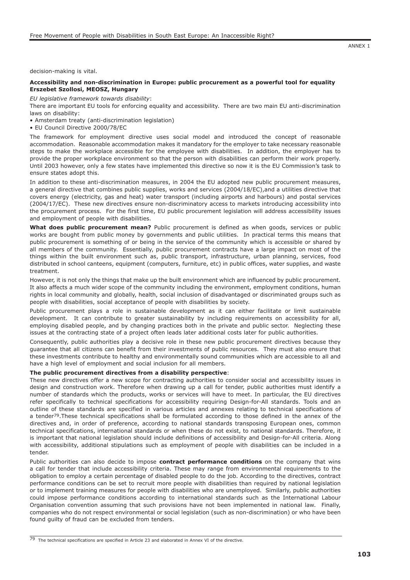decision-making is vital.

### **Accessibility and non-discrimination in Europe: public procurement as a powerful tool for equality Erszebet Szollosi, MEOSZ, Hungary**

*EU legislative framework towards disability*:

There are important EU tools for enforcing equality and accessibility. There are two main EU anti-discrimination laws on disability:

• Amsterdam treaty (anti-discrimination legislation)

• EU Council Directive 2000/78/EC

The framework for employment directive uses social model and introduced the concept of reasonable accommodation. Reasonable accommodation makes it mandatory for the employer to take necessary reasonable steps to make the workplace accessible for the employee with disabilities. In addition, the employer has to provide the proper workplace environment so that the person with disabilities can perform their work properly. Until 2003 however, only a few states have implemented this directive so now it is the EU Commission's task to ensure states adopt this.

In addition to these anti-discrimination measures, in 2004 the EU adopted new public procurement measures, a general directive that combines public supplies, works and services (2004/18/EC),and a utilities directive that covers energy (electricity, gas and heat) water transport (including airports and harbours) and postal services (2004/17/EC). These new directives ensure non-discriminatory access to markets introducing accessibility into the procurement process. For the first time, EU public procurement legislation will address accessibility issues and employment of people with disabilities.

**What does public procurement mean?** Public procurement is defined as when goods, services or public works are bought from public money by governments and public utilities. In practical terms this means that public procurement is something of or being in the service of the community which is accessible or shared by all members of the community. Essentially, public procurement contracts have a large impact on most of the things within the built environment such as, public transport, infrastructure, urban planning, services, food distributed in school canteens, equipment (computers, furniture, etc) in public offices, water supplies, and waste treatment.

However, it is not only the things that make up the built environment which are influenced by public procurement. It also affects a much wider scope of the community including the environment, employment conditions, human rights in local community and globally, health, social inclusion of disadvantaged or discriminated groups such as people with disabilities, social acceptance of people with disabilities by society.

Public procurement plays a role in sustainable development as it can either facilitate or limit sustainable development. It can contribute to greater sustainability by including requirements on accessibility for all, employing disabled people, and by changing practices both in the private and public sector. Neglecting these issues at the contracting state of a project often leads later additional costs later for public authorities.

Consequently, public authorities play a decisive role in these new public procurement directives because they guarantee that all citizens can benefit from their investments of public resources. They must also ensure that these investments contribute to healthy and environmentally sound communities which are accessible to all and have a high level of employment and social inclusion for all members.

### **The public procurement directives from a disability perspective**:

These new directives offer a new scope for contracting authorities to consider social and accessibility issues in design and construction work. Therefore when drawing up a call for tender, public authorities must identify a number of standards which the products, works or services will have to meet. In particular, the EU directives refer specifically to technical specifications for accessibility requiring Design-for-All standards. Tools and an outline of these standards are specified in various articles and annexes relating to technical specifications of a tender79.These technical specifications shall be formulated according to those defined in the annex of the directives and, in order of preference, according to national standards transposing European ones, common technical specifications, international standards or when these do not exist, to national standards. Therefore, it is important that national legislation should include definitions of accessibility and Design-for-All criteria. Along with accessibility, additional stipulations such as employment of people with disabilities can be included in a tender.

Public authorities can also decide to impose **contract performance conditions** on the company that wins a call for tender that include accessibility criteria. These may range from environmental requirements to the obligation to employ a certain percentage of disabled people to do the job. According to the directives, contract performance conditions can be set to recruit more people with disabilities than required by national legislation or to implement training measures for people with disabilities who are unemployed. Similarly, public authorities could impose performance conditions according to international standards such as the International Labour Organisation convention assuming that such provisions have not been implemented in national law. Finally, companies who do not respect environmental or social legislation (such as non-discrimination) or who have been found guilty of fraud can be excluded from tenders.

<sup>79</sup> The technical specifications are specified in Article 23 and elaborated in Annex VI of the directive.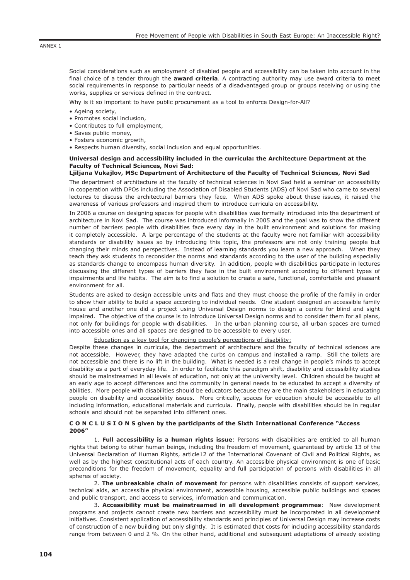Social considerations such as employment of disabled people and accessibility can be taken into account in the final choice of a tender through the **award criteria**. A contracting authority may use award criteria to meet social requirements in response to particular needs of a disadvantaged group or groups receiving or using the works, supplies or services defined in the contract.

Why is it so important to have public procurement as a tool to enforce Design-for-All?

- Ageing society,
- Promotes social inclusion,
- Contributes to full employment,
- Saves public money,
- Fosters economic growth,
- Respects human diversity, social inclusion and equal opportunities.

### **Universal design and accessibility included in the curricula: the Architecture Department at the Faculty of Technical Sciences, Novi Sad:**

### **Ljiljana Vukajlov, MSc Department of Architecture of the Faculty of Technical Sciences, Novi Sad**

The department of architecture at the faculty of technical sciences in Novi Sad held a seminar on accessibility in cooperation with DPOs including the Association of Disabled Students (ADS) of Novi Sad who came to several lectures to discuss the architectural barriers they face. When ADS spoke about these issues, it raised the awareness of various professors and inspired them to introduce curricula on accessibility.

In 2006 a course on designing spaces for people with disabilities was formally introduced into the department of architecture in Novi Sad. The course was introduced informally in 2005 and the goal was to show the different number of barriers people with disabilities face every day in the built environment and solutions for making it completely accessible. A large percentage of the students at the faculty were not familiar with accessibility standards or disability issues so by introducing this topic, the professors are not only training people but changing their minds and perspectives. Instead of learning standards you learn a new approach. When they teach they ask students to reconsider the norms and standards according to the user of the building especially as standards change to encompass human diversity. In addition, people with disabilities participate in lectures discussing the different types of barriers they face in the built environment according to different types of impairments and life habits. The aim is to find a solution to create a safe, functional, comfortable and pleasant environment for all.

Students are asked to design accessible units and flats and they must choose the profile of the family in order to show their ability to build a space according to individual needs. One student designed an accessible family house and another one did a project using Universal Design norms to design a centre for blind and sight impaired. The objective of the course is to introduce Universal Design norms and to consider them for all plans, not only for buildings for people with disabilities. In the urban planning course, all urban spaces are turned into accessible ones and all spaces are designed to be accessible to every user.

Education as a key tool for changing people's perceptions of disability:

Despite these changes in curricula, the department of architecture and the faculty of technical sciences are not accessible. However, they have adapted the curbs on campus and installed a ramp. Still the toilets are not accessible and there is no lift in the building. What is needed is a real change in people's minds to accept disability as a part of everyday life. In order to facilitate this paradigm shift, disability and accessibility studies should be mainstreamed in all levels of education, not only at the university level. Children should be taught at an early age to accept differences and the community in general needs to be educated to accept a diversity of abilities. More people with disabilities should be educators because they are the main stakeholders in educating people on disability and accessibility issues. More critically, spaces for education should be accessible to all including information, educational materials and curricula. Finally, people with disabilities should be in regular schools and should not be separated into different ones.

### **C O N C L U S I O N S given by the participants of the Sixth International Conference "Access 2006"**

 1. **Full accessibility is a human rights issue**: Persons with disabilities are entitled to all human rights that belong to other human beings, including the freedom of movement, guaranteed by article 13 of the Universal Declaration of Human Rights, article12 of the International Covenant of Civil and Political Rights, as well as by the highest constitutional acts of each country. An accessible physical environment is one of basic preconditions for the freedom of movement, equality and full participation of persons with disabilities in all spheres of society.

 2. **The unbreakable chain of movement** for persons with disabilities consists of support services, technical aids, an accessible physical environment, accessible housing, accessible public buildings and spaces and public transport, and access to services, information and communication.

 3. **Accessibility must be mainstreamed in all development programmes**: New development programs and projects cannot create new barriers and accessibility must be incorporated in all development initiatives. Consistent application of accessibility standards and principles of Universal Design may increase costs of construction of a new building but only slightly. It is estimated that costs for including accessibility standards range from between 0 and 2 %. On the other hand, additional and subsequent adaptations of already existing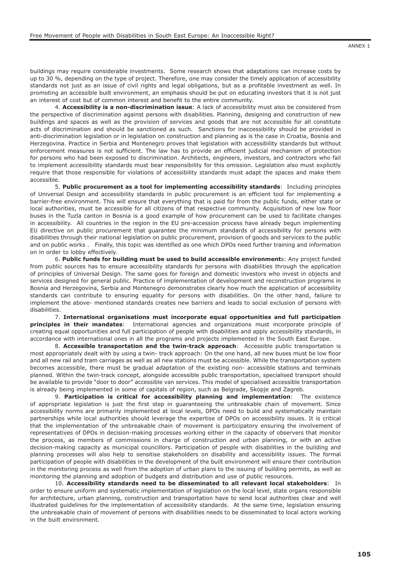buildings may require considerable investments. Some research shows that adaptations can increase costs by up to 30 %, depending on the type of project. Therefore, one may consider the timely application of accessibility standards not just as an issue of civil rights and legal obligations, but as a profitable investment as well. In promoting an accessible built environment, an emphasis should be put on educating investors that it is not just an interest of cost but of common interest and benefit to the entire community.

 4. **Accessibility is a non-discrimination issue**: A lack of accessibility must also be considered from the perspective of discrimination against persons with disabilities. Planning, designing and construction of new buildings and spaces as well as the provision of services and goods that are not accessible for all constitute acts of discrimination and should be sanctioned as such. Sanctions for inaccessibility should be provided in anti-discrimination legislation or in legislation on construction and planning as is the case in Croatia, Bosnia and Herzegovina. Practice in Serbia and Montenegro proves that legislation with accessibility standards but without enforcement measures is not sufficient. The law has to provide an efficient judicial mechanism of protection for persons who had been exposed to discrimination. Architects, engineers, investors, and contractors who fail to implement accessibility standards must bear responsibility for this omission. Legislation also must explicitly require that those responsible for violations of accessibility standards must adapt the spaces and make them accessible.

 5. **Public procurement as a tool for implementing accessibility standards**: Including principles of Universal Design and accessibility standards in public procurement is an efficient tool for implementing a barrier-free environment. This will ensure that everything that is paid for from the public funds, either state or local authorities, must be accessible for all citizens of that respective community. Acquisition of new low floor buses in the Tuzla canton in Bosnia is a good example of how procurement can be used to facilitate changes in accessibility. All countries in the region in the EU pre-accession process have already begun implementing EU directive on public procurement that guarantee the minimum standards of accessibility for persons with disabilities through their national legislation on public procurement, provision of goods and services to the public and on public works . Finally, this topic was identified as one which DPOs need further training and information on in order to lobby effectively.

 6. **Public funds for building must be used to build accessible environment**s: Any project funded from public sources has to ensure accessibility standards for persons with disabilities through the application of principles of Universal Design. The same goes for foreign and domestic investors who invest in objects and services designed for general public. Practice of implementation of development and reconstruction programs in Bosnia and Herzegovina, Serbia and Montenegro demonstrates clearly how much the application of accessibility standards can contribute to ensuring equality for persons with disabilities. On the other hand, failure to implement the above- mentioned standards creates new barriers and leads to social exclusion of persons with disabilities.

 7. **International organisations must incorporate equal opportunities and full participation principles in their mandates**: International agencies and organizations must incorporate principle of creating equal opportunities and full participation of people with disabilities and apply accessibility standards, in accordance with international ones in all the programs and projects implemented in the South East Europe.

 8. **Accessible transportation and the twin-track approach**: Accessible public transportation is most appropriately dealt with by using a twin- track approach: On the one hand, all new buses must be low floor and all new rail and tram carriages as well as all new stations must be accessible. While the transportation system becomes accessible, there must be gradual adaptation of the existing non- accessible stations and terminals planned. Within the twin-track concept, alongside accessible public transportation, specialised transport should be available to provide "door to door" accessible van services. This model of specialised accessible transportation is already being implemented in some of capitals of region, such as Belgrade, Skopje and Zagreb.

 9. **Participation is critical for accessibility planning and implementation**: The existence of appropriate legislation is just the first step in guaranteeing the unbreakable chain of movement. Since accessibility norms are primarily implemented at local levels, DPOs need to build and systematically maintain partnerships while local authorities should leverage the expertise of DPOs on accessibility issues. It is critical that the implementation of the unbreakable chain of movement is participatory ensuring the involvement of representatives of DPOs in decision-making processes working either in the capacity of observers that monitor the process, as members of commissions in charge of construction and urban planning, or with an active decision-making capacity as municipal councillors. Participation of people with disabilities in the building and planning processes will also help to sensitise stakeholders on disability and accessibility issues. The formal participation of people with disabilities in the development of the built environment will ensure their contribution in the monitoring process as well from the adoption of urban plans to the issuing of building permits, as well as monitoring the planning and adoption of budgets and distribution and use of public resources.

 10. **Accessibility standards need to be disseminated to all relevant local stakeholders**: In order to ensure uniform and systematic implementation of legislation on the local level, state organs responsible for architecture, urban planning, construction and transportation have to send local authorities clear and well illustrated guidelines for the implementation of accessibility standards. At the same time, legislation ensuring the unbreakable chain of movement of persons with disabilities needs to be disseminated to local actors working in the built environment.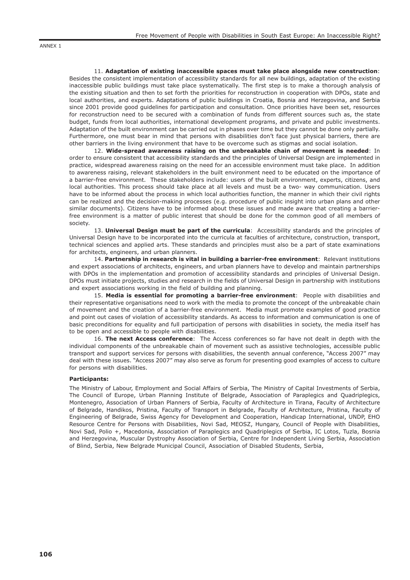11. **Adaptation of existing inaccessible spaces must take place alongside new construction**: Besides the consistent implementation of accessibility standards for all new buildings, adaptation of the existing inaccessible public buildings must take place systematically. The first step is to make a thorough analysis of the existing situation and then to set forth the priorities for reconstruction in cooperation with DPOs, state and local authorities, and experts. Adaptations of public buildings in Croatia, Bosnia and Herzegovina, and Serbia since 2001 provide good guidelines for participation and consultation. Once priorities have been set, resources for reconstruction need to be secured with a combination of funds from different sources such as, the state budget, funds from local authorities, international development programs, and private and public investments. Adaptation of the built environment can be carried out in phases over time but they cannot be done only partially. Furthermore, one must bear in mind that persons with disabilities don't face just physical barriers, there are other barriers in the living environment that have to be overcome such as stigmas and social isolation.

 12. **Wide-spread awareness raising on the unbreakable chain of movement is needed**: In order to ensure consistent that accessibility standards and the principles of Universal Design are implemented in practice, widespread awareness raising on the need for an accessible environment must take place. In addition to awareness raising, relevant stakeholders in the built environment need to be educated on the importance of a barrier-free environment. These stakeholders include: users of the built environment, experts, citizens, and local authorities. This process should take place at all levels and must be a two- way communication. Users have to be informed about the process in which local authorities function, the manner in which their civil rights can be realized and the decision-making processes (e.g. procedure of public insight into urban plans and other similar documents). Citizens have to be informed about these issues and made aware that creating a barrierfree environment is a matter of public interest that should be done for the common good of all members of society.

 13. **Universal Design must be part of the curricula**: Accessibility standards and the principles of Universal Design have to be incorporated into the curricula at faculties of architecture, construction, transport, technical sciences and applied arts. These standards and principles must also be a part of state examinations for architects, engineers, and urban planners.

 14. **Partnership in research is vital in building a barrier-free environment**: Relevant institutions and expert associations of architects, engineers, and urban planners have to develop and maintain partnerships with DPOs in the implementation and promotion of accessibility standards and principles of Universal Design. DPOs must initiate projects, studies and research in the fields of Universal Design in partnership with institutions and expert associations working in the field of building and planning.

 15. **Media is essential for promoting a barrier-free environment**: People with disabilities and their representative organisations need to work with the media to promote the concept of the unbreakable chain of movement and the creation of a barrier-free environment. Media must promote examples of good practice and point out cases of violation of accessibility standards. As access to information and communication is one of basic preconditions for equality and full participation of persons with disabilities in society, the media itself has to be open and accessible to people with disabilities.

 16. **The next Access conference**: The Access conferences so far have not dealt in depth with the individual components of the unbreakable chain of movement such as assistive technologies, accessible public transport and support services for persons with disabilities, the seventh annual conference, "Access 2007" may deal with these issues. "Access 2007" may also serve as forum for presenting good examples of access to culture for persons with disabilities.

### **Participants:**

The Ministry of Labour, Employment and Social Affairs of Serbia, The Ministry of Capital Investments of Serbia, The Council of Europe, Urban Planning Institute of Belgrade, Association of Paraplegics and Quadriplegics, Montenegro, Association of Urban Planners of Serbia, Faculty of Architecture in Tirana, Faculty of Architecture of Belgrade, Handikos, Pristina, Faculty of Transport in Belgrade, Faculty of Architecture, Pristina, Faculty of Engineering of Belgrade, Swiss Agency for Development and Cooperation, Handicap International, UNDP, EHO Resource Centre for Persons with Disabilities, Novi Sad, MEOSZ, Hungary, Council of People with Disabilities, Novi Sad, Polio +, Macedonia, Association of Paraplegics and Quadriplegics of Serbia, IC Lotos, Tuzla, Bosnia and Herzegovina, Muscular Dystrophy Association of Serbia, Centre for Independent Living Serbia, Association of Blind, Serbia, New Belgrade Municipal Council, Association of Disabled Students, Serbia,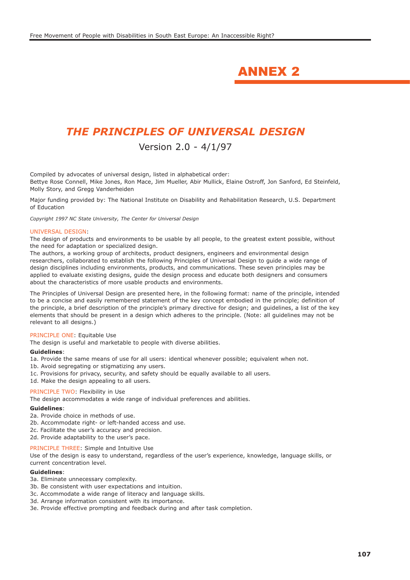# *THE PRINCIPLES OF UNIVERSAL DESIGN*

Version 2.0 - 4/1/97

Compiled by advocates of universal design, listed in alphabetical order: Bettye Rose Connell, Mike Jones, Ron Mace, Jim Mueller, Abir Mullick, Elaine Ostroff, Jon Sanford, Ed Steinfeld, Molly Story, and Gregg Vanderheiden

Major funding provided by: The National Institute on Disability and Rehabilitation Research, U.S. Department of Education

*Copyright 1997 NC State University, The Center for Universal Design*

### UNIVERSAL DESIGN:

The design of products and environments to be usable by all people, to the greatest extent possible, without the need for adaptation or specialized design.

The authors, a working group of architects, product designers, engineers and environmental design researchers, collaborated to establish the following Principles of Universal Design to guide a wide range of design disciplines including environments, products, and communications. These seven principles may be applied to evaluate existing designs, guide the design process and educate both designers and consumers about the characteristics of more usable products and environments.

The Principles of Universal Design are presented here, in the following format: name of the principle, intended to be a concise and easily remembered statement of the key concept embodied in the principle; definition of the principle, a brief description of the principle's primary directive for design; and guidelines, a list of the key elements that should be present in a design which adheres to the principle. (Note: all guidelines may not be relevant to all designs.)

### PRINCIPLE ONE: Equitable Use

The design is useful and marketable to people with diverse abilities.

### **Guidelines**:

1a. Provide the same means of use for all users: identical whenever possible; equivalent when not.

- 1b. Avoid segregating or stigmatizing any users.
- 1c. Provisions for privacy, security, and safety should be equally available to all users.
- 1d. Make the design appealing to all users.

### PRINCIPLE TWO: Flexibility in Use

The design accommodates a wide range of individual preferences and abilities.

### **Guidelines**:

- 2a. Provide choice in methods of use.
- 2b. Accommodate right- or left-handed access and use.
- 2c. Facilitate the user's accuracy and precision.

2d. Provide adaptability to the user's pace.

### PRINCIPLE THREE: Simple and Intuitive Use

Use of the design is easy to understand, regardless of the user's experience, knowledge, language skills, or current concentration level.

## **Guidelines**:

- 3a. Eliminate unnecessary complexity.
- 3b. Be consistent with user expectations and intuition.
- 3c. Accommodate a wide range of literacy and language skills.
- 3d. Arrange information consistent with its importance.
- 3e. Provide effective prompting and feedback during and after task completion.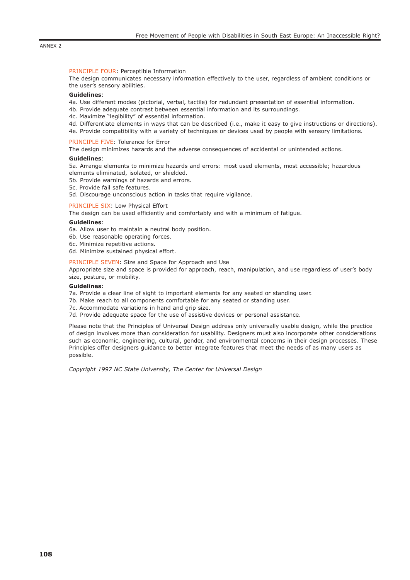### PRINCIPLE FOUR: Perceptible Information

The design communicates necessary information effectively to the user, regardless of ambient conditions or the user's sensory abilities.

### **Guidelines**:

- 4a. Use different modes (pictorial, verbal, tactile) for redundant presentation of essential information.
- 4b. Provide adequate contrast between essential information and its surroundings.
- 4c. Maximize "legibility" of essential information.
- 4d. Differentiate elements in ways that can be described (i.e., make it easy to give instructions or directions).
- 4e. Provide compatibility with a variety of techniques or devices used by people with sensory limitations.

# PRINCIPLE FIVE: Tolerance for Error

The design minimizes hazards and the adverse consequences of accidental or unintended actions.

### **Guidelines**:

5a. Arrange elements to minimize hazards and errors: most used elements, most accessible; hazardous elements eliminated, isolated, or shielded.

- 5b. Provide warnings of hazards and errors.
- 5c. Provide fail safe features.
- 5d. Discourage unconscious action in tasks that require vigilance.

### PRINCIPLE SIX: Low Physical Effort

The design can be used efficiently and comfortably and with a minimum of fatigue.

### **Guidelines**:

6a. Allow user to maintain a neutral body position.

- 6b. Use reasonable operating forces.
- 6c. Minimize repetitive actions.
- 6d. Minimize sustained physical effort.

### PRINCIPLE SEVEN: Size and Space for Approach and Use

Appropriate size and space is provided for approach, reach, manipulation, and use regardless of user's body size, posture, or mobility.

### **Guidelines**:

7a. Provide a clear line of sight to important elements for any seated or standing user.

- 7b. Make reach to all components comfortable for any seated or standing user.
- 7c. Accommodate variations in hand and grip size.

7d. Provide adequate space for the use of assistive devices or personal assistance.

Please note that the Principles of Universal Design address only universally usable design, while the practice of design involves more than consideration for usability. Designers must also incorporate other considerations such as economic, engineering, cultural, gender, and environmental concerns in their design processes. These Principles offer designers guidance to better integrate features that meet the needs of as many users as possible.

*Copyright 1997 NC State University, The Center for Universal Design*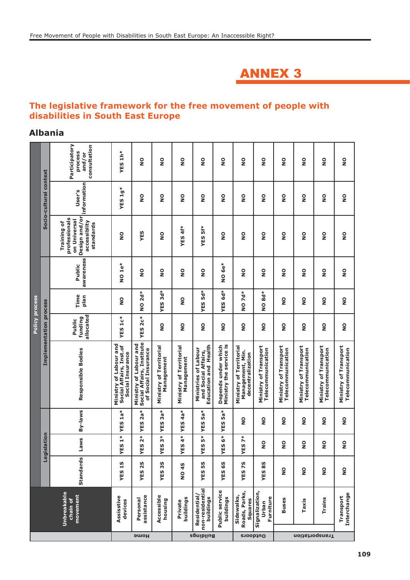# ANNEX 3

#### **The legislative framework for the free movement of people with disabilities in South East Europe**

#### **Albania**

|                  |                                              |                  |                          |                     |                                                                            | Policy process                 |                        |                     |                                                                                            |                        |                                                    |
|------------------|----------------------------------------------|------------------|--------------------------|---------------------|----------------------------------------------------------------------------|--------------------------------|------------------------|---------------------|--------------------------------------------------------------------------------------------|------------------------|----------------------------------------------------|
|                  |                                              | <b>Ded</b>       | slation                  |                     |                                                                            | Implementation process         |                        |                     |                                                                                            | Socio-cultural context |                                                    |
|                  | Unbreakable<br>movement<br>chain of          | Standards        | Laws                     | By-laws             | Responsible Bodies                                                         | allocated<br>funding<br>Public | Time<br>plan           | awareness<br>Public | Design and/or<br>professionals<br>on Universal<br>accessiblity<br>Training of<br>standards | information<br>User's  | Participatory<br>consultation<br>process<br>and/or |
|                  | Assisstive<br>devices                        | <b>YES 1S</b>    | ES 1*<br>⋗               | $1a*$<br>YES        | Ministry of Labour and<br>Social Affairs, Inst.of<br>Social Insurance      | YES 1c*                        | $\frac{1}{2}$          | NO 1e*              | $\frac{1}{2}$                                                                              | YES $1g^*$             | YES 1h*                                            |
| Home             | assistance<br>Personal                       | 25<br><b>YES</b> | $\bf{N}^*$<br><b>93</b>  | $2a*$<br>YES        | Social Affairs, Institute<br>Ministry of Labour and<br>of Social Insurance | YES 2c*                        | NO <sub>2d</sub> *     | $\frac{1}{2}$       | YES                                                                                        | $\frac{0}{2}$          | $\frac{1}{2}$                                      |
|                  | Accessible<br>housing                        | YES 3S           | ້<br>ຕ<br>ξg             | $YES$ 3a*           | Ministry of Territorial<br>Management                                      | $\frac{1}{2}$                  | YES 3d*                | $\frac{1}{2}$       | $\frac{1}{2}$                                                                              | $\frac{0}{2}$          | $\frac{0}{2}$                                      |
|                  | buildings<br>Private                         | <b>NO4S</b>      | $\ddot{\dot{}}$<br>ES    | $4a*$<br><b>YES</b> | Ministry of Territorial<br>Management                                      | $\frac{1}{2}$                  | $\frac{1}{2}$          | $\frac{1}{2}$       | YES 4f*                                                                                    | $\frac{1}{2}$          | $\frac{\mathsf{O}}{\mathsf{Z}}$                    |
| <b>s6uipliug</b> | non-residential<br>Residential/<br>buildings | 55<br>YES        | <u>ัห</u><br>ES<br>≻     | 5a*<br>YES          | Education and Health<br>Ministries of Labour<br>and Social Affairs,        | $\frac{1}{2}$                  | 5d*<br>YES             | $\frac{1}{2}$       | YES 5f*                                                                                    | $\frac{1}{2}$          | $\frac{0}{2}$                                      |
|                  | <b>Public service</b><br>buildings           | YES 6S           | ES 6*<br>≻               | YES 5a*             | Ministry the service is<br>Depends under which                             | $\frac{0}{2}$                  | YES 6d*                | NO 6e*              | $\frac{1}{2}$                                                                              | $\frac{1}{2}$          | $\frac{0}{2}$                                      |
| <b>Outdoors</b>  | Roads, Parks,<br>Sidewalks,<br>Squares       | <b>YES7S</b>     | $\check{R}$<br><b>S3</b> | $\frac{1}{2}$       | Ministry of Territorial<br>Management, Min.<br>decentralization            | $\frac{1}{2}$                  | $7d*$<br>$\frac{1}{2}$ | $\frac{1}{2}$       | $\frac{0}{2}$                                                                              | $\frac{0}{2}$          | $\frac{1}{2}$                                      |
|                  | Signalization,<br>Furniture<br><b>Urban</b>  | <b>YES 8S</b>    | $\frac{1}{2}$            | $\frac{0}{2}$       | Ministry of Transport<br>Telecommunication                                 | $\frac{0}{2}$                  | NO 8d*                 | $\frac{1}{2}$       | $\frac{0}{2}$                                                                              | $\frac{0}{2}$          | $\frac{0}{2}$                                      |
|                  | <b>Buses</b>                                 | $\frac{1}{2}$    | $\frac{1}{2}$            | $\frac{1}{2}$       | Ministry of Transport<br>Telecommunication                                 | $\frac{1}{2}$                  | $\frac{1}{2}$          | $\frac{1}{2}$       | $\frac{1}{2}$                                                                              | $\frac{1}{2}$          | $\frac{1}{2}$                                      |
| Transportation   | Taxis                                        | $\frac{0}{2}$    | $\frac{1}{2}$            | $\frac{1}{2}$       | Ministry of Transport<br>Telecommunication                                 | $\frac{1}{2}$                  | $\frac{1}{2}$          | $\frac{1}{2}$       | $\frac{0}{2}$                                                                              | $\frac{0}{2}$          | $\frac{1}{2}$                                      |
|                  | Trains                                       | $\frac{0}{2}$    | $\frac{8}{1}$            | $\frac{1}{2}$       | Ministry of Transport<br>Telecommunication                                 | $\frac{0}{2}$                  | $\frac{1}{2}$          | $\frac{0}{2}$       | $\frac{0}{2}$                                                                              | $\frac{1}{2}$          | $\frac{0}{2}$                                      |
|                  | Interchange<br>Transport                     | $\frac{1}{2}$    | $\frac{0}{2}$            | $\frac{8}{1}$       | Ministry of Transport<br>Telecommunication                                 | 0<br>Z                         | $\frac{1}{2}$          | $\frac{8}{1}$       | $\frac{1}{2}$                                                                              | $\frac{1}{2}$          | $\frac{\mathsf{O}}{\mathsf{Z}}$                    |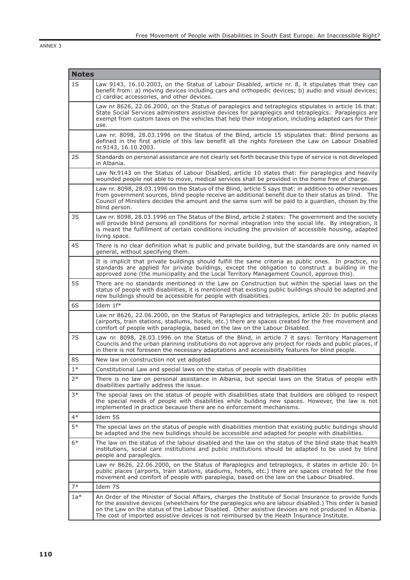| <b>Notes</b> |                                                                                                                                                                                                                                                                                                                                                                                                                           |
|--------------|---------------------------------------------------------------------------------------------------------------------------------------------------------------------------------------------------------------------------------------------------------------------------------------------------------------------------------------------------------------------------------------------------------------------------|
| 1S           | Law 9143, 16.10.2003, on the Status of Labour Disabled, article nr. 8, it stipulates that they can<br>benefit from: a) moving devices including cars and orthopedic devices; b) audio and visual devices;<br>c) cardiac accessories, and other devices.                                                                                                                                                                   |
|              | Law nr 8626, 22.06.2000, on the Status of paraplegics and tetraplegics stipulates in article 16 that:<br>State Social Services administers assistive devices for paraplegics and tetraplegics. Paraplegics are<br>exempt from custom taxes on the vehicles that help their integration, including adapted cars for their<br>use.                                                                                          |
|              | Law nr. 8098, 28.03.1996 on the Status of the Blind, article 15 stipulates that: Blind persons as<br>defined in the first article of this law benefit all the rights foreseen the Law on Labour Disabled<br>nr.9143, 16.10.2003.                                                                                                                                                                                          |
| 2S           | Standards on personal assistance are not clearly set forth because this type of service is not developed<br>in Albania.                                                                                                                                                                                                                                                                                                   |
|              | Law Nr.9143 on the Status of Labour Disabled, article 10 states that: For paraplegics and heavily<br>wounded people not able to move, medical services shall be provided in the home free of charge.                                                                                                                                                                                                                      |
|              | Law nr. 8098, 28.03.1996 on the Status of the Blind, article 5 says that: in addition to other revenues<br>from government sources, blind people receive an additional benefit due to their status as blind. The<br>Council of Ministers decides the amount and the same sum will be paid to a quardian, chosen by the<br>blind person.                                                                                   |
| 3S           | Law nr. 8098, 28.03.1996 on The Status of the Blind, article 2 states: The government and the society<br>will provide blind persons all conditions for normal integration into the social life. By integration, it<br>is meant the fulfillment of certain conditions including the provision of accessible housing, adapted<br>living space.                                                                              |
| 4S           | There is no clear definition what is public and private building, but the standards are only named in<br>general, without specifying them.                                                                                                                                                                                                                                                                                |
|              | It is implicit that private buildings should fulfill the same criteria as public ones. In practice, no<br>standards are applied for private buildings, except the obligation to construct a building in the<br>approved zone (the municipality and the Local Territory Management Council, approve this).                                                                                                                 |
| 5S           | There are no standards mentioned in the Law on Construction but within the special laws on the<br>status of people with disabilities, it is mentioned that existing public buildings should be adapted and<br>new buildings should be accessible for people with disabilities.                                                                                                                                            |
| 6S           | Idem $1f^*$                                                                                                                                                                                                                                                                                                                                                                                                               |
|              | Law nr 8626, 22.06.2000, on the Status of Paraplegics and tetraplegics, article 20: In public places<br>(airports, train stations, stadiums, hotels, etc.) there are spaces created for the free movement and<br>comfort of people with paraplegia, based on the law on the Labour Disabled.                                                                                                                              |
| 7S           | Law nr. 8098, 28.03.1996 on the Status of the Blind, in article 7 it says: Territory Management<br>Councils and the urban planning institutions do not approve any project for roads and public places, if<br>in there is not foreseen the necessary adaptations and accessibility features for blind people.                                                                                                             |
| 8S           | New law on construction not yet adopted                                                                                                                                                                                                                                                                                                                                                                                   |
| $1*$         | Constitutional Law and special laws on the status of people with disabilities                                                                                                                                                                                                                                                                                                                                             |
| $2*$         | There is no law on personal assistance in Albania, but special laws on the Status of people with<br>disabilities partially address the issue.                                                                                                                                                                                                                                                                             |
| $3*$         | The special laws on the status of people with disabilities state that builders are obliged to respect<br>the special needs of people with disabilities while building new spaces. However, the law is not<br>implemented in practice because there are no enforcement mechanisms.                                                                                                                                         |
| $4*$         | Idem 5S                                                                                                                                                                                                                                                                                                                                                                                                                   |
| $5*$         | The special laws on the status of people with disabilities mention that existing public buildings should<br>be adapted and the new buildings should be accessible and adapted for people with disabilities.                                                                                                                                                                                                               |
| $6*$         | The law on the status of the labour disabled and the law on the status of the blind state that health<br>institutions, social care institutions and public institutions should be adapted to be used by blind<br>people and paraplegics.                                                                                                                                                                                  |
|              | Law nr 8626, 22.06.2000, on the Status of Paraplegics and tetraplegics, it states in article 20: In<br>public places (airports, train stations, stadiums, hotels, etc.) there are spaces created for the free<br>movement and comfort of people with paraplegia, based on the law on the Labour Disabled.                                                                                                                 |
| $7*$         | Idem 7S                                                                                                                                                                                                                                                                                                                                                                                                                   |
| $1a*$        | An Order of the Minister of Social Affairs, charges the Institute of Social Insurance to provide funds<br>for the assistive devices (wheelchairs for the paraplegics who are labour disabled.) This order is based<br>on the Law on the status of the Labour Disabled. Other assistive devices are not produced in Albania.<br>The cost of imported assistive devices is not reimbursed by the Heath Insurance Institute. |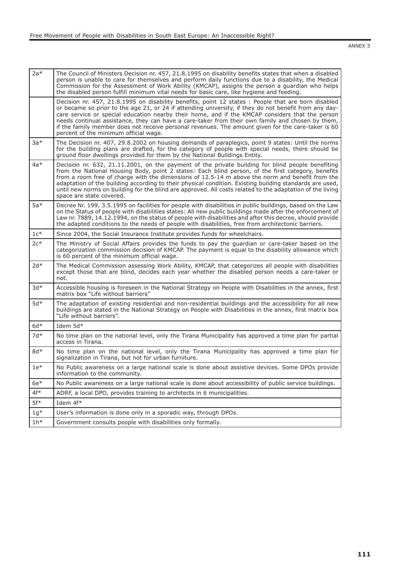| $2a*$ | The Council of Ministers Decision nr. 457, 21.8.1995 on disability benefits states that when a disabled<br>person is unable to care for themselves and perform daily functions due to a disability, the Medical<br>Commission for the Assessment of Work Ability (KMCAP), assigns the person a guardian who helps<br>the disabled person fulfill minimum vital needs for basic care, like hygiene and feeding.                                                                                                                                                     |
|-------|--------------------------------------------------------------------------------------------------------------------------------------------------------------------------------------------------------------------------------------------------------------------------------------------------------------------------------------------------------------------------------------------------------------------------------------------------------------------------------------------------------------------------------------------------------------------|
|       | Decision nr. 457, 21.8.1995 on disability benefits, point 12 states : People that are born disabled<br>or became so prior to the age 21, or 24 if attending university, if they do not benefit from any day-<br>care service or special education nearby their home, and if the KMCAP considers that the person<br>needs continual assistance, they can have a care-taker from their own family and chosen by them,<br>if the family member does not receive personal revenues. The amount given for the care-taker is 60<br>percent of the minimum official wage. |
| $3a*$ | The Decision nr. 407, 29.8.2002 on housing demands of paraplegics, point 9 states: Until the norms<br>for the building plans are drafted, for the category of people with special needs, there should be<br>ground floor dwellings provided for them by the National Buildings Entity.                                                                                                                                                                                                                                                                             |
| $4a*$ | Decision nr. 632, 21.11.2001, on the payment of the private building for blind people benefiting<br>from the National Housing Body, point 2 states: Each blind person, of the first category, benefits<br>from a room free of charge with the dimensions of 12.5-14 m above the norm and benefit from the<br>adaptation of the building according to their physical condition. Existing building standards are used,<br>until new norms on building for the blind are approved. All costs related to the adaptation of the living<br>space are state covered.      |
| $5a*$ | Decree Nr. 199, 3.5.1995 on facilities for people with disabilities in public buildings, based on the Law<br>on the Status of people with disabilities states: All new public buildings made after the enforcement of<br>Law nr. 7889, 14.12.1994, on the status of people with disabilities and after this decree, should provide<br>the adapted conditions to the needs of people with disabilities, free from architectonic barriers.                                                                                                                           |
| $1c*$ | Since 2004, the Social Insurance Institute provides funds for wheelchairs.                                                                                                                                                                                                                                                                                                                                                                                                                                                                                         |
| $2c*$ | The Ministry of Social Affairs provides the funds to pay the quardian or care-taker based on the<br>categorization commission decision of KMCAP. The payment is equal to the disability allowance which<br>is 60 percent of the minimum official wage.                                                                                                                                                                                                                                                                                                             |
| $2d*$ | The Medical Commission assessing Work Ability, KMCAP, that categorizes all people with disabilities<br>except those that are blind, decides each year whether the disabled person needs a care-taker or<br>not.                                                                                                                                                                                                                                                                                                                                                    |
| $3d*$ | Accessible housing is foreseen in the National Strategy on People with Disabilities in the annex, first<br>matrix box "Life without barriers"                                                                                                                                                                                                                                                                                                                                                                                                                      |
| $5d*$ | The adaptation of existing residential and non-residential buildings and the accessibility for all new<br>buildings are stated in the National Strategy on People with Disabilities in the annex, first matrix box<br>"Life without barriers".                                                                                                                                                                                                                                                                                                                     |
| 6d*   | Idem 5d*                                                                                                                                                                                                                                                                                                                                                                                                                                                                                                                                                           |
| $7d*$ | No time plan on the national level, only the Tirana Municipality has approved a time plan for partial<br>access in Tirana.                                                                                                                                                                                                                                                                                                                                                                                                                                         |
| $8d*$ | No time plan on the national level, only the Tirana Municipality has approved a time plan for<br>signalization in Tirana, but not for urban furniture.                                                                                                                                                                                                                                                                                                                                                                                                             |
| $1e*$ | No Public awareness on a large national scale is done about assistive devices. Some DPOs provide<br>information to the community.                                                                                                                                                                                                                                                                                                                                                                                                                                  |
| $6e*$ | No Public awareness on a large national scale is done about accessibility of public service buildings.                                                                                                                                                                                                                                                                                                                                                                                                                                                             |
| 4f*   | ADRF, a local DPO, provides training to architects in 6 municipalities.                                                                                                                                                                                                                                                                                                                                                                                                                                                                                            |
| $5f*$ | Idem $4f*$                                                                                                                                                                                                                                                                                                                                                                                                                                                                                                                                                         |
| $1q*$ | User's information is done only in a sporadic way, through DPOs.                                                                                                                                                                                                                                                                                                                                                                                                                                                                                                   |
| $1h*$ | Government consults people with disabilities only formally.                                                                                                                                                                                                                                                                                                                                                                                                                                                                                                        |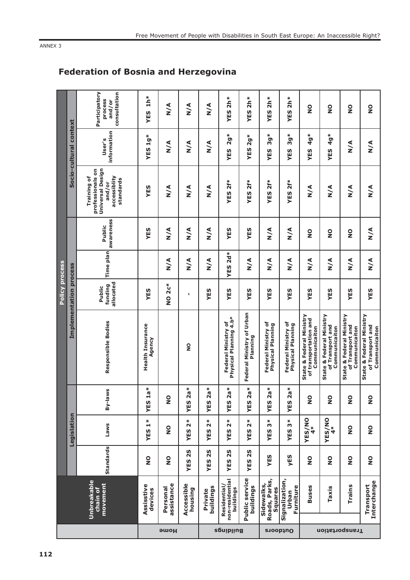#### ANNEX 3

|                       |                        | Participatory<br>consultation<br>process<br>and/or                                                | $1h*$<br>YES               | $\frac{4}{7}$          | $\frac{4}{7}$         | $\frac{4}{2}$        | YES 2h*                                       | <b>YES 2h*</b>                        | $2h*$<br><b>YES</b>                      | YES 2h*                                  | $\frac{0}{2}$                                                      | $\frac{0}{2}$                                                 | $\frac{0}{Z}$                                                 | $\frac{0}{2}$                                                 |
|-----------------------|------------------------|---------------------------------------------------------------------------------------------------|----------------------------|------------------------|-----------------------|----------------------|-----------------------------------------------|---------------------------------------|------------------------------------------|------------------------------------------|--------------------------------------------------------------------|---------------------------------------------------------------|---------------------------------------------------------------|---------------------------------------------------------------|
|                       | Socio-cultural context | information<br>User's                                                                             | $19*$<br>YES               | $\frac{4}{2}$          | ≤<br>N∕z              | $\frac{4}{2}$        | $2g^*$<br>YES                                 | $YES 2g*$                             | $3g^*$<br>YES                            | $3g^*$<br>YES                            | $4g*$<br>YES                                                       | $49*$<br>YES                                                  | $\frac{4}{2}$                                                 | $\frac{8}{2}$                                                 |
|                       |                        | <b>Universal Design</b><br>professionals on<br>accessiblity<br>Training of<br>standards<br>and/or | YES                        | ≤<br>N∕Z               | ≤<br>N∕z              | $\frac{8}{2}$        | YES 2f*                                       | $YES 2f*$                             | $2f*$<br>YES                             | YES 2f*                                  | $\frac{4}{5}$                                                      | $\frac{8}{2}$                                                 | $\frac{4}{5}$                                                 | $\frac{8}{2}$                                                 |
|                       |                        | awareness<br>Public                                                                               | YES                        | ≤<br>N∕Z               | $\frac{8}{2}$         | $\frac{4}{2}$        | YES                                           | YES                                   | $\frac{8}{2}$                            | ≤<br>N∕Z                                 | $\frac{0}{2}$                                                      | $\frac{0}{2}$                                                 | $\frac{0}{2}$                                                 | $\frac{8}{2}$                                                 |
|                       |                        | Time plan                                                                                         |                            | $\frac{8}{2}$          | $\frac{8}{2}$         | $\frac{4}{2}$        | YES 2d*                                       | $\frac{4}{7}$                         | $\frac{4}{2}$                            | $\frac{8}{2}$                            | $\frac{4}{5}$                                                      | $\frac{8}{2}$                                                 | <b>&lt;<br/>∠≥</b>                                            | $\frac{8}{2}$                                                 |
| <b>Policy process</b> |                        | allocated<br>funding<br>Public                                                                    | YES                        | NO <sub>2</sub> c*     | I.                    | YES                  | YES                                           | YES                                   | YES                                      | YES                                      | YES                                                                | YES                                                           | YES                                                           | YES                                                           |
|                       | Implementation process | Responsible Bodies                                                                                | Health Insurance<br>Agency |                        | $\frac{1}{2}$         |                      | Physical Planning 4.b*<br>Federal Ministry of | Federal Ministry of Urban<br>Planning | Federal Ministry of<br>Physical Planning | Federal Ministry of<br>Physical Planning | State & Federal Ministry<br>of transportation and<br>Communicaiton | State & Federal Ministry<br>of Transport and<br>Communicaiton | State & Federal Ministry<br>of Transport and<br>Communicaiton | State & Federal Ministry<br>of Transport and<br>Communicaiton |
|                       |                        | By-laws                                                                                           | $1a*$<br>YES               | <u>၀</u>               | $2a*$<br>YES          | $2a*$<br>YES         | $2a*$<br>YES                                  | $2a*$<br>YES                          | $2a*$<br>YES                             | $2a*$<br>YES                             | $\frac{0}{z}$                                                      | $\frac{1}{2}$                                                 | $\frac{8}{5}$                                                 | $\frac{0}{2}$                                                 |
|                       | Legislation            | Laws                                                                                              | $\frac{*}{1}$<br>YES       | $\frac{1}{2}$          | YES 2*                | $\bf{N}^*$<br>YES    | $\stackrel{*}{\sim}$<br>YES                   | YES $2*$                              | ້າ<br>YES                                | YES 3*                                   | YES/NO<br>4*<br>4*                                                 | YES/NO<br>$\ddot{\dot{q}}$                                    | $\frac{0}{2}$                                                 | $\frac{0}{\mathbf{z}}$                                        |
|                       |                        | Standards                                                                                         | $\frac{0}{2}$              | $\frac{1}{2}$          | <b>YES 2S</b>         | 25<br>YES            | 25<br><b>YES</b>                              | <b>YES 2S</b>                         | YES                                      | yES                                      | $\frac{0}{2}$                                                      | $\frac{0}{2}$                                                 | $\frac{0}{2}$                                                 | $\frac{0}{2}$                                                 |
|                       |                        | Unbreakable<br>movement<br><b>Chain</b> of                                                        | Assisstive<br>devices      | assistance<br>Personal | Accessible<br>housing | buildings<br>Private | non-residential<br>Residential/<br>buildings  | Public service<br>buildings           | Roads, Parks,<br>Sidewalks,<br>Squares   | Signalization,<br>Furniture<br>Urban     | <b>Buses</b>                                                       | Taxis                                                         | Trains                                                        | Interchange<br>Transport                                      |
|                       |                        |                                                                                                   |                            | Home                   |                       |                      | Buibliug                                      |                                       | <b>Outdoors</b>                          |                                          |                                                                    |                                                               | Transportation                                                |                                                               |

# **Federation of Bosnia and Herzegovina**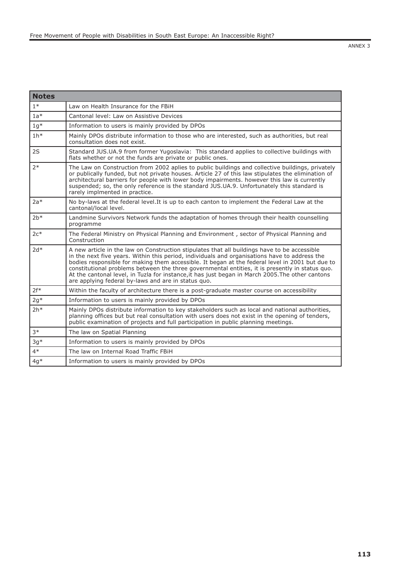| <b>Notes</b> |                                                                                                                                                                                                                                                                                                                                                                                                                                                                                                                                                                |
|--------------|----------------------------------------------------------------------------------------------------------------------------------------------------------------------------------------------------------------------------------------------------------------------------------------------------------------------------------------------------------------------------------------------------------------------------------------------------------------------------------------------------------------------------------------------------------------|
| $1*$         | Law on Health Insurance for the FBiH                                                                                                                                                                                                                                                                                                                                                                                                                                                                                                                           |
| $1a*$        | Cantonal level: Law on Assistive Devices                                                                                                                                                                                                                                                                                                                                                                                                                                                                                                                       |
| $1g*$        | Information to users is mainly provided by DPOs                                                                                                                                                                                                                                                                                                                                                                                                                                                                                                                |
| $1h*$        | Mainly DPOs distribute information to those who are interested, such as authorities, but real<br>consultation does not exist.                                                                                                                                                                                                                                                                                                                                                                                                                                  |
| 2S           | Standard JUS.UA.9 from former Yugoslavia: This standard applies to collective buildings with<br>flats whether or not the funds are private or public ones.                                                                                                                                                                                                                                                                                                                                                                                                     |
| $2*$         | The Law on Construction from 2002 aplies to public buildings and collective buildings, privately<br>or publically funded, but not private houses. Article 27 of this law stipulates the elimination of<br>architectural barriers for people with lower body impairments. however this law is currently<br>suspended; so, the only reference is the standard JUS.UA.9. Unfortunately this standard is<br>rarely implmented in practice.                                                                                                                         |
| $2a*$        | No by-laws at the federal level. It is up to each canton to implement the Federal Law at the<br>cantonal/local level.                                                                                                                                                                                                                                                                                                                                                                                                                                          |
| $2b*$        | Landmine Survivors Network funds the adaptation of homes through their health counselling<br>programme                                                                                                                                                                                                                                                                                                                                                                                                                                                         |
| $2c*$        | The Federal Ministry on Physical Planning and Environment, sector of Physical Planning and<br>Construction                                                                                                                                                                                                                                                                                                                                                                                                                                                     |
| $2d*$        | A new article in the law on Construction stipulates that all buildings have to be accessible<br>in the next five years. Within this period, individuals and organisations have to address the<br>bodies responsible for making them accessible. It began at the federal level in 2001 but due to<br>constitutional problems between the three governmental entities, it is presently in status quo.<br>At the cantonal level, in Tuzla for instance, it has just began in March 2005. The other cantons<br>are applying federal by-laws and are in status guo. |
| $2f*$        | Within the faculty of architecture there is a post-graduate master course on accessibility                                                                                                                                                                                                                                                                                                                                                                                                                                                                     |
| $2g*$        | Information to users is mainly provided by DPOs                                                                                                                                                                                                                                                                                                                                                                                                                                                                                                                |
| $2h*$        | Mainly DPOs distribute information to key stakeholders such as local and national authorities,<br>planning offices but but real consultation with users does not exist in the opening of tenders,<br>public examination of projects and full participation in public planning meetings.                                                                                                                                                                                                                                                                        |
| $3*$         | The law on Spatial Planning                                                                                                                                                                                                                                                                                                                                                                                                                                                                                                                                    |
| $3g*$        | Information to users is mainly provided by DPOs                                                                                                                                                                                                                                                                                                                                                                                                                                                                                                                |
| $4*$         | The law on Internal Road Traffic FBiH                                                                                                                                                                                                                                                                                                                                                                                                                                                                                                                          |
| $4g*$        | Information to users is mainly provided by DPOs                                                                                                                                                                                                                                                                                                                                                                                                                                                                                                                |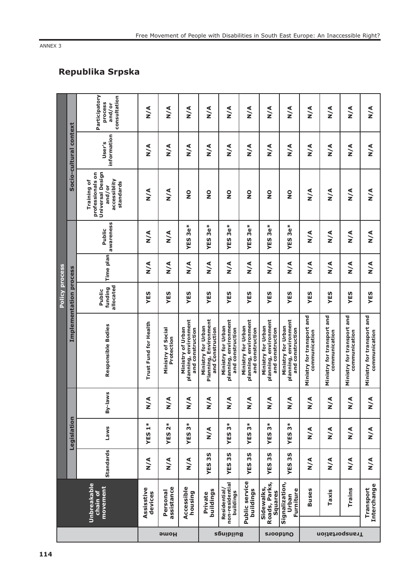# **Republika Srpska**

|                |                               | Participatory<br>consultation<br>process<br>and/or                                                | $\frac{4}{2}$         | $\frac{8}{2}$                    | $\frac{4}{2}$                                                  | $\frac{8}{2}$                                                   | $\frac{8}{2}$                                                   | $\frac{4}{2}$                                                   | $\frac{4}{5}$                                                   | $\frac{8}{2}$                                                   | $\frac{4}{5}$                               | $\frac{8}{2}$                               | $\frac{4}{7}$                               | $\frac{8}{2}$                               |
|----------------|-------------------------------|---------------------------------------------------------------------------------------------------|-----------------------|----------------------------------|----------------------------------------------------------------|-----------------------------------------------------------------|-----------------------------------------------------------------|-----------------------------------------------------------------|-----------------------------------------------------------------|-----------------------------------------------------------------|---------------------------------------------|---------------------------------------------|---------------------------------------------|---------------------------------------------|
|                | Socio-cultural context        | information<br>User's                                                                             | $\frac{4}{5}$         | $\frac{4}{5}$                    | $\frac{4}{2}$                                                  | $\frac{4}{5}$                                                   | $\frac{4}{5}$                                                   | ≤<br>N∕Z                                                        | $\frac{4}{5}$                                                   | $\frac{8}{2}$                                                   | $\frac{4}{5}$                               | $\leq$                                      | $\frac{4}{5}$                               | $\frac{4}{2}$                               |
|                |                               | <b>Universal Design</b><br>professionals on<br>accessiblity<br>Training of<br>standards<br>and/or | $\frac{4}{2}$         | ≤<br>N∕Z                         | $\frac{1}{2}$                                                  | $\frac{0}{2}$                                                   | $\frac{0}{2}$                                                   | $\frac{1}{2}$                                                   | $\frac{1}{2}$                                                   | $\frac{0}{2}$                                                   | $\frac{8}{2}$                               | $\frac{8}{2}$                               | $\frac{8}{2}$                               | $\frac{8}{2}$                               |
|                |                               | awareness<br>Public                                                                               | $\frac{4}{7}$         | ≤<br>N∕Z                         | YES 3e*                                                        | $3e*$<br>YES                                                    | 3e*<br>YES                                                      | $3e*$<br>YES:                                                   | 3e*<br>YES                                                      | YES 3e*                                                         | $\frac{4}{7}$                               | $\frac{8}{2}$                               | $\frac{8}{2}$                               | $\frac{8}{2}$                               |
|                |                               | Time plan                                                                                         | $\frac{4}{7}$         | $\frac{8}{2}$                    | $\frac{4}{7}$                                                  | $\frac{8}{2}$                                                   | $\frac{8}{2}$                                                   | $\frac{4}{2}$                                                   | $\frac{4}{5}$                                                   | $\frac{4}{5}$                                                   | $\frac{4}{5}$                               | $\frac{8}{2}$                               | $\frac{4}{7}$                               | $\frac{4}{5}$                               |
| Policy process |                               | allocated<br>funding<br>Public                                                                    | YES                   | YES                              | YES                                                            | YES                                                             | YES                                                             | YES                                                             | YES                                                             | YES                                                             | YES                                         | YES                                         | YES                                         | YES                                         |
|                | <b>Implementation process</b> | Responsible Bodies                                                                                | Trust Fund for Health | Ministry of Social<br>Protection | planning, environment<br>Ministry of Urban<br>and construction | Planning, Environment<br>Ministry for Urban<br>and Construction | planning, environment<br>Ministry for Urban<br>and construction | planning, environment<br>Ministry for Urban<br>and construction | planning, environment<br>Ministry for Urban<br>and construction | planning, environment<br>Ministry for Urban<br>and construction | Ministry for transport and<br>communication | Ministry for transport and<br>communication | Ministry for transport and<br>communication | Ministry for transport and<br>communication |
|                |                               | By-laws                                                                                           | ⋖<br>$\geq$           | ⋖<br>$\geq$                      | ⋖<br>$\geq$                                                    | ⋖<br>$\geq$                                                     | ⋖<br>$\geq$                                                     | ⋖<br>$\geq$                                                     | ⋖<br>$\geq$                                                     | ⋖<br>$\geq$                                                     | ⋖<br>$\geq$                                 | ⋖<br>$\geq$                                 | ⋖<br>$\geq$                                 | $\frac{8}{2}$                               |
|                | Legislation                   | Laws                                                                                              | $\frac{*}{1}$<br>YES  | $\bf{N}^*$<br>YES                | *ო<br><b>YES</b>                                               | $\frac{8}{2}$                                                   | YES 3*                                                          | *ო<br>YES                                                       | $\frac{*}{\Omega}$<br>YES                                       | YES 3*                                                          | $\frac{4}{5}$                               | $\frac{8}{2}$                               | $\frac{8}{2}$                               | $\frac{8}{2}$                               |
|                |                               | <b>Standards</b>                                                                                  | $\frac{8}{2}$         | ≤<br>N∕Z                         | ≤<br>N∕Z                                                       | 35<br>YES                                                       | SS<br><b>YES</b>                                                | 35<br><b>YES</b>                                                | 39<br>YES                                                       | <b>YES 3S</b>                                                   | $\frac{8}{2}$                               | $\frac{4}{5}$                               | $\frac{8}{2}$                               | $\frac{8}{2}$                               |
|                |                               | Unbreakable<br>movement<br>chain of                                                               | Assisstive<br>devices | assistance<br>Personal           | Accessible<br>housing                                          | buildings<br>Private                                            | non-residential<br>Residential/<br>buildings                    | Public service<br>buildings                                     | Roads, Parks,<br>Sidewalks,<br>Squares                          | Signalization,<br>Furniture<br>Urban                            | <b>Buses</b>                                | Taxis                                       | Trains                                      | Interchange<br>Transport                    |
|                |                               |                                                                                                   |                       | Home                             |                                                                |                                                                 | Buibliug                                                        |                                                                 | <b>Dutdoors</b>                                                 |                                                                 |                                             | <b>Transportation</b>                       |                                             |                                             |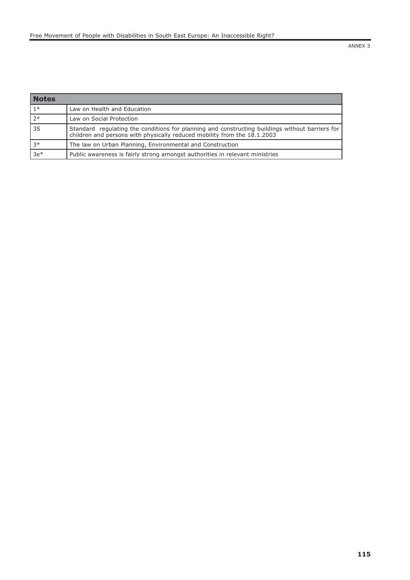| <b>Notes</b> |                                                                                                                                                                             |
|--------------|-----------------------------------------------------------------------------------------------------------------------------------------------------------------------------|
| $1*$         | Law on Health and Education                                                                                                                                                 |
| $2*$         | Law on Social Protection                                                                                                                                                    |
| 3S           | Standard regulating the conditions for planning and constructing buildings without barriers for<br>children and persons with physically reduced mobility from the 18.1.2003 |
| $3*$         | The law on Urban Planning, Environmental and Construction                                                                                                                   |
| $3e*$        | Public awareness is fairly strong amongst authorities in relevant ministries                                                                                                |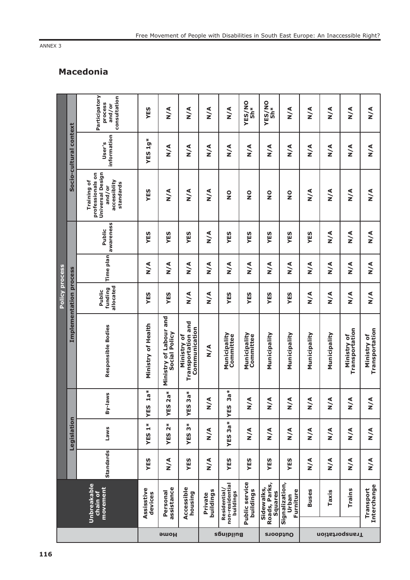### **Macedonia**

|                       |                               | Participatory<br>consultation<br>process<br>and/or                                                | YES                             | $\frac{4}{7}$                              | $\frac{8}{2}$                                      | $\frac{4}{2}$        | $\frac{4}{7}$                                | YES/NO<br>5h*               | YES/NO<br>5h*                          | $\frac{4}{2}$                        | $\frac{8}{2}$ | $\frac{4}{2}$  | ≤<br>N∕Z                      | $\frac{4}{7}$                 |
|-----------------------|-------------------------------|---------------------------------------------------------------------------------------------------|---------------------------------|--------------------------------------------|----------------------------------------------------|----------------------|----------------------------------------------|-----------------------------|----------------------------------------|--------------------------------------|---------------|----------------|-------------------------------|-------------------------------|
|                       | Socio-cultural context        | information<br>User's                                                                             | $1g^*$<br>YES                   | $\frac{8}{2}$                              | $\frac{4}{7}$                                      | $\frac{4}{5}$        | $\frac{4}{5}$                                | $\frac{4}{7}$               | $\frac{4}{2}$                          | $\frac{8}{2}$                        | $\frac{4}{7}$ | $\frac{4}{2}$  | ≤<br>N∕Z                      | $\frac{8}{2}$                 |
|                       |                               | <b>Universal Design</b><br>professionals on<br>accessiblity<br>Training of<br>standards<br>and/or | YES                             | ≤<br>N∕Z                                   | ≤<br>N∕Z                                           | $\frac{4}{5}$        | $\frac{0}{2}$                                | $\frac{1}{2}$               | $\frac{1}{2}$                          | $\frac{0}{2}$                        | <<br>N∕Z      | $\frac{4}{5}$  | <b>&lt;<br/>∠≥</b>            | $\frac{8}{2}$                 |
|                       |                               | awareness<br>Public                                                                               | YES                             | YES                                        | YES                                                | $\frac{8}{2}$        | YES                                          | YES                         | YES                                    | YES                                  | YES           | $\frac{4}{2}$  | $\frac{4}{7}$                 | $\frac{8}{2}$                 |
|                       |                               | Time plan                                                                                         | $\frac{4}{5}$                   | $\frac{4}{2}$                              | $\frac{4}{7}$                                      | $\frac{4}{2}$        | $\frac{4}{5}$                                | $\frac{4}{7}$               | $\frac{4}{2}$                          | $\frac{4}{2}$                        | $\frac{8}{2}$ | $\frac{4}{2}$  | $\frac{4}{5}$                 | $\frac{4}{2}$                 |
| <b>Policy process</b> |                               | allocated<br>funding<br>Public                                                                    | YES                             | YES                                        | $\frac{4}{5}$                                      | $\frac{8}{2}$        | YES                                          | YES                         | YES                                    | YES                                  | $\frac{8}{2}$ | $\frac{4}{7}$  | V<br>Z                        | $\frac{8}{2}$                 |
|                       | <b>Implementation process</b> | Responsible Bodies                                                                                | Ministry of Health              | Labour and<br>Social Policy<br>Ministry of | Transportation and<br>Communication<br>Ministry of | $\frac{8}{2}$        | Municipality<br>Committee                    | Municipality<br>Committee   | Municipality                           | Municipality                         | Municipality  | Municipality   | Transportation<br>Ministry of | Transportation<br>Ministry of |
|                       |                               | aws<br>By-i                                                                                       | $1a*$<br>YES                    | $2a*$<br>YES                               | 3a*<br>YES                                         | ⋖<br>$\geq$          | 3a*<br>YES                                   | ⋖<br>$\geq$                 | ⋖<br>≧                                 | ⋖<br>≧                               | ⋖<br>≧        | ⋖<br>$\geq$    | ⋖<br>≧                        | ⋖<br>$\geq$                   |
|                       | Legislation                   | Laws                                                                                              | $\stackrel{*}{\text{I}}$<br>YES | $\bf{N}^*$<br>YES                          | YES 3*                                             | $\frac{8}{2}$        | YES 3a*                                      | $\frac{8}{2}$               | $\frac{8}{5}$                          | $\frac{8}{2}$                        | $\frac{8}{2}$ | $\frac{8}{2}$  | $\frac{8}{5}$                 | $\frac{8}{2}$                 |
|                       |                               | Standards                                                                                         | YES                             | ≤<br>N∕Z                                   | YES                                                | $\frac{4}{2}$        | YES                                          | YES                         | YES                                    | YES                                  | $\frac{8}{2}$ | $\frac{4}{2}$  | ≤<br>N∕Z                      | $\frac{8}{2}$                 |
|                       |                               | Unbreakable<br>movement<br>chain of                                                               | Assisstive<br>devices           | assistance<br>Personal                     | Accessible<br>housing                              | buildings<br>Private | non-residential<br>Residential/<br>buildings | Public service<br>buildings | Roads, Parks,<br>Sidewalks,<br>Squares | Signalization,<br>Furniture<br>Urban | Buses         | Taxis          | <b>Trains</b>                 | Interchange<br>Transport      |
|                       |                               |                                                                                                   |                                 | Home                                       |                                                    |                      | Buibliug                                     |                             | <b>Dutdons</b>                         |                                      |               | Transportation |                               |                               |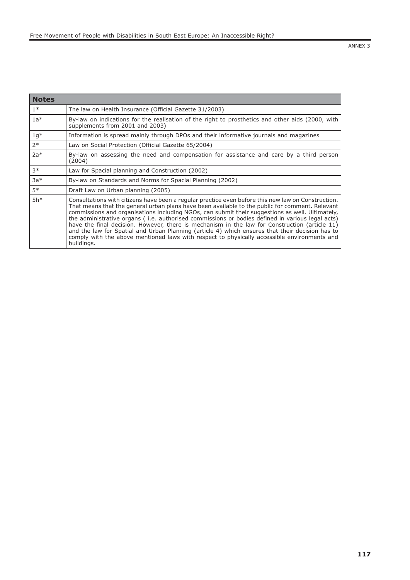| <b>Notes</b> |                                                                                                                                                                                                                                                                                                                                                                                                                                                                                                                                                                                                                                                                                                                              |
|--------------|------------------------------------------------------------------------------------------------------------------------------------------------------------------------------------------------------------------------------------------------------------------------------------------------------------------------------------------------------------------------------------------------------------------------------------------------------------------------------------------------------------------------------------------------------------------------------------------------------------------------------------------------------------------------------------------------------------------------------|
| $1*$         | The law on Health Insurance (Official Gazette 31/2003)                                                                                                                                                                                                                                                                                                                                                                                                                                                                                                                                                                                                                                                                       |
| $1a*$        | By-law on indications for the realisation of the right to prosthetics and other aids (2000, with<br>supplements from 2001 and 2003)                                                                                                                                                                                                                                                                                                                                                                                                                                                                                                                                                                                          |
| $1g*$        | Information is spread mainly through DPOs and their informative journals and magazines                                                                                                                                                                                                                                                                                                                                                                                                                                                                                                                                                                                                                                       |
| $2*$         | Law on Social Protection (Official Gazette 65/2004)                                                                                                                                                                                                                                                                                                                                                                                                                                                                                                                                                                                                                                                                          |
| $2a*$        | By-law on assessing the need and compensation for assistance and care by a third person<br>(2004)                                                                                                                                                                                                                                                                                                                                                                                                                                                                                                                                                                                                                            |
| $3*$         | Law for Spacial planning and Construction (2002)                                                                                                                                                                                                                                                                                                                                                                                                                                                                                                                                                                                                                                                                             |
| $3a*$        | By-law on Standards and Norms for Spacial Planning (2002)                                                                                                                                                                                                                                                                                                                                                                                                                                                                                                                                                                                                                                                                    |
| $5*$         | Draft Law on Urban planning (2005)                                                                                                                                                                                                                                                                                                                                                                                                                                                                                                                                                                                                                                                                                           |
| $5h*$        | Consultations with citizens have been a regular practice even before this new law on Construction.<br>That means that the general urban plans have been available to the public for comment. Relevant<br>commissions and organisations including NGOs, can submit their suggestions as well. Ultimately,<br>the administrative organs (i.e. authorised commissions or bodies defined in various legal acts)<br>have the final decision. However, there is mechanism in the law for Construction (article 11)<br>and the law for Spatial and Urban Planning (article 4) which ensures that their decision has to<br>comply with the above mentioned laws with respect to physically accessible environments and<br>buildings. |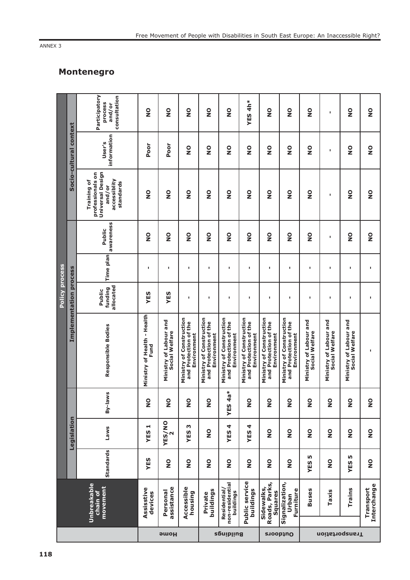### **Montenegro**

|                |                               | Participatory<br>consultation<br>process<br>and/or                                                | $\frac{1}{2}$                       | $\frac{0}{2}$                            | $\frac{1}{2}$                                                    | $\frac{1}{2}$                                                    | $\frac{0}{2}$                                                    | <b>YES 4h*</b>                                                   | $\frac{0}{2}$                                                    | $\frac{0}{2}$                                                    | $\frac{0}{2}$                            | ٠                                        | $\frac{0}{2}$                            | $\frac{1}{2}$            |
|----------------|-------------------------------|---------------------------------------------------------------------------------------------------|-------------------------------------|------------------------------------------|------------------------------------------------------------------|------------------------------------------------------------------|------------------------------------------------------------------|------------------------------------------------------------------|------------------------------------------------------------------|------------------------------------------------------------------|------------------------------------------|------------------------------------------|------------------------------------------|--------------------------|
|                | Socio-cultural context        | information<br>User's                                                                             | Poor                                | Poor                                     | $\frac{0}{2}$                                                    | $\frac{1}{2}$                                                    | $\frac{0}{2}$                                                    | $\frac{0}{2}$                                                    | $\frac{0}{2}$                                                    | $\frac{0}{2}$                                                    | $\frac{0}{2}$                            | I.                                       | $\frac{0}{2}$                            | $\frac{0}{2}$            |
|                |                               | <b>Universal Design</b><br>professionals on<br>accessiblity<br>Training of<br>standards<br>and/or | $\frac{1}{2}$                       | $\frac{0}{2}$                            | $\frac{1}{2}$                                                    | $\frac{1}{2}$                                                    | $\frac{0}{2}$                                                    | $\frac{1}{2}$                                                    | $\frac{1}{2}$                                                    | $\frac{0}{2}$                                                    | $\frac{0}{2}$                            | ×.                                       | $\frac{0}{2}$                            | $\frac{1}{2}$            |
|                |                               | awareness<br>Public                                                                               | $\frac{1}{2}$                       | $\frac{0}{2}$                            | $\frac{1}{2}$                                                    | $\frac{1}{2}$                                                    | $\frac{0}{2}$                                                    | $\frac{0}{2}$                                                    | $\frac{1}{2}$                                                    | $\frac{0}{2}$                                                    | $\frac{1}{2}$                            | I.                                       | $\frac{0}{2}$                            | $\frac{0}{2}$            |
|                |                               | Time plan                                                                                         | ٠                                   | I,                                       | п                                                                | J.                                                               | J.                                                               | п                                                                | I,                                                               | J.                                                               | ٠                                        | J.                                       | I,                                       | J.                       |
| Policy process |                               | allocated<br>funding<br>Public                                                                    | YES                                 | YES                                      | I,                                                               | J.                                                               | J.                                                               | ı                                                                | I,                                                               | J.                                                               | I.                                       | I.                                       | I,                                       | J.                       |
|                | <b>Implementation process</b> | Responsible Bodies                                                                                | Ministry of Health - Health<br>Fund | Ministry of Labour and<br>Social Welfare | Ministry of Construction<br>and Protection of the<br>Environment | Ministry of Construction<br>and Protection of the<br>Environment | Ministry of Construction<br>and Protection of the<br>Environment | Ministry of Construction<br>and Protection of the<br>Environment | Ministry of Construction<br>and Protection of the<br>Environment | Ministry of Construction<br>and Protection of the<br>Environment | Ministry of Labour and<br>Social Welfare | Ministry of Labour and<br>Social Welfare | Ministry of Labour and<br>Social Welfare | J.                       |
|                |                               | aws<br>By-i                                                                                       | $\circ$<br>Ž                        | 0<br>Ž                                   | $\circ$<br>Ž                                                     | $\circ$<br>Ž                                                     | $4a*$<br>YES                                                     | $\circ$<br>Ž                                                     | $\circ$<br>Ž                                                     | 0<br>Ž                                                           | ۰<br>Ž                                   | $\circ$<br>Ž                             | 0<br>Ž                                   | $\bullet$<br>ž           |
|                | Legislation                   | Laws                                                                                              | ᆋ<br>YES                            | YES/NO<br>2                              | w<br>YES                                                         | $\frac{0}{2}$                                                    | 4<br>YES                                                         | 4<br>YES                                                         | $\frac{0}{2}$                                                    | $\frac{0}{2}$                                                    | $\frac{0}{2}$                            | $\frac{0}{2}$                            | $\frac{1}{2}$                            | $\frac{0}{2}$            |
|                |                               | Standards                                                                                         | YES                                 | $\frac{0}{2}$                            | $\frac{0}{2}$                                                    | $\frac{0}{2}$                                                    | $\frac{0}{2}$                                                    | $\frac{0}{2}$                                                    | $\frac{0}{2}$                                                    | $\frac{0}{2}$                                                    | m<br>YES                                 | $\frac{0}{2}$                            | m<br>YES                                 | $\frac{0}{2}$            |
|                |                               | Unbreakable<br>movement<br><b>Chain</b> of                                                        | Assisstive<br>devices               | assistance<br>Personal                   | Accessible<br>housing                                            | buildings<br>Private                                             | non-residential<br>Residential/<br>buildings                     | Public service<br>buildings                                      | Roads, Parks,<br>Sidewalks,<br>Squares                           | Signalization,<br>Furniture<br>Urban                             | Buses                                    | Taxis                                    | Trains                                   | Interchange<br>Transport |
|                |                               |                                                                                                   |                                     | Home                                     |                                                                  |                                                                  | <b>s6uibliud</b>                                                 |                                                                  | Outdoors                                                         |                                                                  |                                          |                                          | Transportation                           |                          |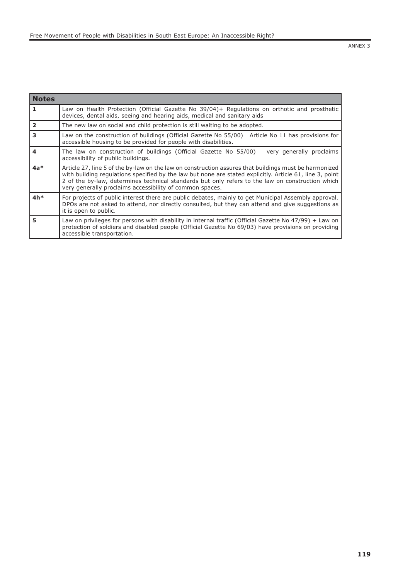| <b>Notes</b> |                                                                                                                                                                                                                                                                                                                                                                                   |
|--------------|-----------------------------------------------------------------------------------------------------------------------------------------------------------------------------------------------------------------------------------------------------------------------------------------------------------------------------------------------------------------------------------|
| 1            | Law on Health Protection (Official Gazette No 39/04)+ Regulations on orthotic and prosthetic<br>devices, dental aids, seeing and hearing aids, medical and sanitary aids                                                                                                                                                                                                          |
| 2            | The new law on social and child protection is still waiting to be adopted.                                                                                                                                                                                                                                                                                                        |
| 3            | Law on the construction of buildings (Official Gazette No 55/00)<br>Article No 11 has provisions for<br>accessible housing to be provided for people with disabilities.                                                                                                                                                                                                           |
| 4            | The law on construction of buildings (Official Gazette No 55/00)<br>very generally proclaims<br>accessibility of public buildings.                                                                                                                                                                                                                                                |
| $4a*$        | Article 27, line 5 of the by-law on the law on construction assures that buildings must be harmonized<br>with building regulations specified by the law but none are stated explicitly. Article 61, line 3, point<br>2 of the by-law, determines technical standards but only refers to the law on construction which<br>very generally proclaims accessibility of common spaces. |
| $4h*$        | For projects of public interest there are public debates, mainly to get Municipal Assembly approval.<br>DPOs are not asked to attend, nor directly consulted, but they can attend and give suggestions as<br>it is open to public.                                                                                                                                                |
| 5            | Law on privileges for persons with disability in internal traffic (Official Gazette No 47/99) + Law on<br>protection of soldiers and disabled people (Official Gazette No 69/03) have provisions on providing<br>accessible transportation.                                                                                                                                       |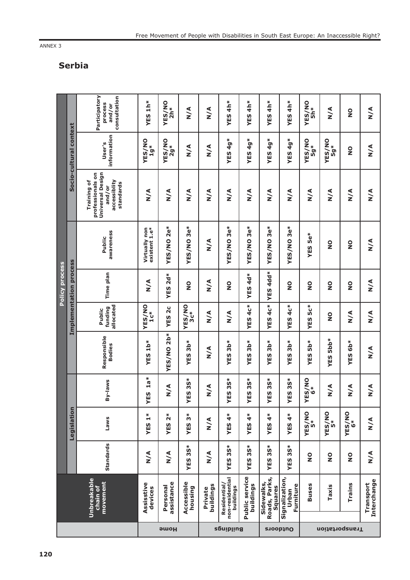# **Serbia**

|                |                        | Participatory<br>consultation<br>process<br>and/or                                                | <b>YES 1h*</b>                 | YES/NO<br>$2h*$             | $\frac{4}{5}$         | $\frac{4}{5}$        | <b>YES 4h*</b>                              | <b>YES 4h*</b>              | $4h*$<br>YES                           | YES 4h*                              | YES/NO<br>รี<br>5<br>         | $\frac{4}{5}$           | $\frac{0}{2}$            | $\frac{8}{2}$            |
|----------------|------------------------|---------------------------------------------------------------------------------------------------|--------------------------------|-----------------------------|-----------------------|----------------------|---------------------------------------------|-----------------------------|----------------------------------------|--------------------------------------|-------------------------------|-------------------------|--------------------------|--------------------------|
|                | Socio-cultural context | information<br>User's                                                                             | YES/NO<br>$19*$                | <b>YES/NO</b><br>$2g^*$     | $\frac{8}{2}$         | $\frac{4}{7}$        | <b>YES 4g*</b>                              | YES 4g*                     | $49*$<br>YES                           | <b>YES 4g*</b>                       | YES/NO<br><b>5</b> g*         | YES/NO<br>5g*           | $\frac{0}{2}$            | $\frac{8}{2}$            |
|                |                        | <b>Universal Design</b><br>professionals on<br>accessiblity<br>Training of<br>standards<br>and/or | $\frac{8}{2}$                  | ≤<br>N∕Z                    | $\frac{4}{2}$         | ≤<br>N∕Z             | $\frac{4}{7}$                               | $\frac{4}{5}$               | ≤<br>N∕Z                               | ≤<br>N∕Z                             | $\frac{4}{5}$                 | $\frac{4}{5}$           | ≤<br>N∕Z                 | $\frac{4}{5}$            |
|                |                        | awareness<br>Public                                                                               | Virtually non<br>existent 1.e* | $2e^*$<br>YES/NO            | YES/NO 3e*            | ≤<br>N∕Z             | $3e*$<br>YES/NO                             | $3e*$<br>YES/NO             | $3e*$<br><b>YES/NO</b>                 | $3e*$<br>YES/NO                      | YES 5e*                       | $\frac{1}{2}$           | $\frac{0}{2}$            | $\frac{4}{2}$            |
| Policy process | Implementation process | Time plan                                                                                         | $\frac{4}{7}$                  | YES 2d*                     | $\frac{0}{2}$         | $\frac{4}{5}$        | $\frac{1}{2}$                               | <b>YES 4d*</b>              | YES 4dd*                               | $\frac{1}{2}$                        | $\frac{0}{2}$                 | $\frac{1}{2}$           | $\frac{0}{2}$            | $\frac{8}{2}$            |
|                |                        | allocated<br>funding<br>Public                                                                    | YES/NO<br>$1c^*$               | <b>YES 2c</b>               | YES/NO<br>3c*         | $\frac{4}{2}$        | $\frac{4}{2}$                               | <b>YES 4c*</b>              | 4c<br>YES                              | <b>YES 4c*</b>                       | <b>YES 5c*</b>                | $\frac{0}{2}$           | $\frac{4}{5}$            | $\frac{4}{7}$            |
|                |                        | Responsible<br><b>Bodies</b>                                                                      | YES 1b*                        | YES/NO 2b*                  | YES 3b*               | $\frac{8}{2}$        | YES 3b*                                     | $3b*$<br><b>YES</b>         | $3b*$<br>YES                           | $3b*$<br><b>YES</b>                  | YES 5b*                       | $5bb**$<br>YES          | <b>YES 6b*</b>           | $\frac{4}{5}$            |
|                |                        | By-laws                                                                                           | $1a*$<br>YES                   | $\frac{4}{7}$               | YES 3S*               | $\frac{4}{7}$        | 3S*<br>YES                                  | 3S*<br>YES                  | 35*<br>YES                             | 3S*<br><b>YES</b>                    | YES/NO<br>$\tilde{\tilde{6}}$ | $\frac{4}{5}$           | ≤<br>N∕Z                 | $\frac{8}{2}$            |
|                | Legislation            | Laws                                                                                              | $\frac{*}{1}$<br>YES           | $\stackrel{*}{\sim}$<br>YES | ້<br>ທ<br>YES         | $\frac{8}{2}$        | YES 4*                                      | YES 4*                      | $\overset{*}{\mathbf{4}}$<br>YES       | YES 4*                               | YES/NO<br><u>ัก</u>           | YES/NO<br>$\frac{*}{5}$ | YES/NO<br>$\mathbf{6}^*$ | $\frac{8}{2}$            |
|                |                        | Standards                                                                                         | $\frac{4}{7}$                  | $\frac{8}{2}$               | <b>YES 3S*</b>        | $\frac{4}{7}$        | YES 3S*                                     | YES 3S*                     | 3S*<br>YES                             | YES 3S*                              | $\frac{0}{2}$                 | $\frac{0}{2}$           | $\frac{0}{2}$            | $\frac{8}{2}$            |
|                |                        | Unbreakable<br>movement<br>chain of                                                               | Assisstive<br>devices          | assistance<br>Personal      | Accessible<br>housing | buildings<br>Private | non-residential<br>Residential<br>buildings | Public service<br>buildings | Roads, Parks,<br>Sidewalks,<br>Squares | Signalization,<br>Furniture<br>Urban | <b>Buses</b>                  | Taxis                   | <b>Trains</b>            | Interchange<br>Transport |
|                |                        |                                                                                                   |                                | Home                        |                       |                      | <b>s6uibliud</b>                            |                             | <b>Outdoors</b>                        |                                      |                               | Transportation          |                          |                          |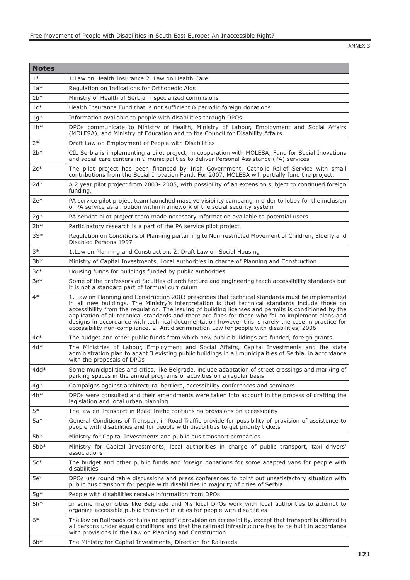| <b>Notes</b> |                                                                                                                                                                                                                                                                                                                                                                                                                                                                                                                                                                                                                           |
|--------------|---------------------------------------------------------------------------------------------------------------------------------------------------------------------------------------------------------------------------------------------------------------------------------------------------------------------------------------------------------------------------------------------------------------------------------------------------------------------------------------------------------------------------------------------------------------------------------------------------------------------------|
| $1*$         | 1. Law on Health Insurance 2. Law on Health Care                                                                                                                                                                                                                                                                                                                                                                                                                                                                                                                                                                          |
| $1a*$        | Regulation on Indications for Orthopedic Aids                                                                                                                                                                                                                                                                                                                                                                                                                                                                                                                                                                             |
| $1b*$        | Ministry of Health of Serbia - specialized commisions                                                                                                                                                                                                                                                                                                                                                                                                                                                                                                                                                                     |
| $1c*$        | Health Insurance Fund that is not sufficient & periodic foreign donations                                                                                                                                                                                                                                                                                                                                                                                                                                                                                                                                                 |
| $1g*$        | Information available to people with disabilities through DPOs                                                                                                                                                                                                                                                                                                                                                                                                                                                                                                                                                            |
| $1h*$        | DPOs communicate to Ministry of Health, Ministry of Labour, Employment and Social Affairs<br>(MOLESA), and Ministry of Education and to the Council for Disability Affairs                                                                                                                                                                                                                                                                                                                                                                                                                                                |
| $2*$         | Draft Law on Employment of People with Disabilities                                                                                                                                                                                                                                                                                                                                                                                                                                                                                                                                                                       |
| $2b*$        | CIL Serbia is implementing a pilot project, in cooperation with MOLESA, Fund for Social Inovations<br>and social care centers in 9 municipalities to deliver Personal Assistance (PA) services                                                                                                                                                                                                                                                                                                                                                                                                                            |
| $2c*$        | The pilot project has been financed by Irish Government, Catholic Relief Service with small<br>contributions from the Social Inovation Fund. For 2007, MOLESA will partially fund the project.                                                                                                                                                                                                                                                                                                                                                                                                                            |
| $2d*$        | A 2 year pilot project from 2003- 2005, with possibility of an extension subject to continued foreign<br>funding.                                                                                                                                                                                                                                                                                                                                                                                                                                                                                                         |
| $2e*$        | PA service pilot project team launched massive visibility campaing in order to lobby for the inclusion<br>of PA service as an option within framework of the social security system                                                                                                                                                                                                                                                                                                                                                                                                                                       |
| $2g*$        | PA service pilot project team made necessary information available to potential users                                                                                                                                                                                                                                                                                                                                                                                                                                                                                                                                     |
| $2h*$        | Participatory research is a part of the PA service pilot project                                                                                                                                                                                                                                                                                                                                                                                                                                                                                                                                                          |
| $3S*$        | Regulation on Conditions of Planning pertaining to Non-restricted Movement of Children, Elderly and<br>Disabled Persons 1997                                                                                                                                                                                                                                                                                                                                                                                                                                                                                              |
| $3*$         | 1. Law on Planning and Construction. 2. Draft Law on Social Housing                                                                                                                                                                                                                                                                                                                                                                                                                                                                                                                                                       |
| $3b*$        | Ministry of Capital Investments, Local authorities in charge of Planning and Construction                                                                                                                                                                                                                                                                                                                                                                                                                                                                                                                                 |
| $3c*$        | Housing funds for buildings funded by public authorities                                                                                                                                                                                                                                                                                                                                                                                                                                                                                                                                                                  |
| $3e*$        | Some of the professors at faculties of architecture and engineering teach accessibility standards but<br>it is not a standard part of formual curriculum                                                                                                                                                                                                                                                                                                                                                                                                                                                                  |
| $4*$         | 1. Law on Planning and Construction 2003 prescribes that technical standards must be implemented<br>in all new buildings. The Ministry's interpretation is that technical standards include those on<br>accessibility from the regulation. The issuing of building licenses and permits is conditioned by the<br>application of all technical standards and there are fines for those who fail to implement plans and<br>designs in accordance with technical documentation however this is rarely the case in practice for<br>accessibility non-compliance. 2. Antidiscrimination Law for people with disabilities, 2006 |
| $4c*$        | The budget and other public funds from which new public buildings are funded, foreign grants                                                                                                                                                                                                                                                                                                                                                                                                                                                                                                                              |
| $4d*$        | The Ministries of Labour, Employment and Social Affairs, Capital Investments and the state<br>administration plan to adapt 3 existing public buildings in all municipalities of Serbia, in accordance<br>with the proposals of DPOs                                                                                                                                                                                                                                                                                                                                                                                       |
| $4dd*$       | Some municipalities and cities, like Belgrade, include adaptation of street crossings and marking of<br>parking spaces in the annual programs of activities on a regular basis                                                                                                                                                                                                                                                                                                                                                                                                                                            |
| $4q*$        | Campaigns against architectural barriers, accessibility conferences and seminars                                                                                                                                                                                                                                                                                                                                                                                                                                                                                                                                          |
| $4h*$        | DPOs were consulted and their amendments were taken into account in the process of drafting the<br>legislation and local urban planning                                                                                                                                                                                                                                                                                                                                                                                                                                                                                   |
| 5*           | The law on Transport in Road Traffic contains no provisions on accessibility                                                                                                                                                                                                                                                                                                                                                                                                                                                                                                                                              |
| $5a*$        | General Conditions of Transport in Road Traffic provide for possibility of provision of assistence to<br>people with disabilities and for people with disabilities to get priority tickets                                                                                                                                                                                                                                                                                                                                                                                                                                |
| $5b*$        | Ministry for Capital Investments and public bus transport companies                                                                                                                                                                                                                                                                                                                                                                                                                                                                                                                                                       |
| $5bb*$       | Ministry for Capital Investments, local authorities in charge of public transport, taxi drivers'<br>associations                                                                                                                                                                                                                                                                                                                                                                                                                                                                                                          |
| $5c*$        | The budget and other public funds and foreign donations for some adapted vans for people with<br>disabilities                                                                                                                                                                                                                                                                                                                                                                                                                                                                                                             |
| $5e*$        | DPOs use round table discussions and press conferences to point out unsatisfactory situation with<br>public bus transport for people with disabilities in majority of cities of Serbia                                                                                                                                                                                                                                                                                                                                                                                                                                    |
| $5g*$        | People with disabilities receive information from DPOs                                                                                                                                                                                                                                                                                                                                                                                                                                                                                                                                                                    |
| $5h*$        | In some major cities like Belgrade and Nis local DPOs work with local authorities to attempt to<br>organize accessible public transport in cities for people with disabilities                                                                                                                                                                                                                                                                                                                                                                                                                                            |
| 6*           | The law on Railroads contains no specific provision on accessibility, except that transport is offered to<br>all persons under equal conditions and that the railroad infrastructure has to be built in accordance<br>with provisions in the Law on Planning and Construction                                                                                                                                                                                                                                                                                                                                             |
| $6b*$        | The Ministry for Capital Investments, Direction for Railroads                                                                                                                                                                                                                                                                                                                                                                                                                                                                                                                                                             |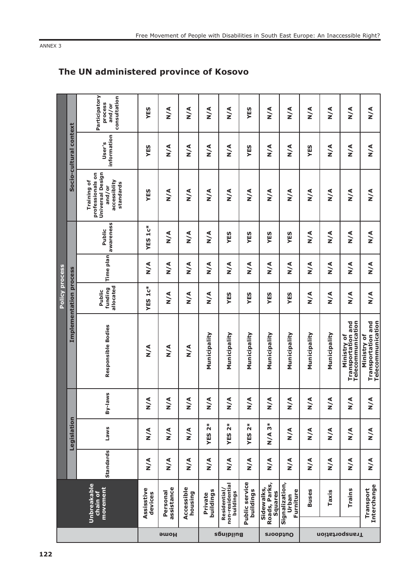| <b>Policy process</b>               | Socio-cultural context | Participatory<br>consultation<br>process<br>and/or                                                | YES                   | $\frac{8}{2}$          | ≤<br>N∕Z              | $\frac{8}{2}$             | $\frac{4}{7}$                                | YES                         | $\frac{8}{2}$                          | S<br>N∕                              | $\frac{4}{7}$ | $\frac{4}{5}$ | $\frac{8}{2}$                                                 | $\frac{8}{2}$                                          |
|-------------------------------------|------------------------|---------------------------------------------------------------------------------------------------|-----------------------|------------------------|-----------------------|---------------------------|----------------------------------------------|-----------------------------|----------------------------------------|--------------------------------------|---------------|---------------|---------------------------------------------------------------|--------------------------------------------------------|
|                                     |                        | information<br>User's                                                                             | YES                   | $\frac{4}{2}$          | ≤<br>N∕Z              | $\frac{4}{5}$             | $\frac{4}{2}$                                | YES                         | $\frac{4}{5}$                          | ≤<br>N∕Z                             | YES           | $\frac{4}{5}$ | $\frac{4}{2}$                                                 | $\frac{8}{2}$                                          |
|                                     |                        | <b>Universal Design</b><br>professionals on<br>accessiblity<br>Training of<br>standards<br>and/or | YES                   | $\frac{8}{2}$          | ≤<br>N∕Z              | $\frac{8}{2}$             | $\frac{8}{2}$                                | $\frac{4}{7}$               | $\frac{8}{2}$                          | ≤<br>N∕Z                             | $\frac{4}{7}$ | $\frac{4}{5}$ | $\frac{8}{2}$                                                 | $\frac{8}{2}$                                          |
|                                     | Implementation process | awareness<br>Public                                                                               | YES 1c*               | $\frac{8}{2}$          | ≤<br>N∕Z              | $\frac{4}{5}$             | YES                                          | YES                         | YES                                    | YES                                  | $\frac{8}{2}$ | $\frac{4}{2}$ | $\frac{8}{2}$                                                 | $\frac{8}{2}$                                          |
|                                     |                        | Time plan                                                                                         | $\frac{8}{2}$         | $\frac{4}{7}$          | $\frac{4}{7}$         | $\frac{4}{7}$             | $\frac{8}{2}$                                | $\frac{8}{2}$               | $\frac{4}{7}$                          | $\frac{8}{2}$                        | $\frac{4}{5}$ | $\frac{4}{5}$ | $\frac{8}{2}$                                                 | $\frac{4}{2}$                                          |
|                                     |                        | allocated<br>funding<br>Public                                                                    | YES 1c*               | $\frac{4}{5}$          | $\frac{4}{7}$         | $\frac{8}{2}$             | YES                                          | YES                         | YES                                    | YES                                  | $\frac{4}{5}$ | $\frac{4}{5}$ | $\frac{4}{5}$                                                 | $\frac{8}{2}$                                          |
|                                     |                        | Responsible Bodies                                                                                | $\frac{4}{5}$         | $\frac{8}{2}$          | ≤<br>N∕Z              | Municipality              | Municipality                                 | Municipality                | Municipality                           | Municipality                         | Municipality  | Municipality  | <b>Transportation and</b><br>Telecommunication<br>Ministry of | Telecommunication<br>Transportation and<br>Ministry of |
|                                     | Legislation            | By-laws                                                                                           | ⋖<br>$\geq$           | ⋖<br>$\geq$            | ⋖<br>$\geq$           | ⋖<br>$\geq$               | ⋖<br>$\geq$                                  | ⋖<br>$\geq$                 | ⋖<br>$\geq$                            | ⋖<br>$\geq$                          | ⋖<br>$\geq$   | ⋖<br>$\geq$   | ⋖<br>$\geq$                                                   | ⋖<br>$\sum_{i=1}^{n}$                                  |
|                                     |                        | Laws                                                                                              | $\frac{8}{2}$         | $\frac{8}{2}$          | $\frac{8}{2}$         | $\boldsymbol{z}^*$<br>YES | YES 2*                                       | $\bf{N}^*$<br>YES           | ້າ<br>$\frac{8}{2}$                    | $\frac{8}{2}$                        | $\frac{8}{2}$ | $\frac{8}{2}$ | $\frac{8}{2}$                                                 | $\frac{8}{2}$                                          |
|                                     |                        | <b>Standards</b>                                                                                  | $\frac{8}{2}$         | $\frac{8}{2}$          | $\frac{4}{5}$         | $\frac{4}{2}$             | $\frac{8}{2}$                                | $\frac{8}{2}$               | $\frac{4}{2}$                          | $\frac{8}{2}$                        | $\frac{8}{2}$ | $\frac{4}{2}$ | $\frac{8}{2}$                                                 | $\frac{8}{2}$                                          |
| Unbreakable<br>movement<br>chain of |                        |                                                                                                   | Assisstive<br>devices | assistance<br>Personal | Accessible<br>housing | buildings<br>Private      | non-residential<br>Residential/<br>buildings | Public service<br>buildings | Roads, Parks,<br>Sidewalks,<br>Squares | Signalization,<br>Furniture<br>Urban | <b>Buses</b>  | Taxis         | <b>Trains</b>                                                 | Interchange<br>Transport                               |
|                                     |                        | Home                                                                                              |                       |                        | <b>s6uibliug</b>      |                           |                                              | Outdoors                    |                                        | Transportation                       |               |               |                                                               |                                                        |

## **The UN administered province of Kosovo**